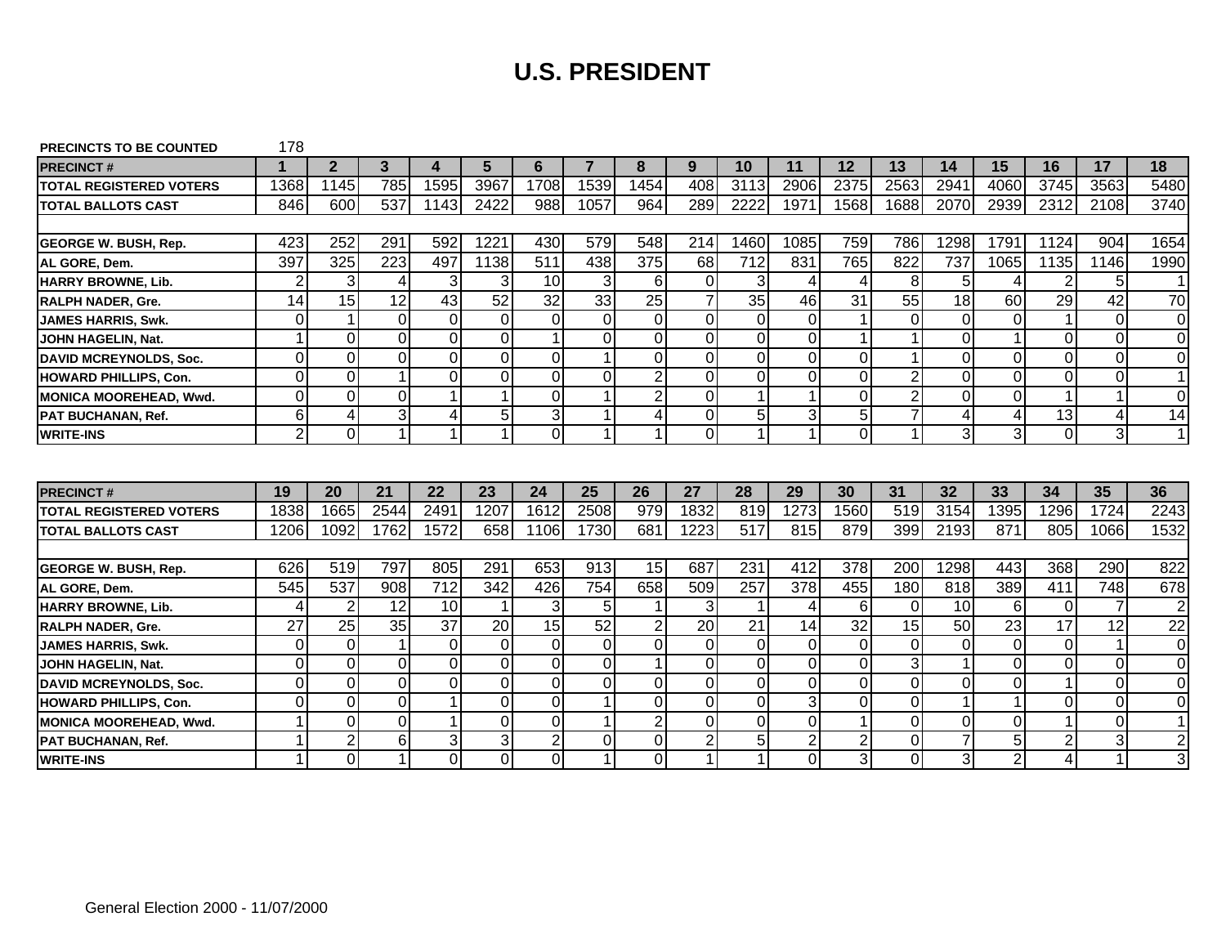| <b>PRECINCTS TO BE COUNTED</b> | 178            |                |                |                     |                      |                |          |                               |                |          |                |                                  |                |                      |                     |                 |                 |                     |
|--------------------------------|----------------|----------------|----------------|---------------------|----------------------|----------------|----------|-------------------------------|----------------|----------|----------------|----------------------------------|----------------|----------------------|---------------------|-----------------|-----------------|---------------------|
| <b>PRECINCT#</b>               |                | $\mathbf{2}$   | 3              | 4                   | 5                    | 6              |          | 8                             | 9              | 10       | 11             | 12                               | 13             | 14                   | 15                  | 16              | 17              | 18                  |
| <b>TOTAL REGISTERED VOTERS</b> | 1368           | 1145           | 785            | 1595                | 3967                 | 1708           | 1539     | 1454                          | 408            | 3113     | 2906           | 2375                             | 2563           | 2941                 | 4060                | 3745            | 3563            | 5480                |
| <b>TOTAL BALLOTS CAST</b>      | 846            | 600            | 537            | 1143                | 2422                 | 988            | 1057     | 964                           | 289            | 2222     | 1971           | 1568                             | 1688           | 2070                 | 2939                | 2312            | 2108            | 3740                |
|                                |                |                |                |                     |                      |                |          |                               |                |          |                |                                  |                |                      |                     |                 |                 |                     |
| <b>GEORGE W. BUSH, Rep.</b>    | 423            | 252            | 291            | 592                 | 1221                 | 430            | 579      | 548                           | 214            | 1460     | 1085           | 759                              | 786            | 1298                 | 1791                | 1124            | 904             | 1654                |
| AL GORE, Dem.                  | 397            | 325            | 223            | 497                 | 1138                 | 511            | 438      | 375                           | 68             | 712      | 831            | 765                              | 822            | 737                  | 1065                | 1135            | 1146            | 1990                |
| HARRY BROWNE, Lib.             | $\overline{2}$ | 3              | $\overline{4}$ | 3                   | 3                    | 10             | 3        | 6                             | $\mathbf 0$    | 3        | 4              | $\overline{4}$                   | 8              | 5 <sup>1</sup>       | 4                   | $\overline{2}$  | 5 <sup>1</sup>  | $\mathbf{1}$        |
| <b>RALPH NADER, Gre.</b>       | 14             | 15             | 12             | 43                  | 52                   | 32             | 33       | 25                            | $\overline{7}$ | 35       | 46             | 31                               | 55             | 18                   | 60                  | 29              | 42              | 70                  |
| <b>JAMES HARRIS, Swk.</b>      | 0              | 1              | $\Omega$       | 0                   | $\mathbf 0$          | $\Omega$       | 0        | $\overline{0}$                | $\Omega$       | 0        | $\overline{0}$ |                                  | 0              | $\overline{0}$       | $\Omega$            |                 | $\overline{0}$  | 0                   |
| JOHN HAGELIN, Nat.             | 1              | $\overline{O}$ | $\Omega$       | 0                   | $\overline{0}$       |                | 0        | $\overline{0}$                | $\overline{0}$ | $\Omega$ | $\overline{0}$ |                                  |                | $\overline{0}$       |                     | 0               | $\Omega$        | $\mathbf 0$         |
| <b>DAVID MCREYNOLDS, Soc.</b>  | 0              | $\mathbf 0$    | $\Omega$       | 0                   | $\mathbf 0$          | $\Omega$       | 1        | $\mathbf 0$                   | $\overline{0}$ | 0        | $\overline{0}$ | $\overline{0}$                   |                | $\overline{0}$       | $\mathbf 0$         | 0               | $\overline{0}$  | 0                   |
| <b>HOWARD PHILLIPS, Con.</b>   | $\overline{0}$ | $\overline{0}$ |                | 0                   | $\overline{0}$       | $\overline{0}$ | 0        | $\overline{2}$                | $\overline{0}$ | 0        | $\Omega$       | $\overline{0}$                   | $\overline{2}$ | $\overline{0}$       | $\mathbf 0$         | 0               | $\overline{0}$  | $\mathbf{1}$        |
| MONICA MOOREHEAD, Wwd.         | 0              | $\overline{O}$ | $\Omega$       | 1                   | 1                    | $\Omega$       | 1        | $\overline{2}$                | $\Omega$       |          |                | $\mathbf 0$                      | $\overline{2}$ | $\overline{0}$       | $\mathbf 0$         |                 | $\mathbf{1}$    | $\mathbf 0$         |
| <b>PAT BUCHANAN, Ref.</b>      | 6              | $\overline{4}$ | 3              | 4                   | 5                    | 3              |          | $\overline{4}$                | $\overline{0}$ | 5        | 3              | 5 <sup>1</sup>                   |                | $\vert 4 \vert$      | 4                   | $\overline{13}$ | $\vert 4 \vert$ | $\overline{14}$     |
| <b>WRITE-INS</b>               | 2              | $\overline{0}$ | 1              | 1                   | $\blacktriangleleft$ | $\Omega$       | 1        | $\blacktriangleleft$          | $\Omega$       | 1        | $\mathbf{1}$   | $\overline{0}$                   | 1              | دی                   | 3                   | $\Omega$        | $\overline{3}$  | $\mathbf{1}$        |
|                                |                |                |                |                     |                      |                |          |                               |                |          |                |                                  |                |                      |                     |                 |                 |                     |
|                                |                |                |                |                     |                      |                |          |                               |                |          |                |                                  |                |                      |                     |                 |                 |                     |
| <b>PRECINCT#</b>               | 19             | 20             | 21             | 22                  | 23                   | 24             | 25       | 26                            | 27             | 28       | 29             | 30                               | 31             | 32                   | 33                  | 34              | 35              | 36                  |
| <b>TOTAL REGISTERED VOTERS</b> | 1838           | 1665           | 2544           | 2491                | 1207                 | 1612           | 2508     | 979                           | 1832           | 819      | 1273           | 1560                             | 519            | 3154                 | 1395                | 1296            | 1724            | 2243                |
| <b>ITOTAL BALLOTS CAST</b>     | 1206           | 1092           | 1762           | 1572                | 658                  | 1106           | 1730     | 681                           | 1223           | 517      | 815            | 879                              | 399            | 2193                 | 871                 | 805             | 1066            | 1532                |
|                                |                |                |                |                     |                      |                |          |                               |                |          |                |                                  |                |                      |                     |                 |                 |                     |
| <b>GEORGE W. BUSH, Rep.</b>    | 626            | 519            | 797            | 805                 | 291                  | 653            | 913      | 15                            | 687            | 231      | 412            | 378                              | 200            | 1298                 | 443                 | 368             | 290             | 822                 |
| AL GORE, Dem.                  | 545            | 537            | 908            | 712                 | 342                  | 426            | 754      | 658                           | 509            | 257      | 378            | 455                              | 180            | 818                  | 389                 | 411             | 748             | 678                 |
| HARRY BROWNE, Lib.             | 4              | $\overline{2}$ | 12             | 10                  | $\overline{1}$       | 3              | 5        |                               | 3              |          | 4              | 6                                | $\Omega$       | 10                   | 6                   | $\Omega$        | $\overline{7}$  | $\overline{2}$      |
| <b>RALPH NADER, Gre.</b>       | 27             | 25             | 35             | 37                  | 20                   | 15             | 52       | $\overline{2}$                | 20             | 21       | 14             | 32                               | 15             | 50                   | $\overline{23}$     | 17              | 12              | 22                  |
| <b>JAMES HARRIS, Swk.</b>      | 0              | $\mathbf 0$    |                | 0                   | $\mathbf 0$          | $\Omega$       | 0        | $\overline{0}$                | $\mathbf 0$    | 0        | $\overline{0}$ | $\overline{0}$                   | 0              | $\overline{0}$       | $\mathbf 0$         | 0               | $\mathbf{1}$    | $\mathbf 0$         |
| JOHN HAGELIN, Nat.             | $\overline{0}$ | $\overline{0}$ | $\Omega$       | 0                   | $\overline{0}$       | $\overline{0}$ | 0        |                               | $\overline{0}$ | 0        | $\overline{0}$ | $\mathbf 0$                      | 3              | 1 <sup>1</sup>       | $\mathbf 0$         | $\Omega$        | $\overline{0}$  | $\pmb{0}$           |
| DAVID MCREYNOLDS, Soc.         | 0              | $\mathbf 0$    | $\Omega$       | 0                   | $\mathbf 0$          | $\Omega$       | 0        | $\overline{O}$                | $\Omega$       | 0        | $\overline{0}$ | $\overline{0}$                   | 0              | $\overline{0}$       | $\Omega$            |                 | $\overline{0}$  | $\mathbf 0$         |
| <b>HOWARD PHILLIPS, Con.</b>   | 0              | $\overline{0}$ | $\Omega$       | 1                   | $\overline{0}$       | $\mathbf 0$    |          | $\overline{0}$                | $\mathbf 0$    | $\Omega$ | 3              | $\Omega$                         | $\Omega$       | 1 <sup>1</sup>       |                     | 0               | $\overline{0}$  | $\mathbf 0$         |
| <b>MONICA MOOREHEAD, Wwd.</b>  |                | $\mathbf 0$    | $\Omega$       |                     | $\mathbf 0$          | $\Omega$       |          | $\overline{2}$                | $\Omega$       | 0        | $\overline{0}$ |                                  | 0              | $\overline{0}$       | 0                   |                 | $\overline{0}$  | $\mathbf{1}$        |
| <b>PAT BUCHANAN, Ref.</b>      | 1              |                |                |                     |                      |                |          |                               |                |          |                |                                  |                |                      |                     |                 |                 |                     |
|                                |                | $\overline{2}$ | 6              | 3<br>$\overline{0}$ | 3                    | $\overline{2}$ | $\Omega$ | $\mathbf 0$<br>$\overline{0}$ | $\overline{2}$ | 5        | $\overline{2}$ | $\overline{2}$<br>3 <sup>1</sup> | 0              | $\overline{7}$<br>зI | 5<br>$\overline{2}$ | 2               | $\overline{3}$  | $\overline{c}$<br>3 |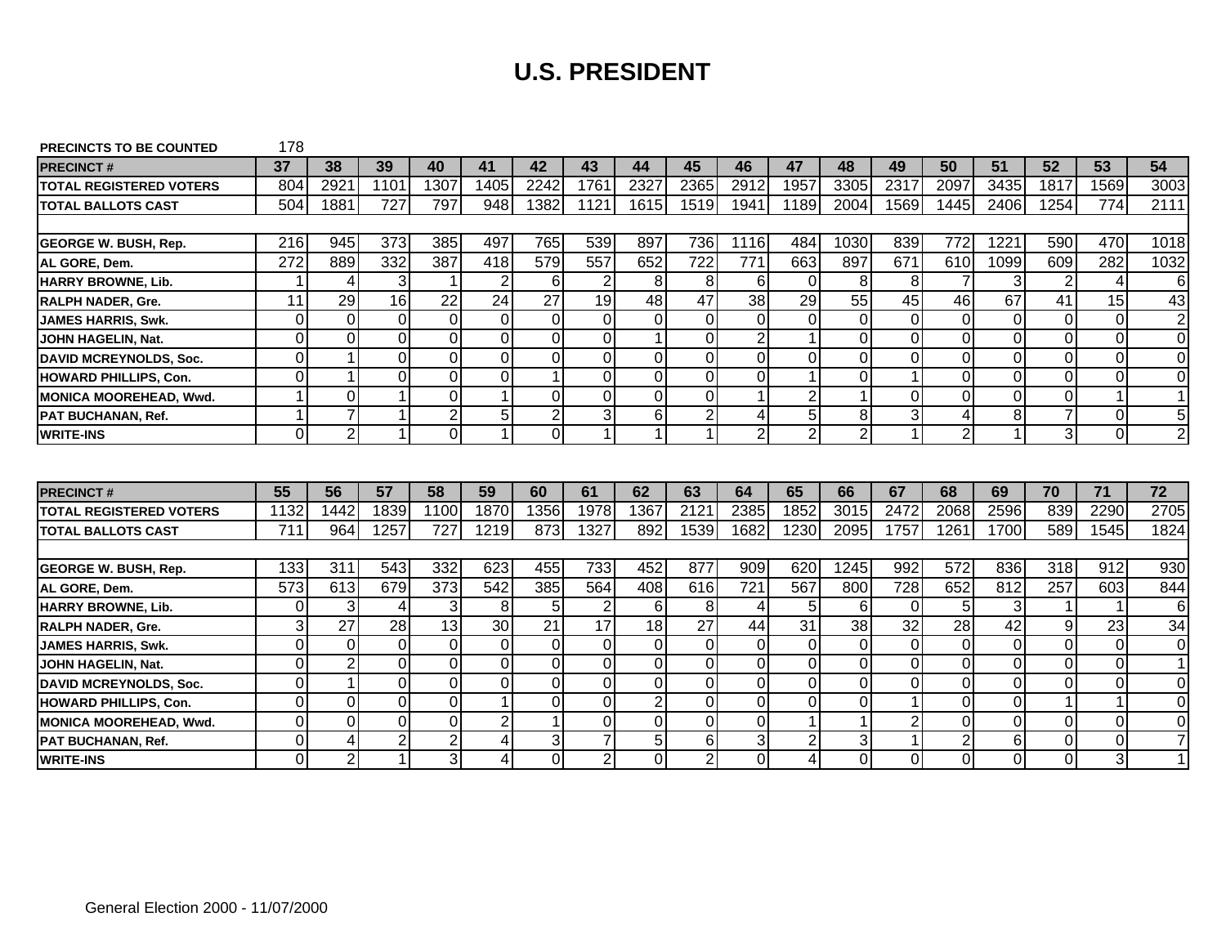| <b>PRECINCTS TO BE COUNTED</b> | 178            |                |                |                |                |                 |                |                      |                |                |                |                |                |                 |             |                |                |                  |
|--------------------------------|----------------|----------------|----------------|----------------|----------------|-----------------|----------------|----------------------|----------------|----------------|----------------|----------------|----------------|-----------------|-------------|----------------|----------------|------------------|
| <b>PRECINCT#</b>               | 37             | 38             | 39             | 40             | 41             | 42              | 43             | 44                   | 45             | 46             | 47             | 48             | 49             | 50              | 51          | 52             | 53             | 54               |
| <b>TOTAL REGISTERED VOTERS</b> | 804            | 2921           | 1101           | 1307           | 1405           | 2242            | 1761           | 2327                 | 2365           | 2912           | 1957           | 3305           | 2317           | 2097            | 3435        | 1817           | 1569           | 3003             |
| <b>TOTAL BALLOTS CAST</b>      | 504            | 1881           | 727            | 797            | 948            | 1382            | 1121           | 1615                 | 1519           | 1941           | 1189           | 2004           | 1569           | 1445            | 2406        | 1254           | 774            | 2111             |
|                                |                |                |                |                |                |                 |                |                      |                |                |                |                |                |                 |             |                |                |                  |
| <b>GEORGE W. BUSH, Rep.</b>    | 216            | 945            | 373            | 385            | 497            | 765             | 539            | 897                  | 736            | 1116           | 484            | 1030           | 839            | 772             | 1221        | 590            | 470            | 1018             |
| AL GORE, Dem.                  | 272            | 889            | 332            | 387            | 418            | 579             | 557            | 652                  | 722            | 771            | 663            | 897            | 671            | 610             | 1099        | 609            | 282            | 1032             |
| HARRY BROWNE, Lib.             | 1              | 4              | 3              | 1              | $\overline{2}$ | 6               | $\overline{2}$ | 8                    | 8              | 6              | $\Omega$       | 8              | 8              | $\overline{7}$  | 3           | $\overline{2}$ | 4              | 6                |
| <b>RALPH NADER, Gre.</b>       | 11             | 29             | 16             | 22             | 24             | $\overline{27}$ | 19             | 48                   | 47             | 38             | 29             | 55             | 45             | 46              | 67          | 41             | 15             | 43               |
| <b>JAMES HARRIS, Swk.</b>      | 0              | $\mathbf 0$    | $\Omega$       | 0              | $\mathbf 0$    | $\Omega$        | $\Omega$       | $\overline{0}$       | $\Omega$       | 0              | $\Omega$       | $\Omega$       | $\Omega$       | $\overline{0}$  | 0           | 0              | $\overline{0}$ | $\boldsymbol{2}$ |
| JOHN HAGELIN, Nat.             | $\overline{0}$ | $\Omega$       | $\Omega$       | 0              | $\overline{0}$ | $\Omega$        | 0              |                      | $\overline{0}$ | $\overline{2}$ | $\mathbf{1}$   | $\overline{0}$ | $\Omega$       | $\overline{0}$  | $\mathbf 0$ | 0              | $\Omega$       | $\mathbf 0$      |
| <b>DAVID MCREYNOLDS, Soc.</b>  | 0              |                | $\Omega$       | 0              | $\mathbf 0$    | $\Omega$        | 0              | $\overline{0}$       | $\overline{0}$ | $\Omega$       | $\overline{0}$ | $\overline{0}$ | 0              | $\overline{0}$  | $\mathbf 0$ | 0              | $\overline{0}$ | 0                |
| <b>HOWARD PHILLIPS, Con.</b>   | $\overline{0}$ |                | $\Omega$       | 0              | $\overline{0}$ |                 | 0              | $\overline{0}$       | $\overline{0}$ | 0              |                | $\overline{0}$ |                | $\overline{0}$  | $\mathbf 0$ | 0              | $\Omega$       | $\mathbf 0$      |
| MONICA MOOREHEAD, Wwd.         | 1              | $\overline{O}$ |                | 0              | 1              | $\Omega$        | 0              | $\overline{O}$       | $\Omega$       |                | $\overline{2}$ |                | 0              | $\Omega$        | $\Omega$    | 0              | $\mathbf{1}$   | $\mathbf{1}$     |
| <b>PAT BUCHANAN, Ref.</b>      | 1              | $\overline{7}$ |                | $\overline{2}$ | 5              | $\overline{2}$  | دن             | 6                    | $\overline{2}$ | 4              | 5 <sup>1</sup> | 8              | 3              | $\vert 4 \vert$ | 8           |                | $\overline{0}$ | $\overline{5}$   |
| <b>WRITE-INS</b>               | 0              | $\overline{2}$ | -1             | $\Omega$       | $\overline{1}$ | $\Omega$        | 1              | $\blacktriangleleft$ |                | $\overline{2}$ | $\overline{2}$ | $\overline{2}$ | 1              | $\overline{2}$  |             | $\mathbf{3}$   | $\overline{0}$ | $\overline{2}$   |
| <b>PRECINCT#</b>               | 55             | 56             | 57             | 58             | 59             | 60              | 61             | 62                   | 63             | 64             | 65             | 66             | 67             | 68              | 69          | 70             | 71             | 72               |
| <b>TOTAL REGISTERED VOTERS</b> | 1132           | 1442           | 1839           | 1100           | 1870           | 1356            | 1978           | 1367                 | 2121           | 2385           | 1852           | 3015           | 2472           | 2068            | 2596        | 839            | 2290           | 2705             |
| <b>ITOTAL BALLOTS CAST</b>     | 711            | 964            | 1257           | 727            | 1219           | 873             | 1327           | 892                  | 1539           | 1682           | 1230           | 2095           | 1757           | 1261            | 1700        | 589            | 1545           | 1824             |
|                                |                |                |                |                |                |                 |                |                      |                |                |                |                |                |                 |             |                |                |                  |
| <b>GEORGE W. BUSH, Rep.</b>    | 133            | 311            | 543            | 332            | 623            | 455             | 733            | 452                  | 877            | 909            | 620            | 1245           | 992            | 572             | 836         | 318            | 912            | 930              |
| AL GORE, Dem.                  | 573            | 613            | 679            | 373            | 542            | 385             | 564            | 408                  | 616            | 721            | 567            | 800            | 728            | 652             | 812         | 257            | 603            | 844              |
| HARRY BROWNE, Lib.             | 0              | 3              | $\overline{4}$ | 3              | 8              | 5               | 2              | 6                    | 8              | 4              | 5              | 6              | $\Omega$       | 5 <sub>l</sub>  | 3           |                | $\mathbf 1$    | 6                |
| <b>RALPH NADER, Gre.</b>       | 3              | 27             | 28             | 13             | 30             | 21              | 17             | 18                   | 27             | 44             | 31             | 38             | 32             | 28              | 42          | 9              | 23             | 34               |
| <b>JAMES HARRIS, Swk.</b>      | $\overline{0}$ | $\mathbf 0$    | $\Omega$       | 0              | $\mathbf 0$    | $\Omega$        | 0              | $\mathbf 0$          | $\mathbf 0$    | 0              | $\overline{0}$ | $\overline{0}$ | 0              | $\overline{0}$  | $\mathbf 0$ | 0              | $\overline{0}$ | $\mathbf 0$      |
| JOHN HAGELIN, Nat.             | $\overline{0}$ | $\overline{2}$ | $\Omega$       | 0              | $\overline{0}$ | $\overline{0}$  | 0              | $\overline{0}$       | $\overline{0}$ | 0              | $\overline{0}$ | $\mathbf 0$    | 0              | $\overline{0}$  | $\mathbf 0$ | $\mathbf 0$    | $\overline{0}$ | $\mathbf{1}$     |
| <b>DAVID MCREYNOLDS, Soc.</b>  | 0              |                | $\Omega$       | 0              | $\overline{O}$ | $\Omega$        | 0              | $\overline{O}$       | $\mathbf 0$    | 0              | $\overline{0}$ | $\overline{0}$ | 0              | $\overline{0}$  | 0           | 0              | $\overline{0}$ | $\mathbf 0$      |
| <b>HOWARD PHILLIPS, Con.</b>   | 0              | $\Omega$       | $\Omega$       | 0              | 1              | $\Omega$        |                |                      |                |                |                |                |                | $\overline{0}$  | 0           |                | 1 <sup>1</sup> |                  |
| <b>MONICA MOOREHEAD, Wwd.</b>  |                |                |                |                |                |                 | 0              | $\overline{2}$       | $\mathbf 0$    | $\Omega$       | $\Omega$       | $\overline{0}$ |                |                 |             |                |                | $\mathbf 0$      |
|                                | 0              | $\mathbf 0$    | $\Omega$       | 0              | $\overline{2}$ |                 | 0              | $\mathbf 0$          | $\mathbf 0$    | 0              |                |                | $\overline{2}$ | $\overline{0}$  | $\Omega$    | 0              | $\overline{0}$ | 0                |
| <b>PAT BUCHANAN, Ref.</b>      | 0              | $\overline{4}$ | $\overline{2}$ | 2              | 4              | 3               | 7              | 5                    | 6              | 3              | $\overline{2}$ | 3              |                | $\overline{2}$  | 6           | 0              | $\overline{0}$ | $\overline{7}$   |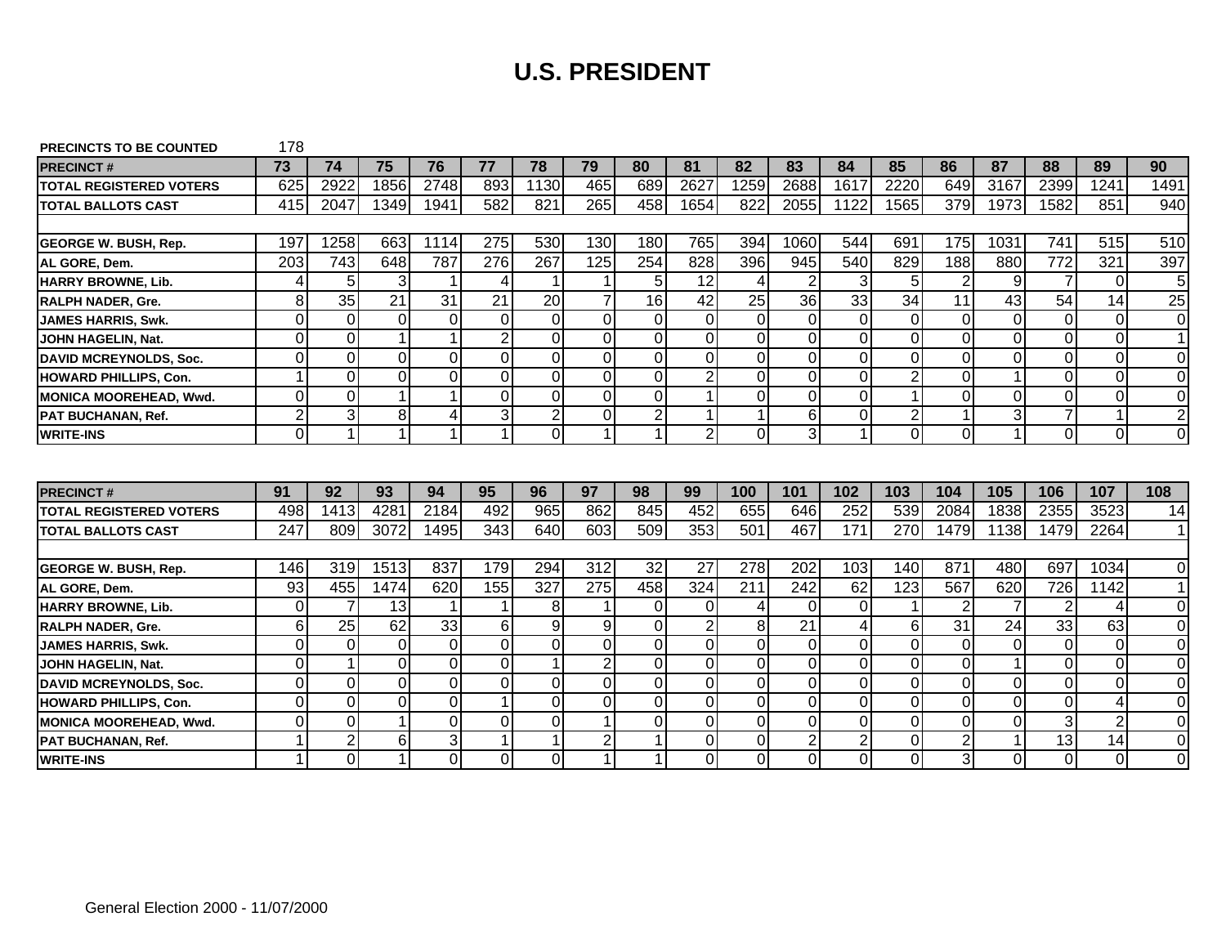| <b>PRECINCTS TO BE COUNTED</b> | 178            |                |          |      |                      |                |                |                      |                |          |                |                |                |                |                |                |                 |                |
|--------------------------------|----------------|----------------|----------|------|----------------------|----------------|----------------|----------------------|----------------|----------|----------------|----------------|----------------|----------------|----------------|----------------|-----------------|----------------|
| <b>PRECINCT#</b>               | 73             | 74             | 75       | 76   | 77                   | 78             | 79             | 80                   | 81             | 82       | 83             | 84             | 85             | 86             | 87             | 88             | 89              | 90             |
| <b>TOTAL REGISTERED VOTERS</b> | 625            | 2922           | 1856     | 2748 | 893                  | 1130           | 465            | 689                  | 2627           | 1259     | 2688           | 1617           | 2220           | 649            | 3167           | 2399           | 1241            | 1491           |
| <b>ITOTAL BALLOTS CAST</b>     | 415            | 2047           | 1349     | 1941 | 582                  | 821            | 265            | 458                  | 1654           | 822      | 2055           | 1122           | 1565           | 379            | 1973           | 1582           | 851             | 940            |
|                                |                |                |          |      |                      |                |                |                      |                |          |                |                |                |                |                |                |                 |                |
| <b>GEORGE W. BUSH, Rep.</b>    | 197            | 1258           | 663      | 1114 | 275                  | 530            | 130            | 180                  | 765            | 394      | 1060           | 544            | 691            | 175            | 1031           | 741            | 515             | 510            |
| AL GORE, Dem.                  | 203            | 743            | 648      | 787  | 276                  | 267            | 125            | 254                  | 828            | 396      | 945            | 540            | 829            | 188            | 880            | 772            | 321             | 397            |
| HARRY BROWNE, Lib.             | 4              | 5              | 3        | 1    | 4                    | -1             | 1              | 5                    | 12             | 4        | $\overline{2}$ | 3              | 5              | $\overline{2}$ | 9              | $\overline{7}$ | $\Omega$        | 5              |
| <b>RALPH NADER, Gre.</b>       | 8              | 35             | 21       | 31   | 21                   | 20             | 7              | 16                   | 42             | 25       | 36             | 33             | 34             | 11             | 43             | 54             | 14              | 25             |
| <b>JAMES HARRIS, Swk.</b>      | 0              | $\mathbf 0$    | $\Omega$ | 0    | $\mathbf 0$          | $\Omega$       | $\Omega$       | $\overline{0}$       | $\Omega$       | 0        | $\overline{0}$ | $\overline{0}$ | 0              | $\overline{0}$ | 0              | 0              | $\overline{0}$  | $\mathbf 0$    |
| JOHN HAGELIN, Nat.             | $\overline{0}$ | $\overline{O}$ |          | 1    | $\overline{2}$       | $\Omega$       | $\Omega$       | $\overline{0}$       | $\overline{0}$ | $\Omega$ | $\Omega$       | $\overline{0}$ | 0              | $\overline{0}$ | $\mathbf 0$    | 0              | $\overline{0}$  | $\mathbf{1}$   |
| <b>DAVID MCREYNOLDS, Soc.</b>  | 0              | $\mathbf 0$    | $\Omega$ | 0    | $\mathbf 0$          | $\overline{0}$ | 0              | $\mathbf 0$          | $\mathbf 0$    | 0        | $\overline{0}$ | $\overline{0}$ | 0              | $\overline{0}$ | 0              | 0              | $\overline{0}$  | 0              |
| <b>HOWARD PHILLIPS, Con.</b>   | 1              | $\overline{0}$ | $\Omega$ | 0    | $\overline{0}$       | $\overline{0}$ | 0              | $\overline{0}$       | $\overline{2}$ | 0        | $\overline{0}$ | $\overline{0}$ | $\overline{2}$ | $\overline{0}$ |                | 0              | $\Omega$        | $\mathbf 0$    |
| MONICA MOOREHEAD, Wwd.         | 0              | $\overline{O}$ |          | 1    | $\overline{O}$       | $\Omega$       | 0              | $\overline{O}$       |                | 0        | $\Omega$       | $\overline{0}$ |                | $\Omega$       | $\Omega$       | 0              | $\Omega$        | 0              |
| <b>PAT BUCHANAN, Ref.</b>      | $\overline{2}$ | دن             | 8        | 4    | دن                   | $\overline{2}$ | 0              | $\overline{2}$       |                |          | $\overline{6}$ | $\overline{0}$ | 2              | $\mathbf{1}$   | 3              |                | $\mathbf{1}$    | $\overline{2}$ |
| <b>WRITE-INS</b>               | 0              | $\mathbf{1}$   | 1        | 1    | $\blacktriangleleft$ | $\Omega$       | 1              | $\blacktriangleleft$ | $\overline{2}$ | $\Omega$ | 3              |                | $\Omega$       | $\Omega$       |                | $\Omega$       | $\overline{0}$  | $\Omega$       |
|                                |                |                |          |      |                      |                |                |                      |                |          |                |                |                |                |                |                |                 |                |
|                                |                |                |          |      |                      |                |                |                      |                |          |                |                |                |                |                |                |                 |                |
| <b>PRECINCT#</b>               | 91             | 92             | 93       | 94   | 95                   | 96             | 97             | 98                   | 99             | 100      | 101            | 102            | 103            | 104            | 105            | 106            | 107             | 108            |
| <b>TOTAL REGISTERED VOTERS</b> | 498            | 1413           | 4281     | 2184 | 492                  | 965            | 862            | 845                  | 452            | 655      | 646            | 252            | 539            | 2084           | 1838           | 2355           | 3523            | 14             |
| <b>ITOTAL BALLOTS CAST</b>     | 247            | 809            | 3072     | 1495 | 343                  | 640            | 603            | 509                  | 353            | 501      | 467            | 171            | 270            | 1479           | 1138           | 1479           | 2264            | $\mathbf 1$    |
|                                |                |                |          |      |                      |                |                |                      |                |          |                |                |                |                |                |                |                 |                |
| <b>GEORGE W. BUSH, Rep.</b>    | 146            | 319            | 1513     | 837  | 179                  | 294            | 312            | 32                   | 27             | 278      | 202            | 103            | 140            | 871            | 480            | 697            | 1034            | 0              |
| AL GORE, Dem.                  | 93             | 455            | 1474     | 620  | 155                  | 327            | 275            | 458                  | 324            | 211      | 242            | 62             | 123            | 567            | 620            | 726            | 1142            | $\mathbf 1$    |
| HARRY BROWNE, Lib.             | 0              | $\overline{7}$ | 13       | 1    | 1                    | 8              |                | $\Omega$             | $\Omega$       | 4        | $\Omega$       | $\Omega$       |                | $\overline{2}$ | $\overline{7}$ | $\overline{2}$ | 4               | 0              |
| <b>RALPH NADER, Gre.</b>       | 6              | 25             | 62       | 33   | 6                    | 9              | 9              | $\Omega$             | $\overline{2}$ | 8        | 21             | 4              | 6              | 31             | 24             | 33             | 63              | 0              |
| <b>JAMES HARRIS, Swk.</b>      | $\overline{0}$ | $\overline{0}$ | $\Omega$ | 0    | $\mathbf 0$          | $\Omega$       | 0              | $\overline{0}$       | $\overline{0}$ | 0        | $\overline{0}$ | $\overline{0}$ | 0              | $\overline{0}$ | 0              | 0              | $\overline{0}$  |                |
| JOHN HAGELIN, Nat.             | $\overline{0}$ | $\mathbf{1}$   | $\Omega$ |      |                      |                |                |                      |                |          |                | $\overline{0}$ | 0              | $\overline{0}$ |                |                | $\overline{0}$  | $\mathbf 0$    |
| <b>DAVID MCREYNOLDS, Soc.</b>  |                |                |          | 0    | $\overline{0}$       |                | $\overline{2}$ | $\overline{0}$       | $\overline{0}$ | 0        | $\overline{0}$ |                |                |                |                | $\mathbf 0$    |                 | $\pmb{0}$      |
|                                | 0              | $\overline{O}$ | $\Omega$ | 0    | $\overline{O}$       | $\Omega$       | 0              | $\overline{O}$       | $\Omega$       | 0        | $\Omega$       | $\overline{0}$ | 0              | $\Omega$       | 0              | 0              | $\Omega$        | $\mathbf 0$    |
| <b>HOWARD PHILLIPS, Con.</b>   | 0              | $\overline{0}$ | $\Omega$ | 0    | $\mathbf 1$          | $\Omega$       | 0              | $\Omega$             | $\mathbf 0$    | $\Omega$ | $\Omega$       | $\overline{0}$ | $\Omega$       | $\overline{0}$ | 0              | $\overline{0}$ | $\vert 4 \vert$ | $\mathbf 0$    |
| <b>MONICA MOOREHEAD, Wwd.</b>  | 0              | $\mathbf 0$    |          | 0    | $\overline{O}$       | $\Omega$       |                | $\overline{O}$       | $\Omega$       | 0        | $\Omega$       | $\Omega$       | 0              | $\overline{0}$ | 0              | 3              | $\overline{2}$  | 0              |
| <b>PAT BUCHANAN, Ref.</b>      | 1              | $\overline{2}$ | 6        | 3    | 1                    | $\overline{1}$ | $\overline{2}$ |                      | $\overline{0}$ | 0        | $\overline{2}$ | $\overline{2}$ | 0              | $\overline{2}$ |                | 13             | 14              | 0              |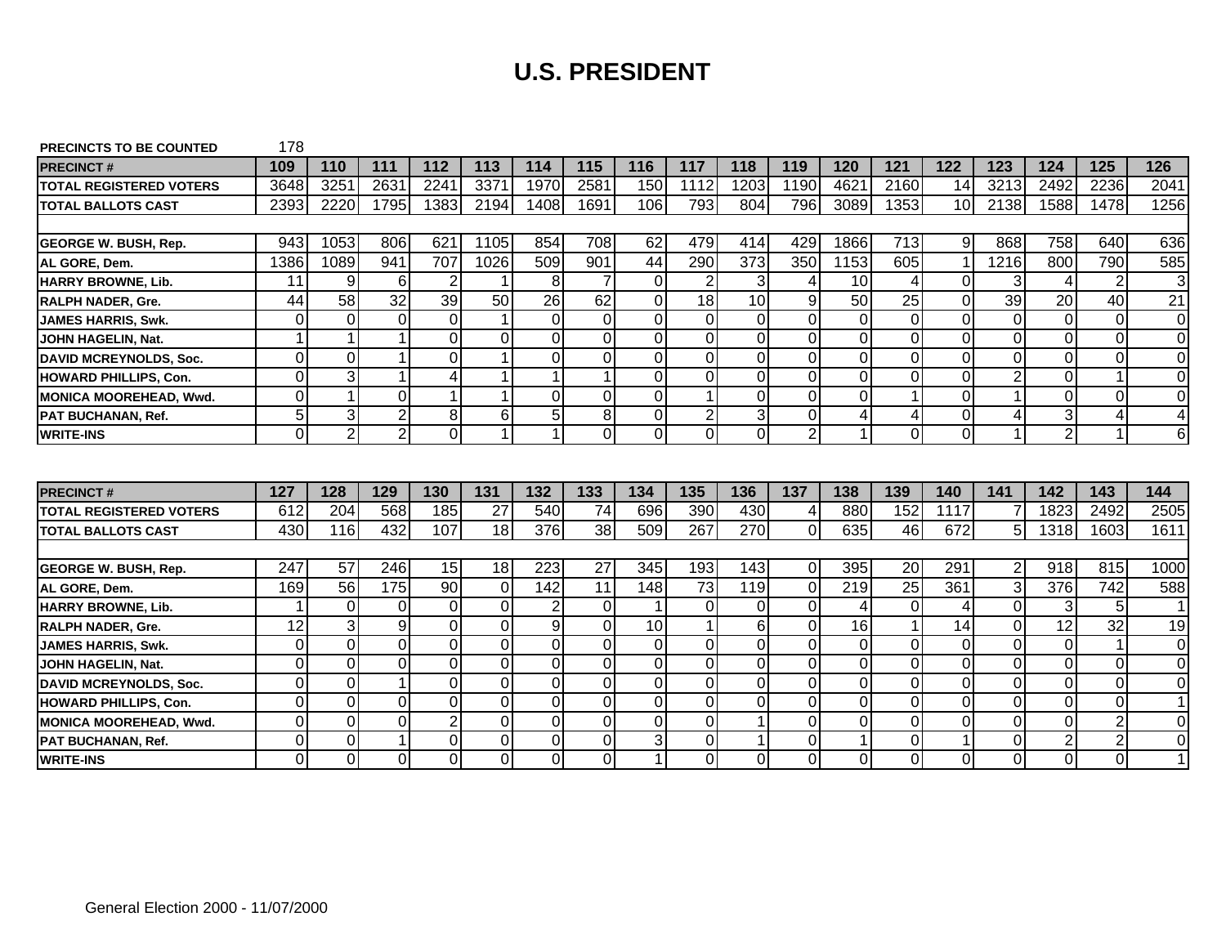| <b>PRECINCTS TO BE COUNTED</b> | 178            |                |                |                     |                |                |                     |                |                |                     |                |                |                     |                |                                  |                                  |                |                         |
|--------------------------------|----------------|----------------|----------------|---------------------|----------------|----------------|---------------------|----------------|----------------|---------------------|----------------|----------------|---------------------|----------------|----------------------------------|----------------------------------|----------------|-------------------------|
| <b>PRECINCT#</b>               | 109            | 110            | 111            | 112                 | 113            | 114            | 115                 | 116            | 117            | 118                 | 119            | 120            | 121                 | 122            | 123                              | 124                              | 125            | 126                     |
| <b>TOTAL REGISTERED VOTERS</b> | 3648           | 325'           | 2631           | 2241                | 3371           | 1970           | 2581                | 150            | 1112           | 1203                | 1190           | 4621           | 2160                | 14             | 3213                             | 2492                             | 2236           | 2041                    |
| <b>ITOTAL BALLOTS CAST</b>     | 2393           | 2220           | 1795           | 1383                | 2194           | 1408           | 1691                | 106            | 793            | 804                 | 796            | 3089           | 1353                | 10             | 2138                             | 1588                             | 1478           | 1256                    |
|                                |                |                |                |                     |                |                |                     |                |                |                     |                |                |                     |                |                                  |                                  |                |                         |
| <b>GEORGE W. BUSH, Rep.</b>    | 943            | 1053           | 806            | 621                 | 1105           | 854            | 708                 | 62             | 479            | 414                 | 429            | 1866           | 713                 | 9              | 868                              | 758                              | 640            | 636                     |
| AL GORE, Dem.                  | 1386           | 1089           | 941            | 707                 | 1026           | 509            | 901                 | 44             | 290            | 373                 | 350            | 1153           | 605                 | 1              | 1216                             | 800                              | 790            | 585                     |
| HARRY BROWNE, Lib.             | 11             | 9              | 6              | $\overline{2}$      |                | 8              | $\overline{7}$      | $\mathbf 0$    | $\overline{2}$ | 3                   | 4              | 10             | 4                   | $\mathbf 0$    | 3                                | 4                                | $\overline{2}$ | 3                       |
| <b>RALPH NADER, Gre.</b>       | 44             | 58             | 32             | 39                  | 50             | 26             | 62                  | $\Omega$       | 18             | 10                  | 9              | 50             | 25                  | $\Omega$       | 39                               | 20                               | 40             | 21                      |
| <b>JAMES HARRIS, Swk.</b>      | 0              | 0              | $\Omega$       | 0                   |                | $\Omega$       | 0                   | $\mathbf 0$    | $\Omega$       | 0                   | $\overline{0}$ | $\Omega$       | 0                   | $\mathbf 0$    | $\Omega$                         | 0                                | $\mathbf 0$    | 0                       |
| JOHN HAGELIN, Nat.             | 1              |                |                | $\overline{0}$      | $\Omega$       | $\Omega$       | 0                   | $\overline{O}$ | $\Omega$       | 0                   | $\overline{0}$ | $\Omega$       | $\Omega$            | $\overline{0}$ | $\Omega$                         | $\Omega$                         | $\overline{0}$ | $\mathbf 0$             |
| <b>DAVID MCREYNOLDS, Soc.</b>  | 0              | $\mathbf 0$    |                | $\mathbf 0$         |                | $\Omega$       | 0                   | $\mathbf 0$    | $\overline{0}$ | 0                   | $\mathbf 0$    | $\overline{0}$ | 0                   | $\mathbf 0$    | $\overline{0}$                   | 0                                | $\mathbf 0$    | $\Omega$                |
| <b>HOWARD PHILLIPS, Con.</b>   | $\overline{0}$ | 3              |                | 4                   |                |                | 1                   | $\overline{O}$ | $\overline{0}$ | $\overline{0}$      | $\overline{0}$ | $\overline{0}$ | 0                   | $\overline{0}$ | $\overline{2}$                   | 0                                |                | $\mathbf 0$             |
| MONICA MOOREHEAD, Wwd.         | $\overline{0}$ | $\mathbf 1$    | $\Omega$       | 1                   |                | $\Omega$       | 0                   | $\overline{O}$ |                | 0                   | $\overline{0}$ | $\Omega$       | 1                   | $\overline{O}$ |                                  | 0                                | $\Omega$       | $\Omega$                |
| <b>PAT BUCHANAN, Ref.</b>      | 5              | 3              | $\overline{2}$ | $\overline{8}$      | 6              | 5 <sup>1</sup> | $\overline{8}$      | $\pmb{0}$      | $\overline{2}$ | 3                   | $\mathbf 0$    | 4              | 4                   | $\overline{0}$ | 4                                | 3                                | 4              | $\overline{\mathbf{4}}$ |
| <b>WRITE-INS</b>               | 0              | $\overline{2}$ | $\overline{2}$ | $\overline{0}$      | $\overline{1}$ | 1              | 0                   | $\overline{0}$ | $\overline{0}$ | 0                   | $\overline{2}$ | 1              | 0                   | $\overline{0}$ | 1                                | 2                                | $\overline{1}$ | 6                       |
|                                |                |                |                |                     |                |                |                     |                |                |                     |                |                |                     |                |                                  |                                  |                |                         |
|                                |                |                |                |                     |                |                |                     |                |                |                     |                |                |                     |                |                                  |                                  |                |                         |
| <b>PRECINCT#</b>               | 127            | 128            | 129            | 130                 | 131            | 132            | 133                 | 134            | 135            | 136                 | 137            | 138            | 139                 | 140            | 141                              | 142                              | 143            | 144                     |
| <b>TOTAL REGISTERED VOTERS</b> | 612            | 204            | 568            | 185                 | 27             | 540            | $\overline{74}$     | 696            | 390            | 430                 | 4              | 880            | 152                 | 1117           |                                  | 1823                             | 2492           | 2505                    |
| <b>ITOTAL BALLOTS CAST</b>     | 430            | 116            | 432            | 107                 | 18             | 376            | 38                  | 509            | 267            | 270                 | $\Omega$       | 635            | 46                  | 672            | 5                                | 1318                             | 1603           | 1611                    |
|                                |                |                |                |                     |                |                |                     |                |                |                     |                |                |                     |                |                                  |                                  |                |                         |
| <b>GEORGE W. BUSH, Rep.</b>    | 247            | 57             | 246            | 15                  | 18             | 223            | 27                  | 345            | 193            | 143                 | $\overline{0}$ | 395            | 20                  | 291            | $\overline{2}$                   | 918                              | 815            | 1000                    |
| AL GORE, Dem.                  | 169            | 56             | 175            | 90                  | 0              | 142            | 11                  | 148            | 73             | 119                 | 0              | 219            | $\overline{25}$     | 361            | 3                                | 376                              | 742            | 588                     |
| HARRY BROWNE, Lib.             | 1              | 0              | $\Omega$       | 0                   | $\overline{0}$ | $\overline{2}$ | 0                   |                | $\Omega$       | $\Omega$            | $\mathbf 0$    | $\overline{4}$ | $\overline{0}$      | 4              | $\Omega$                         | 3                                | 5              | $\mathbf{1}$            |
| <b>RALPH NADER, Gre.</b>       | 12             | 3              | 9              | 0                   | $\Omega$       | 9              | $\Omega$            | 10             |                | 6                   | $\mathbf 0$    | 16             |                     | 14             | $\Omega$                         | 12                               | 32             |                         |
| <b>JAMES HARRIS, Swk.</b>      | $\overline{0}$ | $\overline{0}$ |                |                     |                |                |                     |                |                |                     |                |                |                     |                |                                  |                                  |                | 19                      |
| JOHN HAGELIN, Nat.             |                |                | $\overline{0}$ | $\overline{0}$      | $\overline{O}$ | $\overline{0}$ | $\overline{0}$      | $\mathbf 0$    | $\Omega$       | 0                   | $\mathbf 0$    | $\Omega$       | 0                   | $\mathbf 0$    | $\overline{0}$                   | 0                                | $\overline{1}$ | $\overline{0}$          |
|                                | $\overline{0}$ | $\overline{0}$ | $\Omega$       | $\mathbf 0$         | $\overline{0}$ | $\overline{0}$ | $\overline{0}$      | $\overline{0}$ | $\overline{0}$ | $\overline{0}$      | $\overline{0}$ | $\overline{0}$ | $\overline{0}$      | $\overline{0}$ | $\overline{0}$                   | 0                                | $\overline{O}$ | $\mathbf 0$             |
| <b>DAVID MCREYNOLDS, Soc.</b>  | 0              | $\overline{O}$ |                | $\overline{0}$      | $\overline{O}$ | $\Omega$       | $\overline{0}$      | $\overline{O}$ | $\Omega$       | 0                   | $\overline{O}$ | $\Omega$       | 0                   | $\overline{O}$ | $\Omega$                         | 0                                | $\overline{O}$ | 0                       |
| <b>HOWARD PHILLIPS, Con.</b>   | $\overline{0}$ | $\Omega$       | $\Omega$       | 0                   | $\overline{O}$ | $\overline{0}$ | $\mathbf 0$         | $\overline{0}$ | $\overline{0}$ | 0                   | $\overline{0}$ | $\mathbf 0$    | 0                   | $\overline{0}$ | $\mathbf 0$                      | 0                                | $\overline{0}$ | $\mathbf{1}$            |
| <b>MONICA MOOREHEAD, Wwd.</b>  | 0              | $\overline{0}$ | $\Omega$       | $\overline{c}$      | $\overline{0}$ | $\Omega$       | 0                   | $\overline{0}$ | $\Omega$       |                     | $\mathbf 0$    | $\Omega$       | 0                   | $\overline{O}$ | $\Omega$                         | 0                                | $\overline{2}$ | $\Omega$                |
| <b>PAT BUCHANAN, Ref.</b>      | 0<br>0         | $\overline{O}$ |                | 0<br>$\overline{0}$ | $\mathbf 0$    | $\Omega$       | 0<br>$\overline{0}$ | 3              | $\Omega$       | 1<br>$\overline{0}$ | $\overline{O}$ | $\overline{ }$ | 0<br>$\overline{0}$ |                | $\overline{0}$<br>$\overline{0}$ | $\overline{2}$<br>$\overline{0}$ | $\overline{2}$ | 0                       |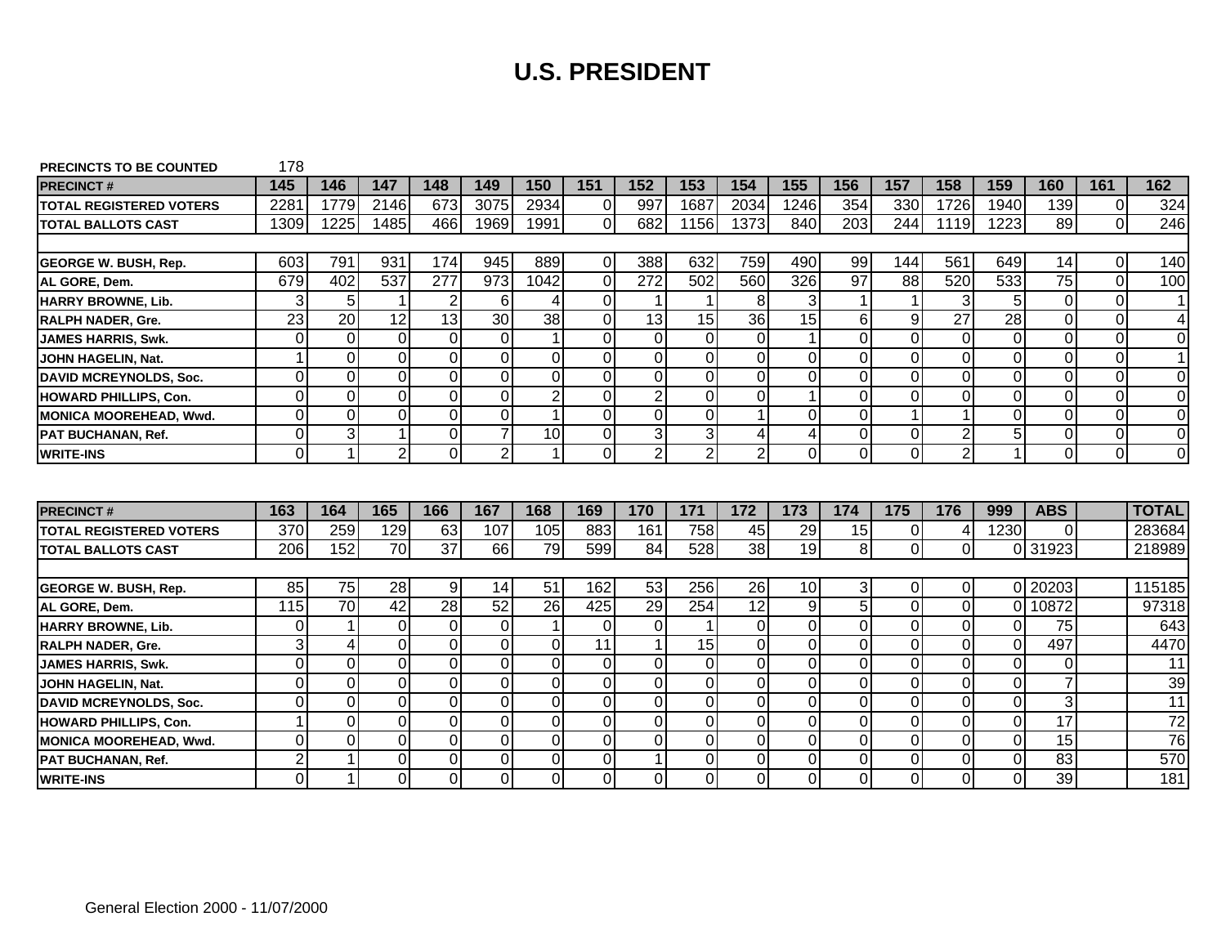| <b>PRECINCTS TO BE COUNTED</b> | 178             |                 |                 |                 |                 |                 |                |                |                |                |                  |                 |                 |                 |                 |                 |             |                 |
|--------------------------------|-----------------|-----------------|-----------------|-----------------|-----------------|-----------------|----------------|----------------|----------------|----------------|------------------|-----------------|-----------------|-----------------|-----------------|-----------------|-------------|-----------------|
| <b>PRECINCT#</b>               | 145             | 146             | 147             | 148             | 149             | 150             | 151            | 152            | 153            | 154            | 155              | 156             | 157             | 158             | 159             | 160             | 161         | 162             |
| <b>TOTAL REGISTERED VOTERS</b> | 2281            | 1779            | 2146            | 673             | 3075            | 2934            | $\overline{0}$ | 997            | 1687           | 2034           | 1246             | 354             | 330             | 1726            | 1940            | 139             | $\Omega$    | 324             |
| <b>ITOTAL BALLOTS CAST</b>     | 1309            | 1225            | 1485            | 466             | 1969            | 1991            | $\Omega$       | 682            | 1156           | 1373           | 840              | 203             | 244             | 1119            | 1223            | 89              | $\Omega$    | 246             |
|                                |                 |                 |                 |                 |                 |                 |                |                |                |                |                  |                 |                 |                 |                 |                 |             |                 |
| <b>GEORGE W. BUSH, Rep.</b>    | 603             | 791             | 931             | 174             | 945             | 889             | $\Omega$       | 388            | 632            | 759            | 490              | 99              | 144             | 561             | 649             | 14              | $\Omega$    | 140             |
| AL GORE, Dem.                  | 679             | 402             | 537             | 277             | 973             | 1042            | $\overline{O}$ | 272            | 502            | 560            | 326              | $\overline{97}$ | $\overline{88}$ | 520             | 533             | $\overline{75}$ | $\mathbf 0$ | 100             |
| <b>HARRY BROWNE, Lib.</b>      | 3               | 5               |                 | $\overline{c}$  | 6               |                 | $\overline{0}$ | $\mathbf 1$    |                | 8              | 3                |                 | 1               | 3               | 5               | $\overline{O}$  | $\mathbf 0$ | $\mathbf 1$     |
| <b>RALPH NADER, Gre.</b>       | $\overline{23}$ | $\overline{20}$ | $\overline{12}$ | 13              | $\overline{30}$ | $\overline{38}$ | $\overline{O}$ | 13             | 15             | 36             | 15               | 6               | 9               | $\overline{27}$ | $\overline{28}$ | $\overline{O}$  | $\mathbf 0$ | 4               |
| <b>JAMES HARRIS, Swk.</b>      | 0               | $\overline{0}$  | $\Omega$        | $\overline{O}$  | $\mathbf 0$     |                 | $\overline{0}$ | $\mathbf 0$    | $\Omega$       | $\overline{0}$ | $\mathbf{1}$     | $\Omega$        | $\overline{O}$  | $\mathbf 0$     | $\Omega$        | $\overline{O}$  | $\mathbf 0$ | $\mathbf 0$     |
| JOHN HAGELIN, Nat.             | 1               | $\overline{0}$  | $\Omega$        | $\overline{O}$  | 0               | $\Omega$        | $\overline{0}$ | 0              | $\Omega$       | $\overline{0}$ | 0                | $\Omega$        | $\mathbf 0$     | 0               | $\Omega$        | $\mathbf 0$     | 0           | $\mathbf 1$     |
| DAVID MCREYNOLDS, Soc.         | $\overline{O}$  | $\overline{0}$  | $\Omega$        | $\overline{0}$  | $\mathbf 0$     | $\Omega$        | $\overline{0}$ | $\mathbf 0$    | $\Omega$       | $\overline{0}$ | $\mathbf 0$      | $\Omega$        | $\overline{0}$  | $\mathbf 0$     | $\Omega$        | $\overline{0}$  | $\mathbf 0$ | $\mathbf 0$     |
| <b>HOWARD PHILLIPS, Con.</b>   | $\overline{0}$  | $\mathbf 0$     | $\Omega$        | $\overline{0}$  | $\mathbf 0$     | $\overline{2}$  | $\overline{0}$ | $\overline{2}$ | $\overline{0}$ | $\overline{0}$ | $\mathbf{1}$     | $\Omega$        | $\overline{0}$  | $\mathbf 0$     | $\Omega$        | $\overline{0}$  | $\mathbf 0$ | $\mathbf 0$     |
| MONICA MOOREHEAD, Wwd.         | 0l              | $\Omega$        | 0l              | $\overline{O}$  | $\mathbf 0$     | 1               | $\overline{0}$ | $\mathbf 0$    | 0l             | 1              | $\Omega$         | $\Omega$        | $\mathbf{1}$    | $\mathbf{1}$    | $\Omega$        | $\overline{O}$  | $\Omega$    | $\mathbf 0$     |
| <b>PAT BUCHANAN, Ref.</b>      | $\overline{0}$  | دى              |                 | $\overline{0}$  | $\overline{7}$  | 10              | $\overline{0}$ | دى             | $\overline{3}$ | 4              | 4                | $\Omega$        | $\overline{0}$  | $\overline{2}$  | 5               | $\overline{0}$  | $\mathbf 0$ | $\overline{0}$  |
| <b>WRITE-INS</b>               | $\overline{0}$  | $\mathbf{1}$    | $\overline{2}$  | $\overline{0}$  | $\overline{2}$  |                 | $\overline{0}$ | $\overline{2}$ | $\overline{2}$ | $\overline{2}$ | $\mathbf 0$      | $\Omega$        | $\overline{0}$  | $\overline{2}$  |                 | $\overline{0}$  | $\mathbf 0$ | $\overline{0}$  |
|                                |                 |                 |                 |                 |                 |                 |                |                |                |                |                  |                 |                 |                 |                 |                 |             |                 |
|                                |                 |                 |                 |                 |                 |                 |                |                |                |                |                  |                 |                 |                 |                 |                 |             |                 |
| <b>PRECINCT#</b>               | 163             | 164             | 165             | 166             | 167             | 168             | 169            | 170            | 171            | 172            | 173              | 174             | 175             | 176             | 999             | <b>ABS</b>      |             | <b>TOTAL</b>    |
| <b>TOTAL REGISTERED VOTERS</b> | 370             | 259             | 129             | 63              | 107             | 105             | 883            | 161            | 758            | 45             | 29               | 15              | 0               | 4               | 1230            | $\Omega$        |             | 283684          |
| <b>ITOTAL BALLOTS CAST</b>     | 206             | 152             | 70              | $\overline{37}$ | 66              | 79              | 599            | 84             | 528            | 38             | $\overline{19}$  | 8 <sup>1</sup>  | $\overline{0}$  | $\mathbf 0$     | $\Omega$        | 31923           |             | 218989          |
|                                |                 |                 |                 |                 |                 |                 |                |                |                |                |                  |                 |                 |                 |                 |                 |             |                 |
| <b>GEORGE W. BUSH, Rep.</b>    | 85              | 75              | 28              | 9               | 14              | 51              | 162            | 53             | 256            | 26             | 10               | 3               | $\overline{0}$  | 0               | ΩL              | 20203           |             | 115185          |
| AL GORE, Dem.                  | 115             | $\overline{70}$ | $\overline{42}$ | $\overline{28}$ | $\overline{52}$ | $\overline{26}$ | 425            | 29             | 254            | 12             | $\boldsymbol{9}$ | 5 <sub>1</sub>  | $\overline{0}$  | $\mathbf 0$     | $\Omega$        | 10872           |             | 97318           |
| HARRY BROWNE, Lib.             | 0               | $\overline{1}$  | $\Omega$        | $\overline{0}$  | $\mathbf 0$     | -1              | $\Omega$       | $\mathbf 0$    |                | $\overline{O}$ | $\overline{0}$   | $\Omega$        | $\overline{0}$  | $\mathbf 0$     | $\Omega$        | 75              |             | 643             |
| <b>RALPH NADER, Gre.</b>       | 3               | $\overline{4}$  | $\Omega$        | $\overline{0}$  | $\Omega$        | $\Omega$        | 11             | 1              | 15             | $\overline{0}$ | $\Omega$         | $\Omega$        | $\overline{0}$  | $\Omega$        | $\Omega$        | 497             |             | 4470            |
| <b>JAMES HARRIS, Swk.</b>      | $\mathbf 0$     | $\mathbf 0$     | $\Omega$        | $\overline{0}$  | $\mathbf 0$     | $\Omega$        | $\overline{0}$ | 0              | $\Omega$       | $\overline{0}$ | $\mathbf 0$      | $\Omega$        | $\overline{0}$  | $\mathbf 0$     | $\Omega$        | $\mathbf 0$     |             |                 |
| JOHN HAGELIN. Nat.             | $\mathbf 0$     | $\overline{0}$  | $\Omega$        | $\overline{0}$  |                 | $\Omega$        |                |                |                |                |                  | $\Omega$        | $\mathbf 0$     | 0               | $\Omega$        | $\overline{7}$  |             | 11              |
| DAVID MCREYNOLDS, Soc.         |                 |                 |                 |                 | $\mathbf 0$     |                 | $\overline{0}$ | 0              | $\Omega$       | $\overline{0}$ | $\mathbf 0$      |                 |                 |                 |                 |                 |             | 39              |
|                                | 0               | $\Omega$        | $\Omega$        | $\overline{0}$  | 0               | $\Omega$        | $\overline{0}$ | 0              | $\Omega$       | $\overline{0}$ | 0                | $\Omega$        | $\mathbf 0$     | 0               | $\Omega$        | 3               |             | 11              |
| <b>HOWARD PHILLIPS, Con.</b>   |                 | $\mathbf 0$     | $\Omega$        | $\overline{0}$  | $\mathbf 0$     | $\Omega$        | $\overline{0}$ | $\mathbf 0$    | $\Omega$       | $\overline{0}$ | $\mathbf 0$      | $\Omega$        | $\overline{0}$  | $\mathbf 0$     | $\overline{0}$  | $\overline{17}$ |             | 72              |
| MONICA MOOREHEAD, Wwd.         | $\overline{O}$  | $\mathbf 0$     | $\overline{0}$  | $\overline{0}$  | $\pmb{0}$       | $\overline{0}$  | $\overline{0}$ | $\overline{0}$ | $\overline{0}$ | $\overline{0}$ | $\pmb{0}$        | $\Omega$        | $\overline{0}$  | $\pmb{0}$       | $\overline{0}$  | $\overline{15}$ |             | $\overline{76}$ |
| PAT BUCHANAN, Ref.             | $\overline{c}$  | 1               | 0l              | $\overline{O}$  | $\mathbf 0$     | 0l              | $\overline{0}$ | $\mathbf 1$    | 0l             | $\overline{0}$ | $\mathbf 0$      | $\Omega$        | $\overline{0}$  | $\mathbf 0$     | $\Omega$        | $\overline{83}$ |             | 570             |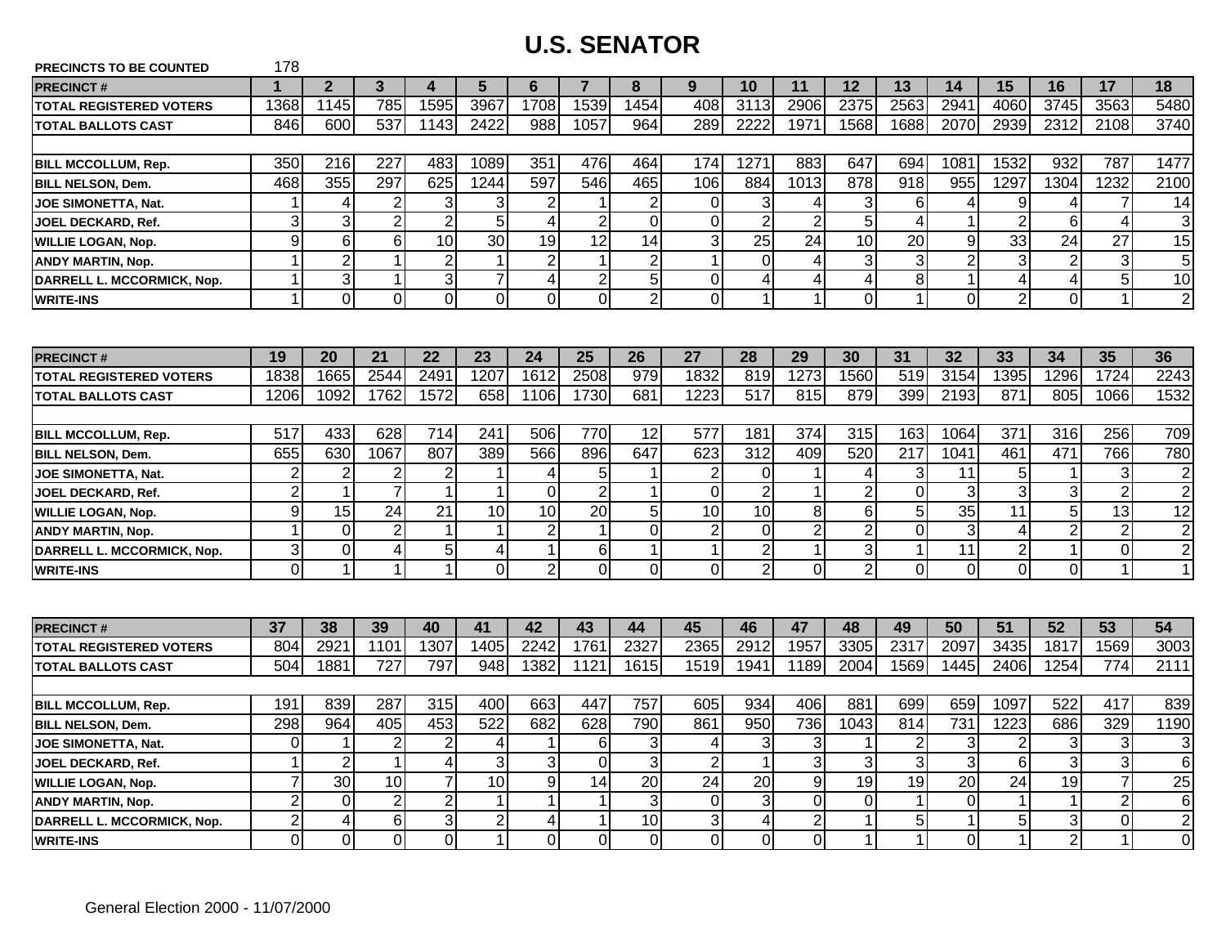| PRECINCTS TO BE COUNTED        | 178                     |                         |                 |                      |                |                         |                          |                 |                 |                 |                         |                |                      |                 |                 |                 |                |                 |
|--------------------------------|-------------------------|-------------------------|-----------------|----------------------|----------------|-------------------------|--------------------------|-----------------|-----------------|-----------------|-------------------------|----------------|----------------------|-----------------|-----------------|-----------------|----------------|-----------------|
| <b>PRECINCT#</b>               | $\mathbf 1$             | $\overline{2}$          | $\mathbf{3}$    | 4                    | 5              | 6                       | $\overline{7}$           | 8               | 9               | 10              | 11                      | 12             | 13                   | 14              | 15              | 16              | 17             | 18              |
| <b>TOTAL REGISTERED VOTERS</b> | 1368                    | 1145                    | 785             | 1595                 | 3967           | 1708                    | 1539                     | 1454            | 408             | 3113            | 2906                    | 2375           | 2563                 | 2941            | 4060            | 3745            | 3563           | 5480            |
| <b>TOTAL BALLOTS CAST</b>      | 846                     | 600                     | 537             | 1143                 | 2422           | 988                     | 1057                     | 964             | 289             | 2222            | 1971                    | 1568           | 1688                 | 2070            | 2939            | 2312            | 2108           | 3740            |
|                                |                         |                         |                 |                      |                |                         |                          |                 |                 |                 |                         |                |                      |                 |                 |                 |                |                 |
| <b>BILL MCCOLLUM, Rep.</b>     | 350                     | 216                     | 227             | 483                  | 1089           | 351                     | 476                      | 464             | 174             | 1271            | 883                     | 647            | 694                  | 1081            | 1532            | 932             | 787            | 1477            |
| <b>BILL NELSON, Dem.</b>       | 468                     | 355                     | 297             | 625                  | 1244           | 597                     | 546                      | 465             | 106             | 884             | 1013                    | 878            | $\overline{918}$     | 955             | 1297            | 1304            | 1232           | 2100            |
| <b>JOE SIMONETTA, Nat.</b>     | 1                       | 4                       | $\overline{2}$  | 3                    | 3              | $\overline{c}$          |                          | $\overline{2}$  | 0               | $\overline{3}$  | 4                       | 3              | $\,6$                | 4               | 9               | 4               | $\overline{7}$ | 14              |
| JOEL DECKARD, Ref.             | 3                       | 3                       | $\overline{c}$  | $\overline{2}$       | 5              | $\overline{4}$          | $\overline{2}$           | $\overline{0}$  | 0               | $\overline{2}$  | $\overline{2}$          | 5              | 4                    | 1               | $\overline{2}$  | 6               | 4              | 3               |
| <b>WILLIE LOGAN, Nop.</b>      | 9                       | 6                       | $\,6$           | 10                   | 30             | 19                      | 12                       | 14              | 3               | 25              | 24                      | 10             | 20                   | 9               | 33              | 24              | 27             | 15              |
| <b>ANDY MARTIN, Nop.</b>       | 1                       | $\overline{2}$          | $\mathbf{1}$    | $\overline{2}$       | $\mathbf{1}$   | $\overline{2}$          | $\overline{\phantom{a}}$ | $\overline{2}$  | 1               | $\overline{0}$  | $\overline{4}$          | 3              | 3                    | $\overline{2}$  | 3               | $\overline{2}$  | 3              | 5               |
| DARRELL L. MCCORMICK, Nop.     | 1                       | $\overline{3}$          | $\mathbf 1$     | $\mathbf{3}$         | $\overline{7}$ | $\overline{\mathbf{4}}$ | $\overline{2}$           | $\overline{5}$  | 0               | $\vert 4 \vert$ | $\overline{\mathbf{4}}$ | 4              | 8                    | $\overline{1}$  | 4               | $\vert 4 \vert$ | 5              | $\overline{10}$ |
| <b>WRITE-INS</b>               | 1                       | $\Omega$                | $\Omega$        | $\Omega$             | $\Omega$       | $\Omega$                | $\Omega$                 | $\overline{2}$  | 0               | 1               | $\mathbf{1}$            | $\Omega$       | $\blacktriangleleft$ | $\Omega$        | $\overline{2}$  | Οl              | $\mathbf{1}$   | $\overline{2}$  |
|                                |                         |                         |                 |                      |                |                         |                          |                 |                 |                 |                         |                |                      |                 |                 |                 |                |                 |
| <b>PRECINCT#</b>               | 19                      | <b>20</b>               | 21              | 22                   | 23             | 24                      | 25                       | 26              | 27              | 28              | 29                      | 30             | 31                   | 32              | 33              | 34              | 35             | 36              |
| <b>TOTAL REGISTERED VOTERS</b> | 1838                    | 1665                    | 2544            | 249'                 | 1207           | 1612                    | 2508                     | 979             | 1832            | 819             | 1273                    | 1560           | 519                  | 3154            | 1395            | 1296            | 1724           | 2243            |
| <b>TOTAL BALLOTS CAST</b>      | 1206                    | 1092                    | 1762            | 1572                 | 658            | 1106                    | 1730                     | 681             | 1223            | 517             | 815                     | 879            | 399                  | 2193            | 871             | 805             | 1066           | 1532            |
|                                |                         |                         |                 |                      |                |                         |                          |                 |                 |                 |                         |                |                      |                 |                 |                 |                |                 |
| <b>BILL MCCOLLUM, Rep.</b>     | 517                     | 433                     | 628             | 714                  | 241            | 506                     | 770                      | 12              | 577             | 181             | 374                     | 315            | 163                  | 1064            | 371             | 316             | 256            | 709             |
| <b>BILL NELSON, Dem.</b>       | 655                     | 630                     | 1067            | 807                  | 389            | 566                     | 896                      | 647             | 623             | 312             | 409                     | 520            | 217                  | 1041            | 461             | 471             | 766            | 780             |
| <b>JOE SIMONETTA, Nat.</b>     | $\overline{\mathbf{c}}$ | $\overline{2}$          | $\overline{2}$  | 2                    | $\mathbf 1$    | 4                       | 5                        | 1               | $\overline{2}$  | $\overline{0}$  | $\mathbf 1$             | 4              | 3                    | 11              | 5               | 1               | 3              | 2               |
| JOEL DECKARD, Ref.             | $\overline{c}$          | $\mathbf{1}$            | $\overline{7}$  |                      | $\mathbf{1}$   | $\mathbf 0$             | $\overline{2}$           | $\mathbf{1}$    | 0               | $\overline{2}$  | $\mathbf{1}$            | $\overline{2}$ | $\overline{0}$       | 3               | 3               | 3               | $\overline{2}$ | $\overline{2}$  |
| <b>WILLIE LOGAN, Nop.</b>      | 9                       | 15                      | 24              | 21                   | 10             | 10                      | 20                       | 5               | 10              | 10              | $\, 8$                  | 6              | 5                    | $\overline{35}$ | 11              | 5               | 13             | 12              |
| <b>ANDY MARTIN, Nop.</b>       | $\mathbf{1}$            | $\overline{0}$          | $\overline{2}$  | -1                   | $\mathbf{1}$   | $\overline{c}$          | -1                       | $\overline{0}$  | $\overline{c}$  | $\overline{O}$  | $\overline{2}$          | $\overline{2}$ | $\mathbf 0$          | $\mathbf{3}$    | $\overline{4}$  | $\overline{2}$  | $\overline{2}$ | $\overline{2}$  |
| DARRELL L. MCCORMICK, Nop.     | $\overline{3}$          | $\overline{0}$          | 4               | 5                    | 4              | $\mathbf{1}$            | $6\,$                    | $\mathbf{1}$    | $\mathbf{1}$    | $\overline{2}$  | $\mathbf{1}$            | 3              | $\mathbf{1}$         | $\overline{11}$ | $\overline{2}$  | $\mathbf{1}$    | $\pmb{0}$      | $\overline{2}$  |
| <b>WRITE-INS</b>               | $\overline{0}$          | $\mathbf{1}$            | $\mathbf{1}$    | $\blacktriangleleft$ | $\overline{0}$ | $\overline{2}$          | $\mathbf 0$              | $\overline{0}$  | 0               | $\overline{2}$  | $\overline{0}$          | $\overline{2}$ | $\overline{0}$       | $\mathbf 0$     | $\overline{0}$  | $\overline{0}$  | $\mathbf{1}$   | $\mathbf{1}$    |
|                                |                         |                         |                 |                      |                |                         |                          |                 |                 |                 |                         |                |                      |                 |                 |                 |                |                 |
| <b>PRECINCT#</b>               | 37                      | 38                      | 39              | 40                   | 41             | 42                      | 43                       | 44              | 45              | 46              | 47                      | 48             | 49                   | 50              | 51              | 52              | 53             | 54              |
| <b>TOTAL REGISTERED VOTERS</b> | 804                     | 2921                    | 1101            | 1307                 | 1405           | 2242                    | 1761                     | 2327            | 2365            | 2912            | 1957                    | 3305           | 2317                 | 2097            | 3435            | 1817            | 1569           | 3003            |
| <b>TOTAL BALLOTS CAST</b>      | 504                     | 1881                    | 727             | 797                  | 948            | 1382                    | 1121                     | 1615            | 1519            | 1941            | 1189                    | 2004           | 1569                 | 1445            | 2406            | 1254            | 774            | 2111            |
|                                |                         |                         |                 |                      |                |                         |                          |                 |                 |                 |                         |                |                      |                 |                 |                 |                |                 |
| <b>BILL MCCOLLUM, Rep.</b>     | 191                     | 839                     | 287             | 315                  | 400            | 663                     | 447                      | 757             | 605             | 934             | 406                     | 881            | 699                  | 659             | 1097            | 522             | 417            | 839             |
| <b>BILL NELSON, Dem.</b>       | 298                     | 964                     | 405             | 453                  | 522            | 682                     | 628                      | 790             | 861             | 950             | 736                     | 1043           | 814                  | 731             | 1223            | 686             | 329            | 1190            |
| JOE SIMONETTA, Nat.            | 0                       | 1                       | $\overline{2}$  | $\overline{2}$       | 4              | 1                       | 6                        | 3               | 4               | 3               | 3                       |                | $\overline{2}$       | 3               | $\overline{2}$  | 3               | 3              | 3               |
| JOEL DECKARD, Ref.             | 1                       | $\overline{2}$          | $\mathbf 1$     | 4                    | 3              | 3                       | $\Omega$                 | دن              | $\overline{2}$  | $\mathbf 1$     | دن                      | 3              | 3                    | $\overline{3}$  | 6               | 3               | 3              | 6               |
| <b>WILLIE LOGAN, Nop.</b>      | $\overline{7}$          | $\overline{30}$         | $\overline{10}$ | $\overline{7}$       | 10             | 9                       | 14                       | 20              | $\overline{24}$ | 20              | $\overline{9}$          | 19             | 19                   | $\overline{20}$ | $\overline{24}$ | $\overline{19}$ | $\overline{7}$ | $\overline{25}$ |
| <b>ANDY MARTIN, Nop.</b>       | 2                       | $\overline{0}$          | $\overline{2}$  | $\overline{2}$       | $\mathbf{1}$   | 1                       | -1                       | 3               | $\mathbf 0$     | $\overline{3}$  | $\overline{0}$          | $\mathbf{0}$   | $\mathbf{1}$         | $\mathbf 0$     | 1               | $\mathbf{1}$    | $\overline{2}$ | $6\phantom{1}6$ |
| DARRELL L. MCCORMICK, Nop.     | $\overline{c}$          | $\overline{\mathbf{4}}$ | 6               | $\mathbf{3}$         | $\overline{2}$ | 4                       | 1                        | $\overline{10}$ | 3               | 4               | $\overline{2}$          | 1              | 5                    | $\mathbf{1}$    | 5               | 3               | $\mathbf 0$    | $\overline{2}$  |
| <b>WRITE-INS</b>               | $\overline{0}$          | $\overline{0}$          | $\overline{0}$  | $\overline{O}$       | $\mathbf{1}$   | 0                       | $\mathbf 0$              | $\overline{0}$  | 0               | $\Omega$        | $\overline{0}$          | $\mathbf{1}$   | $\mathbf{1}$         | 0               | $\mathbf{1}$    | $\overline{2}$  | $\mathbf{1}$   | $\mathbf 0$     |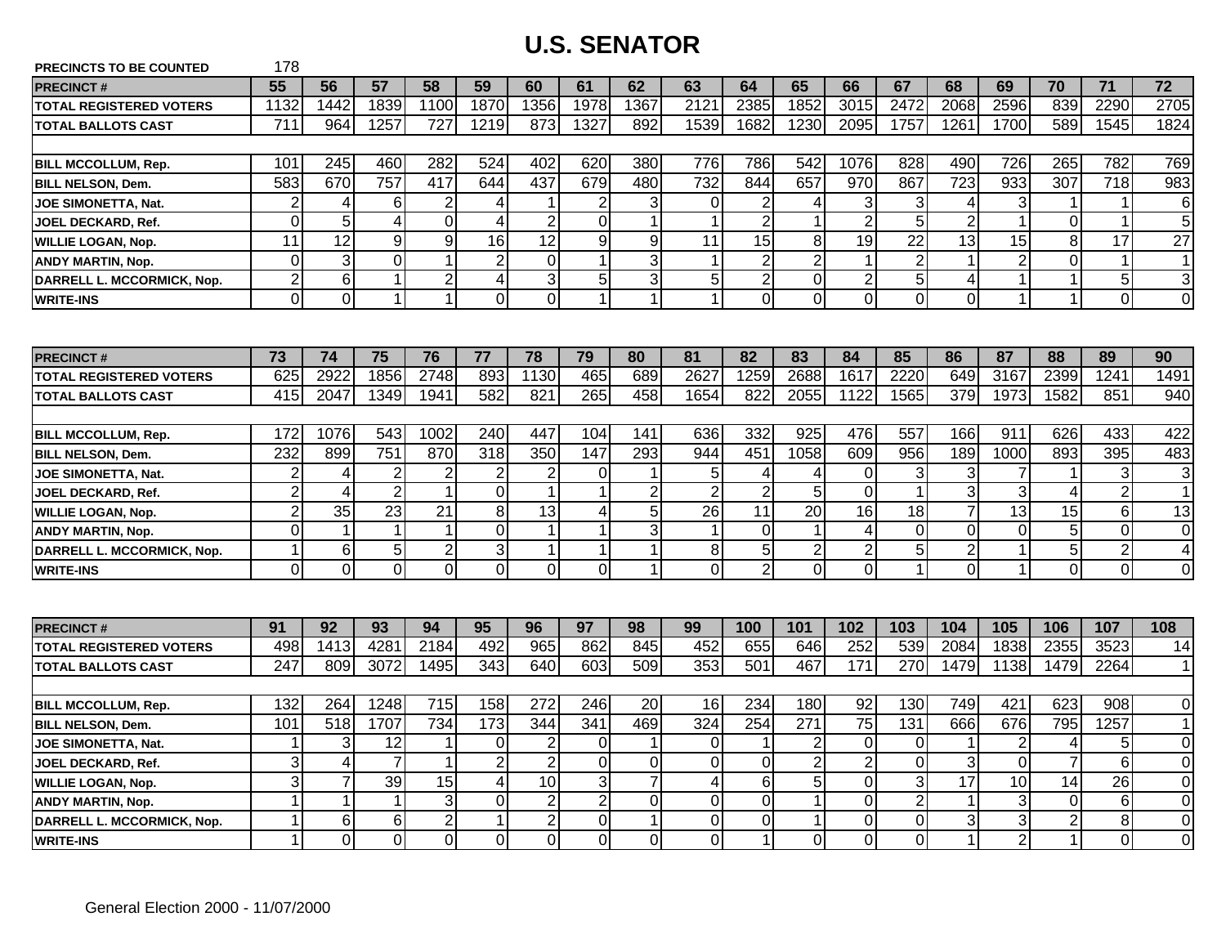| <b>PRECINCTS TO BE COUNTED</b> | 178            |                 |                |                |                 |                 |                  |                      |                         |                |                         |                |                 |                         |                      |                  |                 |                 |
|--------------------------------|----------------|-----------------|----------------|----------------|-----------------|-----------------|------------------|----------------------|-------------------------|----------------|-------------------------|----------------|-----------------|-------------------------|----------------------|------------------|-----------------|-----------------|
| <b>PRECINCT#</b>               | 55             | 56              | 57             | 58             | 59              | 60              | 61               | 62                   | 63                      | 64             | 65                      | 66             | 67              | 68                      | 69                   | 70               | 71              | $\overline{72}$ |
| <b>TOTAL REGISTERED VOTERS</b> | 1132           | 1442            | 1839           | 1100           | 1870            | 1356            | 1978             | 1367                 | 2121                    | 2385           | 1852                    | 3015           | 2472            | 2068                    | 2596                 | 839              | 2290            | 2705            |
| <b>TOTAL BALLOTS CAST</b>      | 711            | 964             | 1257           | 727            | 1219            | 873             | 1327             | 892                  | 1539                    | 1682           | 1230                    | 2095           | 1757            | 1261                    | 1700                 | 589              | 1545            | 1824            |
|                                |                |                 |                |                |                 |                 |                  |                      |                         |                |                         |                |                 |                         |                      |                  |                 |                 |
| <b>BILL MCCOLLUM, Rep.</b>     | 101            | 245             | 460            | 282            | 524             | 402             | 620              | 380                  | 776                     | 786            | 542                     | 1076           | 828             | 490                     | 726                  | 265              | 782             | 769             |
| <b>BILL NELSON, Dem.</b>       | 583            | 670             | 757            | 417            | 644             | 437             | 679              | 480                  | 732                     | 844            | 657                     | 970            | 867             | 723                     | 933                  | $\overline{307}$ | 718             | 983             |
| <b>JOE SIMONETTA, Nat.</b>     | $\overline{2}$ | $\overline{4}$  | 6              | $\overline{2}$ | 4               | 1               | $\overline{2}$   | 3                    | 0                       | $\overline{2}$ | 4                       | 3              | 3               | 4                       | 3                    | 1                | $\mathbf{1}$    | 6               |
| JOEL DECKARD, Ref.             | 0              | 5               | 4              | $\mathbf 0$    | 4               | $\overline{2}$  | $\Omega$         | 1                    | 1                       | $\overline{2}$ | $\mathbf 1$             | $\overline{2}$ | 5               | $\overline{2}$          |                      | 0                | $\mathbf 1$     | 5               |
| <b>WILLIE LOGAN, Nop.</b>      | 11             | $\overline{12}$ | 9              | 9              | 16              | $\overline{12}$ | $\overline{9}$   | 9                    | 11                      | 15             | 8                       | 19             | $\overline{22}$ | $\overline{13}$         | 15                   | 8                | $\overline{17}$ | $\overline{27}$ |
| <b>ANDY MARTIN, Nop.</b>       | $\Omega$       | $\overline{3}$  | $\overline{0}$ |                | $\overline{2}$  | $\mathbf 0$     | $\mathbf 1$      | 3                    | $\mathbf{1}$            | $\overline{2}$ | $\overline{2}$          | $\mathbf{1}$   | $\overline{2}$  | $\mathbf{1}$            | $\overline{2}$       | $\mathbf 0$      | $\mathbf{1}$    | $\mathbf{1}$    |
| DARRELL L. MCCORMICK, Nop.     | $\overline{c}$ | 6               | $\overline{1}$ | $\overline{2}$ | $\vert 4 \vert$ | 3               | 5 <sup>1</sup>   | دن                   | $\overline{5}$          | $\overline{2}$ | $\mathbf 0$             | $\overline{2}$ | $5\phantom{.0}$ | $\overline{\mathbf{4}}$ |                      | $\mathbf 1$      | $\overline{5}$  | 3               |
| <b>WRITE-INS</b>               | $\overline{0}$ | $\Omega$        | $\overline{1}$ | $\mathbf{1}$   | $\overline{0}$  | $\overline{0}$  | $\mathbf{1}$     | $\mathbf{1}$         | $\mathbf{1}$            | $\Omega$       | $\overline{0}$          | $\overline{0}$ | $\Omega$        | $\overline{0}$          | $\blacktriangleleft$ | $\mathbf{1}$     | $\overline{0}$  | $\mathbf 0$     |
|                                |                |                 |                |                |                 |                 |                  |                      |                         |                |                         |                |                 |                         |                      |                  |                 |                 |
| <b>PRECINCT#</b>               | 73             | 74              | 75             | 76             | 77              | 78              | 79               | 80                   | 81                      | 82             | 83                      | 84             | 85              | 86                      | 87                   | 88               | 89              | 90              |
| <b>TOTAL REGISTERED VOTERS</b> | 625            | 2922            | 1856           | 2748           | 893             | 1130            | 465              | 689                  | 2627                    | 1259           | 2688                    | 1617           | 2220            | 649                     | 3167                 | 2399             | 1241            | 1491            |
| <b>TOTAL BALLOTS CAST</b>      | 415            | 2047            | 1349           | 1941           | 582             | 821             | 265              | 458                  | 1654                    | 822            | 2055                    | 1122           | 1565            | 379                     | 1973                 | 1582             | 851             | 940             |
|                                |                |                 |                |                |                 |                 |                  |                      |                         |                |                         |                |                 |                         |                      |                  |                 |                 |
| <b>BILL MCCOLLUM, Rep.</b>     | 172            | 1076            | 543            | 1002           | 240             | 447             | 104              | 141                  | 636                     | 332            | 925                     | 476            | 557             | 166                     | 911                  | 626              | 433             | 422             |
| <b>BILL NELSON, Dem.</b>       | 232            | 899             | 751            | 870            | 318             | 350             | 147              | 293                  | 944                     | 451            | 1058                    | 609            | 956             | 189                     | 1000                 | 893              | 395             | 483             |
| <b>JOE SIMONETTA, Nat.</b>     | 2              | 4               | $\overline{2}$ | 2              | $\overline{2}$  | $\overline{2}$  | $\Omega$         | 1                    | 5                       | 4              | 4                       | $\mathbf 0$    | 3               | 3                       |                      | 1                | $\mathbf{3}$    | 3               |
| JOEL DECKARD, Ref.             | $\overline{2}$ | 4               | $\overline{2}$ |                | $\mathbf 0$     | $\mathbf 1$     | 1                | $\overline{2}$       | $\overline{2}$          | $\overline{2}$ | 5                       | $\Omega$       |                 | $\overline{3}$          | 3                    | $\overline{4}$   | $\overline{2}$  | $\mathbf 1$     |
| <b>WILLIE LOGAN, Nop.</b>      | 2              | 35              | 23             | 21             | 8 <sup>1</sup>  | 13              | 4                | 5                    | 26                      | 11             | $\overline{20}$         | 16             | 18              | $\overline{7}$          | 13                   | 15               | 6               | 13              |
| <b>ANDY MARTIN, Nop.</b>       | 0              | $\mathbf{1}$    | 1              |                | $\overline{0}$  | 1               | $\mathbf 1$      | 3                    | $\mathbf 1$             | $\overline{0}$ | $\mathbf 1$             | 4              | $\mathbf 0$     | $\overline{0}$          | $\Omega$             | 5                | $\pmb{0}$       | $\mathbf 0$     |
| DARRELL L. MCCORMICK, Nop.     | 1              | 6 <sup>1</sup>  | $\sqrt{5}$     | $\overline{c}$ | 3               | $\overline{1}$  | 1                | $\mathbf{1}$         | 8                       | $\overline{5}$ | $\mathbf 2$             | $\mathbf{2}$   | 5               | $\overline{2}$          |                      | $\overline{5}$   | $\overline{2}$  | 4               |
| <b>WRITE-INS</b>               | $\overline{0}$ | $\overline{0}$  | $\overline{0}$ | $\overline{0}$ | $\overline{0}$  | $\overline{0}$  | $\overline{0}$   | $\blacktriangleleft$ | O                       | $\overline{2}$ | $\overline{0}$          | $\overline{0}$ | 1               | $\overline{0}$          |                      | $\mathbf 0$      | $\overline{0}$  | $\mathbf 0$     |
|                                |                |                 |                |                |                 |                 |                  |                      |                         |                |                         |                |                 |                         |                      |                  |                 |                 |
| <b>PRECINCT#</b>               | 91             | 92              | 93             | 94             | 95              | 96              | 97               | 98                   | 99                      | 100            | 101                     | 102            | 103             | 104                     | 105                  | 106              | 107             | 108             |
| <b>TOTAL REGISTERED VOTERS</b> | 498            | 1413            | 4281           | 2184           | 492             | 965             | 862              | 845                  | 452                     | 655            | 646                     | 252            | 539             | 2084                    | 1838                 | 2355             | 3523            | 14              |
| <b>TOTAL BALLOTS CAST</b>      | 247            | 809             | 3072           | 1495           | 343             | 640             | 603              | 509                  | 353                     | 501            | 467                     | 171            | 270             | 1479                    | 1138                 | 1479             | 2264            | $\mathbf{1}$    |
|                                |                |                 |                |                |                 |                 |                  |                      |                         |                |                         |                |                 |                         |                      |                  |                 |                 |
| <b>BILL MCCOLLUM, Rep.</b>     | 132            | 264             | 1248           | 715            | 158             | 272             | 246              | 20                   | 16                      | 234            | 180                     | 92             | 130             | 749                     | 421                  | 623              | 908             | $\mathbf 0$     |
| <b>BILL NELSON, Dem.</b>       | 101            | 518             | 1707           | 734            | 173             | 344             | $\overline{341}$ | 469                  | 324                     | 254            | $\overline{271}$        | 75             | 131             | 666                     | 676                  | 795              | 1257            | $\mathbf{1}$    |
| <b>JOE SIMONETTA, Nat.</b>     | 1              | 3               | 12             |                | 0               | $\overline{2}$  | $\Omega$         | 1                    | 0                       | 1              | $\overline{2}$          | $\mathbf 0$    | $\Omega$        | 1                       | 2                    | 4                | 5               | 0               |
| JOEL DECKARD, Ref.             | 3              | 4               | $\overline{7}$ |                | $\overline{2}$  | $\overline{2}$  | $\overline{0}$   | $\mathbf 0$          | 0                       | $\overline{0}$ | $\overline{\mathbf{c}}$ | 2              | $\Omega$        | 3                       | $\Omega$             | $\overline{7}$   | 6               | 0               |
| <b>WILLIE LOGAN, Nop.</b>      | 3              | 7 <sup>1</sup>  | 39             | 15             | $\vert$         | $\overline{10}$ | 3 <sup>l</sup>   | $\overline{7}$       | $\overline{\mathbf{4}}$ | 6 <sup>1</sup> | 5                       | $\overline{0}$ | 3               | $\overline{17}$         | 10                   | 14               | 26              | $\Omega$        |
| <b>ANDY MARTIN, Nop.</b>       | 1              | $\mathbf{1}$    | $\mathbf 1$    | $\mathbf{3}$   | $\overline{0}$  | $\overline{2}$  | $\overline{2}$   | $\mathbf 0$          | $\mathbf 0$             | $\overline{0}$ | $\mathbf{1}$            | $\overline{0}$ | $\overline{2}$  | $\mathbf{1}$            | 3                    | $\mathbf 0$      | $6\phantom{1}$  | $\mathbf 0$     |
| DARRELL L. MCCORMICK, Nop.     |                | 6 <sup>1</sup>  | 6              | $\overline{2}$ | $\mathbf{1}$    | $\overline{2}$  | $\overline{O}$   | $\mathbf{1}$         | $\mathbf 0$             | $\overline{0}$ | $\mathbf{1}$            | $\overline{0}$ | $\mathbf 0$     | $\overline{3}$          | 3                    | $\overline{2}$   | $\, 8$          | $\mathbf 0$     |
| <b>WRITE-INS</b>               | 1              | $\overline{0}$  | $\overline{0}$ | $\overline{0}$ | οI              | $\overline{0}$  | $\Omega$         | $\mathbf 0$          | O                       | $\mathbf{1}$   | $\mathbf 0$             | $\overline{0}$ | $\overline{0}$  | $\mathbf{1}$            | $\overline{2}$       | $\mathbf 1$      | $\mathbf 0$     | $\mathbf 0$     |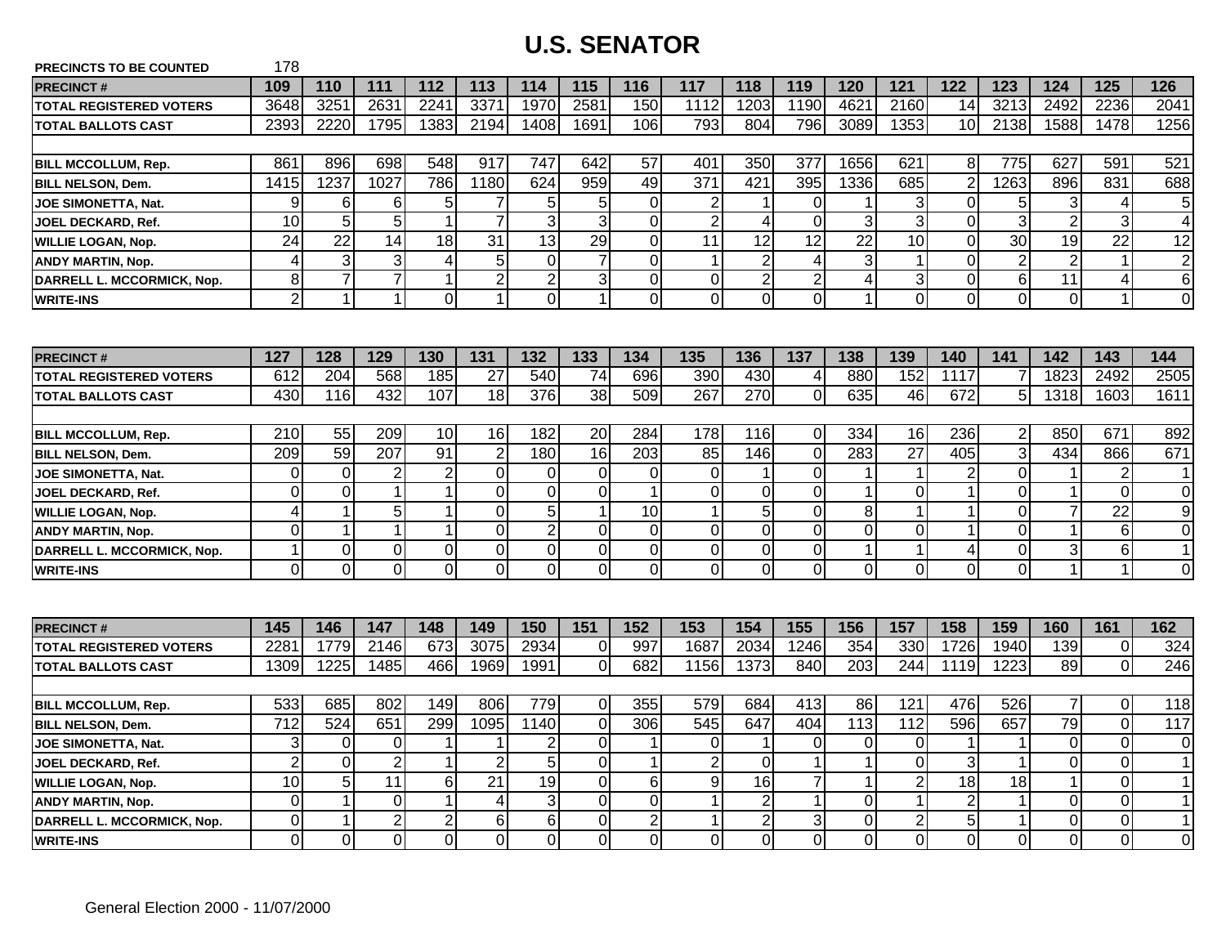| <b>PRECINCTS TO BE COUNTED</b> | 178              |                |                |                |                 |                 |                |                |                         |                 |                 |                 |                 |                |                 |                 |                 |                |
|--------------------------------|------------------|----------------|----------------|----------------|-----------------|-----------------|----------------|----------------|-------------------------|-----------------|-----------------|-----------------|-----------------|----------------|-----------------|-----------------|-----------------|----------------|
| <b>PRECINCT#</b>               | 109              | 110            | 111            | 112            | 113             | 114             | 115            | 116            | 117                     | 118             | 119             | 120             | 121             | 122            | 123             | 124             | 125             | 126            |
| <b>TOTAL REGISTERED VOTERS</b> | 3648             | 3251           | 2631           | 2241           | 3371            | 1970            | 258'           | 150            | 1112                    | 1203            | 1190            | 4621            | 2160            | 14             | 3213            | 2492            | 2236            | 2041           |
| <b>TOTAL BALLOTS CAST</b>      | 2393             | 2220           | 1795           | 1383           | 2194            | 1408            | 1691           | 106            | 793                     | 804             | 796             | 3089            | 1353            | 10             | 2138            | 1588            | 1478            | 1256           |
|                                |                  |                |                |                |                 |                 |                |                |                         |                 |                 |                 |                 |                |                 |                 |                 |                |
| <b>BILL MCCOLLUM, Rep.</b>     | 861              | 896            | 698            | 548            | 917             | 747             | 642            | 57             | 401                     | 350             | 377             | 1656            | 621             | 8              | 775             | 627             | 591             | 521            |
| <b>BILL NELSON, Dem.</b>       | 1415             | 1237           | 1027           | 786            | 1180            | 624             | 959            | 49             | $\overline{371}$        | 421             | 395             | 1336            | 685             | $\overline{2}$ | 1263            | 896             | 831             | 688            |
| <b>JOE SIMONETTA, Nat.</b>     | 9                | $6 \mid$       | 6              | 5              | 7               | 5               | 5 <sub>l</sub> | $\overline{0}$ | $\overline{c}$          |                 | 0               |                 | 3               | $\overline{0}$ | 5               | 3               | 4               | 5              |
| JOEL DECKARD, Ref.             | 10               | 5 <sub>5</sub> | 5              | $\mathbf{1}$   | $\overline{7}$  | 3               | $\overline{3}$ | 0              | $\overline{\mathbf{c}}$ | 4               | $\Omega$        | 3               | 3               | $\mathbf 0$    | 3               | $\overline{2}$  | 3               | 4              |
| WILLIE LOGAN, Nop.             | $\overline{24}$  | 22             | 14             | 18             | 31              | 13              | 29             | $\overline{0}$ | 11                      | 12              | $\overline{12}$ | $\overline{22}$ | 10              | $\overline{0}$ | $\overline{30}$ | 19              | $\overline{22}$ | 12             |
| <b>ANDY MARTIN, Nop.</b>       | 4                | $\overline{3}$ | 3              | 4              | $5\phantom{.}$  | $\overline{0}$  | $\overline{7}$ | $\overline{0}$ | $\mathbf{1}$            | $\overline{2}$  | $\overline{4}$  | 3               | $\mathbf{1}$    | $\overline{0}$ | $\overline{2}$  | $\overline{2}$  | $\mathbf{1}$    | $\overline{2}$ |
| DARRELL L. MCCORMICK, Nop.     | 8                | $\overline{7}$ | $\overline{7}$ | $\mathbf{1}$   | $\overline{2}$  | $\overline{2}$  | $\overline{3}$ | $\overline{0}$ | $\overline{0}$          | $\overline{2}$  | $\overline{2}$  | 4               | 3               | $\mathbf 0$    | 6               | $\overline{11}$ | $\overline{4}$  | 6              |
| <b>WRITE-INS</b>               | $\overline{2}$   | $\vert$ 1      | $\overline{1}$ | 0l             | 1               | $\overline{0}$  | $\mathbf{1}$   | $\overline{0}$ | $\overline{0}$          | $\Omega$        | $\overline{0}$  | $\mathbf{1}$    | $\Omega$        | $\overline{0}$ | $\mathbf 0$     | $\overline{0}$  | $\mathbf{1}$    | 0              |
|                                |                  |                |                |                |                 |                 |                |                |                         |                 |                 |                 |                 |                |                 |                 |                 |                |
| <b>PRECINCT#</b>               | 127              | 128            | 129            | 130            | 131             | 132             | 133            | 134            | 135                     | 136             | 137             | 138             | 139             | 140            | 141             | 142             | 143             | 144            |
| <b>TOTAL REGISTERED VOTERS</b> | 612              | 204            | 568            | 185            | 27              | 540             | 74             | 696            | 390                     | 430             | 4               | 880             | 152             | 1117           |                 | 1823            | 2492            | 2505           |
| <b>TOTAL BALLOTS CAST</b>      | 430              | 116            | 432            | 107            | 18              | 376             | 38             | 509            | 267                     | 270             | $\overline{0}$  | 635             | 46              | 672            | 5               | 1318            | 1603            | 1611           |
|                                |                  |                |                |                |                 |                 |                |                |                         |                 |                 |                 |                 |                |                 |                 |                 |                |
| <b>BILL MCCOLLUM, Rep.</b>     | 210              | 55             | 209            | 10             | 16              | 182             | 20             | 284            | 178                     | 116             | $\overline{0}$  | 334             | 16              | 236            | 2               | 850             | 671             | 892            |
| <b>BILL NELSON, Dem.</b>       | 209              | 59             | 207            | 91             | $\overline{2}$  | 180             | 16             | 203            | 85                      | 146             | $\overline{O}$  | 283             | $\overline{27}$ | 405            | 3               | 434             | 866             | 671            |
| JOE SIMONETTA, Nat.            | 0                | $\overline{0}$ | $\overline{2}$ | $\sqrt{2}$     | $\mathbf 0$     | $\overline{0}$  | $\overline{0}$ | $\overline{0}$ | $\overline{0}$          | 1               | $\overline{O}$  |                 | $\mathbf 1$     | $\overline{2}$ | $\mathbf 0$     | 1               | $\overline{2}$  | -1             |
| <b>JOEL DECKARD, Ref.</b>      | $\mathbf 0$      | $\overline{0}$ |                | $\mathbf{1}$   | $\overline{0}$  | $\overline{0}$  | $\overline{0}$ | $\mathbf{1}$   | $\mathbf 0$             | $\Omega$        | $\overline{0}$  | 1               | $\overline{0}$  | $\mathbf{1}$   | $\Omega$        | 1               | $\mathbf 0$     | 0              |
| <b>WILLIE LOGAN, Nop.</b>      | 4                | $\mathbf 1$    | 5              | $\mathbf{1}$   | $\overline{0}$  | 5               | $\mathbf{1}$   | 10             | $\mathbf{1}$            | 5               | $\overline{0}$  | 8               | 1               | $\mathbf{1}$   | $\Omega$        | $\overline{7}$  | 22              | 9              |
| <b>ANDY MARTIN, Nop.</b>       | $\mathbf 0$      | 1              | $\mathbf 1$    | $\mathbf{1}$   | $\mathbf 0$     | $\overline{c}$  | $\overline{0}$ | $\overline{0}$ | $\overline{0}$          | 0               | $\overline{0}$  | 0               | $\overline{0}$  | $\mathbf{1}$   | 0               | $\mathbf{1}$    | $\,6$           | 0              |
| DARRELL L. MCCORMICK, Nop.     | 1                | $\overline{0}$ | 0              | $\pmb{0}$      | 0               | 0               | $\overline{0}$ | $\pmb{0}$      | $\overline{0}$          | 0               | $\overline{0}$  | 1               | 1               | 4              | 0               | 3               | $\,6$           | $\mathbf 1$    |
| <b>WRITE-INS</b>               | O                | $\overline{0}$ | $\overline{0}$ | $\overline{0}$ | Ō               | $\overline{0}$  | $\overline{0}$ | $\overline{0}$ | $\overline{0}$          | $\overline{0}$  | $\overline{O}$  | O               | $\overline{0}$  | $\overline{0}$ | $\mathbf 0$     | $\mathbf{1}$    | $\overline{1}$  | $\mathbf 0$    |
|                                |                  |                |                |                |                 |                 |                |                |                         |                 |                 |                 |                 |                |                 |                 |                 |                |
| <b>PRECINCT#</b>               | 145              | 146            | 147            | 148            | 149             | 150             | 151            | 152            | 153                     | 154             | 155             | 156             | 157             | 158            | 159             | 160             | 161             | 162            |
| <b>TOTAL REGISTERED VOTERS</b> | 2281             | 1779           | 2146           | 673            | 3075            | 2934            | $\overline{0}$ | 997            | 1687                    | 2034            | 1246            | 354             | 330             | 1726           | 1940            | 139             | $\mathbf 0$     | 324            |
| <b>TOTAL BALLOTS CAST</b>      | 1309             | 1225           | 1485           | 466            | 1969            | 1991            | $\overline{0}$ | 682            | 1156                    | 1373            | 840             | 203             | 244             | 1119           | 1223            | 89              | $\mathbf 0$     | 246            |
|                                |                  |                |                |                |                 |                 |                |                |                         |                 |                 |                 |                 |                |                 |                 |                 |                |
| <b>BILL MCCOLLUM, Rep.</b>     | 533              | 685            | 802            | 149            | 806             | 779             | 0              | 355            | 579                     | 684             | 413             | 86              | 121             | 476            | 526             | 7               | $\overline{0}$  | 118            |
| <b>BILL NELSON, Dem.</b>       | $\overline{712}$ | 524            | 651            | 299            | 1095            | 1140            | $\Omega$       | 306            | 545                     | 647             | 404             | 113             | 112             | 596            | 657             | 79              | $\mathsf 0$     | 117            |
| <b>JOE SIMONETTA, Nat.</b>     | 3                | $\overline{0}$ | 0              | 1              | 1               | $\overline{2}$  | $\overline{0}$ | $\mathbf 1$    | $\overline{0}$          | $\mathbf 1$     | $\overline{0}$  | 0               | 0               | $\mathbf 1$    | $\mathbf 1$     | $\overline{0}$  | 0               | $\mathbf 0$    |
| <b>JOEL DECKARD, Ref.</b>      | $\overline{2}$   | $\overline{0}$ | $\overline{2}$ | 1              | $\overline{2}$  | 5               | $\overline{0}$ |                | $\overline{c}$          | $\Omega$        | -1              | 1               | $\overline{0}$  | $\mathbf{3}$   |                 | $\mathbf 0$     | $\mathbf 0$     | $\mathbf 1$    |
| <b>WILLIE LOGAN, Nop.</b>      | $\overline{10}$  | $\overline{5}$ | 11             | $6 \mid$       | $\overline{21}$ | $\overline{19}$ | $\overline{0}$ | 6              | $\overline{9}$          | $\overline{16}$ | $\overline{7}$  | 1               | $\overline{2}$  | 18             | 18              | $\mathbf{1}$    | $\mathbf 0$     | $\mathbf 1$    |
| <b>ANDY MARTIN, Nop.</b>       | 0                | $\mathbf 1$    | 0              | $\mathbf{1}$   | 4               | 3               | $\overline{0}$ | $\overline{0}$ | $\mathbf{1}$            | $\overline{2}$  | $\mathbf{1}$    | 0               | 1               | $\overline{2}$ | $\mathbf 1$     | $\overline{0}$  | $\mathbf 0$     | $\mathbf 1$    |
| DARRELL L. MCCORMICK, Nop.     | 0                | $\mathbf 1$    | $\overline{2}$ | 2              | 6               | 6               | $\Omega$       | $\overline{2}$ | $\mathbf 1$             | $\overline{2}$  | 3               | 0               | $\overline{2}$  | 5              | 1               | $\Omega$        | $\overline{0}$  | $\mathbf 1$    |
| <b>WRITE-INS</b>               | 0                | $\overline{0}$ | $\mathbf 0$    | $\overline{O}$ | $\Omega$        | 0               | $\Omega$       | $\overline{0}$ | $\overline{0}$          | $\Omega$        | $\overline{O}$  | $\mathbf 0$     | $\Omega$        | $\overline{0}$ | 0               | $\Omega$        | 0               | 0              |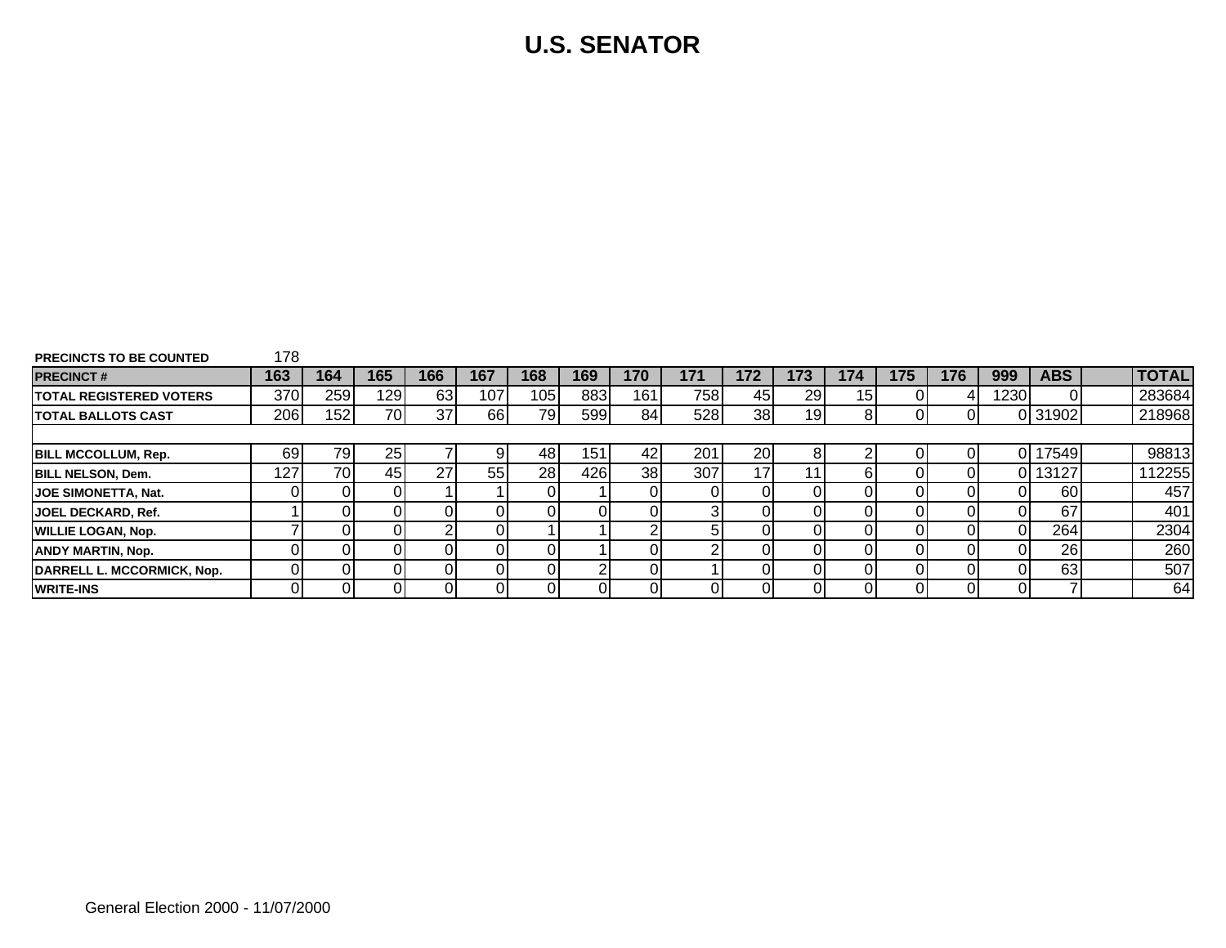| <b>PRECINCTS TO BE COUNTED</b>  | 178  |      |      |     |     |     |     |     |     |                 |     |     |     |     |      |            |              |
|---------------------------------|------|------|------|-----|-----|-----|-----|-----|-----|-----------------|-----|-----|-----|-----|------|------------|--------------|
| <b>PRECINCT#</b>                | 163  | 164  | 165  | 166 | 167 | 168 | 169 | 170 | 171 | 172             | 173 | 174 | 175 | 176 | 999  | <b>ABS</b> | <b>TOTAL</b> |
| <b>ITOTAL REGISTERED VOTERS</b> | 370I | 259  | 1291 | 63  | 107 | 105 | 883 | 161 | 758 | 45              | 29  | 151 |     |     | 1230 |            | 283684       |
| <b>ITOTAL BALLOTS CAST</b>      | 206  | 1521 | 70   | 37  | 66  | 79  | 599 | 84  | 528 | 38 <sup>1</sup> | 19  |     |     |     |      | 0 31902    | 218968       |
|                                 |      |      |      |     |     |     |     |     |     |                 |     |     |     |     |      |            |              |
| <b>BILL MCCOLLUM, Rep.</b>      | 691  | 79I  | 25   |     | 9   | 48  | 151 | 42  | 201 | 20I             |     |     |     |     |      | 17549      | 98813        |
| <b>BILL NELSON, Dem.</b>        | 127  | 701  | 45   | 27  | 55  | 28  | 426 | 38  | 307 |                 | 11  | n.  |     |     |      | 13127      | 112255       |
| <b>JOE SIMONETTA, Nat.</b>      |      |      |      |     |     |     |     |     |     |                 |     |     |     |     |      | 60         | 457          |
| <b>JOEL DECKARD, Ref.</b>       |      |      |      |     |     |     |     |     |     |                 |     |     |     |     |      | 67         | 401          |
| <b>WILLIE LOGAN, Nop.</b>       |      |      |      |     |     |     |     |     | 51  |                 |     |     |     |     |      | 264        | 2304         |
| <b>ANDY MARTIN, Nop.</b>        |      |      |      |     |     |     |     |     |     |                 |     |     |     |     |      | 26         | 260          |
| DARRELL L. MCCORMICK, Nop.      |      |      |      |     |     | ΩI  |     |     |     |                 |     |     |     |     |      | 63         | 507          |
| <b>IWRITE-INS</b>               |      |      |      |     |     |     |     |     |     |                 |     |     |     |     |      |            | 64I          |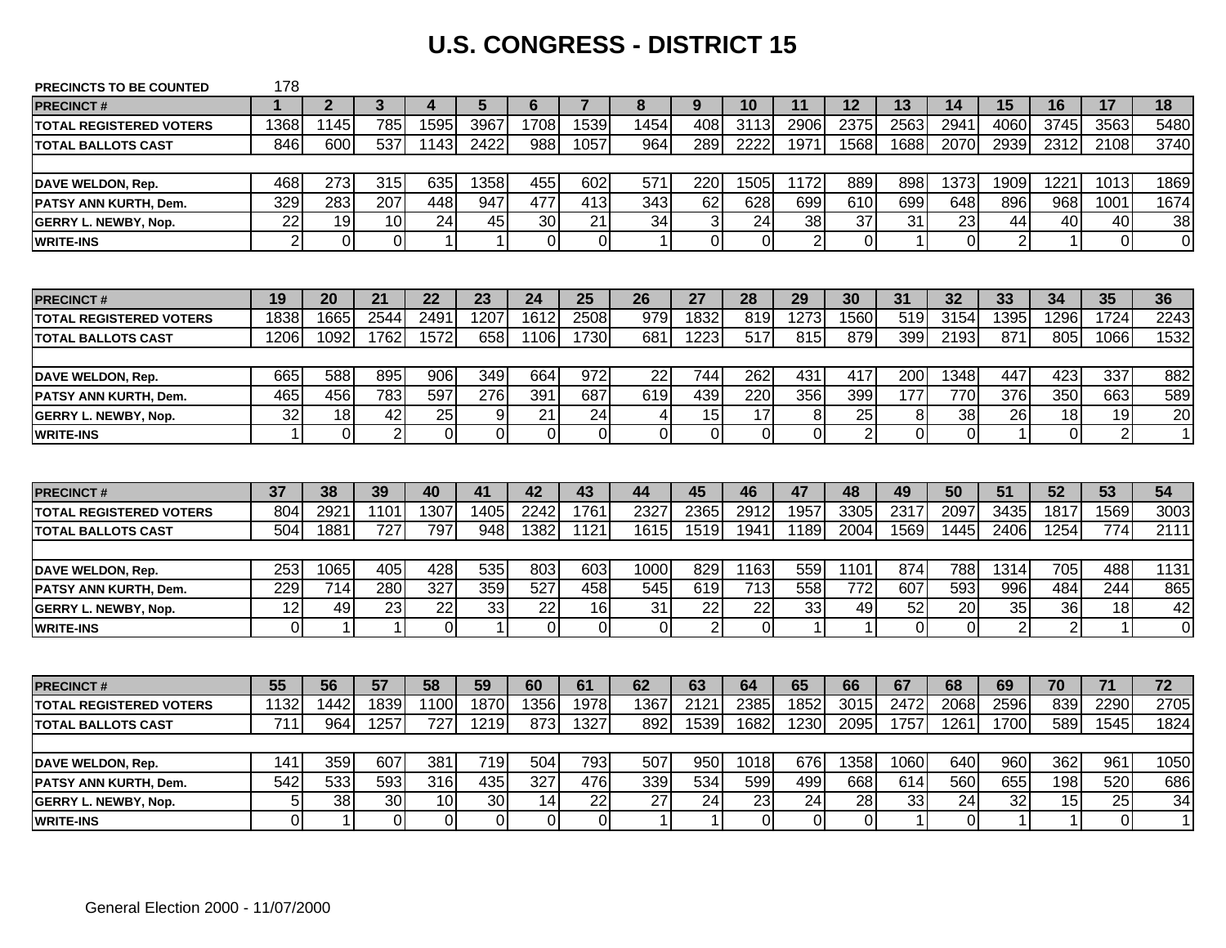# **U.S. CONGRESS - DISTRICT 15**

| <b>PRECINCTS TO BE COUNTED</b> | 178             |                |                |                |                      |                |                  |                 |                           |                |                |                 |                |                 |                |                |                |                |
|--------------------------------|-----------------|----------------|----------------|----------------|----------------------|----------------|------------------|-----------------|---------------------------|----------------|----------------|-----------------|----------------|-----------------|----------------|----------------|----------------|----------------|
| <b>PRECINCT#</b>               | 1               | 2 <sup>2</sup> | $\mathbf{3}$   | 4              | 5                    | 6              | $\overline{7}$   | 8               | 9                         | 10             | 11             | 12              | 13             | 14              | 15             | 16             | 17             | 18             |
| <b>TOTAL REGISTERED VOTERS</b> | 1368            | 1145           | 785            | 1595           | 3967                 | 1708           | 1539             | 1454            | 408                       | 3113           | 2906           | 2375            | 2563           | 2941            | 4060           | 3745           | 3563           | 5480           |
| <b>TOTAL BALLOTS CAST</b>      | 846             | 600            | 537            | 1143           | 2422                 | 988            | 1057             | 964             | 289                       | 2222           | 1971           | 1568            | 1688           | 2070            | 2939           | 2312           | 2108           | 3740           |
|                                |                 |                |                |                |                      |                |                  |                 |                           |                |                |                 |                |                 |                |                |                |                |
| DAVE WELDON, Rep.              | 468             | 273            | 315            | 635            | 1358                 | 455            | 602              | 571             | 220                       | 1505           | 1172           | 889             | 898            | 1373            | 1909           | 1221           | 1013           | 1869           |
| <b>PATSY ANN KURTH, Dem.</b>   | 329             | 283            | 207            | 448            | 947                  | 477            | $\overline{413}$ | $\frac{1}{343}$ | 62                        | 628            | 699            | 610             | 699            | 648             | 896            | 968            | 1001           | 1674           |
| <b>GERRY L. NEWBY, Nop.</b>    | $\overline{22}$ | 19             | 10             | 24             | 45                   | 30             | 21               | 34              | $\ensuremath{\mathsf{3}}$ | 24             | 38             | $\overline{37}$ | 31             | 23              | 44             | 40             | 40             | 38             |
| <b>WRITE-INS</b>               | $\overline{2}$  | $\mathbf 0$    | $\overline{0}$ |                | $\mathbf{1}$         | $\mathbf 0$    | $\mathbf 0$      | $\mathbf 1$     | $\overline{0}$            | $\Omega$       | $\overline{2}$ | $\overline{0}$  | 1              | $\overline{0}$  | $\overline{2}$ | $\mathbf{1}$   | $\mathbf 0$    | $\overline{0}$ |
|                                |                 |                |                |                |                      |                |                  |                 |                           |                |                |                 |                |                 |                |                |                |                |
| <b>PRECINCT#</b>               | 19              | 20             | 21             | 22             | 23                   | 24             | 25               | 26              | 27                        | 28             | 29             | 30              | 31             | 32              | 33             | 34             | 35             | 36             |
| <b>TOTAL REGISTERED VOTERS</b> | 1838            | 1665           | 2544           | 2491           | 1207                 | 1612           | 2508             | 979             | 1832                      | 819            | 1273           | 1560            | 519            | 3154            | 1395           | 1296           | 1724           | 2243           |
| <b>TOTAL BALLOTS CAST</b>      | 1206            | 1092           | 1762           | 1572           | 658                  | 1106           | 1730             | 681             | 1223                      | 517            | 815            | 879             | 399            | 2193            | 871            | 805            | 1066           | 1532           |
|                                |                 |                |                |                |                      |                |                  |                 |                           |                |                |                 |                |                 |                |                |                |                |
| DAVE WELDON, Rep.              | 665             | 588            | 895            | 906            | 349                  | 664            | 972              | 22              | 744                       | 262            | 431            | 417             | 200            | 1348            | 447            | 423            | 337            | 882            |
| PATSY ANN KURTH, Dem.          | 465             | 456            | 783            | 597            | 276                  | 391            | 687              | 619             | 439                       | 220            | 356            | 399             | 177            | 770             | 376            | 350            | 663            | 589            |
| <b>GERRY L. NEWBY, Nop.</b>    | $\overline{32}$ | 18             | 42             | 25             | 9                    | 21             | 24               | 4               | $\overline{15}$           | 17             | 8              | 25              | 8              | $\overline{38}$ | 26             | 18             | 19             | 20             |
| <b>WRITE-INS</b>               | 1               | $\mathbf 0$    | $\overline{2}$ | $\Omega$       | $\overline{0}$       | $\overline{O}$ | $\mathbf 0$      | $\overline{0}$  | $\mathbf 0$               | $\overline{0}$ | $\mathbf 0$    | $\overline{2}$  | $\overline{0}$ | $\overline{0}$  |                | $\overline{0}$ | $\overline{2}$ | $\mathbf{1}$   |
|                                |                 |                |                |                |                      |                |                  |                 |                           |                |                |                 |                |                 |                |                |                |                |
| <b>PRECINCT#</b>               | 37              | 38             | 39             | 40             | 41                   | 42             | 43               | 44              | 45                        | 46             | 47             | 48              | 49             | 50              | 51             | 52             | 53             | 54             |
| <b>TOTAL REGISTERED VOTERS</b> | 804             | 292'           | 1101           | 1307           | 1405                 | 2242           | 1761             | 2327            | 2365                      | 2912           | 1957           | 3305            | 2317           | 2097            | 3435           | 1817           | 1569           | 3003           |
| <b>TOTAL BALLOTS CAST</b>      | 504             | 1881           | 727            | 797            | 948                  | 1382           | 1121             | 1615            | 1519                      | 1941           | 1189           | 2004            | 1569           | 1445            | 2406           | 1254           | 774            | 2111           |
|                                |                 |                |                |                |                      |                |                  |                 |                           |                |                |                 |                |                 |                |                |                |                |
| DAVE WELDON, Rep.              | 253             | 1065           | 405            | 428            | 535                  | 803            | 603              | 1000            | 829                       | 1163           | 559            | 1101            | 874            | 788             | 1314           | 705            | 488            | 1131           |
| PATSY ANN KURTH, Dem.          | 229             | 714            | 280            | 327            | 359                  | 527            | 458              | 545             | 619                       | 713            | 558            | 772             | 607            | 593             | 996            | 484            | 244            | 865            |
| <b>GERRY L. NEWBY, Nop.</b>    | 12              | 49             | 23             | 22             | 33                   | 22             | 16               | 31              | 22                        | 22             | 33             | 49              | 52             | 20              | 35             | 36             | 18             | 42             |
| <b>WRITE-INS</b>               | $\overline{0}$  | 1              | $\overline{1}$ | $\overline{0}$ | $\blacktriangleleft$ | $\overline{0}$ | $\mathbf 0$      | $\overline{0}$  | $\overline{2}$            | $\Omega$       | $\overline{1}$ | $\mathbf{1}$    | $\Omega$       | $\overline{0}$  | $\overline{2}$ | $\overline{2}$ | $\mathbf{1}$   | $\Omega$       |
|                                |                 |                |                |                |                      |                |                  |                 |                           |                |                |                 |                |                 |                |                |                |                |
| <b>PRECINCT#</b>               | 55              | 56             | 57             | 58             | 59                   | 60             | 61               | 62              | 63                        | 64             | 65             | 66              | 67             | 68              | 69             | 70             | 71             | 72             |
| <b>TOTAL REGISTERED VOTERS</b> | 1132            | 1442           | 1839           | 1100           | 1870                 | 1356           | 1978             | 1367            | 2121                      | 2385           | 1852           | 3015            | 2472           | 2068            | 2596           | 839            | 2290           | 2705           |
| <b>TOTAL BALLOTS CAST</b>      | 711             | 964            | 1257           | 727            | 1219                 | 873            | 1327             | 892             | 1539                      | 1682           | 1230           | 2095            | 1757           | 1261            | 1700           | 589            | 1545           | 1824           |
|                                |                 |                |                |                |                      |                |                  |                 |                           |                |                |                 |                |                 |                |                |                |                |
| DAVE WELDON, Rep.              | 141             | 359            | 607            | 381            | 719                  | 504            | 793              | 507             | 950                       | 1018           | 676            | 1358            | 1060           | 640             | 960            | 362            | 961            | 1050           |
| PATSY ANN KURTH, Dem.          | 542             | 533            | 593            | 316            | 435                  | 327            | 476              | 339             | 534                       | 599            | 499            | 668             | 614            | 560             | 655            | 198            | 520            | 686            |
| <b>GERRY L. NEWBY, Nop.</b>    | 5               | 38             | 30             | 10             | 30                   | 14             | 22               | 27              | 24                        | 23             | 24             | 28              | 33             | 24              | 32             | 15             | 25             | 34             |
| <b>WRITE-INS</b>               | $\Omega$        | $\mathbf 1$    | $\overline{0}$ | $\overline{0}$ | $\overline{0}$       | $\mathbf 0$    | $\Omega$         | 1               | $\mathbf{1}$              | $\Omega$       | 0              | $\overline{0}$  | 1              | $\overline{0}$  | $\mathbf 1$    | $\mathbf{1}$   | $\mathbf 0$    | $\mathbf 1$    |
|                                |                 |                |                |                |                      |                |                  |                 |                           |                |                |                 |                |                 |                |                |                |                |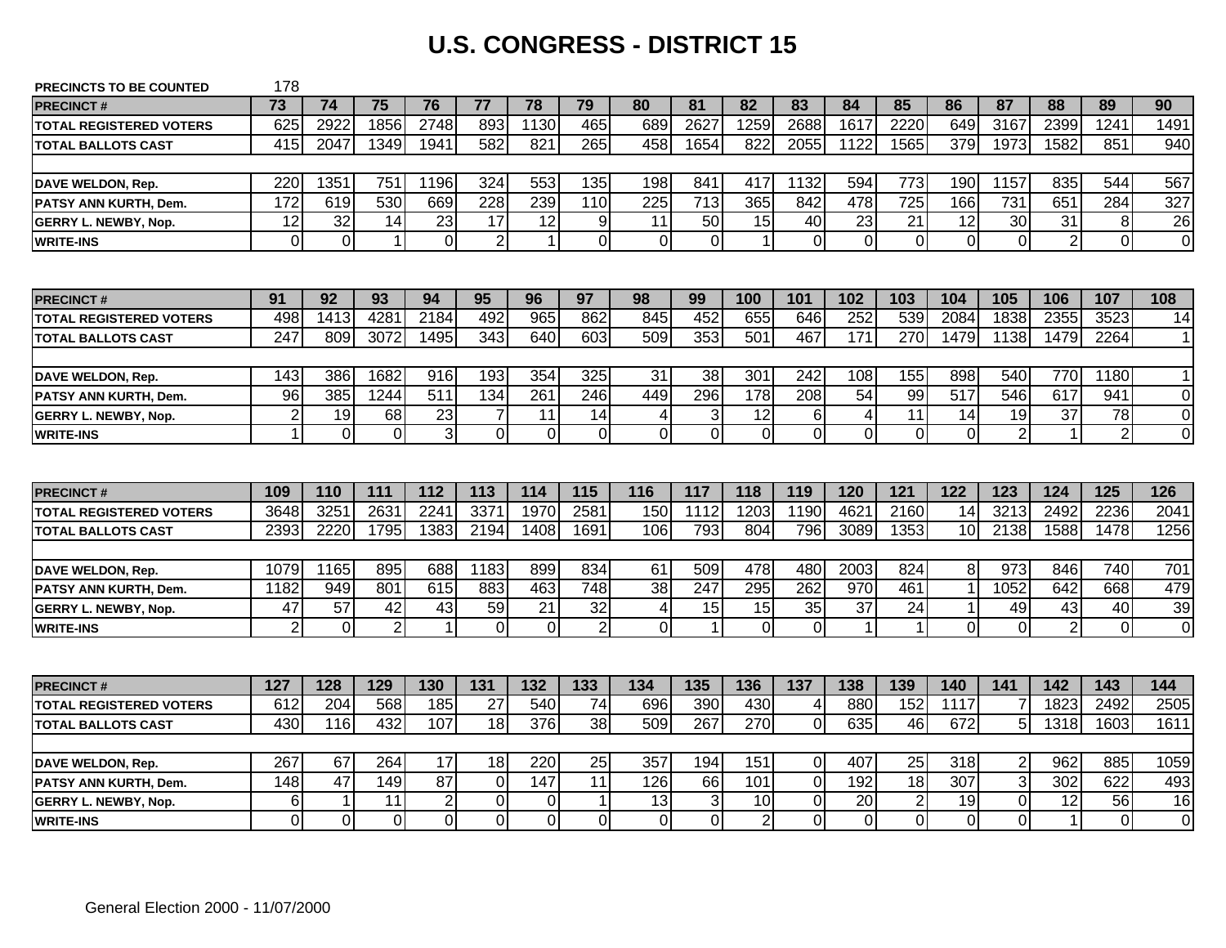### **U.S. CONGRESS - DISTRICT 15**

| <b>PRECINCTS TO BE COUNTED</b> | 178              |                |                |                 |                |             |                |                  |                           |                |                 |                |             |                |                |                 |                |                |
|--------------------------------|------------------|----------------|----------------|-----------------|----------------|-------------|----------------|------------------|---------------------------|----------------|-----------------|----------------|-------------|----------------|----------------|-----------------|----------------|----------------|
| <b>PRECINCT#</b>               | 73               | 74             | 75             | 76              | 77             | 78          | 79             | 80               | 81                        | 82             | 83              | 84             | 85          | 86             | 87             | 88              | 89             | 90             |
| <b>TOTAL REGISTERED VOTERS</b> | 625              | 2922           | 1856           | 2748            | 893            | 1130        | 465            | 689              | 2627                      | 1259           | 2688            | 1617           | 2220        | 649            | 3167           | 2399            | 1241           | 1491           |
| <b>TOTAL BALLOTS CAST</b>      | 415              | 2047           | 1349           | 1941            | 582            | 821         | 265            | 458              | 1654                      | 822            | 2055            | 1122           | 1565        | 379            | 1973           | 1582            | 851            | 940            |
|                                |                  |                |                |                 |                |             |                |                  |                           |                |                 |                |             |                |                |                 |                |                |
| DAVE WELDON, Rep.              | 220              | 1351           | 751            | 1196            | 324            | 553         | 135            | 198              | 841                       | 417            | 1132            | 594            | 773         | 190            | 1157           | 835             | 544            | 567            |
| <b>PATSY ANN KURTH. Dem.</b>   | 172              | 619            | 530            | 669             | 228            | 239         | 110            | $\overline{225}$ | $\overline{713}$          | 365            | 842             | 478            | 725         | 166            | 731            | 651             | 284            | 327            |
| <b>GERRY L. NEWBY, Nop.</b>    | 12               | 32             | 14             | 23              | 17             | 12          | 9              | 11               | 50                        | 15             | 40              | 23             | 21          | 12             | 30             | $\overline{31}$ | 8              | 26             |
| <b>WRITE-INS</b>               | $\overline{0}$   | $\overline{0}$ | $\mathbf{1}$   | $\Omega$        | $\overline{2}$ | $\mathbf 1$ | $\mathbf 0$    | $\overline{0}$   | 0                         | $\mathbf 1$    | $\overline{0}$  | $\mathbf 0$    | $\mathbf 0$ | $\mathbf 0$    | $\Omega$       | $\overline{2}$  | $\overline{0}$ | $\overline{0}$ |
|                                |                  |                |                |                 |                |             |                |                  |                           |                |                 |                |             |                |                |                 |                |                |
| <b>PRECINCT#</b>               | 91               | 92             | 93             | 94              | 95             | 96          | 97             | 98               | 99                        | 100            | 101             | 102            | 103         | 104            | 105            | 106             | 107            | 108            |
| <b>TOTAL REGISTERED VOTERS</b> | 498              | 1413           | 4281           | 2184            | 492            | 965         | 862            | 845              | 452                       | 655            | 646             | 252            | 539         | 2084           | 1838           | 2355            | 3523           | 14             |
| <b>TOTAL BALLOTS CAST</b>      | 247              | 809            | 3072           | 1495            | 343            | 640         | 603            | 509              | 353                       | 501            | 467             | 171            | 270         | 1479           | 1138           | 1479            | 2264           | $\mathbf 1$    |
|                                |                  |                |                |                 |                |             |                |                  |                           |                |                 |                |             |                |                |                 |                |                |
| <b>DAVE WELDON, Rep.</b>       | 143              | 386            | 1682           | 916             | 193            | 354         | 325            | 31               | 38                        | 301            | 242             | 108            | 155         | 898            | 540            | 770             | 1180           | $\mathbf 1$    |
| PATSY ANN KURTH, Dem.          | 96               | 385            | 1244           | 511             | 134            | 261         | 246            | 449              | 296                       | 178            | 208             | 54             | 99          | 517            | 546            | 617             | 941            | 0              |
| <b>GERRY L. NEWBY, Nop.</b>    | $\boldsymbol{2}$ | 19             | 68             | 23              | $\overline{7}$ | 11          | 14             | 4                | $\ensuremath{\mathsf{3}}$ | 12             | $6\phantom{1}6$ | 4              | 11          | 14             | 19             | 37              | 78             | $\mathbf 0$    |
| <b>WRITE-INS</b>               | $\mathbf{1}$     | $\mathbf 0$    | $\overline{0}$ | $\overline{3}$  | $\overline{0}$ | $\mathbf 0$ | $\overline{0}$ | $\overline{0}$   | $\overline{0}$            | $\Omega$       | $\mathbf 0$     | $\overline{0}$ | $\Omega$    | $\overline{0}$ | $\overline{2}$ | 1               | $\overline{2}$ | $\mathbf 0$    |
|                                |                  |                |                |                 |                |             |                |                  |                           |                |                 |                |             |                |                |                 |                |                |
| <b>PRECINCT#</b>               | 109              | 110            | 111            | 112             | 113            | 114         | 115            | 116              | 117                       | 118            | 119             | 120            | 121         | 122            | 123            | 124             | 125            | 126            |
| <b>TOTAL REGISTERED VOTERS</b> | 3648             | 3251           | 2631           | 224'            | 3371           | 1970        | 2581           | 150              | 1112                      | 1203           | 1190            | 4621           | 2160        | 14             | 3213           | 2492            | 2236           | 2041           |
| <b>TOTAL BALLOTS CAST</b>      | 2393             | 2220           | 1795           | 1383            | 2194           | 1408        | 1691           | 106              | 793                       | 804            | 796             | 3089           | 1353        | 10             | 2138           | 1588            | 1478           | 1256           |
|                                |                  |                |                |                 |                |             |                |                  |                           |                |                 |                |             |                |                |                 |                |                |
| <b>DAVE WELDON, Rep.</b>       | 1079             | 1165           | 895            | 688             | 1183           | 899         | 834            | 61               | 509                       | 478            | 480             | 2003           | 824         | 8              | 973            | 846             | 740            | 701            |
| PATSY ANN KURTH, Dem.          | 1182             | 949            | 801            | 615             | 883            | 463         | 748            | $\overline{38}$  | 247                       | 295            | 262             | 970            | 461         | $\mathbf{1}$   | 1052           | 642             | 668            | 479            |
| <b>GERRY L. NEWBY, Nop.</b>    | 47               | 57             | 42             | 43              | 59             | 21          | 32             | 4                | 15                        | 15             | 35              | 37             | 24          | 1              | 49             | 43              | 40             | 39             |
| <b>WRITE-INS</b>               | $\overline{2}$   | $\overline{0}$ | $\overline{2}$ | $\overline{ }$  | $\mathbf 0$    | $\mathbf 0$ | $\overline{2}$ | $\overline{0}$   | $\mathbf{1}$              | $\Omega$       | $\overline{0}$  | $\mathbf{1}$   | 1           | $\overline{O}$ | $\overline{0}$ | $\overline{2}$  | $\overline{0}$ | $\overline{0}$ |
|                                |                  |                |                |                 |                |             |                |                  |                           |                |                 |                |             |                |                |                 |                |                |
| <b>PRECINCT#</b>               | 127              | 128            | 129            | 130             | 131            | 132         | 133            | 134              | 135                       | 136            | 137             | 138            | 139         | 140            | 141            | 142             | 143            | 144            |
| <b>TOTAL REGISTERED VOTERS</b> | 612              | 204            | 568            | 185             | 27             | 540         | 74             | 696              | 390                       | 430            | 4               | 880            | 152         | 1117           |                | 1823            | 2492           | 2505           |
| <b>TOTAL BALLOTS CAST</b>      | 430              | 116            | 432            | 107             | 18             | 376         | 38             | 509              | 267                       | 270            | $\mathbf 0$     | 635            | 46          | 672            | 5              | 1318            | 1603           | 1611           |
|                                |                  |                |                |                 |                |             |                |                  |                           |                |                 |                |             |                |                |                 |                |                |
| DAVE WELDON, Rep.              | 267              | 67             | 264            | 17              | 18             | 220         | 25             | 357              | 194                       | 151            | $\overline{0}$  | 407            | 25          | 318            | 2              | 962             | 885            | 1059           |
| PATSY ANN KURTH, Dem.          | 148              | 47             | 149            | $\overline{87}$ | $\mathbf 0$    | 147         | 11             | 126              | 66                        | 101            | $\mathbf 0$     | 192            | 18          | 307            | $\mathbf{3}$   | 302             | 622            | 493            |
| <b>GERRY L. NEWBY, Nop.</b>    | 6                | $\mathbf 1$    | 11             | $\overline{2}$  | $\overline{0}$ | 0           | 1              | 13               | 3                         | 10             | 0               | 20             | $\mathbf 2$ | 19             | $\overline{0}$ | 12              | 56             | 16             |
| <b>WRITE-INS</b>               | Οl               | $\Omega$       | $\Omega$       | $\Omega$        | $\Omega$       | $\Omega$    | $\Omega$       | $\Omega$         | $\overline{0}$            | $\overline{2}$ | $\overline{0}$  | $\Omega$       | $\Omega$    | $\Omega$       | $\overline{0}$ | $\mathbf{1}$    | $\mathbf 0$    | $\Omega$       |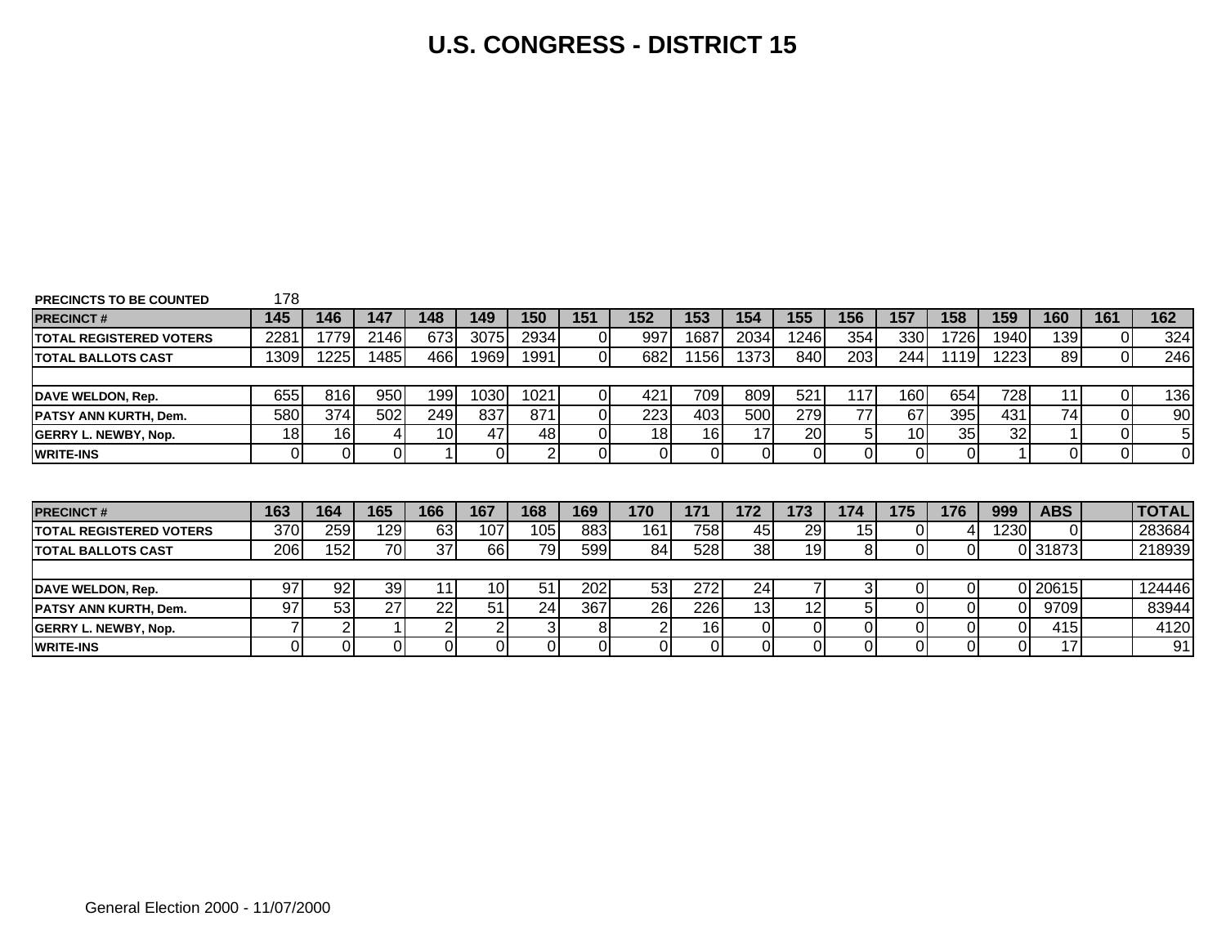### **U.S. CONGRESS - DISTRICT 15**

| <b>PRECINCTS TO BE COUNTED</b>  | 178        |      |          |     |                 |                |     |     |      |      |                |                 |                 |                |      |            |                |               |
|---------------------------------|------------|------|----------|-----|-----------------|----------------|-----|-----|------|------|----------------|-----------------|-----------------|----------------|------|------------|----------------|---------------|
| <b>PRECINCT#</b>                | 145        | 146  | 147      | 148 | 149             | 150            | 151 | 152 | 153  | 154  | 155            | 156             | 157             | 158            | 159  | 160        | 161            | 162           |
| <b>ITOTAL REGISTERED VOTERS</b> | 2281       | 1779 | 2146     | 673 | 3075            | 2934           |     | 997 | 1687 | 2034 | 1246           | 354             | 330             | 1726           | 1940 | 139        | 0l             | 324           |
| <b>TOTAL BALLOTS CAST</b>       | 1309       | 1225 | 1485     | 466 | 1969            | 1991           |     | 682 | 156  | 1373 | 840            | 203             | 244             | 1119           | 1223 | 89         | οl             | 246           |
|                                 |            |      |          |     |                 |                |     |     |      |      |                |                 |                 |                |      |            |                |               |
| DAVE WELDON, Rep.               | 655        | 816  | 950      | 199 | 1030            | 1021           |     | 421 | 709  | 809  | 521            | 117             | 160             | 654            | 728  | 11         | 01             | 136           |
| PATSY ANN KURTH, Dem.           | 580        | 374  | 502      | 249 | 837             | 871            |     | 223 | 403  | 500  | 279            | 77              | 67              | 395            | 431  | 74         | 0              | 90            |
| <b>GERRY L. NEWBY, Nop.</b>     | 18         | 16   | 4        | 10  | 47              | 48             |     | 18  | 16   | 17   | 20             | 51              | 10 <sub>l</sub> | 35             | 32   |            | $\overline{0}$ | 5             |
| <b>WRITE-INS</b>                | Οl         | Οl   | $\Omega$ |     | $\overline{0}$  | $\overline{2}$ |     | 01  | 01   |      | $\overline{0}$ | 01              | 01              | $\overline{0}$ |      | $\Omega$   | $\overline{0}$ | $\mathbf 0$   |
| <b>PRECINCT#</b>                | 163        | 164  | 165      | 166 | 167             | 168            | 169 | 170 | 171  | 172  | 173            | 174             | 175             | 176            | 999  | <b>ABS</b> |                | <b>TOTAL!</b> |
| <b>ITOTAL REGISTERED VOTERS</b> | 370        | 259  | 129      | 63  | 107             | 105I           | 883 | 161 | 758  | 45   | 29             | 15 <sub>l</sub> | 01              | 4              | 1230 | $\Omega$   |                | 283684        |
| <b>TOTAL BALLOTS CAST</b>       | <b>206</b> | 152  | 70       | 37  | 66              | 79             | 599 | 84  | 528  | 38   | 19             | 81              | ΟI              | $\overline{0}$ |      | 0 31873    |                | 218939        |
|                                 |            |      |          |     |                 |                |     |     |      |      |                |                 |                 |                |      |            |                |               |
| DAVE WELDON, Rep.               | 97         | 92   | 39       | 11  | 10 <sup>1</sup> | 51             | 202 | 53  | 272  | 24   | 7              | 31              | 01              | 01             |      | 0 20615    |                | 124446        |
| PATSY ANN KURTH, Dem.           | 97         | 53   | 27       | 22  | 51              | 24             | 367 | 26  | 226  | 13   | 12             | 51              | 0               | $\overline{0}$ |      | 9709       |                | 83944         |
| <b>GERRY L. NEWBY, Nop.</b>     |            | 2    |          |     | 2               | 31             | 81  | 2   | 16   |      | $\Omega$       | 01              | 01              | 01             |      | 415        |                | 4120          |
| <b>WRITE-INS</b>                | 01         |      | 0        |     | 0I              | οI             |     | 0   | 01   |      | 01             |                 |                 | 0l             |      | 17         |                | 91            |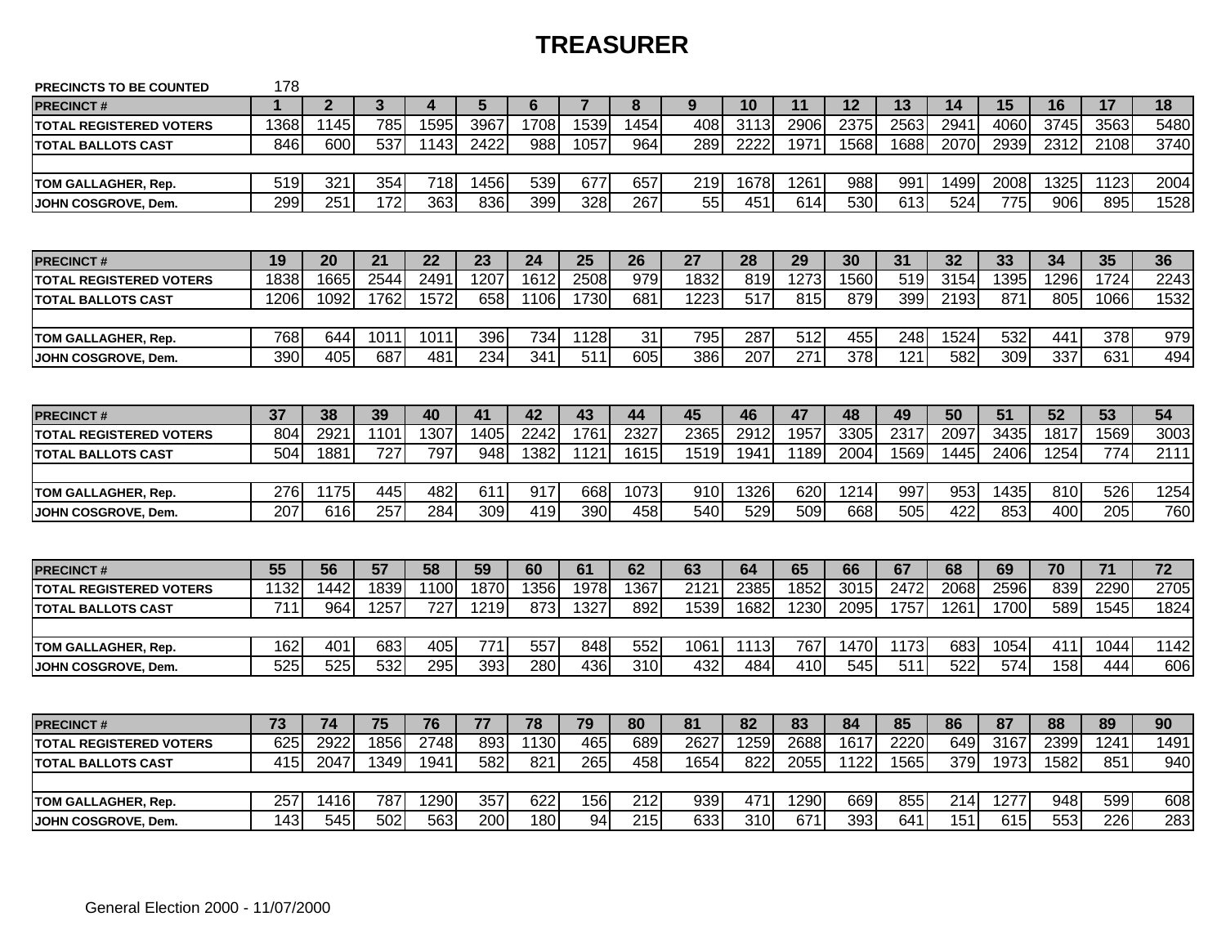### **TREASURER**

| <b>PRECINCTS TO BE COUNTED</b> | 178  |                  |                  |                  |                |                  |                |                  |                  |                  |                  |      |                  |      |      |                 |      |                 |
|--------------------------------|------|------------------|------------------|------------------|----------------|------------------|----------------|------------------|------------------|------------------|------------------|------|------------------|------|------|-----------------|------|-----------------|
| <b>PRECINCT#</b>               |      | $\overline{2}$   | 3                | $\boldsymbol{4}$ | $5\phantom{1}$ | 6                | $\overline{7}$ | 8                | 9                | 10               | 11               | 12   | 13               | 14   | 15   | 16              | 17   | 18              |
| <b>TOTAL REGISTERED VOTERS</b> | 1368 | 1145             | 785              | 1595             | 3967           | 1708             | 1539           | 1454             | 408              | 3113             | 2906             | 2375 | 2563             | 2941 | 4060 | 3745            | 3563 | 5480            |
| <b>TOTAL BALLOTS CAST</b>      | 846  | 600              | 537              | 1143             | 2422           | 988              | 1057           | 964              | 289              | 2222             | 1971             | 1568 | 1688             | 2070 | 2939 | 2312            | 2108 | 3740            |
|                                |      |                  |                  |                  |                |                  |                |                  |                  |                  |                  |      |                  |      |      |                 |      |                 |
| TOM GALLAGHER, Rep.            | 519  | 321              | 354              | 718              | 1456           | 539              | 677            | 657              | 219              | 1678             | 1261             | 988  | 991              | 1499 | 2008 | 1325            | 1123 | 2004            |
| JOHN COSGROVE, Dem.            | 299  | $\overline{251}$ | 172              | 363              | 836            | 399              | 328            | 267              | $\overline{55}$  | 451              | 614              | 530  | $\overline{613}$ | 524  | 775  | 906             | 895  | 1528            |
|                                |      |                  |                  |                  |                |                  |                |                  |                  |                  |                  |      |                  |      |      |                 |      |                 |
| <b>PRECINCT#</b>               | 19   | 20               | 21               | 22               | 23             | 24               | 25             | 26               | 27               | 28               | 29               | 30   | 31               | 32   | 33   | 34              | 35   | 36              |
| <b>TOTAL REGISTERED VOTERS</b> | 1838 | 1665             | 2544             | 2491             | 1207           | 1612             | 2508           | 979              | 1832             | 819              | 1273             | 1560 | 519              | 3154 | 1395 | 1296            | 1724 | 2243            |
| <b>TOTAL BALLOTS CAST</b>      | 1206 | 1092             | 1762             | 1572             | 658            | 1106             | 1730           | 681              | 1223             | 517              | 815              | 879  | 399              | 2193 | 871  | 805             | 1066 | 1532            |
|                                |      |                  |                  |                  |                |                  |                |                  |                  |                  |                  |      |                  |      |      |                 |      |                 |
| TOM GALLAGHER, Rep.            | 768  | 644              | 1011             | 1011             | 396            | 734              | 1128           | 31               | 795              | 287              | 512              | 455  | 248              | 1524 | 532  | 441             | 378  | 979             |
| JOHN COSGROVE, Dem.            | 390  | 405              | 687              | 481              | 234            | $\overline{341}$ | 511            | 605              | 386              | 207              | $\overline{271}$ | 378  | 121              | 582  | 309  | 337             | 631  | 494             |
|                                |      |                  |                  |                  |                |                  |                |                  |                  |                  |                  |      |                  |      |      |                 |      |                 |
| <b>PRECINCT#</b>               | 37   | 38               | 39               | 40               | 41             | 42               | 43             | 44               | 45               | 46               | 47               | 48   | 49               | 50   | 51   | $\overline{52}$ | 53   | 54              |
| <b>TOTAL REGISTERED VOTERS</b> | 804  | 2921             | 1101             | 1307             | 1405           | 2242             | 1761           | 2327             | 2365             | 2912             | 1957             | 3305 | 2317             | 2097 | 3435 | 1817            | 1569 | 3003            |
| <b>TOTAL BALLOTS CAST</b>      | 504  | 1881             | 727              | 797              | 948            | 1382             | 1121           | 1615             | 1519             | 1941             | 1189             | 2004 | 1569             | 1445 | 2406 | 1254            | 774  | 2111            |
|                                |      |                  |                  |                  |                |                  |                |                  |                  |                  |                  |      |                  |      |      |                 |      |                 |
| <b>TOM GALLAGHER, Rep.</b>     | 276  | 1175             | 445              | 482              | 611            | 917              | 668            | 1073             | 910              | 1326             | 620              | 1214 | 997              | 953  | 1435 | 810             | 526  | 1254            |
| JOHN COSGROVE, Dem.            | 207  | 616              | $\overline{257}$ | 284              | 309            | 419              | 390            | 458              | 540              | 529              | 509              | 668  | 505              | 422  | 853  | 400             | 205  | 760             |
|                                |      |                  |                  |                  |                |                  |                |                  |                  |                  |                  |      |                  |      |      |                 |      |                 |
| <b>PRECINCT#</b>               | 55   | 56               | $\overline{57}$  | 58               | 59             | 60               | 61             | 62               | 63               | 64               | 65               | 66   | 67               | 68   | 69   | 70              | 71   | $\overline{72}$ |
| <b>TOTAL REGISTERED VOTERS</b> | 1132 | 1442             | 1839             | 1100             | 1870           | 1356             | 1978           | 1367             | $\overline{212}$ | 2385             | 1852             | 3015 | 2472             | 2068 | 2596 | 839             | 2290 | 2705            |
| <b>TOTAL BALLOTS CAST</b>      | 711  | 964              | 1257             | 727              | 1219           | 873              | 1327           | 892              | 1539             | 1682             | 1230             | 2095 | 1757             | 1261 | 1700 | 589             | 1545 | 1824            |
|                                |      |                  |                  |                  |                |                  |                |                  |                  |                  |                  |      |                  |      |      |                 |      |                 |
| TOM GALLAGHER, Rep.            | 162  | 401              | 683              | 405              | 771            | 557              | 848            | 552              | 1061             | 1113             | 767              | 1470 | 1173             | 683  | 1054 | 411             | 1044 | 1142            |
| JOHN COSGROVE, Dem.            | 525  | 525              | 532              | 295              | 393            | 280              | 436            | 310              | 432              | 484              | 410              | 545  | $\overline{511}$ | 522  | 574  | 158             | 444  | 606             |
|                                |      |                  |                  |                  |                |                  |                |                  |                  |                  |                  |      |                  |      |      |                 |      |                 |
| <b>PRECINCT#</b>               | 73   | 74               | 75               | 76               | 77             | 78               | 79             | 80               | 81               | 82               | 83               | 84   | 85               | 86   | 87   | 88              | 89   | 90              |
| <b>TOTAL REGISTERED VOTERS</b> | 625  | 2922             | 1856             | 2748             | 893            | 1130             | 465            | 689              | 2627             | 1259             | 2688             | 1617 | 2220             | 649  | 3167 | 2399            | 1241 | 1491            |
| <b>TOTAL BALLOTS CAST</b>      | 415  | 2047             | 1349             | 1941             | 582            | 821              | 265            | 458              | 1654             | 822              | 2055             | 1122 | 1565             | 379  | 1973 | 1582            | 851  | 940             |
|                                |      |                  |                  |                  |                |                  |                |                  |                  |                  |                  |      |                  |      |      |                 |      |                 |
| TOM GALLAGHER, Rep.            | 257  | 1416             | 787              | 1290             | 357            | 622              | 156            | 212              | 939              | 471              | 1290             | 669  | 855              | 214  | 1277 | 948             | 599  | 608             |
| JOHN COSGROVE, Dem.            | 143  | 545              | 502              | 563              | 200            | 180              | 94             | $\overline{215}$ | 633              | $\overline{310}$ | 671              | 393  | 641              | 151  | 615  | 553             | 226  | 283             |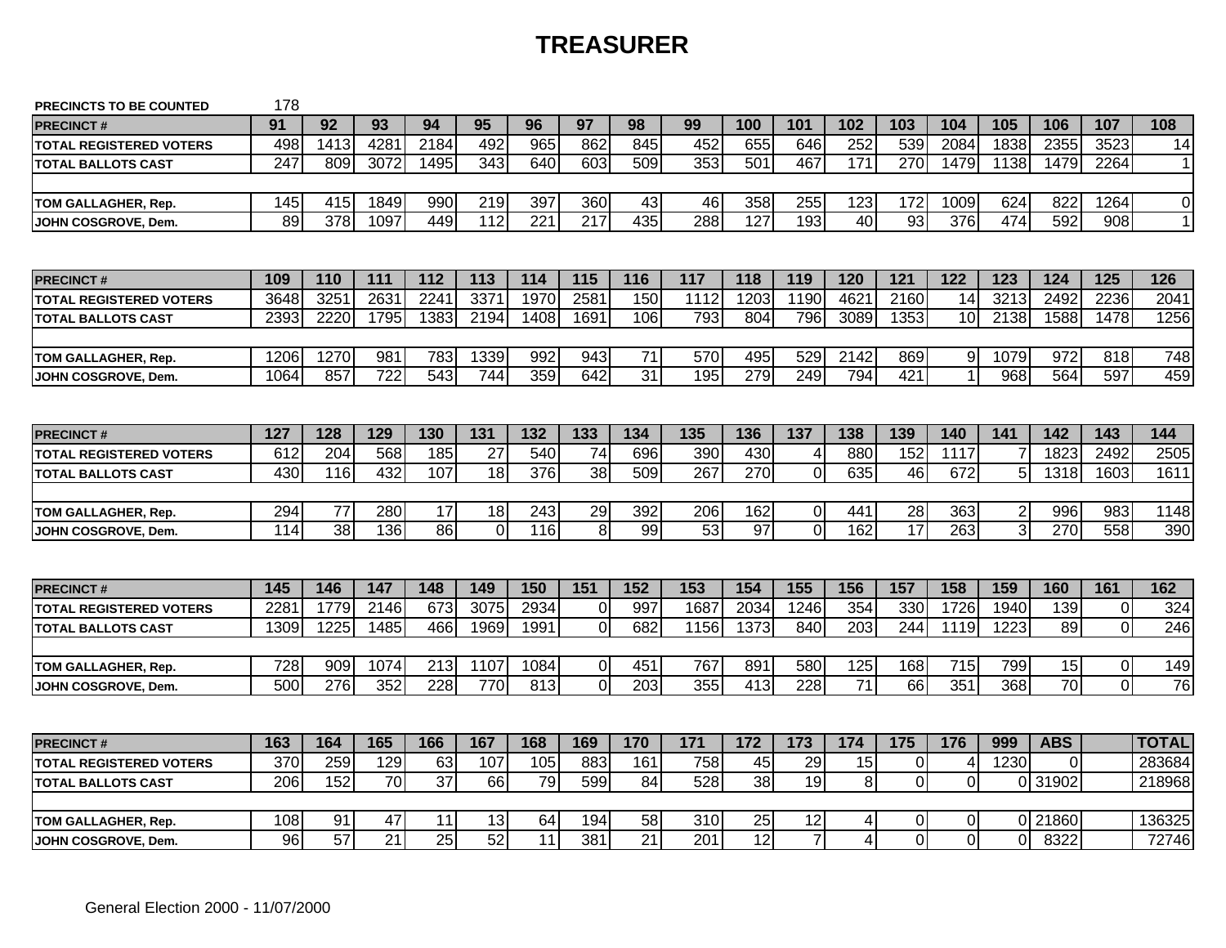# **TREASURER**

| PRECINCTS TO BE COUNTED        | 178  |                 |                 |                 |                  |                  |                |                 |      |                  |                 |                  |                 |                |          |            |                |                |
|--------------------------------|------|-----------------|-----------------|-----------------|------------------|------------------|----------------|-----------------|------|------------------|-----------------|------------------|-----------------|----------------|----------|------------|----------------|----------------|
| <b>PRECINCT#</b>               | 91   | 92              | 93              | 94              | 95               | 96               | 97             | 98              | 99   | 100              | 101             | 102              | 103             | 104            | 105      | 106        | 107            | 108            |
| <b>TOTAL REGISTERED VOTERS</b> | 498  | 1413            | 428'            | 2184            | 492              | 965              | 862            | 845             | 452  | 655              | 646             | 252              | 539             | 2084           | 1838     | 2355       | 3523           | 14             |
| <b>TOTAL BALLOTS CAST</b>      | 247  | 809             | 3072            | 1495            | 343              | 640              | 603            | 509             | 353  | 501              | 467             | 171              | 270             | 1479           | 1138     | 1479       | 2264           | 11             |
|                                |      |                 |                 |                 |                  |                  |                |                 |      |                  |                 |                  |                 |                |          |            |                |                |
| TOM GALLAGHER, Rep.            | 145  | 415             | 1849            | 990             | 219              | 397              | 360            | 43              | 46   | 358              | 255             | 123              | 172             | 1009           | 624      | 822        | 1264           | $\overline{0}$ |
| JOHN COSGROVE, Dem.            | 89   | 378             | 1097            | 449             | $\overline{112}$ | $\overline{221}$ | 217            | 435             | 288  | $\overline{127}$ | 193             | 40               | $\overline{93}$ | 376            | 474      | 592        | 908            | 1              |
|                                |      |                 |                 |                 |                  |                  |                |                 |      |                  |                 |                  |                 |                |          |            |                |                |
| <b>PRECINCT#</b>               | 109  | 110             | 111             | 112             | 113              | 114              | 115            | 116             | 117  | 118              | 119             | 120              | 121             | 122            | 123      | 124        | 125            | 126            |
| <b>TOTAL REGISTERED VOTERS</b> | 3648 | 3251            | 2631            | 224             | 3371             | 1970             | 2581           | 150             | 1112 | 1203             | 1190            | 462 <sup>7</sup> | 2160            | 14             | 3213     | 2492       | 2236           | 2041           |
| <b>TOTAL BALLOTS CAST</b>      | 2393 | 2220            | 1795            | 1383            | 2194             | 1408             | 1691           | 106             | 793  | 804              | 796             | 3089             | 1353            | 10             | 2138     | 1588       | 1478           | 1256           |
|                                |      |                 |                 |                 |                  |                  |                |                 |      |                  |                 |                  |                 |                |          |            |                |                |
| TOM GALLAGHER, Rep.            | 1206 | 1270            | 981             | 783             | 1339             | 992              | 943            | 71              | 570  | 495              | 529             | 2142             | 869             | 9              | 1079     | 972        | 818            | 748            |
| JOHN COSGROVE, Dem.            | 1064 | 857             | 722             | 543             | 744              | 359              | 642            | $\overline{31}$ | 195  | 279              | 249             | 794              | 421             | $\mathbf{1}$   | 968      | 564        | 597            | 459            |
|                                |      |                 |                 |                 |                  |                  |                |                 |      |                  |                 |                  |                 |                |          |            |                |                |
| <b>PRECINCT#</b>               | 127  | 128             | 129             | 130             | 131              | 132              | 133            | 134             | 135  | 136              | 137             | 138              | 139             | 140            | 141      | 142        | 143            | 144            |
| <b>TOTAL REGISTERED VOTERS</b> | 612  | 204             | 568             | 185             | 27               | 540              | 74             | 696             | 390  | 430              | 4               | 880              | 152             | 1117           |          | 1823       | 2492           | 2505           |
| <b>TOTAL BALLOTS CAST</b>      | 430  | 116             | 432             | 107             | 18               | 376              | 38             | 509             | 267  | 270              | 0               | 635              | 46              | 672            | 5        | 1318       | 1603           | 1611           |
|                                |      |                 |                 |                 |                  |                  |                |                 |      |                  |                 |                  |                 |                |          |            |                |                |
| TOM GALLAGHER, Rep.            | 294  | 77              | 280             | 17              | 18               | 243              | 29             | 392             | 206  | 162              | $\overline{0}$  | 441              | 28              | 363            | 2        | 996        | 983            | 1148           |
| JOHN COSGROVE, Dem.            | 114  | 38              | 136             | 86              | $\Omega$         | 116              | 8              | 99              | 53   | 97               | $\overline{0}$  | 162              | 17              | 263            | 3        | 270        | 558            | 390            |
|                                |      |                 |                 |                 |                  |                  |                |                 |      |                  |                 |                  |                 |                |          |            |                |                |
| <b>PRECINCT#</b>               | 145  | 146             | 147             | 148             | 149              | 150              | 151            | 152             | 153  | 154              | 155             | 156              | 157             | 158            | 159      | 160        | 161            | 162            |
| <b>TOTAL REGISTERED VOTERS</b> | 228' | 1779            | 2146            | 673             | 3075             | 2934             | $\Omega$       | 997             | 1687 | 2034             | 1246            | 354              | 330             | 1726           | 1940     | 139        | $\overline{0}$ | 324            |
| <b>TOTAL BALLOTS CAST</b>      | 1309 | 1225            | 1485            | 466             | 1969             | 1991             | $\mathbf 0$    | 682             | 1156 | 1373             | 840             | 203              | 244             | 1119           | 1223     | 89         | $\Omega$       | 246            |
|                                |      |                 |                 |                 |                  |                  |                |                 |      |                  |                 |                  |                 |                |          |            |                |                |
| TOM GALLAGHER, Rep.            | 728  | 909             | 1074            | 213             | 1107             | 1084             | $\mathbf 0$    | 451             | 767  | 891              | 580             | 125              | 168             | 715            | 799      | 15         | $\overline{O}$ | 149            |
| JOHN COSGROVE, Dem.            | 500  | 276             | 352             | 228             | 770              | 813              | $\overline{0}$ | 203             | 355  | 413              | 228             | 71               | 66              | 351            | 368      | 70         | $\overline{0}$ | 76             |
|                                |      |                 |                 |                 |                  |                  |                |                 |      |                  |                 |                  |                 |                |          |            |                |                |
| <b>PRECINCT#</b>               | 163  | 164             | 165             | 166             | 167              | 168              | 169            | 170             | 171  | 172              | 173             | 174              | 175             | 176            | 999      | <b>ABS</b> |                | <b>TOTAL</b>   |
| <b>TOTAL REGISTERED VOTERS</b> | 370  | 259             | 129             | 63              | 107              | 105              | 883            | 161             | 758  | 45               | 29              | 15               | $\mathbf 0$     | 4              | 1230     | 0          |                | 283684         |
| <b>TOTAL BALLOTS CAST</b>      | 206  | 152             | $\overline{70}$ | $\overline{37}$ | 66               | 79               | 599            | 84              | 528  | $\overline{38}$  | $\overline{19}$ | $\bf 8$          | $\overline{0}$  | $\mathbf 0$    | 0        | 31902      |                | 218968         |
|                                |      |                 |                 |                 |                  |                  |                |                 |      |                  |                 |                  |                 |                |          |            |                |                |
| TOM GALLAGHER, Rep.            | 108  | 91              | 47              | 11              | 13               | 64               | 194            | 58              | 310  | 25               | 12              | 4                | 0               | $\overline{0}$ |          | 0 21860    |                | 136325         |
| JOHN COSGROVE, Dem.            | 96   | $\overline{57}$ | $\overline{21}$ | 25              | 52               | 11               | 381            | $\overline{21}$ | 201  | $\overline{12}$  | $\overline{7}$  | 4                | $\overline{0}$  | $\mathbf{0}$   | $\Omega$ | 8322       |                | 72746          |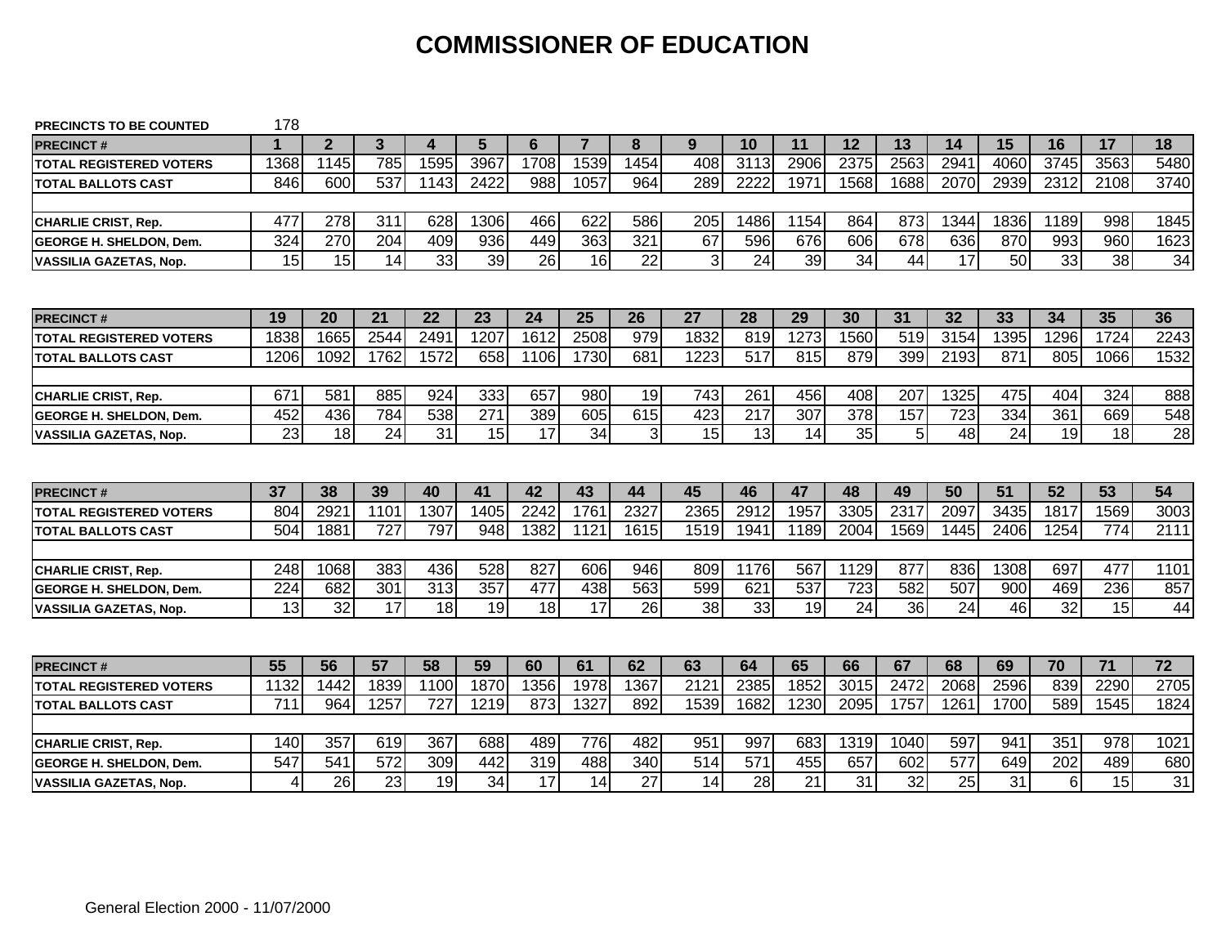### **COMMISSIONER OF EDUCATION**

| <b>PRECINCTS TO BE COUNTED</b> | 178  |                |              |                  |                  |           |                |           |           |                        |           |           |           |           |           |          |                        |                 |
|--------------------------------|------|----------------|--------------|------------------|------------------|-----------|----------------|-----------|-----------|------------------------|-----------|-----------|-----------|-----------|-----------|----------|------------------------|-----------------|
| <b>PRECINCT#</b>               | 1    | $\overline{2}$ | $\mathbf{3}$ | 4                | 5                | 6         | $\overline{7}$ | 8         | 9         | 10                     | 11        | 12        | 13        | 14        | 15        | 16       | 17                     | 18              |
| <b>TOTAL REGISTERED VOTERS</b> | 1368 | 1145           | 785          | 1595             | 3967             | 1708      | 1539           | 1454      | 408       | 3113                   | 2906      | 2375      | 2563      | 2941      | 4060      | 3745     | 3563                   | 5480            |
| <b>TOTAL BALLOTS CAST</b>      | 846  | 600            | 537          | 1143             | 2422             | 988       | 1057           | 964       | 289       | 2222                   | 1971      | 1568      | 1688      | 2070      | 2939      | 2312     | 2108                   | 3740            |
|                                |      |                |              |                  |                  |           |                |           |           |                        |           |           |           |           |           |          |                        |                 |
| <b>CHARLIE CRIST, Rep.</b>     | 477  | 278            | 311          | 628              | 1306             | 466       | 622            | 586       | 205       | 1486                   | 1154      | 864       | 873       | 1344      | 1836      | 1189     | 998                    | 1845            |
| <b>GEORGE H. SHELDON. Dem.</b> | 324  | 270            | 204          | 409              | 936              | 449       | 363            | 321       | 67        | 596                    | 676       | 606       | 678       | 636       | 870       | 993      | 960                    | 1623            |
| <b>VASSILIA GAZETAS, Nop.</b>  | 15   | 15             | 14           | 33               | 39               | 26        | 16             | 22        | 3         | 24                     | 39        | 34        | 44        | 17        | 50        | 33       | 38                     | 34              |
|                                |      |                |              |                  |                  |           |                |           |           |                        |           |           |           |           |           |          |                        |                 |
| <b>PRECINCT#</b>               | 19   | 20             | 21           | 22               | 23               | 24        | 25             | 26        | 27        | 28                     | 29        | 30        | 31        | 32        | 33        | 34       | 35                     | 36              |
| <b>TOTAL REGISTERED VOTERS</b> | 1838 | 1665           | 2544         | 2491             | 1207             | 1612      | 2508           | 979       | 1832      | 819                    | 1273      | 1560      | 519       | 3154      | 1395      | 1296     | 1724                   | 2243            |
| <b>TOTAL BALLOTS CAST</b>      | 1206 | 1092           | 1762         | 1572             | 658              | 1106      | 1730           | 681       | 1223      | 517                    | 815       | 879       | 399       | 2193      | 871       | 805      | 1066                   | 1532            |
|                                |      |                |              |                  |                  |           |                |           |           |                        |           |           |           |           |           |          |                        |                 |
| <b>CHARLIE CRIST, Rep.</b>     | 671  | 581            | 885          | 924              | 333              | 657       | 980            | 19        | 743       | 261                    | 456       | 408       | 207       | 1325      | 475       | 404      | 324                    | 888             |
| <b>GEORGE H. SHELDON. Dem.</b> | 452  | 436            | 784          | 538              | 271              | 389       | 605            | 615       | 423       | 217                    | 307       | 378       | 157       | 723       | 334       | 361      | 669                    | 548             |
| <b>VASSILIA GAZETAS, Nop.</b>  | 23   | 18             | 24           | 31               | 15               | 17        | 34             | 3         | 15        | 13                     | 14        | 35        | 5         | 48        | 24        | 19       | 18                     | 28              |
|                                |      |                |              |                  |                  |           |                |           |           |                        |           |           |           |           |           |          |                        |                 |
| <b>PRECINCT#</b>               | 37   | 38             | 39           | 40               | 41               | 42        | 43             | 44        | 45        | 46                     | 47        | 48        | 49        | 50        | 51        | 52       | 53                     | 54              |
| <b>TOTAL REGISTERED VOTERS</b> | 804  | 2921           | 1101         | 1307             | 1405             | 2242      | 1761           | 2327      | 2365      | 2912                   | 1957      | 3305      | 2317      | 2097      | 3435      | 1817     | 1569                   | 3003            |
| <b>TOTAL BALLOTS CAST</b>      | 504  | 1881           | 727          | 797              | 948              | 1382      | 1121           | 1615      | 1519      | 1941                   | 1189      | 2004      | 1569      | 1445      | 2406      | 1254     | 774                    | 2111            |
|                                |      |                |              |                  |                  |           |                |           |           |                        |           |           |           |           |           |          |                        |                 |
| <b>CHARLIE CRIST, Rep.</b>     | 248  | 1068           | 383          | 436              | 528              | 827       | 606            | 946       | 809       | 1176                   | 567       | 1129      | 877       | 836       | 1308      | 697      | 477                    | 1101            |
| <b>GEORGE H. SHELDON, Dem.</b> | 224  | 682            | 301          | $\overline{313}$ | $\overline{357}$ | 477       | 438            | 563       | 599       | 621                    | 537       | 723       | 582       | 507       | 900       | 469      | 236                    | 857             |
| <b>VASSILIA GAZETAS, Nop.</b>  | 13   | 32             | 17           | 18               | 19               | 18        | 17             | 26        | 38        | 33                     | 19        | 24        | 36        | 24        | 46        | 32       | 15                     | 44              |
|                                |      |                |              |                  |                  |           |                |           |           |                        |           |           |           |           |           |          |                        |                 |
|                                |      |                |              |                  |                  |           |                |           |           |                        |           |           |           |           |           |          |                        |                 |
| <b>PRECINCT#</b>               | 55   | 56             | 57           | 58               | 59               | 60        | 61             | 62        | 63        | 64                     | 65        | 66        | 67        | 68        | 69        | 70       | $\overline{71}$        | $\overline{72}$ |
| <b>TOTAL REGISTERED VOTERS</b> | 1132 | 1442           | 1839         | 1100             | 1870             | 1356      | 1978           | 1367      | 2121      | 2385                   | 1852      | 3015      | 2472      | 2068      | 2596      | 839      | 2290                   | 2705            |
| <b>TOTAL BALLOTS CAST</b>      | 711  | 964            | 1257         | 727              | 1219             | 873       | 1327           | 892       | 1539      | 1682                   | 1230      | 2095      | 1757      | 1261      | 1700      | 589      | 1545                   | 1824            |
|                                |      |                |              |                  |                  |           |                |           |           |                        |           |           |           |           |           |          |                        |                 |
| <b>CHARLIE CRIST, Rep.</b>     | 140  | 357            | 619          | 367              | 688              | 489       | 776            | 482       | 951       | 997                    | 683       | 1319      | 1040      | 597       | 941       | 351      | 978                    | 1021            |
| <b>GEORGE H. SHELDON. Dem.</b> | 547  | 541<br>26      | 572<br>23    | 309<br>19        | 442<br>34        | 319<br>17 | 488<br>14      | 340<br>27 | 514<br>14 | $\overline{571}$<br>28 | 455<br>21 | 657<br>31 | 602<br>32 | 577<br>25 | 649<br>31 | 202<br>6 | 489<br>$\overline{15}$ | 680<br>31       |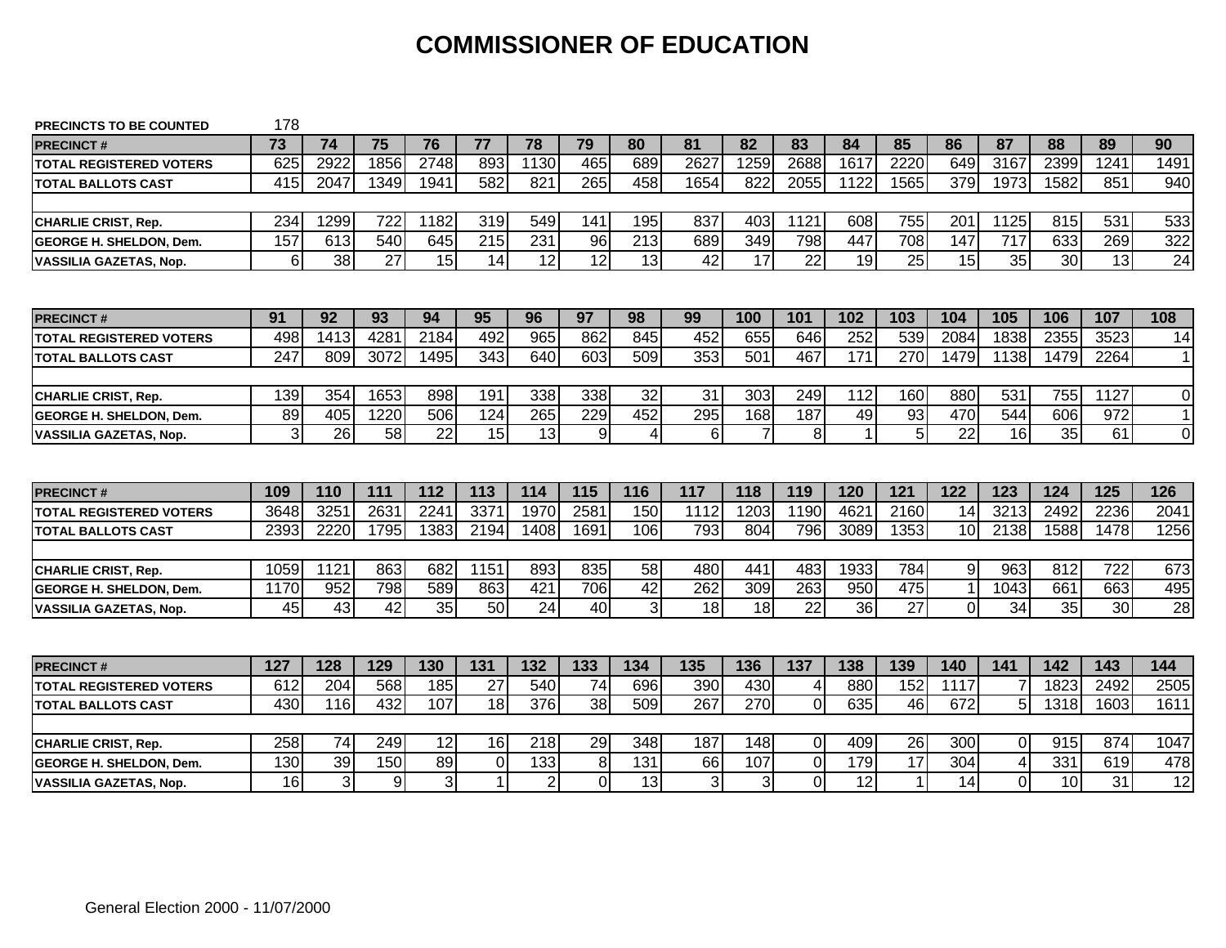### **COMMISSIONER OF EDUCATION**

| <b>PRECINCTS TO BE COUNTED</b>                                  | 178       |                      |          |                      |                             |                       |                     |           |         |                       |                               |           |                    |              |               |           |                 |                     |
|-----------------------------------------------------------------|-----------|----------------------|----------|----------------------|-----------------------------|-----------------------|---------------------|-----------|---------|-----------------------|-------------------------------|-----------|--------------------|--------------|---------------|-----------|-----------------|---------------------|
| <b>PRECINCT#</b>                                                | 73        | 74                   | 75       | 76                   | 77                          | 78                    | 79                  | 80        | 81      | 82                    | 83                            | 84        | 85                 | 86           | 87            | 88        | 89              | 90                  |
| <b>TOTAL REGISTERED VOTERS</b>                                  | 625       | 2922                 | 1856     | 2748                 | 893                         | 1130                  | 465                 | 689       | 2627    | 1259                  | 2688                          | 1617      | 2220               | 649          | 3167          | 2399      | 1241            | 1491                |
| <b>TOTAL BALLOTS CAST</b>                                       | 415       | 2047                 | 1349     | 1941                 | 582                         | 821                   | 265                 | 458       | 1654    | 822                   | 2055                          | 1122      | 1565               | 379          | 1973          | 1582      | 851             | 940                 |
|                                                                 |           |                      |          |                      |                             |                       |                     |           |         |                       |                               |           |                    |              |               |           |                 |                     |
| <b>CHARLIE CRIST, Rep.</b>                                      | 234       | 1299                 | 722      | 1182                 | 319                         | 549                   | 141                 | 195       | 837     | 403                   | 1121                          | 608       | 755                | 201          | 1125          | 815       | 531             | 533                 |
| <b>IGEORGE H. SHELDON. Dem.</b>                                 | 157       | 613                  | 540      | 645                  | 215                         | 231                   | 96                  | 213       | 689     | 349                   | 798                           | 447       | 708                | 147          | 717           | 633       | 269             | 322                 |
| <b>VASSILIA GAZETAS, Nop.</b>                                   | $6 \mid$  | 38                   | 27       | 15                   | 14                          | 12                    | 12                  | 13        | 42      | 17                    | 22                            | 19        | 25                 | 15           | 35            | 30        | 13              | 24                  |
|                                                                 |           |                      |          |                      |                             |                       |                     |           |         |                       |                               |           |                    |              |               |           |                 |                     |
| <b>PRECINCT#</b>                                                | 91        | 92                   | 93       | 94                   | 95                          | 96                    | 97                  | 98        | 99      | 100                   | 101                           | 102       | 103                | 104          | 105           | 106       | 107             | 108                 |
| <b>TOTAL REGISTERED VOTERS</b>                                  | 498       | 1413                 | 4281     | 2184                 | 492                         | 965                   | 862                 | 845       | 452     | 655                   | 646                           | 252       | 539                | 2084         | 1838          | 2355      | 3523            | 14                  |
| <b>TOTAL BALLOTS CAST</b>                                       | 247       | 809                  | 3072     | 1495                 | 343                         | 640                   | 603                 | 509       | 353     | 501                   | 467                           | 171       | 270                | 1479         | 1138          | 1479      | 2264            | 1 <sup>1</sup>      |
|                                                                 |           |                      |          |                      |                             |                       |                     |           |         |                       |                               |           |                    |              |               |           |                 |                     |
| <b>CHARLIE CRIST, Rep.</b>                                      | 139       | 354                  | 1653     | 898                  | 191                         | 338                   | 338                 | 32        | 31      | 303                   | 249                           | 112       | 160                | 880          | 531           | 755       | 1127            | 0                   |
| <b>GEORGE H. SHELDON. Dem.</b>                                  | 89        | 405                  | 1220     | 506                  | 124                         | 265                   | 229                 | 452       | 295     | 168                   | 187                           | 49        | 93                 | 470          | 544           | 606       | 972             | 1 <sup>1</sup>      |
| <b>VASSILIA GAZETAS, Nop.</b>                                   | 3         | 26                   | 58       | 22                   | 15                          | 13                    | 9                   | 4         | 6       | 7                     | 8                             | 1         | 5                  | 22           | 16            | 35        | 61              | $\Omega$            |
|                                                                 |           |                      |          |                      |                             |                       |                     |           |         |                       |                               |           |                    |              |               |           |                 |                     |
| <b>PRECINCT#</b>                                                | 109       | 110                  | 111      | 112                  | 113                         |                       |                     |           |         |                       |                               |           |                    |              |               |           |                 |                     |
|                                                                 |           |                      |          |                      |                             | 114                   | 115                 | 116       | 117     | 118                   | 119                           | 120       | 121                | 122          | 123           | 124       | 125             | 126                 |
| <b>TOTAL REGISTERED VOTERS</b>                                  | 3648      | 3251                 | 2631     | 2241                 | 337'                        | 1970                  | 2581                | 150       | 1112    | 1203                  | 1190                          | 4621      | 2160               | 14           | 3213          | 2492      | 2236            |                     |
| <b>TOTAL BALLOTS CAST</b>                                       | 2393      | 2220                 | 1795     | 1383                 | 2194                        | 1408                  | 1691                | 106       | 793     | 804                   | 796                           | 3089      | 1353               | 10           | 2138          | 1588      | 1478            |                     |
|                                                                 |           |                      |          |                      |                             |                       |                     |           |         |                       |                               |           |                    |              |               |           |                 |                     |
| <b>CHARLIE CRIST, Rep.</b>                                      | 1059      | 1121                 | 863      | 682                  | 1151                        | 893                   | 835                 | 58        | 480     | 441                   | 483                           | 1933      | 784                | 9            | 963           | 812       | 722             | 2041<br>1256<br>673 |
| <b>GEORGE H. SHELDON, Dem.</b>                                  | 1170      | 952                  | 798      | 589                  | 863                         | 421                   | 706                 | 42        | 262     | 309                   | 263                           | 950       | 475                | $\mathbf{1}$ | 1043          | 661       | 663             | 495                 |
| <b>VASSILIA GAZETAS, Nop.</b>                                   | 45        | 43                   | 42       | 35                   | 50                          | 24                    | 40                  | 3         | 18      | 18                    | 22                            | 36        | 27                 | $\Omega$     | 34            | 35        | 30 <sup>1</sup> | 28                  |
|                                                                 |           |                      |          |                      |                             |                       |                     |           |         |                       |                               |           |                    |              |               |           |                 |                     |
| <b>PRECINCT#</b>                                                | 127       | 128                  | 129      | 130                  | 131                         | 132                   | 133                 | 134       | 135     | 136                   | 137                           | 138       | 139                | 140          | 141           | 142       | 143             | 144                 |
| <b>TOTAL REGISTERED VOTERS</b>                                  | 612       | 204                  | 568      | 185                  | 27                          | 540                   | $\overline{74}$     | 696       | 390     | 430                   | 4                             | 880       | 152                | 1117         |               | 1823      | 2492            | 2505                |
| <b>TOTAL BALLOTS CAST</b>                                       | 430       | 116                  | 432      | 107                  | 18                          | 376                   | 38                  | 509       | 267     | 270                   | $\mathbf 0$                   | 635       | 46                 | 672          | 5             | 1318      | 1603            | 1611                |
|                                                                 |           |                      |          |                      |                             |                       |                     |           |         |                       |                               |           |                    |              |               |           |                 |                     |
| <b>CHARLIE CRIST, Rep.</b>                                      | 258       | 74                   | 249      | 12                   | 16                          | 218                   | 29                  | 348       | 187     | 148                   | $\mathbf 0$                   | 409       | 26                 | 300          | $\Omega$      | 915       | 874             | 1047                |
| <b>GEORGE H. SHELDON, Dem.</b><br><b>VASSILIA GAZETAS, Nop.</b> | 130<br>16 | 39<br>$\overline{3}$ | 150<br>9 | 89<br>3 <sup>l</sup> | $\mathbf 0$<br>$\mathbf{1}$ | 133<br>$\overline{2}$ | 8<br>$\overline{0}$ | 131<br>13 | 66<br>3 | 107<br>$\overline{3}$ | $\mathbf 0$<br>$\overline{0}$ | 179<br>12 | 17<br>$\mathbf{1}$ | 304<br>14    | 4<br>$\Omega$ | 331<br>10 | 619<br>31       | 478<br>12           |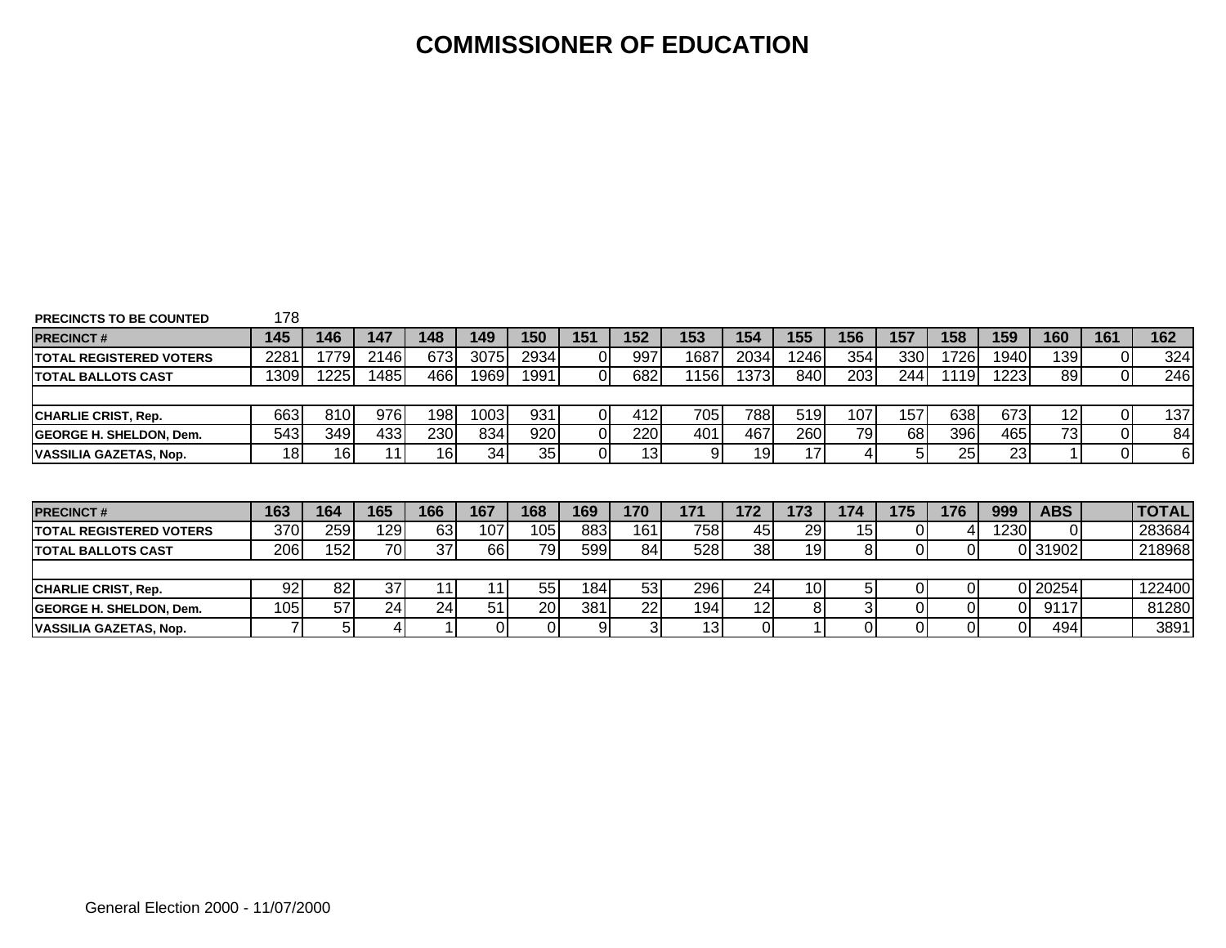### **COMMISSIONER OF EDUCATION**

| <b>PRECINCTS TO BE COUNTED</b> | 178             |                 |      |     |       |           |          |                 |      |                 |                 |                 |     |       |       |            |                |              |
|--------------------------------|-----------------|-----------------|------|-----|-------|-----------|----------|-----------------|------|-----------------|-----------------|-----------------|-----|-------|-------|------------|----------------|--------------|
| <b>PRECINCT#</b>               | 145             | 146             | 147  | 148 | 149   | 150       | 151      | 152             | 153  | 154             | 155             | 156             | 157 | 158   | 159   | 160        | 161            | 162          |
| <b>TOTAL REGISTERED VOTERS</b> | 2281            | 1779            | 2146 | 673 | 30751 | 29341     |          | 997             | 1687 | 2034            | 1246            | 354             | 330 | 17261 | 1940  | 139        | ΟI             | 324          |
| <b>TOTAL BALLOTS CAST</b>      | 1309            | 225             | 1485 | 466 | 19691 | 1991      | 01       | 682             | 156  | 1373            | 840             | 203             | 244 | 1119  | 1223  | 89         | $\overline{0}$ | 246          |
|                                |                 |                 |      |     |       |           |          |                 |      |                 |                 |                 |     |       |       |            |                |              |
| <b>CHARLIE CRIST, Rep.</b>     | 663             | 810             | 976  | 198 | 10031 | 931       | ΟI       | 412             | 7051 | 788             | 519             | 107             | 157 | 638   | 673   | 12         | 01             | 137          |
| <b>GEORGE H. SHELDON, Dem.</b> | 543             | 349             | 433  | 230 | 834   | 920       | $\Omega$ | 220             | 401  | 467             | 260             | 79              | 68  | 396   | 465   | 73         | 01             | 84           |
| <b>VASSILIA GAZETAS, Nop.</b>  | 18 <sub>l</sub> | 16 <sub>1</sub> | 11   | 16  | 34    | 35        | 01       | 13 <sub>1</sub> | -91  | 19 <sub>l</sub> | 17 <sup>1</sup> |                 | 51  | 25    | 23    |            | 01             | 6            |
| <b>PRECINCT#</b>               | 163             | 164             | 165  | 166 | 167   | 168       | 169      | 170             | 171  | 172             | 173             | 174             | 175 | 176   | 999   | <b>ABS</b> |                | <b>TOTAL</b> |
| <b>TOTAL REGISTERED VOTERS</b> | 370             | 259             | 129  | 63  | 107   | 105       | 883      | 161             | 758  | 45              | 29              | 15 <sup>1</sup> |     |       | 12301 |            |                | 283684       |
| <b>ITOTAL BALLOTS CAST</b>     | 206             | 152             | 70   | 37  | 66    | 79        | 599      | 84              | 528  | 38              | 19              | 81              |     | ΩI    |       | 0 31902    |                | 218968       |
| <b>CHARLIE CRIST, Rep.</b>     | 92              | 82              | 37   | 11  | 11    | 55        | 184      | 53              | 296  | 24              | 10 <sub>l</sub> | 51              |     | ΩI    |       | 20254      |                | 122400       |
| <b>GEORGE H. SHELDON, Dem.</b> | 105             | 57              | 24   | 24  | 51    | <b>20</b> | 381      |                 |      | 12 <sub>1</sub> | 8               |                 |     | ΟI    |       | 9117       |                |              |
|                                |                 |                 |      |     |       |           |          | 22              | 194  |                 |                 |                 |     |       |       |            |                | 81280        |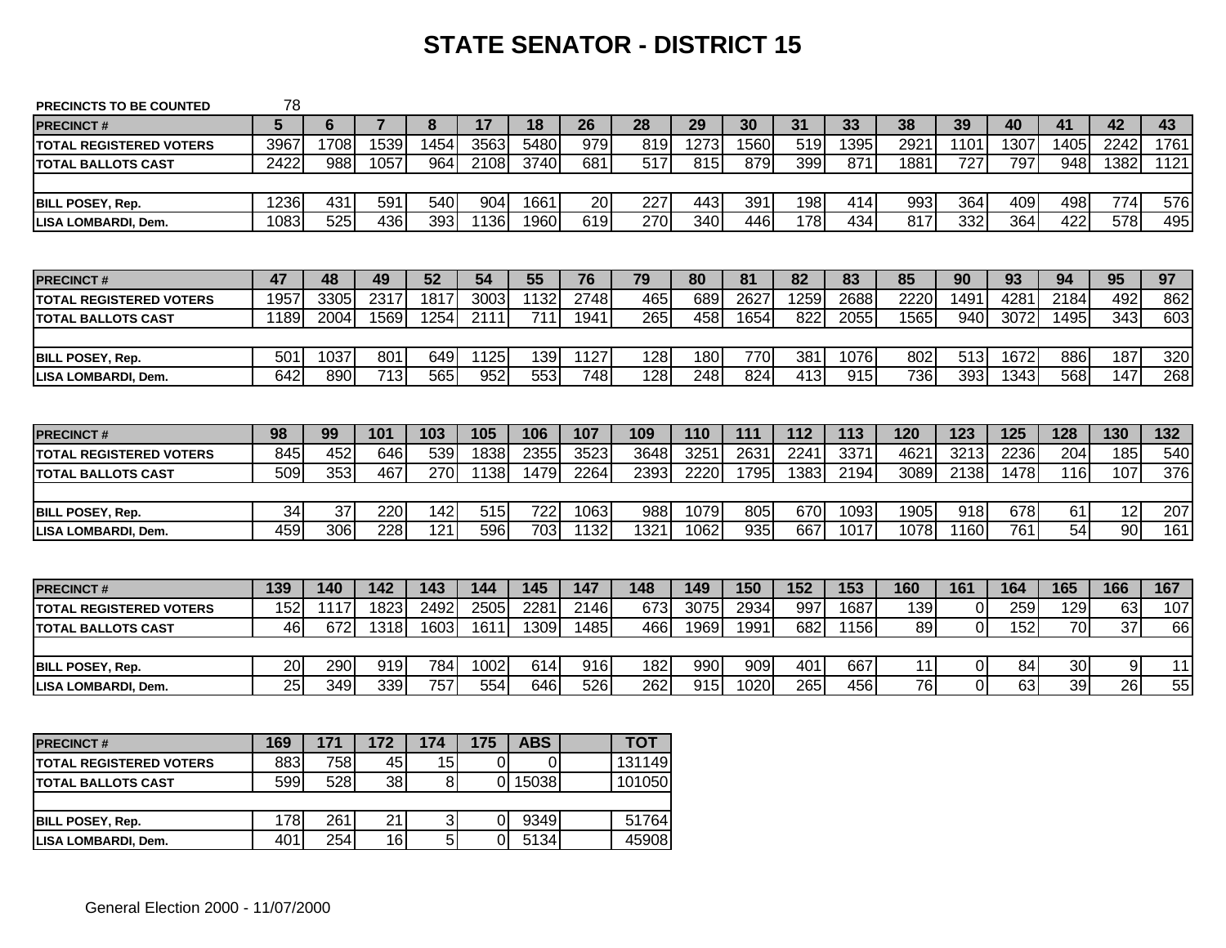# **STATE SENATOR - DISTRICT 15**

| <b>PRECINCTS TO BE COUNTED</b>  | 78   |      |      |      |      |      |      |      |      |      |      |      |                 |                |      |      |                 |                  |
|---------------------------------|------|------|------|------|------|------|------|------|------|------|------|------|-----------------|----------------|------|------|-----------------|------------------|
| <b>PRECINCT#</b>                | 5    | 6    |      | 8    | 17   | 18   | 26   | 28   | 29   | 30   | 31   | 33   | 38              | 39             | 40   | 41   | 42              | 43               |
| <b>TOTAL REGISTERED VOTERS</b>  | 3967 | 1708 | 1539 | 1454 | 3563 | 5480 | 979  | 819  | 1273 | 1560 | 519  | 1395 | 2921            | 1101           | 1307 | 1405 | 2242            | 1761             |
| <b>TOTAL BALLOTS CAST</b>       | 2422 | 988  | 1057 | 964  | 2108 | 3740 | 681  | 517  | 815  | 879  | 399  | 871  | 1881            | 727            | 797  | 948  | 1382            | 1121             |
|                                 |      |      |      |      |      |      |      |      |      |      |      |      |                 |                |      |      |                 |                  |
| <b>BILL POSEY, Rep.</b>         | 1236 | 431  | 591  | 540  | 904  | 1661 | 20   | 227  | 443  | 391  | 198  | 414  | 993             | 364            | 409  | 498  | 774             | 576              |
| LISA LOMBARDI, Dem.             | 1083 | 525  | 436  | 393  | 1136 | 1960 | 619  | 270  | 340  | 446  | 178  | 434  | 817             | 332            | 364  | 422  | 578             | 495              |
|                                 |      |      |      |      |      |      |      |      |      |      |      |      |                 |                |      |      |                 |                  |
| <b>PRECINCT#</b>                | 47   | 48   | 49   | 52   | 54   | 55   | 76   | 79   | 80   | 81   | 82   | 83   | 85              | 90             | 93   | 94   | 95              | 97               |
| <b>ITOTAL REGISTERED VOTERS</b> | 1957 | 3305 | 2317 | 1817 | 3003 | 1132 | 2748 | 465  | 689  | 2627 | 1259 | 2688 | 2220            | 1491           | 4281 | 2184 | 492             | 862              |
| ITOTAL BALLOTS CAST             | 1189 | 2004 | 1569 | 1254 | 2111 | 711  | 1941 | 265  | 458  | 1654 | 822  | 2055 | 1565            | 940            | 3072 | 1495 | 343             | 603              |
|                                 |      |      |      |      |      |      |      |      |      |      |      |      |                 |                |      |      |                 |                  |
| <b>BILL POSEY, Rep.</b>         | 501  | 1037 | 801  | 649  | 1125 | 139  | 1127 | 128  | 180  | 770  | 381  | 1076 | 802             | 513            | 1672 | 886  | 187             | 320              |
| LISA LOMBARDI, Dem.             | 642  | 890  | 713  | 565  | 952  | 553  | 748  | 128  | 248  | 824  | 413  | 915  | 736             | 393            | 1343 | 568  | 147             | 268              |
|                                 |      |      |      |      |      |      |      |      |      |      |      |      |                 |                |      |      |                 |                  |
| <b>PRECINCT#</b>                | 98   | 99   | 101  | 103  | 105  | 106  | 107  | 109  | 110  | 111  | 112  | 113  | 120             | 123            | 125  | 128  | 130             | 132              |
| <b>ITOTAL REGISTERED VOTERS</b> | 845  | 452  | 646  | 539  | 1838 | 2355 | 3523 | 3648 | 325  | 2631 | 2241 | 3371 | 4621            | 3213           | 2236 | 204  | 185             | 540              |
| ITOTAL BALLOTS CAST             | 509  | 353  | 467  | 270  | 1138 | 1479 | 2264 | 2393 | 2220 | 1795 | 1383 | 2194 | 3089            | 2138           | 1478 | 116  | 107             | $\overline{376}$ |
|                                 |      |      |      |      |      |      |      |      |      |      |      |      |                 |                |      |      |                 |                  |
| <b>BILL POSEY, Rep.</b>         | 34   | 37   | 220  | 142  | 515  | 722  | 1063 | 988  | 1079 | 805  | 670  | 1093 | 1905            | 918            | 678  | 61   | 12              | 207              |
| <b>LISA LOMBARDI, Dem.</b>      | 459  | 306  | 228  | 121  | 596  | 703  | 1132 | 1321 | 1062 | 935  | 667  | 1017 | 1078            | 1160           | 761  | 54   | 90              | 161              |
|                                 |      |      |      |      |      |      |      |      |      |      |      |      |                 |                |      |      |                 |                  |
| <b>PRECINCT#</b>                | 139  | 140  | 142  | 143  | 144  | 145  | 147  | 148  | 149  | 150  | 152  | 153  | 160             | 161            | 164  | 165  | 166             | 167              |
| <b>ITOTAL REGISTERED VOTERS</b> | 152  | 1117 | 1823 | 2492 | 2505 | 2281 | 2146 | 673  | 3075 | 2934 | 997  | 1687 | 139             | 0              | 259  | 129  | 63              | 107              |
| <b>TOTAL BALLOTS CAST</b>       | 46   | 672  | 1318 | 1603 | 1611 | 1309 | 1485 | 466  | 1969 | 1991 | 682  | 1156 | 89              | $\overline{0}$ | 152  | 70   | $\overline{37}$ | 66               |
|                                 |      |      |      |      |      |      |      |      |      |      |      |      |                 |                |      |      |                 |                  |
|                                 |      |      |      |      |      |      |      |      |      |      |      |      |                 |                |      |      |                 |                  |
| <b>BILL POSEY, Rep.</b>         | 20   | 290  | 919  | 784  | 1002 | 614  | 916  | 182  | 990  | 909  | 401  | 667  | 11              | $\overline{0}$ | 84   | 30   | 9               | 11               |
| LISA LOMBARDI, Dem.             | 25   | 349  | 339  | 757  | 554  | 646  | 526  | 262  | 915  | 1020 | 265  | 456  | $\overline{76}$ | $\Omega$       | 63   | 39   | 26              | 55               |
|                                 |      |      |      |      |      |      |      |      |      |      |      |      |                 |                |      |      |                 |                  |

| <b>PRECINCT#</b>                | 169  | 171  | 172 | 174 | 175 | <b>ABS</b> | TOT    |
|---------------------------------|------|------|-----|-----|-----|------------|--------|
| <b>ITOTAL REGISTERED VOTERS</b> | 883  | 758l | 45  | 15  |     |            | 131149 |
| TOTAL BALLOTS CAST              | 5991 | 5281 | 38  |     |     | 15038      | 101050 |
|                                 |      |      |     |     |     |            |        |
| <b>BILL POSEY, Rep.</b>         | 178I | 261  | 21  | ົ   |     | 9349       | 51764  |
| LISA LOMBARDI, Dem.             | 401  | 254l | 16  | 5   |     | 5134       | 45908  |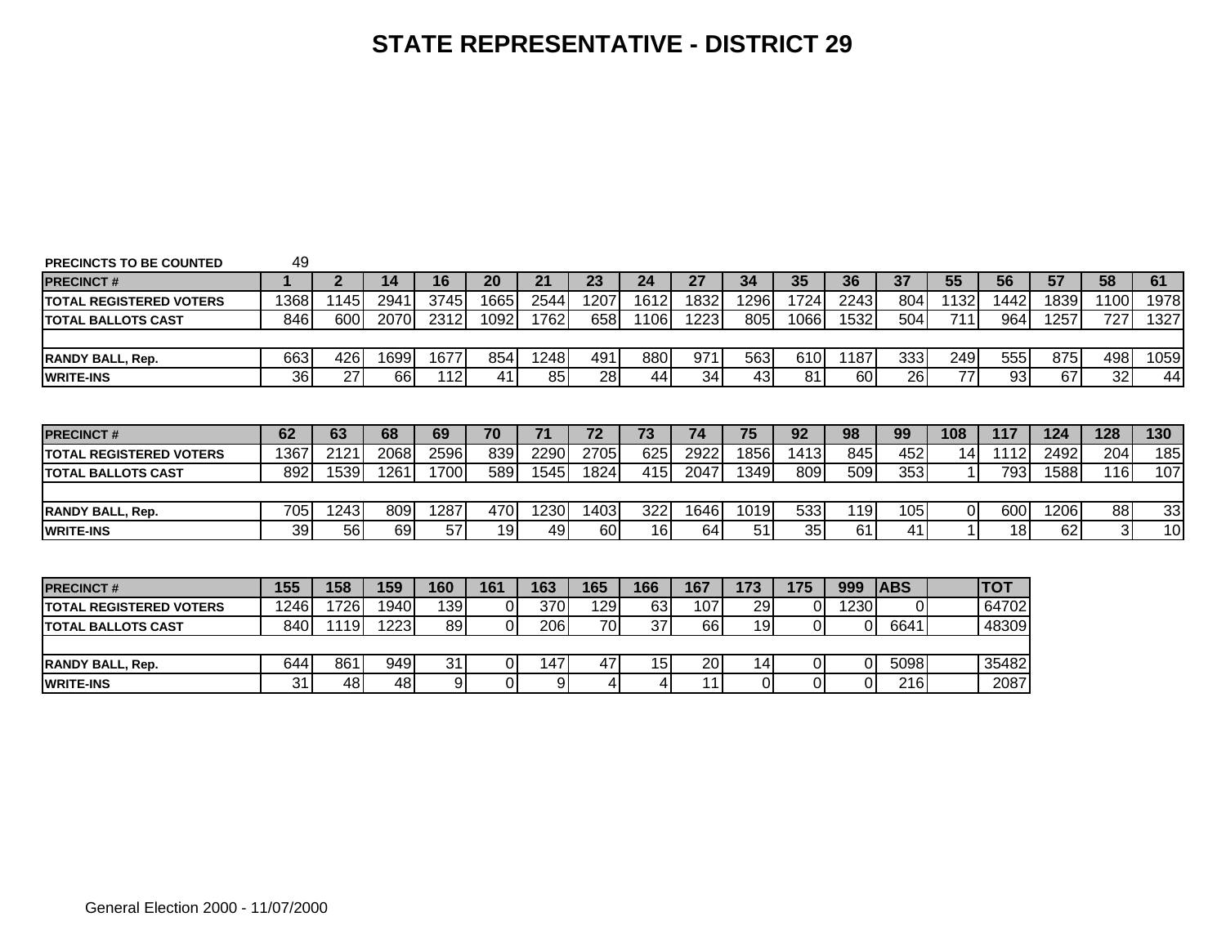| <b>PRECINCTS TO BE COUNTED</b> | 49              |              |      |      |                 |      |      |      |      |                |      |          |            |      |            |      |                |      |
|--------------------------------|-----------------|--------------|------|------|-----------------|------|------|------|------|----------------|------|----------|------------|------|------------|------|----------------|------|
| <b>PRECINCT#</b>               |                 | $\mathbf{2}$ | 14   | 16   | 20              | 21   | 23   | 24   | 27   | 34             | 35   | 36       | 37         | 55   | 56         | 57   | 58             | 61   |
| <b>TOTAL REGISTERED VOTERS</b> | 1368            | 1145         | 2941 | 3745 | 1665            | 2544 | 1207 | 1612 | 1832 | 1296           | 1724 | 2243     | 804        | 1132 | 1442       | 1839 | 1100           | 1978 |
| <b>TOTAL BALLOTS CAST</b>      | 846             | 600          | 2070 | 2312 | 1092            | 1762 | 658  | 1106 | 1223 | 805            | 1066 | 1532     | 504        | 711  | 964        | 1257 | 727            | 1327 |
|                                |                 |              |      |      |                 |      |      |      |      |                |      |          |            |      |            |      |                |      |
| <b>IRANDY BALL. Rep.</b>       | 663             | 426          | 1699 | 1677 | 854             | 1248 | 491  | 880  | 971  | 563            | 610  | 1187     | 333        | 249  | 555        | 875  | 498            | 1059 |
| <b>WRITE-INS</b>               | 36 <sup>1</sup> | 27           | 66   | 112  | 41              | 85   | 28   | 44   | 34   | 43             | 81   | 60       | 26         | 77   | 93         | 67   | 32             | 44   |
|                                |                 |              |      |      |                 |      |      |      |      |                |      |          |            |      |            |      |                |      |
|                                |                 |              |      |      |                 |      |      |      |      |                |      |          |            |      |            |      |                |      |
| <b>PRECINCT#</b>               | 62              | 63           | 68   | 69   | 70              | 71   | 72   | 73   | 74   | 75             | 92   | 98       | 99         | 108  | 117        | 124  | 128            | 130  |
| <b>TOTAL REGISTERED VOTERS</b> | 1367            | 2121         | 2068 | 2596 | 839             | 2290 | 2705 | 625  | 2922 | 1856           | 1413 | 845      | 452        | 14   | 1112       | 2492 | 204            | 185  |
| <b>TOTAL BALLOTS CAST</b>      | 892             | 1539         | 1261 | 1700 | 589             | 1545 | 1824 | 415  | 2047 | 1349           | 809  | 509      | 353        |      | 793        | 1588 | <b>116</b>     | 107  |
|                                |                 |              |      |      |                 |      |      |      |      |                |      |          |            |      |            |      |                |      |
| <b>RANDY BALL, Rep.</b>        | 705             | 1243         | 809  | 1287 | 470             | 1230 | 1403 | 322  | 1646 | 1019           | 533  | 119      | 105        |      | 600        | 1206 | 88             | 33   |
| <b>WRITE-INS</b>               | 39              | <b>56</b>    | 69   | 57   | 19 <sub>l</sub> | 49   | 60   | 16   | 64   | 51             | 35   | 61       | 41         |      | 18         | 62   | 3 <sup>l</sup> | 10   |
|                                |                 |              |      |      |                 |      |      |      |      |                |      |          |            |      |            |      |                |      |
|                                |                 |              |      |      |                 |      |      |      |      |                |      |          |            |      |            |      |                |      |
| <b>PRECINCT#</b>               | 155             | 158          | 159  | 160  | 161             | 163  | 165  | 166  | 167  | 173            | 175  | 999      | <b>ABS</b> |      | <b>TOT</b> |      |                |      |
| <b>TOTAL REGISTERED VOTERS</b> | 1246            | 1726         | 1940 | 139  | 0I              | 370  | 129  | 63   | 107  | 29             |      | 1230     | $\Omega$   |      | 64702      |      |                |      |
| <b>TOTAL BALLOTS CAST</b>      | 840             | 1119         | 1223 | 89   | $\Omega$        | 206  | 70   | 37   | 66   | 19             |      | $\Omega$ | 6641       |      | 48309      |      |                |      |
|                                |                 |              |      |      |                 |      |      |      |      |                |      |          |            |      |            |      |                |      |
| <b>RANDY BALL, Rep.</b>        | 644             | 861          | 949  | 31   | ΩI              | 147  | 47   | 15   | 20   | 14             |      | $\Omega$ | 5098       |      | 35482      |      |                |      |
| <b>WRITE-INS</b>               | 31              | 48           | 48   | 9    | Οl              | 9    |      |      | 11   | $\overline{0}$ |      | $\Omega$ | 216        |      | 2087       |      |                |      |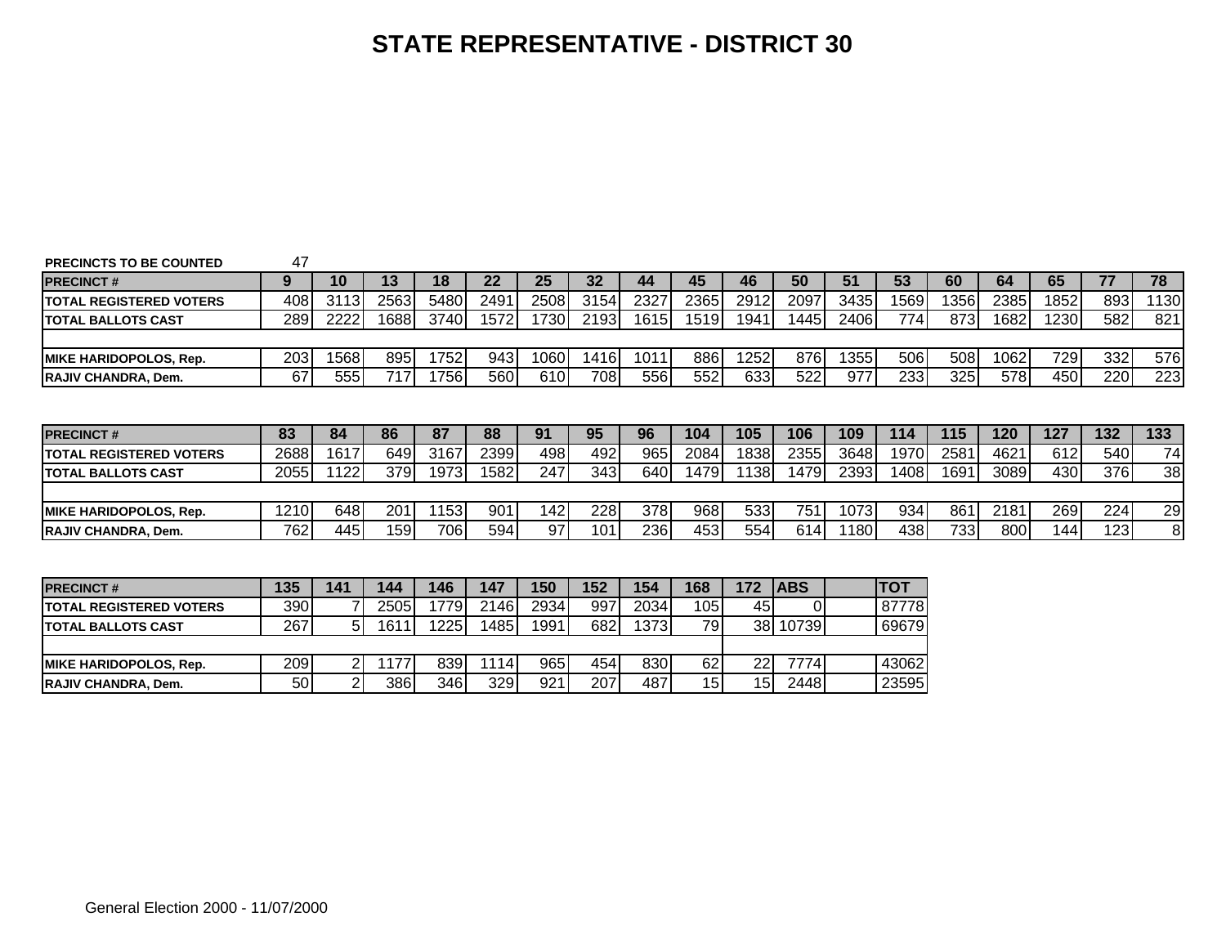| <b>PRECINCTS TO BE COUNTED</b> | 47   |                |      |       |      |      |      |      |      |      |            |      |            |      |      |      |     |                 |
|--------------------------------|------|----------------|------|-------|------|------|------|------|------|------|------------|------|------------|------|------|------|-----|-----------------|
| <b>PRECINCT#</b>               | 9    | 10             | 13   | 18    | 22   | 25   | 32   | 44   | 45   | 46   | 50         | 51   | 53         | 60   | 64   | 65   | 77  | 78              |
| <b>TOTAL REGISTERED VOTERS</b> | 408  | 3113           | 2563 | 5480  | 2491 | 2508 | 3154 | 2327 | 2365 | 2912 | 2097       | 3435 | 1569       | 1356 | 2385 | 1852 | 893 | 1130            |
| <b>ITOTAL BALLOTS CAST</b>     | 289  | 2222           | 1688 | 3740  | 1572 | 1730 | 2193 | 1615 | 1519 | 1941 | 1445       | 2406 | 774        | 873  | 1682 | 1230 | 582 | 821             |
|                                |      |                |      |       |      |      |      |      |      |      |            |      |            |      |      |      |     |                 |
| <b>IMIKE HARIDOPOLOS. Rep.</b> | 203  | 1568           | 895  | 1752  | 943  | 1060 | 1416 | 1011 | 886  | 1252 | 876        | 1355 | 506        | 508  | 1062 | 729  | 332 | 576             |
| <b>RAJIV CHANDRA, Dem.</b>     | 67   | 555            | 717  | 1756  | 560  | 610  | 708  | 556  | 552  | 633  | 522        | 977  | 233        | 325  | 578  | 450  | 220 | 223             |
|                                |      |                |      |       |      |      |      |      |      |      |            |      |            |      |      |      |     |                 |
| <b>PRECINCT#</b>               | 83   | 84             | 86   | 87    | 88   | 91   | 95   | 96   | 104  | 105  | 106        | 109  | 114        | 115  | 120  | 127  | 132 | 133             |
| <b>TOTAL REGISTERED VOTERS</b> | 2688 | 1617           | 649  | 3167  | 2399 | 498  | 492  | 965  | 2084 | 1838 | 2355       | 3648 | 1970       | 2581 | 4621 | 612  | 540 | 74              |
| <b>ITOTAL BALLOTS CAST</b>     | 2055 | 1122           | 379  | 1973  | 1582 | 247  | 343  | 640  | 1479 | 1138 | 1479       | 2393 | 1408       | 1691 | 3089 | 430  | 376 | $\overline{38}$ |
|                                |      |                |      |       |      |      |      |      |      |      |            |      |            |      |      |      |     |                 |
| <b>MIKE HARIDOPOLOS. Rep.</b>  | 1210 | 648            | 201  | 1153  | 901  | 142  | 228  | 378  | 968  | 533  | 751        | 1073 | 934        | 861  | 2181 | 269  | 224 | 29              |
| <b>RAJIV CHANDRA, Dem.</b>     | 762  | 445            | 159  | 706   | 594  | 97   | 101  | 236  | 453  | 554  | 614        | 1180 | 438        | 733  | 800  | 144  | 123 | 8 <sup>1</sup>  |
|                                |      |                |      |       |      |      |      |      |      |      |            |      |            |      |      |      |     |                 |
|                                |      |                |      |       |      |      |      |      |      |      |            |      |            |      |      |      |     |                 |
| <b>PRECINCT#</b>               | 135  | 141            | 144  | 146   | 147  | 150  | 152  | 154  | 168  | 172  | <b>ABS</b> |      | <b>TOT</b> |      |      |      |     |                 |
| <b>TOTAL REGISTERED VOTERS</b> | 390  |                | 2505 | 17791 | 2146 | 2934 | 997  | 2034 | 105  | 45   | $\Omega$   |      | 87778      |      |      |      |     |                 |
| <b>ITOTAL BALLOTS CAST</b>     | 267  | 5 <sup>5</sup> | 1611 | 1225  | 1485 | 1991 | 682  | 1373 | 79   |      | 38 10739   |      | 69679      |      |      |      |     |                 |
|                                |      |                |      |       |      |      |      |      |      |      |            |      |            |      |      |      |     |                 |
| <b>MIKE HARIDOPOLOS. Rep.</b>  | 209  | $\overline{2}$ | 1177 | 839   | 1114 | 965  | 454  | 830  | 62   | 22   | 7774       |      | 43062      |      |      |      |     |                 |
| <b>RAJIV CHANDRA, Dem.</b>     | 50   | 2 <sub>l</sub> | 386  | 346   | 329  | 921  | 207  | 487  | 15   | 15   | 2448       |      | 23595      |      |      |      |     |                 |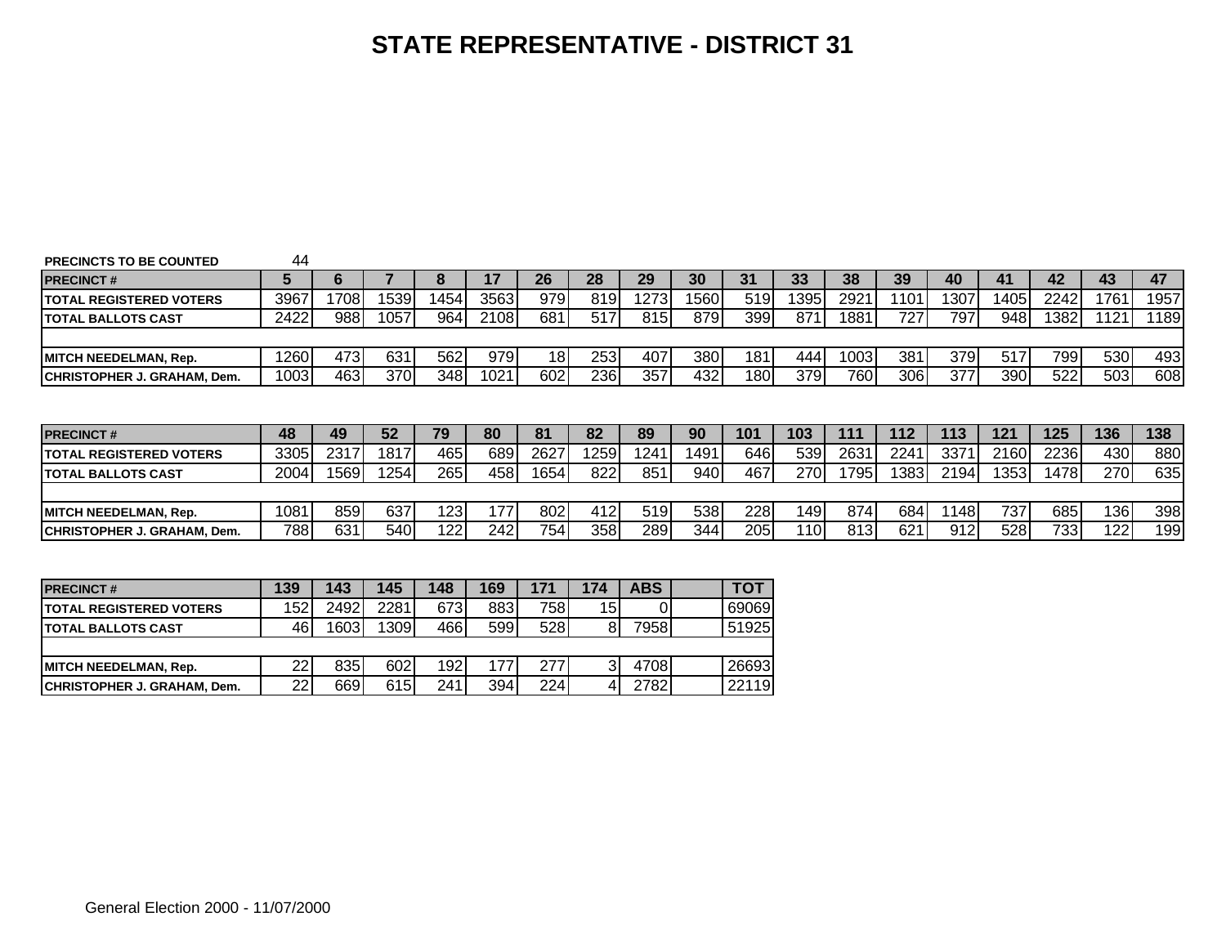| <b>PRECINCTS TO BE COUNTED</b>      | 44   |      |      |      |                  |      |            |      |      |      |            |      |       |      |       |      |      |            |
|-------------------------------------|------|------|------|------|------------------|------|------------|------|------|------|------------|------|-------|------|-------|------|------|------------|
| <b>PRECINCT#</b>                    | h    | 'n   |      | Ω    | 17               | 26   | 28         | 29   | 30   | 31   | 33         | 38   | 39    | 40   | 41    | 42   | 43   | 47         |
| <b>ITOTAL REGISTERED VOTERS</b>     | 3967 | 1708 | 1539 | 1454 | 3563             | 979  | 819        | 1273 | 1560 | 519  | 1395       | 2921 | 1101  | 1307 | 14051 | 2242 | 1761 | 1957       |
| <b>ITOTAL BALLOTS CAST</b>          | 2422 | 988  | 1057 | 964  | 2108             | 681  | 517        | 815  | 879  | 399  | 871        | 1881 | 727   | 797  | 948   | 1382 | 1121 | 189        |
|                                     |      |      |      |      |                  |      |            |      |      |      |            |      |       |      |       |      |      |            |
| <b>MITCH NEEDELMAN, Rep.</b>        | 1260 | 473  | 631  | 562  | 979              | 18I  | 253        | 407  | 380I | 181  | 4441       | 1003 | 381   | 379  | 517   | 799  | 530  | 493        |
| <b>ICHRISTOPHER J. GRAHAM. Dem.</b> | 1003 | 463  | 3701 | 348I | 1021             | 602  | <b>236</b> | 357  | 432  | 180  | 379        | 760  | 306   | 377  | 390   | 522  | 503  | 608        |
|                                     |      |      |      |      |                  |      |            |      |      |      |            |      |       |      |       |      |      |            |
|                                     |      |      |      |      |                  |      |            |      |      |      |            |      |       |      |       |      |      |            |
|                                     |      |      |      |      |                  |      |            |      |      |      |            |      |       |      |       |      |      |            |
| <b>IPRECINCT#</b>                   | 48   | 49   | 52   | 79   | 80               | 81   | 82         | 89   | 90   | 101  | 103        | 111  | 112   | 113  | 121   | 125  | 136  | 138        |
| <b>ITOTAL REGISTERED VOTERS</b>     | 3305 | 2317 | 1817 | 465  | 689              | 2627 | 12591      | 1241 | 1491 | 646I | 539        | 2631 | 2241  | 3371 | 2160  | 2236 | 430  | 880        |
| <b>ITOTAL BALLOTS CAST</b>          | 2004 | 1569 | 254  | 265I | 458              | 1654 | 822        | 851  | 940  | 467  | <b>270</b> | 795  | 13831 | 2194 | 13531 | 1478 | 270  | 635        |
|                                     |      |      |      |      |                  |      |            |      |      |      |            |      |       |      |       |      |      |            |
| <b>MITCH NEEDELMAN, Rep.</b>        | 1081 | 859  | 637  | 123  | 177 <sub>1</sub> | 802  | 412        | 519  | 538  | 228  | 1491       | 874  | 684   | 1148 | 737   | 685  | 136  |            |
| <b>ICHRISTOPHER J. GRAHAM. Dem.</b> | 788  | 631  | 5401 | 122  | 242              | 754  | 358        | 289  | 344  | 205  | 110I       | 813  | 621   | 912  | 528   | 7331 | 122  | 398<br>199 |

| <b>PRECINCT#</b>                   | 139 | 143  | 145  | 148 | 169 |     | 174 | <b>ABS</b> | TO1   |
|------------------------------------|-----|------|------|-----|-----|-----|-----|------------|-------|
| <b>ITOTAL REGISTERED VOTERS</b>    | 152 | 2492 | 2281 | 673 | 883 | 758 | 15  |            | 69069 |
| <b>ITOTAL BALLOTS CAST</b>         | 46. | 1603 | 1309 | 466 | 599 | 528 | 81  | 79581      | 51925 |
|                                    |     |      |      |     |     |     |     |            |       |
| <b>MITCH NEEDELMAN, Rep.</b>       | 22  | 8351 | 602  | 192 |     | 277 |     | 4708       | 26693 |
| <b>CHRISTOPHER J. GRAHAM, Dem.</b> | 22  | 669  | 615  | 241 | 394 | 224 |     | 2782       | 22119 |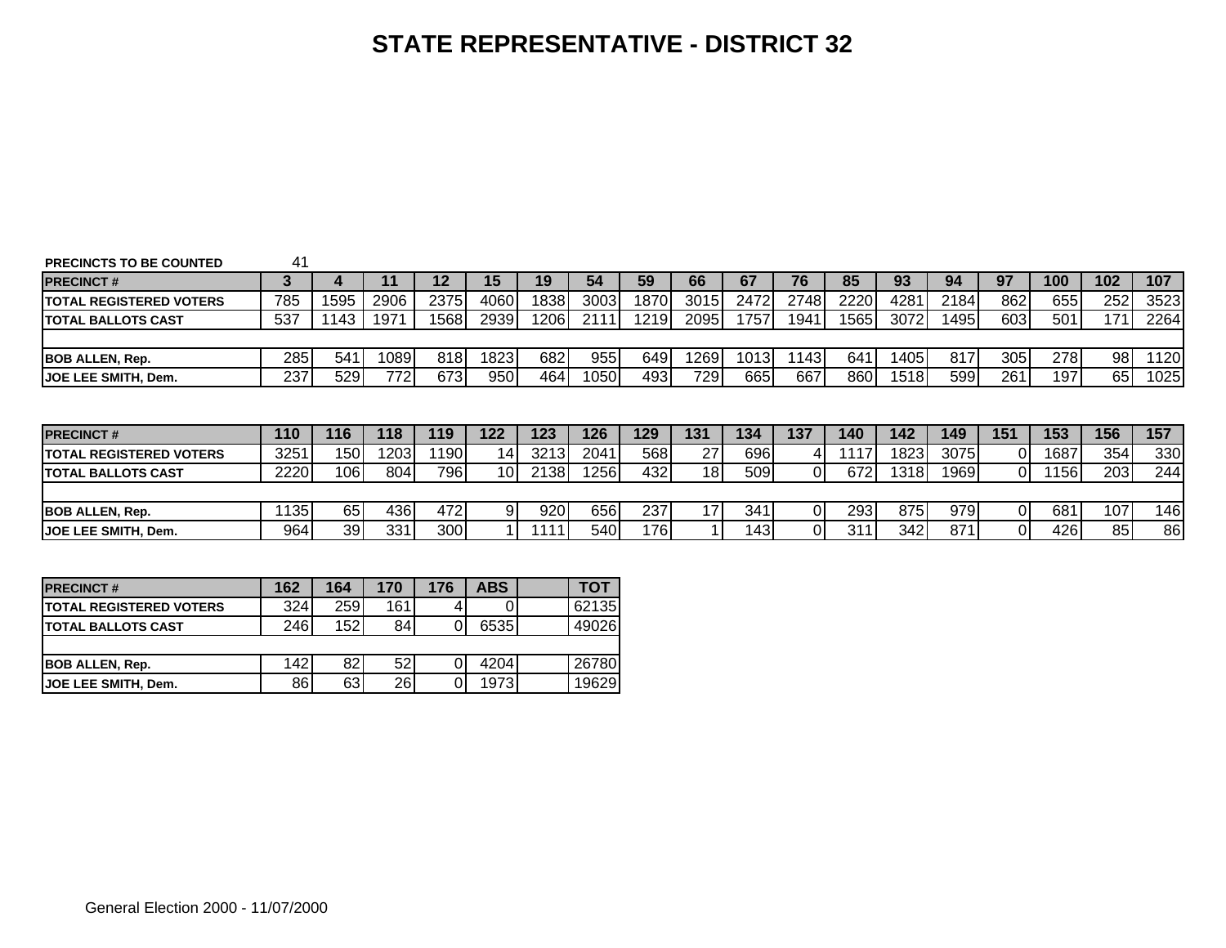| <b>PRECINCTS TO BE COUNTED</b>  | 41   |                  |      |      |                 |      |      |      |                 |       |      |       |      |      |                |             |     |      |
|---------------------------------|------|------------------|------|------|-----------------|------|------|------|-----------------|-------|------|-------|------|------|----------------|-------------|-----|------|
| <b>PRECINCT#</b>                | 3    |                  |      | 12   | 15              | 19   | 54   | 59   | 66              | 67    | 76   | 85    | 93   | 94   | 97             | 100         | 102 | 107  |
| <b>TOTAL REGISTERED VOTERS</b>  | 785  | 1595             | 2906 | 2375 | 4060            | 1838 | 3003 | 1870 | 3015            | 2472  | 2748 | 2220  | 4281 | 2184 | 862            | 655I        | 252 | 3523 |
| ITOTAL BALLOTS CAST             | 537  | 143              | 1971 | 1568 | 2939            | 206l | 2111 | 1219 | 2095            | 17571 | 1941 | 15651 | 3072 | 1495 | 603            | 5011        | 171 | 2264 |
|                                 |      |                  |      |      |                 |      |      |      |                 |       |      |       |      |      |                |             |     |      |
| <b>IBOB ALLEN. Rep.</b>         | 285I | 541              | 1089 | 818I | 1823            | 682  | 955  | 649  | 1269            | 10131 | 1143 | 641   | 1405 | 817  | 305            | <b>2781</b> | 98  | 1120 |
|                                 | 237  | 529              | 772  | 673  | 950             | 464  | 1050 | 493  | 729             | 665   | 667  | 8601  | 1518 | 599  | 261            | 197         | 65  | 1025 |
| <b>JOE LEE SMITH, Dem.</b>      |      |                  |      |      |                 |      |      |      |                 |       |      |       |      |      |                |             |     |      |
|                                 |      |                  |      |      |                 |      |      |      |                 |       |      |       |      |      |                |             |     |      |
|                                 |      |                  |      |      |                 |      |      |      |                 |       |      |       |      |      |                |             |     |      |
| <b>PRECINCT#</b>                | 110  | 116              | 118  | 119  | 122             | 123  | 126  | 129  | 131             | 134   | 137  | 140   | 142  | 149  | 151            | 153         | 156 | 157  |
| <b>ITOTAL REGISTERED VOTERS</b> | 3251 | 150 <sub>1</sub> | 1203 | 1190 | 14              | 3213 | 2041 | 568  | 27              | 696I  |      | 117   | 1823 | 3075 | $\Omega$       | 1687        | 354 | 330  |
| <b>ITOTAL BALLOTS CAST</b>      | 2220 | $10\overline{6}$ | 804  | 7961 | 10 <sup>1</sup> | 2138 | 1256 | 432  | 18 <sub>l</sub> | 509I  | 01   | 672   | 1318 | 1969 | $\overline{0}$ | 156         | 203 | 244  |
|                                 |      |                  |      |      |                 |      |      |      |                 |       |      |       |      |      |                |             |     |      |
| <b>BOB ALLEN, Rep.</b>          | 1135 | 65               | 436  | 472  | -91             | 920  | 656  | 237  | 17 <sub>1</sub> | 341   | ΩI   | 293   | 875  | 979  | ΟI             | 681         | 107 | 146  |

| <b>PRECINCT#</b>                | 162 | 164 | 170 | 176 | <b>ABS</b> | тот   |
|---------------------------------|-----|-----|-----|-----|------------|-------|
| <b>ITOTAL REGISTERED VOTERS</b> | 324 | 259 | 161 |     |            | 62135 |
| <b>ITOTAL BALLOTS CAST</b>      | 246 | 152 | 84  |     | 65351      | 49026 |
|                                 |     |     |     |     |            |       |
| <b>BOB ALLEN, Rep.</b>          | 142 | 82  | 52  |     | 4204       | 26780 |
| <b>IJOE LEE SMITH. Dem.</b>     | 86  | 63  | 26  |     | 19731      | 19629 |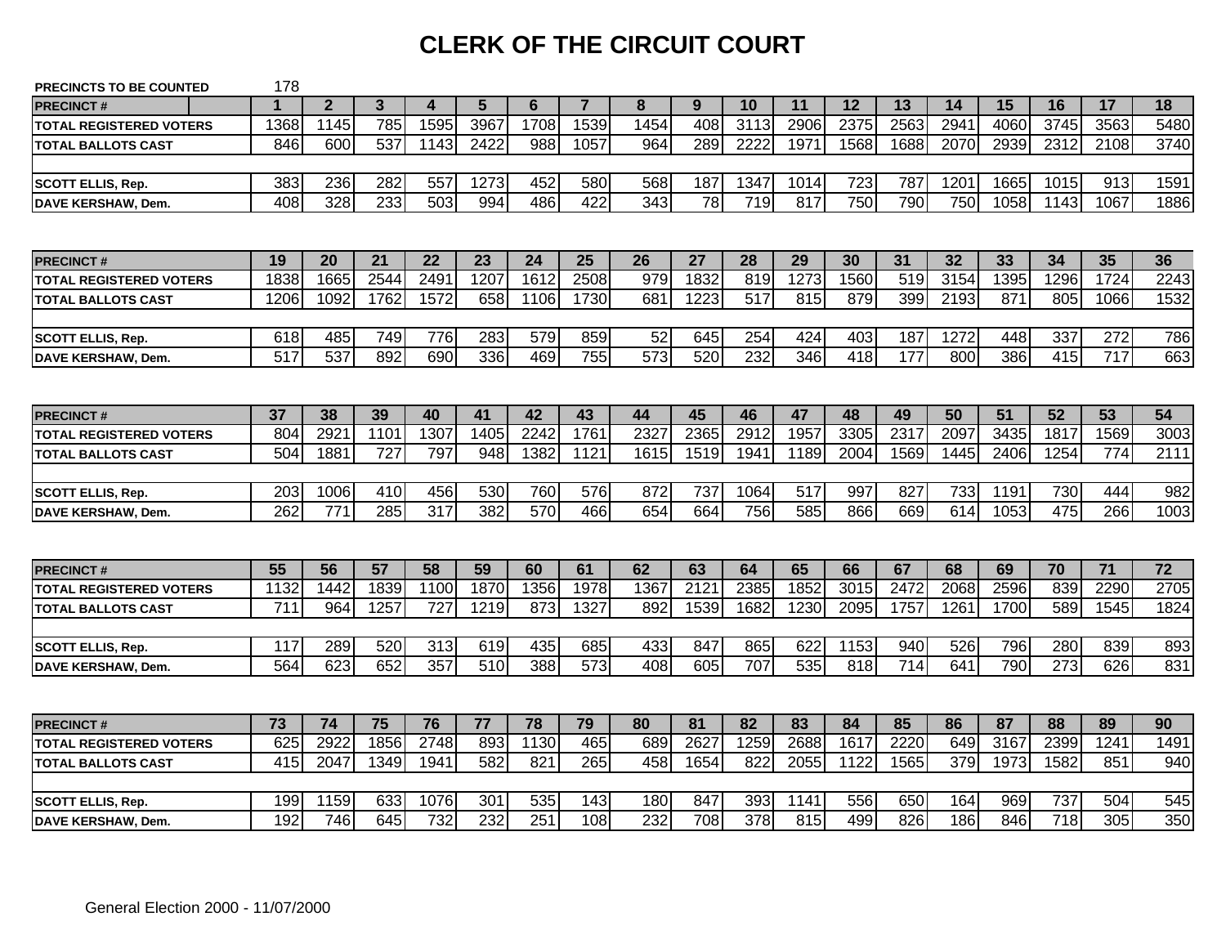# **CLERK OF THE CIRCUIT COURT**

| <b>PRECINCTS TO BE COUNTED</b> | 178              |              |                 |                  |      |      |                |                  |                 |                  |      |      |                  |      |      |                  |      |                 |
|--------------------------------|------------------|--------------|-----------------|------------------|------|------|----------------|------------------|-----------------|------------------|------|------|------------------|------|------|------------------|------|-----------------|
| <b>PRECINCT#</b>               | 1                | $\mathbf{2}$ | 3               | 4                | 5    | 6    | $\overline{7}$ | 8                | 9               | 10               | 11   | 12   | 13               | 14   | 15   | 16               | 17   | 18              |
| <b>TOTAL REGISTERED VOTERS</b> | 1368             | 1145         | 785             | 1595             | 3967 | 1708 | 1539           | 1454             | 408             | 3113             | 2906 | 2375 | 2563             | 294  | 4060 | 3745             | 3563 | 5480            |
| <b>TOTAL BALLOTS CAST</b>      | 846              | 600          | 537             | 1143             | 2422 | 988  | 1057           | 964              | 289             | 2222             | 1971 | 1568 | 1688             | 2070 | 2939 | 2312             | 2108 | 3740            |
|                                |                  |              |                 |                  |      |      |                |                  |                 |                  |      |      |                  |      |      |                  |      |                 |
| <b>SCOTT ELLIS, Rep.</b>       | 383              | 236          | 282             | 557              | 1273 | 452  | 580            | 568              | 187             | 1347             | 1014 | 723  | 787              | 1201 | 1665 | 1015             | 913  | 1591            |
| DAVE KERSHAW, Dem.             | 408              | 328          | 233             | 503              | 994  | 486  | 422            | $\overline{343}$ | $\overline{78}$ | 719              | 817  | 750  | 790              | 750  | 1058 | 1143             | 1067 | 1886            |
|                                |                  |              |                 |                  |      |      |                |                  |                 |                  |      |      |                  |      |      |                  |      |                 |
| <b>PRECINCT#</b>               | 19               | 20           | 21              | 22               | 23   | 24   | 25             | 26               | 27              | 28               | 29   | 30   | 31               | 32   | 33   | 34               | 35   | 36              |
| <b>TOTAL REGISTERED VOTERS</b> | 1838             | 1665         | 2544            | 2491             | 1207 | 1612 | 2508           | 979              | 1832            | 819              | 1273 | 1560 | 519              | 3154 | 1395 | 1296             | 1724 | 2243            |
| <b>TOTAL BALLOTS CAST</b>      | 1206             | 1092         | 1762            | 1572             | 658  | 1106 | 1730           | 681              | 1223            | 517              | 815  | 879  | 399              | 2193 | 871  | 805              | 1066 | 1532            |
|                                |                  |              |                 |                  |      |      |                |                  |                 |                  |      |      |                  |      |      |                  |      |                 |
| <b>SCOTT ELLIS, Rep.</b>       | 618              | 485          | 749             | 776              | 283  | 579  | 859            | 52               | 645             | 254              | 424  | 403  | 187              | 1272 | 448  | 337              | 272  | 786             |
| <b>DAVE KERSHAW, Dem.</b>      | $\overline{517}$ | 537          | 892             | 690              | 336  | 469  | 755            | 573              | 520             | 232              | 346  | 418  | 177              | 800  | 386  | 415              | 717  | 663             |
|                                |                  |              |                 |                  |      |      |                |                  |                 |                  |      |      |                  |      |      |                  |      |                 |
| <b>PRECINCT#</b>               | 37               | 38           | 39              | 40               | 41   | 42   | 43             | 44               | 45              | 46               | 47   | 48   | 49               | 50   | 51   | 52               | 53   | 54              |
| <b>TOTAL REGISTERED VOTERS</b> | 804              | 2921         | 1101            | 1307             | 1405 | 2242 | 1761           | 2327             | 2365            | 2912             | 1957 | 3305 | 2317             | 2097 | 3435 | 1817             | 1569 | 3003            |
| <b>TOTAL BALLOTS CAST</b>      | 504              | 1881         | 727             | 797              | 948  | 1382 | 1121           | 1615             | 1519            | 1941             | 1189 | 2004 | 1569             | 1445 | 2406 | 1254             | 774  | 2111            |
|                                |                  |              |                 |                  |      |      |                |                  |                 |                  |      |      |                  |      |      |                  |      |                 |
| <b>SCOTT ELLIS, Rep.</b>       | 203              | 1006         | 410             | 456              | 530  | 760  | 576            | 872              | 737             | 1064             | 517  | 997  | 827              | 733  | 1191 | 730              | 444  | 982             |
| <b>DAVE KERSHAW, Dem.</b>      | 262              | 771          | 285             | 317              | 382  | 570  | 466            | 654              | 664             | 756              | 585  | 866  | 669              | 614  | 1053 | 475              | 266  | 1003            |
|                                |                  |              |                 |                  |      |      |                |                  |                 |                  |      |      |                  |      |      |                  |      |                 |
| <b>PRECINCT#</b>               | 55               | 56           | $\overline{57}$ | 58               | 59   | 60   | 61             | 62               | 63              | 64               | 65   | 66   | 67               | 68   | 69   | 70               | 71   | $\overline{72}$ |
| <b>TOTAL REGISTERED VOTERS</b> | 1132             | 1442         | 1839            | 1100             | 1870 | 1356 | 1978           | 1367             | 212'            | 2385             | 1852 | 3015 | 2472             | 2068 | 2596 | 839              | 2290 | 2705            |
| <b>TOTAL BALLOTS CAST</b>      | 711              | 964          | 1257            | 727              | 1219 | 873  | 1327           | 892              | 1539            | 1682             | 1230 | 2095 | 1757             | 1261 | 1700 | 589              | 1545 | 1824            |
|                                |                  |              |                 |                  |      |      |                |                  |                 |                  |      |      |                  |      |      |                  |      |                 |
| <b>SCOTT ELLIS, Rep.</b>       | 117              | 289          | 520             | $31\overline{3}$ | 619  | 435  | 685            | 433              | 847             | 865              | 622  | 1153 | 940              | 526  | 796  | 280              | 839  | 893             |
| <b>DAVE KERSHAW, Dem.</b>      | 564              | 623          | 652             | 357              | 510  | 388  | 573            | 408              | 605             | 707              | 535  | 818  | $\overline{714}$ | 641  | 790  | 273              | 626  | 831             |
|                                |                  |              |                 |                  |      |      |                |                  |                 |                  |      |      |                  |      |      |                  |      |                 |
| <b>PRECINCT#</b>               | 73               | 74           | 75              | 76               | 77   | 78   | 79             | 80               | 81              | 82               | 83   | 84   | 85               | 86   | 87   | 88               | 89   | 90              |
| <b>TOTAL REGISTERED VOTERS</b> | 625              | 2922         | 1856            | 2748             | 893  | 1130 | 465            | 689              | 2627            | 1259             | 2688 | 1617 | 2220             | 649  | 3167 | 2399             | 1241 | 1491            |
| <b>TOTAL BALLOTS CAST</b>      | 415              | 2047         | 1349            | 1941             | 582  | 821  | 265            | 458              | 1654            | 822              | 2055 | 1122 | 1565             | 379  | 1973 | 1582             | 851  | 940             |
|                                |                  |              |                 |                  |      |      |                |                  |                 |                  |      |      |                  |      |      |                  |      |                 |
| <b>SCOTT ELLIS, Rep.</b>       | 199              | 1159         | 633             | 1076             | 301  | 535  | 143            | 180              | 847             | 393              | 1141 | 556  | 650              | 164  | 969  | 737              | 504  | 545             |
| <b>DAVE KERSHAW, Dem.</b>      | 192              | 746          | 645             | 732              | 232  | 251  | 108            | 232              | 708             | $\overline{378}$ | 815  | 499  | 826              | 186  | 846  | $\overline{718}$ | 305  | 350             |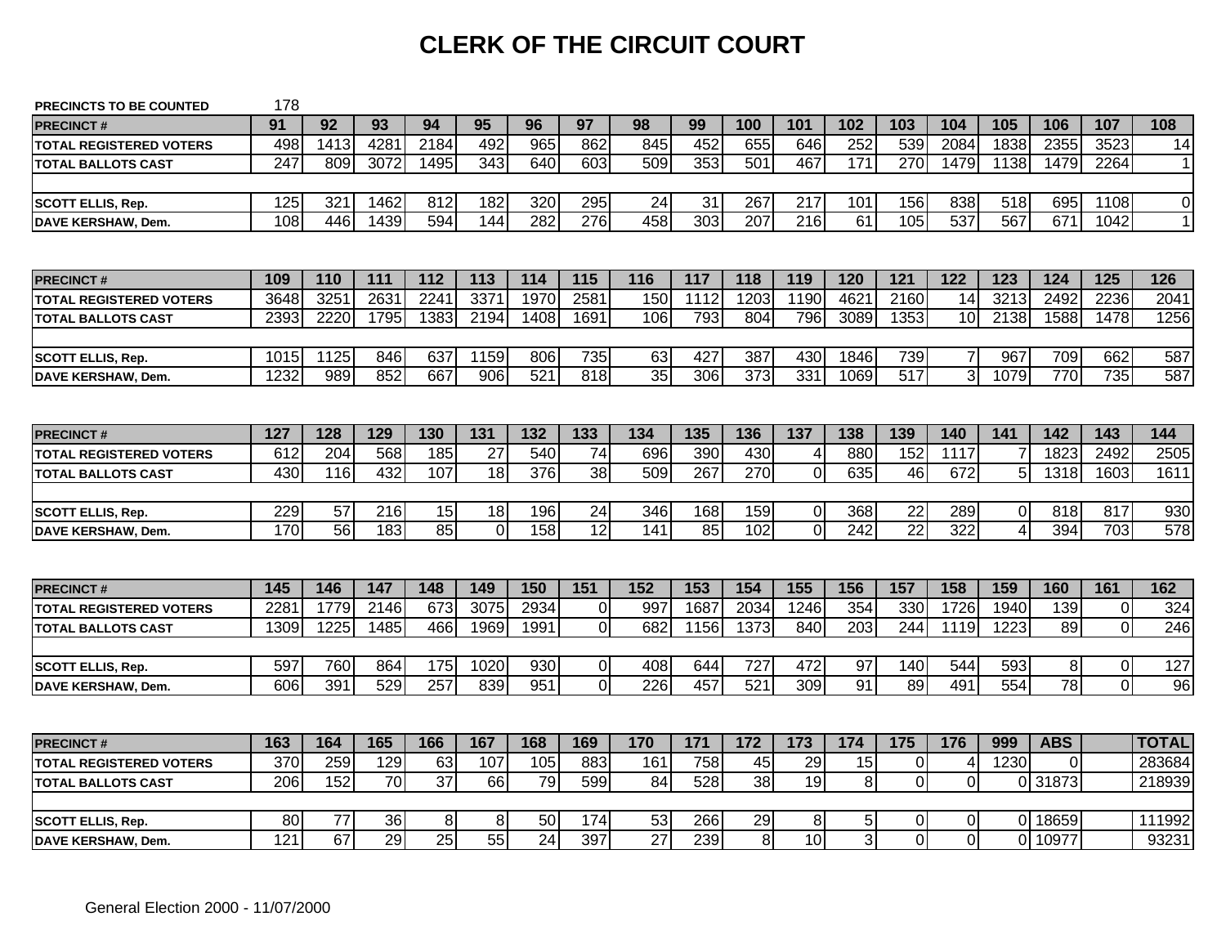# **CLERK OF THE CIRCUIT COURT**

| <b>PRECINCTS TO BE COUNTED</b> | 178  |      |      |                 |             |      |                  |                 |                  |                 |                  |                |                 |                  |          |                      |                |                |
|--------------------------------|------|------|------|-----------------|-------------|------|------------------|-----------------|------------------|-----------------|------------------|----------------|-----------------|------------------|----------|----------------------|----------------|----------------|
| <b>PRECINCT#</b>               | 91   | 92   | 93   | 94              | 95          | 96   | 97               | 98              | 99               | 100             | 101              | 102            | 103             | 104              | 105      | 106                  | 107            | 108            |
| <b>TOTAL REGISTERED VOTERS</b> | 498  | 1413 | 4281 | 2184            | 492         | 965  | 862              | 845             | 452              | 655             | 646              | 252            | 539             | 2084             | 1838     | 2355                 | 3523           | 14             |
| <b>TOTAL BALLOTS CAST</b>      | 247  | 809  | 3072 | 1495            | 343         | 640  | 603              | 509             | 353              | 501             | 467              | 171            | 270             | 1479             | 1138     | 1479                 | 2264           | 11             |
|                                |      |      |      |                 |             |      |                  |                 |                  |                 |                  |                |                 |                  |          |                      |                |                |
| <b>SCOTT ELLIS, Rep.</b>       | 125  | 321  | 1462 | 812             | 182         | 320  | 295              | 24              | 31               | 267             | 217              | 101            | 156             | 838              | 518      | 695                  | 1108           | $\overline{0}$ |
| <b>DAVE KERSHAW, Dem.</b>      | 108  | 446  | 1439 | 594             | 144         | 282  | $\overline{276}$ | 458             | $\overline{303}$ | 207             | 216              | 61             | 105             | $\overline{537}$ | 567      | 671                  | 1042           | 1              |
|                                |      |      |      |                 |             |      |                  |                 |                  |                 |                  |                |                 |                  |          |                      |                |                |
| <b>PRECINCT#</b>               | 109  | 110  | 111  | 112             | 113         | 114  | 115              | 116             | 117              | 118             | 119              | 120            | 121             | 122              | 123      | 124                  | 125            | 126            |
| <b>TOTAL REGISTERED VOTERS</b> | 3648 | 3251 | 2631 | 2241            | 3371        | 1970 | 2581             | 150             | 1112             | 1203            | 1190             | 462            | 2160            | 14               | 3213     | 2492                 | 2236           | 2041           |
| <b>TOTAL BALLOTS CAST</b>      | 2393 | 2220 | 1795 | 1383            | 2194        | 1408 | 1691             | 106             | 793              | 804             | 796              | 3089           | 1353            | 10               | 2138     | 1588                 | 1478           | 1256           |
|                                |      |      |      |                 |             |      |                  |                 |                  |                 |                  |                |                 |                  |          |                      |                |                |
| <b>SCOTT ELLIS, Rep.</b>       | 1015 | 1125 | 846  | 637             | 1159        | 806  | 735              | 63              | 427              | 387             | 430              | 1846           | 739             | $\overline{7}$   | 967      | 709                  | 662            | 587            |
| <b>DAVE KERSHAW, Dem.</b>      | 1232 | 989  | 852  | 667             | 906         | 521  | 818              | 35              | 306              | $\frac{1}{373}$ | 331              | 1069           | 517             | $\overline{3}$   | 1079     | 770                  | 735            | 587            |
|                                |      |      |      |                 |             |      |                  |                 |                  |                 |                  |                |                 |                  |          |                      |                |                |
| <b>PRECINCT#</b>               | 127  | 128  | 129  | 130             | 131         | 132  | 133              | 134             | 135              | 136             | 137              | 138            | 139             | 140              | 141      | 142                  | 143            | 144            |
| <b>TOTAL REGISTERED VOTERS</b> | 612  | 204  | 568  | 185             | 27          | 540  | 74               | 696             | 390              | 430             | 4                | 880            | 152             | 1117             |          | 1823                 | 2492           | 2505           |
| <b>TOTAL BALLOTS CAST</b>      | 430  | 116  | 432  | 107             | 18          | 376  | 38               | 509             | 267              | 270             | $\mathbf 0$      | 635            | 46              | 672              | 5        | 1318                 | 1603           | 1611           |
|                                |      |      |      |                 |             |      |                  |                 |                  |                 |                  |                |                 |                  |          |                      |                |                |
| <b>SCOTT ELLIS, Rep.</b>       | 229  | 57   | 216  | 15              | 18          | 196  | 24               | 346             | 168              | 159             | $\boldsymbol{0}$ | 368            | 22              | 289              | $\Omega$ | 818                  | 817            | 930            |
| DAVE KERSHAW, Dem.             | 170  | 56   | 183  | 85              | $\mathbf 0$ | 158  | $\overline{12}$  | 141             | 85               | 102             | $\overline{0}$   | 242            | $\overline{22}$ | 322              | 4        | 394                  | 703            | 578            |
|                                |      |      |      |                 |             |      |                  |                 |                  |                 |                  |                |                 |                  |          |                      |                |                |
| <b>PRECINCT#</b>               | 145  | 146  | 147  | 148             | 149         | 150  | 151              | 152             | 153              | 154             | 155              | 156            | 157             | 158              | 159      | 160                  | 161            | 162            |
| <b>TOTAL REGISTERED VOTERS</b> | 2281 | 1779 | 2146 | 673             | 3075        | 2934 | 0                | 997             | 1687             | 2034            | 1246             | 354            | 330             | 1726             | 1940     | 139                  | $\overline{0}$ | 324            |
| <b>TOTAL BALLOTS CAST</b>      | 1309 | 1225 | 1485 | 466             | 1969        | 1991 | $\Omega$         | 682             | 1156             | 1373            | 840              | 203            | 244             | 1119             | 1223     | 89                   | $\Omega$       | 246            |
|                                |      |      |      |                 |             |      |                  |                 |                  |                 |                  |                |                 |                  |          |                      |                |                |
| <b>SCOTT ELLIS, Rep.</b>       | 597  | 760  | 864  | 175             | 1020        | 930  | $\overline{0}$   | 408             | 644              | 727             | 472              | 97             | 140             | 544              | 593      | 8                    | $\overline{O}$ | 127            |
| <b>DAVE KERSHAW, Dem.</b>      | 606  | 391  | 529  | 257             | 839         | 951  | $\overline{0}$   | 226             | 457              | 521             | 309              | 91             | 89              | 491              | 554      | $\overline{78}$      | $\Omega$       | 96             |
|                                |      |      |      |                 |             |      |                  |                 |                  |                 |                  |                |                 |                  |          |                      |                |                |
| <b>PRECINCT#</b>               | 163  | 164  | 165  | 166             | 167         | 168  | 169              | 170             | 171              | 172             | 173              | 174            | 175             | 176              | 999      | <b>ABS</b>           |                | <b>TOTAL</b>   |
| <b>TOTAL REGISTERED VOTERS</b> | 370  | 259  | 129  | 63              | 107         | 105  | 883              | 161             | 758              | 45              | 29               | 15             | 0               | 4                | 1230     | 0                    |                | 283684         |
| <b>TOTAL BALLOTS CAST</b>      | 206  | 152  | 70   | $\overline{37}$ | 66          | 79   | 599              | 84              | 528              | 38              | $\overline{19}$  | 8 <sup>1</sup> | $\mathbf 0$     | $\overline{0}$   |          | $\overline{0}$ 31873 |                | 218939         |
|                                |      |      |      |                 |             |      |                  |                 |                  |                 |                  |                |                 |                  |          |                      |                |                |
| <b>SCOTT ELLIS, Rep.</b>       | 80   | 77   | 36   | 8 <sup>1</sup>  | 8           | 50   | 174              | 53              | 266              | 29              | 8                | 5 <sup>1</sup> | 0               | 0                |          | 0 18659              |                | 111992         |
| <b>DAVE KERSHAW, Dem.</b>      | 121  | 67   | 29   | 25              | 55          | 24   | 397              | $\overline{27}$ | 239              | $\bf 8$         | $\overline{10}$  | $\overline{3}$ | $\mathbf 0$     | $\overline{0}$   |          | 0 10977              |                | 93231          |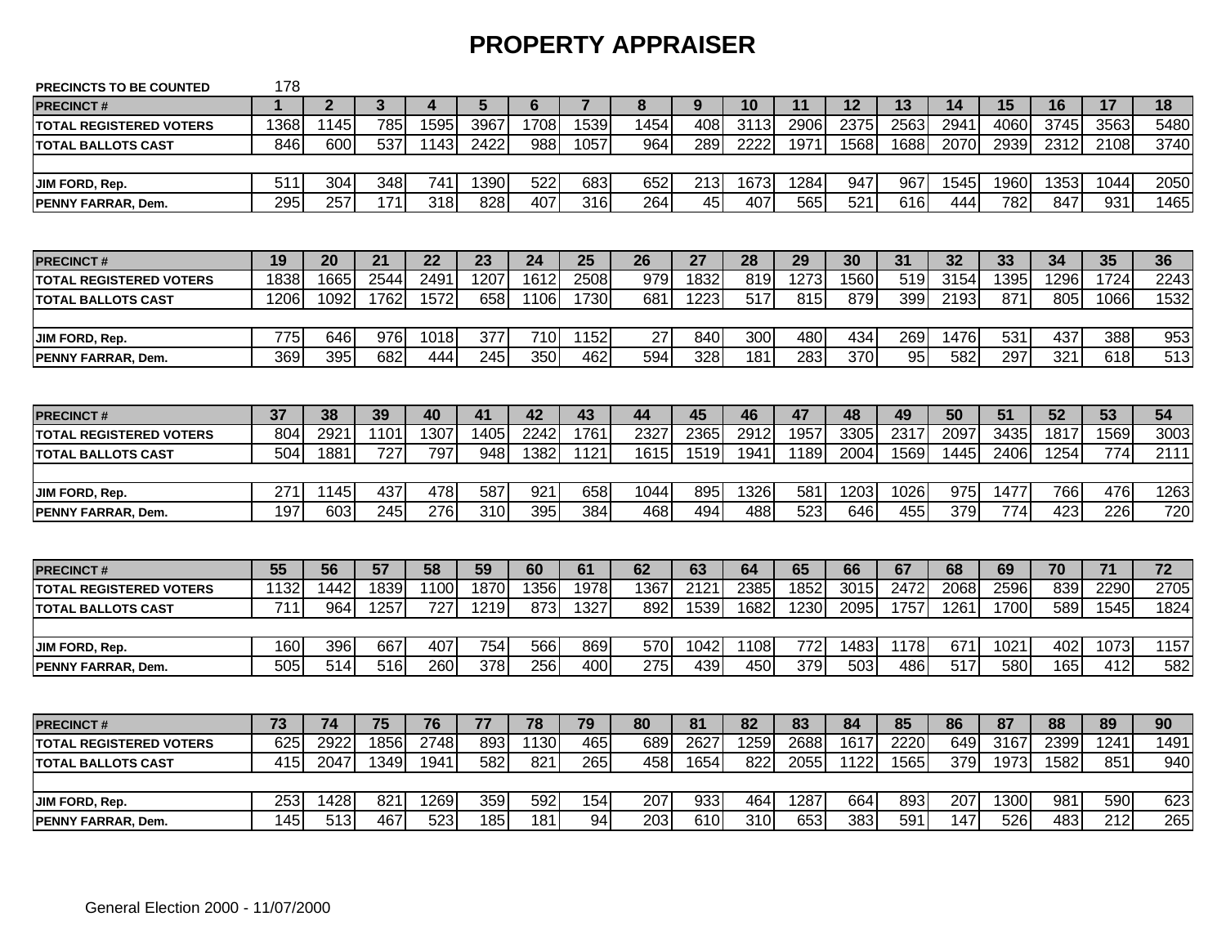### **PROPERTY APPRAISER**

| <b>PRECINCTS TO BE COUNTED</b> | 178  |                  |              |                  |                  |                 |                  |      |                  |                  |      |      |                 |      |      |      |                  |                  |
|--------------------------------|------|------------------|--------------|------------------|------------------|-----------------|------------------|------|------------------|------------------|------|------|-----------------|------|------|------|------------------|------------------|
| <b>PRECINCT#</b>               | 1    | $\overline{2}$   | $\mathbf{3}$ | 4                | 5                | $6\phantom{1}6$ | $\overline{7}$   | 8    | 9                | 10               | 11   | 12   | 13              | 14   | 15   | 16   | 17               | 18               |
| <b>TOTAL REGISTERED VOTERS</b> | 1368 | 1145             | 785          | 1595             | 3967             | 1708            | 1539             | 1454 | 408              | 3113             | 2906 | 2375 | 2563            | 2941 | 4060 | 3745 | 3563             | 5480             |
| <b>TOTAL BALLOTS CAST</b>      | 846  | 600              | 537          | 1143             | 2422             | 988             | 1057             | 964  | 289              | 2222             | 1971 | 1568 | 1688            | 2070 | 2939 | 2312 | 2108             | 3740             |
|                                |      |                  |              |                  |                  |                 |                  |      |                  |                  |      |      |                 |      |      |      |                  |                  |
| JIM FORD, Rep.                 | 511  | 304              | 348          | 741              | 1390             | 522             | 683              | 652  | 213              | 1673             | 1284 | 947  | 967             | 1545 | 1960 | 1353 | 1044             | 2050             |
| PENNY FARRAR, Dem.             | 295  | 257              | 171          | $\overline{318}$ | 828              | 407             | $\overline{316}$ | 264  | 45               | 407              | 565  | 521  | 616             | 444  | 782  | 847  | 931              | 1465             |
|                                |      |                  |              |                  |                  |                 |                  |      |                  |                  |      |      |                 |      |      |      |                  |                  |
| <b>PRECINCT#</b>               | 19   | 20               | 21           | 22               | 23               | 24              | 25               | 26   | 27               | 28               | 29   | 30   | 31              | 32   | 33   | 34   | 35               | 36               |
| <b>TOTAL REGISTERED VOTERS</b> | 1838 | 1665             | 2544         | 249'             | 1207             | 1612            | 2508             | 979  | 1832             | 819              | 1273 | 1560 | 519             | 3154 | 1395 | 1296 | 1724             | 2243             |
| <b>TOTAL BALLOTS CAST</b>      | 1206 | 1092             | 1762         | 1572             | 658              | 1106            | 1730             | 681  | 1223             | 517              | 815  | 879  | 399             | 2193 | 871  | 805  | 1066             | 1532             |
|                                |      |                  |              |                  |                  |                 |                  |      |                  |                  |      |      |                 |      |      |      |                  |                  |
| JIM FORD, Rep.                 | 775  | 646              | 976          | 1018             | 377              | 710             | 1152             | 27   | 840              | 300              | 480  | 434  | 269             | 1476 | 531  | 437  | 388              | 953              |
| PENNY FARRAR, Dem.             | 369  | 395              | 682          | 444              | 245              | 350             | 462              | 594  | 328              | 181              | 283  | 370  | $\overline{95}$ | 582  | 297  | 321  | 618              | $\overline{513}$ |
|                                |      |                  |              |                  |                  |                 |                  |      |                  |                  |      |      |                 |      |      |      |                  |                  |
| <b>PRECINCT#</b>               | 37   | 38               | 39           | 40               | 41               | 42              | 43               | 44   | 45               | 46               | 47   | 48   | 49              | 50   | 51   | 52   | 53               | 54               |
| <b>TOTAL REGISTERED VOTERS</b> | 804  | 2921             | 1101         | 1307             | 1405             | 2242            | 1761             | 2327 | 2365             | 2912             | 1957 | 3305 | 2317            | 2097 | 3435 | 1817 | 1569             | 3003             |
| <b>TOTAL BALLOTS CAST</b>      | 504  | 1881             | 727          | 797              | 948              | 1382            | 1121             | 1615 | 1519             | 1941             | 1189 | 2004 | 1569            | 1445 | 2406 | 1254 | 774              | 2111             |
|                                |      |                  |              |                  |                  |                 |                  |      |                  |                  |      |      |                 |      |      |      |                  |                  |
| JIM FORD, Rep.                 | 271  | 1145             | 437          | 478              | 587              | 921             | 658              | 1044 | 895              | 1326             | 581  | 1203 | 1026            | 975  | 1477 | 766  | 476              | 1263             |
| PENNY FARRAR, Dem.             | 197  | 603              | 245          | 276              | $\overline{310}$ | 395             | 384              | 468  | 494              | 488              | 523  | 646  | 455             | 379  | 774  | 423  | 226              | 720              |
|                                |      |                  |              |                  |                  |                 |                  |      |                  |                  |      |      |                 |      |      |      |                  |                  |
| <b>PRECINCT#</b>               | 55   | 56               | 57           | 58               | 59               | 60              | 61               | 62   | 63               | 64               | 65   | 66   | 67              | 68   | 69   | 70   | 71               | 72               |
| <b>TOTAL REGISTERED VOTERS</b> | 1132 | 1442             | 1839         | 1100             | 1870             | 1356            | 1978             | 1367 | 2121             | 2385             | 1852 | 3015 | 2472            | 2068 | 2596 | 839  | 2290             | 2705             |
| <b>TOTAL BALLOTS CAST</b>      | 711  | 964              | 1257         | 727              | 1219             | 873             | 1327             | 892  | 1539             | 1682             | 1230 | 2095 | 1757            | 1261 | 1700 | 589  | 1545             | 1824             |
|                                |      |                  |              |                  |                  |                 |                  |      |                  |                  |      |      |                 |      |      |      |                  |                  |
| JIM FORD, Rep.                 | 160  | 396              | 667          | 407              | 754              | 566             | 869              | 570  | 1042             | 1108             | 772  | 1483 | 1178            | 671  | 1021 | 402  | 1073             | 1157             |
| PENNY FARRAR, Dem.             | 505  | 514              | 516          | 260              | 378              | 256             | 400              | 275  | 439              | 450              | 379  | 503  | 486             | 517  | 580  | 165  | 412              | 582              |
|                                |      |                  |              |                  |                  |                 |                  |      |                  |                  |      |      |                 |      |      |      |                  |                  |
| <b>PRECINCT#</b>               | 73   | 74               | 75           | 76               | 77               | 78              | 79               | 80   | 81               | 82               | 83   | 84   | 85              | 86   | 87   | 88   | 89               | 90               |
| <b>TOTAL REGISTERED VOTERS</b> | 625  | 2922             | 1856         | 2748             | 893              | 1130            | 465              | 689  | 2627             | 1259             | 2688 | 1617 | 2220            | 649  | 3167 | 2399 | 1241             | 1491             |
| <b>TOTAL BALLOTS CAST</b>      | 415  | 2047             | 1349         | 1941             | 582              | 821             | 265              | 458  | 1654             | 822              | 2055 | 1122 | 1565            | 379  | 1973 | 1582 | 851              | 940              |
|                                |      |                  |              |                  |                  |                 |                  |      |                  |                  |      |      |                 |      |      |      |                  |                  |
| JIM FORD, Rep.                 | 253  | 1428             | 821          | 1269             | 359              | 592             | 154              | 207  | 933              | 464              | 1287 | 664  | 893             | 207  | 1300 | 981  | 590              | 623              |
| PENNY FARRAR, Dem.             | 145  | $\overline{513}$ | 467          | 523              | 185              | 181             | 94               | 203  | $\overline{610}$ | $\overline{310}$ | 653  | 383  | 591             | 147  | 526  | 483  | $\overline{212}$ | 265              |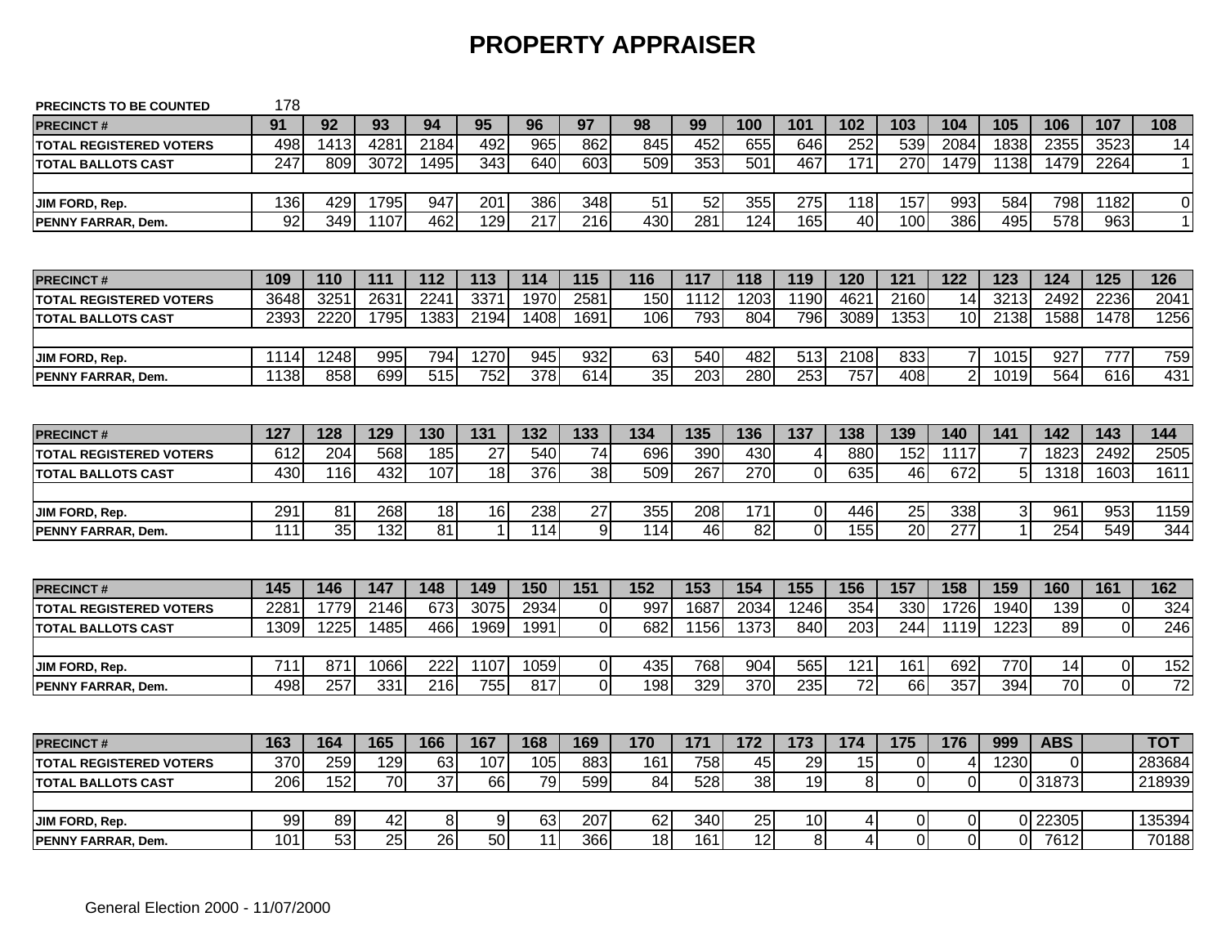# **PROPERTY APPRAISER**

| PRECINCTS TO BE COUNTED        | 178              |                  |                 |                         |                |                  |                                  |                 |                  |                         |             |                        |              |                |                |                       |                               |                        |
|--------------------------------|------------------|------------------|-----------------|-------------------------|----------------|------------------|----------------------------------|-----------------|------------------|-------------------------|-------------|------------------------|--------------|----------------|----------------|-----------------------|-------------------------------|------------------------|
| <b>PRECINCT#</b>               | 91               | 92               | 93              | 94                      | 95             | 96               | 97                               | 98              | 99               | 100                     | 101         | 102                    | 103          | 104            | 105            | 106                   | 107                           | 108                    |
| <b>TOTAL REGISTERED VOTERS</b> | 498              | 1413             | 4281            | 2184                    | 492            | 965              | 862                              | 845             | 452              | 655                     | 646         | 252                    | 539          | 2084           | 1838           | 2355                  | 3523                          | 14                     |
| <b>TOTAL BALLOTS CAST</b>      | $\overline{247}$ | 809              | 3072            | 1495                    | 343            | 640              | 603                              | 509             | 353              | 501                     | 467         | 171                    | 270          | 1479           | 1138           | 1479                  | 2264                          | $\mathbf 1$            |
| JIM FORD, Rep.                 | 136              | 429              | 1795            | 947                     | 201            | 386              | 348                              | 51              | 52               | 355                     | 275         | 118                    | 157          | 993            | 584            | 798                   | 1182                          | $\pmb{0}$              |
| <b>PENNY FARRAR, Dem.</b>      | $\overline{92}$  | $\overline{349}$ | 1107            | 462                     | 129            | $\overline{217}$ | 216                              | 430             | 281              | 124                     | 165         | $\overline{40}$        | 100          | 386            | 495            | 578                   | 963                           | $\mathbf{1}$           |
|                                |                  |                  |                 |                         |                |                  |                                  |                 |                  |                         |             |                        |              |                |                |                       |                               |                        |
| <b>PRECINCT#</b>               | 109              | 110              | 111             | 112                     | 113            | 114              | 115                              | 116             | 117              | 118                     | 119         | 120                    | 121          | 122            | 123            | 124                   | 125                           | 126                    |
| <b>TOTAL REGISTERED VOTERS</b> | 3648             | 325              | 2631            | 2241                    | 3371           | 1970             | 2581                             | 150             | 1112             | 1203                    | 1190        | 4621                   | 2160         | 14             | 3213           | 2492                  | 2236                          | 2041                   |
| <b>TOTAL BALLOTS CAST</b>      | 2393             | 2220             | 1795            | 1383                    | 2194           | 1408             | 1691                             | 106             | 793              | 804                     | 796         | 3089                   | 1353         | 10             | 2138           | 1588                  | 1478                          | 1256                   |
| JIM FORD, Rep.                 | 1114             | 1248             | 995             | 794                     | 1270           | 945              | 932                              | 63              | 540              | 482                     | 513         | 2108                   | 833          | 7              | 1015           | 927                   | 777                           | 759                    |
| PENNY FARRAR, Dem.             | 1138             | 858              | 699             | 515                     | 752            | 378              | 614                              | $\overline{35}$ | $\overline{203}$ | 280                     | 253         | 757                    | 408          | $\overline{2}$ | 1019           | 564                   | 616                           | 431                    |
|                                |                  |                  |                 |                         |                |                  |                                  |                 |                  |                         |             |                        |              |                |                |                       |                               |                        |
| <b>PRECINCT#</b>               | 127              | 128              | 129             | 130                     | 131            | 132              | 133                              | 134             | 135              | 136                     | 137         | 138                    | 139          | 140            | 141            | 142                   | 143                           | 144                    |
| <b>TOTAL REGISTERED VOTERS</b> | 612              | 204              | 568             | 185                     | 27             | 540              | 74                               | 696             | 390              | 430                     | 4           | 880                    | 152          | 1117           |                | 1823                  | 2492                          | 2505                   |
| <b>TOTAL BALLOTS CAST</b>      | 430              | 116              | 432             | 107                     | 18             | 376              | 38                               | 509             | 267              | 270                     | 0           | 635                    | 46           | 672            | 5 <sub>5</sub> | 1318                  | 1603                          | 1611                   |
|                                |                  |                  |                 |                         |                |                  |                                  |                 |                  |                         |             |                        |              |                |                |                       |                               |                        |
| JIM FORD, Rep.                 | 291              | 81               | 268             | 18                      | 16             | 238              | $\overline{27}$                  | 355             | 208              | 171                     | $\mathbf 0$ | 446                    | 25           | 338            | 3 <sup>1</sup> | 961                   | 953                           | 1159                   |
| PENNY FARRAR, Dem.             | 111              | 35               | 132             | 81                      | $\overline{1}$ | 114              | 9                                | 114             | 46               | 82                      | $\mathbf 0$ | 155                    | 20           | 277            |                | 254                   | 549                           | 344                    |
|                                |                  |                  |                 |                         |                |                  |                                  |                 |                  |                         |             |                        |              |                |                |                       |                               |                        |
| <b>PRECINCT#</b>               | 145              | 146              | 147             | 148                     | 149            | 150              | $\overline{151}$                 | 152             | 153              | 154                     | 155         | 156                    | 157          | 158            | 159            | 160                   | 161                           | 162                    |
| <b>TOTAL REGISTERED VOTERS</b> | 228'             | 1779             | 2146            | 673                     | 3075           | 2934             | 0                                | 997             | 1687             | 2034                    | 1246        | 354                    | 330          | 1726           | 1940           | 139                   | $\mathbf 0$                   | 324                    |
| <b>TOTAL BALLOTS CAST</b>      | 1309             | 1225             | 1485            | 466                     | 1969           | 1991             | $\Omega$                         | 682             | 1156             | 1373                    | 840         | 203                    | 244          | 1119           | 1223           | 89                    | $\mathbf{0}$                  | 246                    |
|                                |                  |                  |                 |                         |                |                  |                                  |                 |                  |                         |             |                        |              |                |                |                       |                               |                        |
| JIM FORD, Rep.                 | 711<br>498       | 871<br>257       | 1066<br>331     | 222<br>$\overline{216}$ | 1107<br>755    | 1059<br>817      | $\overline{0}$<br>$\overline{0}$ | 435<br>198      | 768<br>329       | 904<br>$\overline{370}$ | 565<br>235  | 121<br>$\overline{72}$ | 161<br>66    | 692<br>357     | 770<br>394     | 14<br>$\overline{70}$ | $\mathbf 0$<br>$\overline{0}$ | 152<br>$\overline{72}$ |
| PENNY FARRAR, Dem.             |                  |                  |                 |                         |                |                  |                                  |                 |                  |                         |             |                        |              |                |                |                       |                               |                        |
|                                |                  |                  |                 |                         |                |                  |                                  |                 |                  |                         |             |                        |              |                |                |                       |                               |                        |
| <b>PRECINCT#</b>               | 163              | 164              | 165             | 166                     | 167            | 168              | 169                              | 170             | 171              | 172                     | 173         | 174                    | 175          | 176            | 999            | <b>ABS</b>            |                               | <b>TOT</b>             |
| <b>TOTAL REGISTERED VOTERS</b> | 370              | 259              | 129             | 63                      | 107            | 105              | 883                              | 161             | 758              | 45                      | 29          | 15                     | 0            | 4              | 1230           | $\Omega$              |                               | 283684                 |
| <b>TOTAL BALLOTS CAST</b>      | 206              | 152              | $\overline{70}$ | $\overline{37}$         | 66             | 79               | 599                              | 84              | 528              | 38                      | 19          | $\bf 8$                | $\mathbf{0}$ | $\mathbf 0$    | ΩI             | 31873                 |                               | 218939                 |
|                                |                  |                  |                 |                         |                |                  |                                  |                 |                  |                         |             |                        |              |                |                |                       |                               |                        |
| JIM FORD, Rep.                 | 99               | 89               | 42              | 8                       | 9              | 63               | 207                              | 62              | 340              | 25                      | 10          | 4                      | 0            | 0              |                | 0 22305               |                               | 135394                 |
| PENNY FARRAR, Dem.             | 101              | 53               | $\overline{25}$ | 26                      | 50             | 11               | 366                              | 18              | 161              | 12                      | 8           | 4                      | $\Omega$     | 0              | $\Omega$       | 7612                  |                               | 70188                  |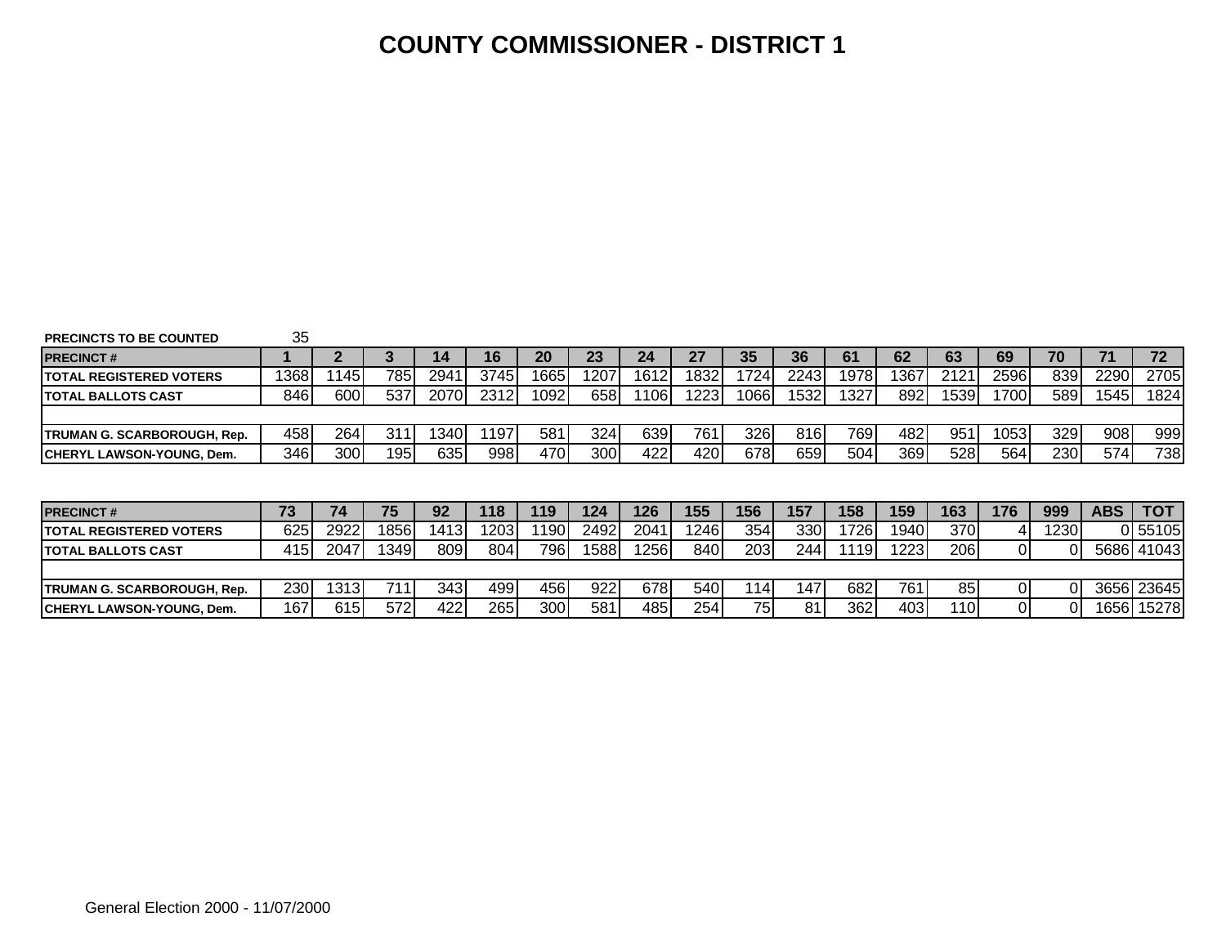#### **COUNTY COMMISSIONER - DISTRICT 1**

| <b>PRECINCTS TO BE COUNTED</b>   | 35         |      |       |      |      |      |       |       |      |      |                  |      |      |      |       |          |            |            |
|----------------------------------|------------|------|-------|------|------|------|-------|-------|------|------|------------------|------|------|------|-------|----------|------------|------------|
| <b>PRECINCT#</b>                 |            |      |       | 14   | 16   | 20   | 23    | 24    | 27   | 35   | 36               | 61   | 62   | 63   | 69    | 70       | 71         | 72         |
| <b>TOTAL REGISTERED VOTERS</b>   | 1368       | 145  | 785   | 2941 | 3745 | 1665 | 1207  | 1612  | 1832 | 1724 | 2243             | 1978 | 367  | 2121 | 2596  | 839      | 2290       | 2705       |
| <b>ITOTAL BALLOTS CAST</b>       | 846        | 600  | 537   | 2070 | 2312 | 1092 | 658   | 106l  | 1223 | 1066 | 1532             | 1327 | 892  | 1539 | 700   | 589      | 1545       | 1824       |
|                                  |            |      |       |      |      |      |       |       |      |      |                  |      |      |      |       |          |            |            |
| TRUMAN G. SCARBOROUGH, Rep.      | 458        | 264  | 31′   | 340I | 197  | 581  | 324   | 639   | 761  | 326  | 816I             | 769  | 482  | 951  | 10531 | 329      | 908        | 999        |
| <b>CHERYL LAWSON-YOUNG, Dem.</b> | 346        | 300  | 195   | 635  | 998  | 470  | 300   | 422   | 420  | 678  | 659              | 504  | 369  | 528  | 564   | 230      | 574        | 738        |
|                                  |            |      |       |      |      |      |       |       |      |      |                  |      |      |      |       |          |            |            |
|                                  |            |      |       |      |      |      |       |       |      |      |                  |      |      |      |       |          |            |            |
|                                  |            |      |       |      |      |      |       |       |      |      |                  |      |      |      |       |          |            |            |
| <b>PRECINCT#</b>                 | 73         | 74   | 75    | 92   | 118  | 119  | 124   | 126   | 155  | 156  | 157              | 158  | 159  | 163  | 176   | 999      | <b>ABS</b> | тот        |
| <b>TOTAL REGISTERED VOTERS</b>   | 625        | 2922 | 18561 | 1413 | 1203 | 190  | 2492  | 2041  | 1246 | 354  | 330I             | 1726 | 1940 | 370  | 4     | 12301    |            | 0 55105    |
| <b>ITOTAL BALLOTS CAST</b>       | 415        | 2047 | 349   | 809  | 804l | 796  | 15881 | 12561 | 840  | 203  | 2441             | 119  | 1223 | 206  | 01    | ΟI       |            | 5686 41043 |
|                                  |            |      |       |      |      |      |       |       |      |      |                  |      |      |      |       |          |            |            |
| TRUMAN G. SCARBOROUGH, Rep.      | <b>230</b> | 1313 | 7111  | 343  | 499  | 456  | 922   | 678   | 540  | 1141 | 147 <sub>1</sub> | 682  | 761  | 85   | 01    | $\Omega$ |            | 3656 23645 |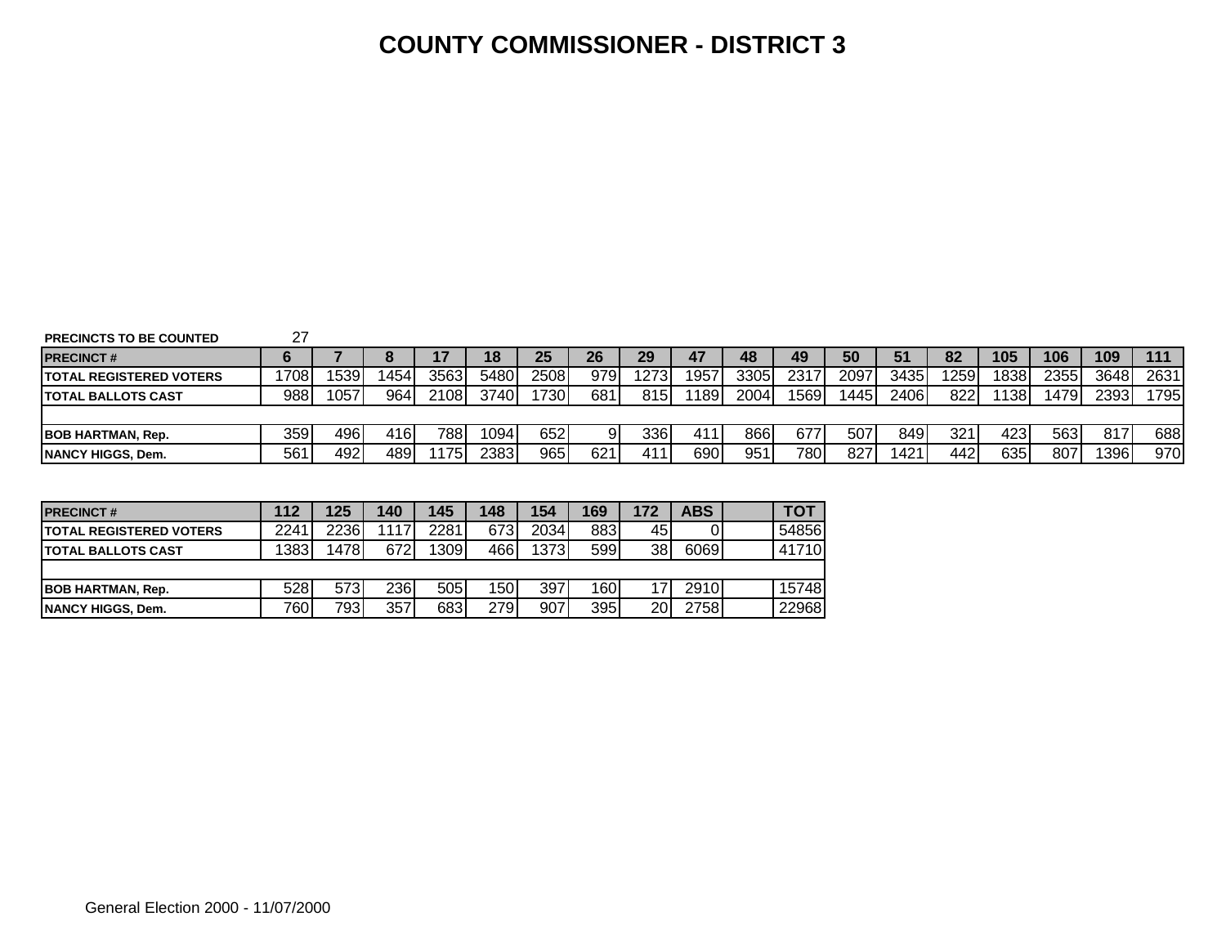#### **COUNTY COMMISSIONER - DISTRICT 3**

| <b>PRECINCTS TO BE COUNTED</b> |  |
|--------------------------------|--|
|--------------------------------|--|

| <b>PRECINCT#</b>                |      |      |      |      | 18   | 25   | 26   | 29   | 47   | 48   | 49   | 50   | 51    | 82  | 105              | 106   | 109  | 111  |
|---------------------------------|------|------|------|------|------|------|------|------|------|------|------|------|-------|-----|------------------|-------|------|------|
| <b>ITOTAL REGISTERED VOTERS</b> | 1708 | 1539 | 454  | 3563 | 5480 | 2508 | 9791 | 1273 | 1957 | 3305 | 2317 | 2097 | 3435  | 259 | 838              | 2355  | 3648 | 2631 |
| <b>ITOTAL BALLOTS CAST</b>      | 988  | 1057 | 964  | 2108 | 3740 | '730 | 681  | 815  | 189  | 2004 | 1569 | 1445 | 24061 | 822 | 138              | 14791 | 2393 | 795  |
|                                 |      |      |      |      |      |      |      |      |      |      |      |      |       |     |                  |       |      |      |
| <b>BOB HARTMAN, Rep.</b>        | 359  | 496  | 416l | 7881 | 094  | 652  |      | 336  | 411  | 866  | 677  | 507  | 8491  | 321 | 423 <sub>1</sub> | 563   | 817  | 688  |
| <b>NANCY HIGGS, Dem.</b>        | 56'  | 492  | 4891 | 175  | 2383 | 965  | 621  | 411  | 6901 | 951  | 7801 | 827  | 1421  | 442 | 635              | 807   | 1396 | 970  |

| <b>PRECINCT#</b>                | 112  | 125  | 140  | 145  | 148  | 154  | 169              | 172 | ABS  | TOT   |
|---------------------------------|------|------|------|------|------|------|------------------|-----|------|-------|
| <b>ITOTAL REGISTERED VOTERS</b> | 2241 | 2236 | 1117 | 2281 | 6731 | 2034 | 883              | 45  |      | 54856 |
| <b>ITOTAL BALLOTS CAST</b>      | 1383 | 1478 | 672  | 1309 | 466  | 1373 | 599              | 38  | 6069 | 41710 |
|                                 |      |      |      |      |      |      |                  |     |      |       |
| <b>BOB HARTMAN, Rep.</b>        | 528  | 573I | 236  | 505  | 150  | 397  | 160 <sub>1</sub> |     | 2910 | 15748 |
| <b>INANCY HIGGS, Dem.</b>       | 760  | 793  | 357  | 683  | 279  | 907  | 395              | 20  | 2758 | 22968 |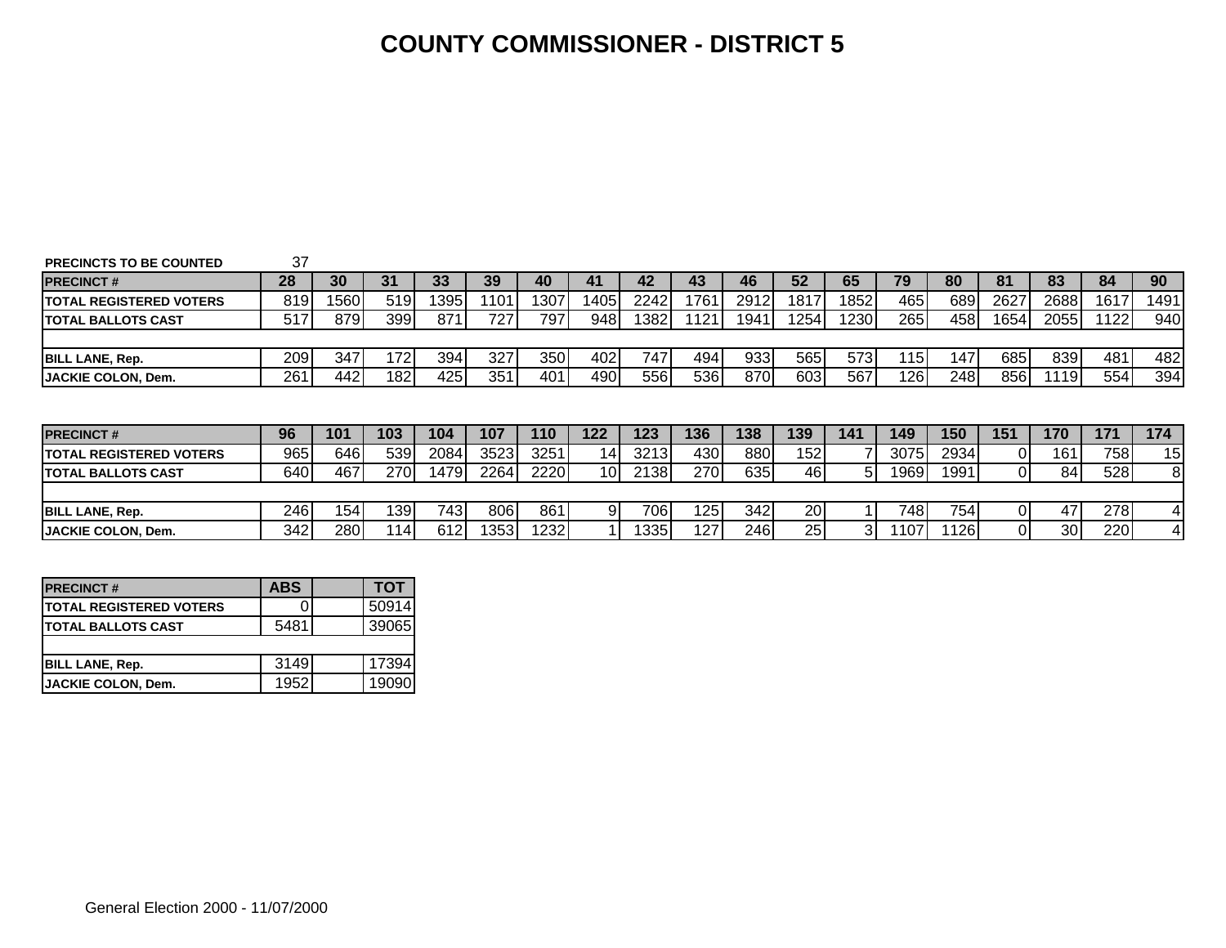#### **COUNTY COMMISSIONER - DISTRICT 5**

| <b>PRECINCTS TO BE COUNTED</b> | 37   |      |     |       |      |      |                 |      |      |      |      |      |      |      |                |                 |      |                      |
|--------------------------------|------|------|-----|-------|------|------|-----------------|------|------|------|------|------|------|------|----------------|-----------------|------|----------------------|
| <b>PRECINCT#</b>               | 28   | 30   | 31  | 33    | 39   | 40   | 41              | 42   | 43   | 46   | 52   | 65   | 79   | 80   | 81             | 83              | 84   | 90                   |
| <b>TOTAL REGISTERED VOTERS</b> | 819  | 1560 | 519 | 13951 | 1101 | 1307 | 14051           | 2242 | 1761 | 2912 | 1817 | 1852 | 465  | 689  | 2627           | 2688            | 1617 | 1491                 |
| <b>TOTAL BALLOTS CAST</b>      | 517  | 879  | 399 | 871   | 727  | 797  | 948             | 1382 | 121  | 1941 | 1254 | 1230 | 265  | 458  | 16541          | 2055            | 1122 | 940                  |
|                                |      |      |     |       |      |      |                 |      |      |      |      |      |      |      |                |                 |      |                      |
| <b>BILL LANE, Rep.</b>         | 209l | 347  | 172 | 394   | 327  | 350  | 402             | 747  | 494  | 933  | 565  | 573  | 115  | 147  | 685            | 839             | 481  | 482                  |
|                                | 261  | 442  | 182 | 425   | 351  | 401  | 490             | 556  | 5361 | 870I | 603  | 567  | 126  | 248  | 856            | 1191            | 554  | 394                  |
| <b>JACKIE COLON, Dem.</b>      |      |      |     |       |      |      |                 |      |      |      |      |      |      |      |                |                 |      |                      |
|                                |      |      |     |       |      |      |                 |      |      |      |      |      |      |      |                |                 |      |                      |
|                                |      |      |     |       |      |      |                 |      |      |      |      |      |      |      |                |                 |      |                      |
| <b>PRECINCT#</b>               | 96   | 101  | 103 | 104   | 107  | 110  | 122             | 123  | 136  | 138  | 139  | 141  | 149  | 150  | 151            | 170             | 171  | 174                  |
| <b>TOTAL REGISTERED VOTERS</b> | 965I | 646  | 539 | 2084  | 3523 | 3251 | 14 <sub>1</sub> | 3213 | 430  | 880  | 152  |      | 3075 | 2934 | 01             | 161             | 758  |                      |
| <b>TOTAL BALLOTS CAST</b>      | 640I | 467  | 270 | 1479  | 2264 | 2220 | 10 <sub>l</sub> | 2138 | 270  | 635  | 46   | 51   | 1969 | 1991 | $\overline{0}$ | 84 <sub>l</sub> | 528  |                      |
|                                |      |      |     |       |      |      |                 |      |      |      |      |      |      |      |                |                 |      | 15<br>8 <sup>1</sup> |
| <b>BILL LANE, Rep.</b>         | 2461 | 154  | 139 | 7431  | 806  | 861  | 9               | 706I | 125  | 342  | 20   |      | 748  | 754  | ΟI             | 47              | 278  | $\overline{4}$       |

| <b>PRECINCT#</b>                | <b>ABS</b> | TOT   |
|---------------------------------|------------|-------|
| <b>ITOTAL REGISTERED VOTERS</b> |            | 50914 |
| <b>TOTAL BALLOTS CAST</b>       | 5481       | 39065 |
|                                 |            |       |
| <b>BILL LANE, Rep.</b>          | 3149       | 17394 |
| <b>JACKIE COLON, Dem.</b>       | 1952       | 19090 |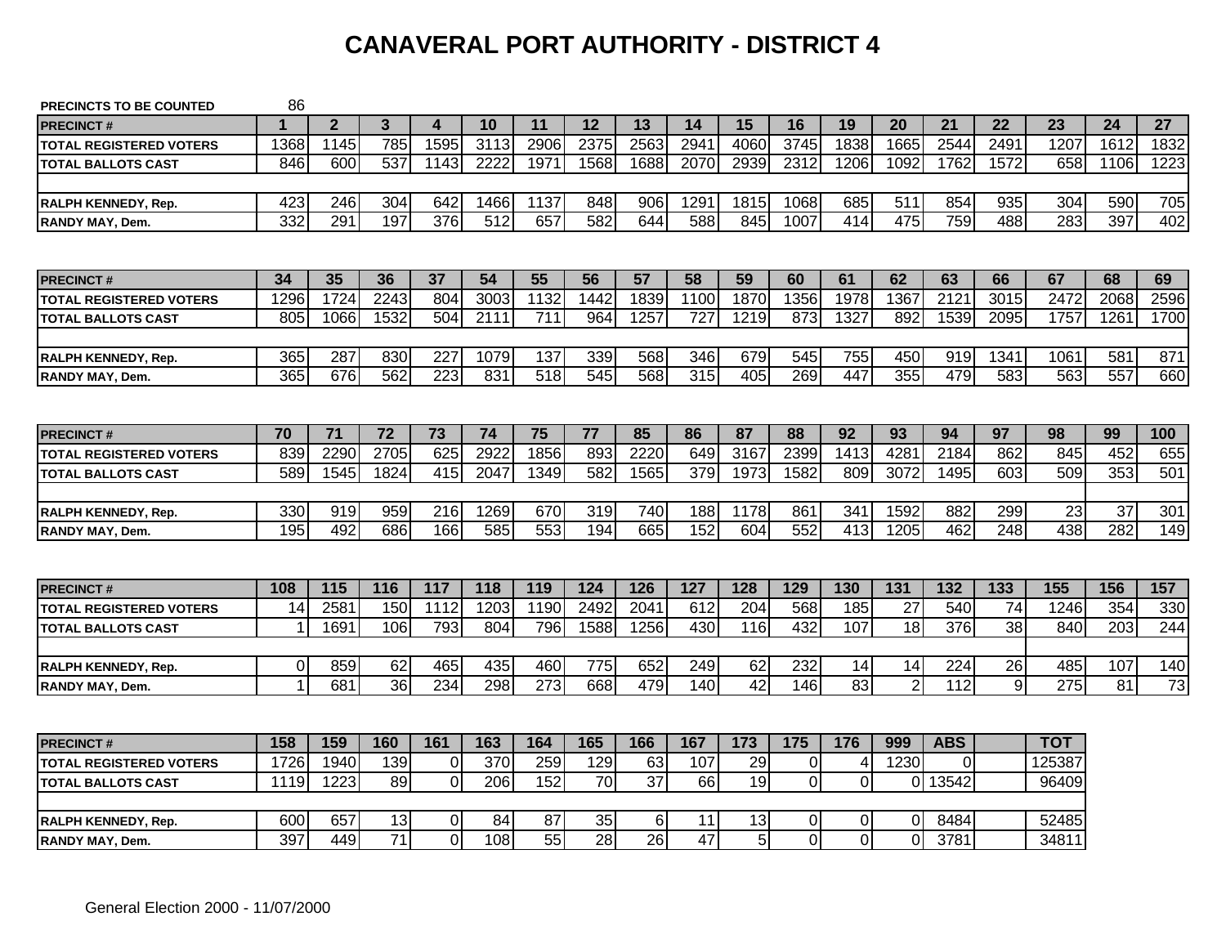# **CANAVERAL PORT AUTHORITY - DISTRICT 4**

| <b>PRECINCTS TO BE COUNTED</b> | 86          |                |                 |                  |      |      |                 |                 |      |      |          |                |                 |            |      |            |                  |      |
|--------------------------------|-------------|----------------|-----------------|------------------|------|------|-----------------|-----------------|------|------|----------|----------------|-----------------|------------|------|------------|------------------|------|
| <b>PRECINCT#</b>               | 1           | $\overline{2}$ | $\mathbf{3}$    | 4                | 10   | 11   | 12              | 13              | 14   | 15   | 16       | 19             | 20              | 21         | 22   | 23         | 24               | 27   |
| <b>TOTAL REGISTERED VOTERS</b> | 1368        | 1145           | 785             | 1595             | 3113 | 2906 | 2375            | 2563            | 2941 | 4060 | 3745     | 1838           | 1665            | 2544       | 2491 | 1207       | 1612             | 1832 |
| <b>TOTAL BALLOTS CAST</b>      | 846         | 600            | 537             | 1143             | 2222 | 1971 | 1568            | 1688            | 2070 | 2939 | 2312     | 1206           | 1092            | 1762       | 1572 | 658        | 1106             | 1223 |
|                                |             |                |                 |                  |      |      |                 |                 |      |      |          |                |                 |            |      |            |                  |      |
| <b>RALPH KENNEDY, Rep.</b>     | 423         | 246            | 304             | 642              | 1466 | 1137 | 848             | 906             | 1291 | 1815 | 1068     | 685            | 511             | 854        | 935  | 304        | 590              | 705  |
| <b>RANDY MAY, Dem.</b>         | 332         | 291            | 197             | $\overline{376}$ | 512  | 657  | 582             | 644             | 588  | 845  | 1007     | 414            | 475             | 759        | 488  | 283        | 397              | 402  |
|                                |             |                |                 |                  |      |      |                 |                 |      |      |          |                |                 |            |      |            |                  |      |
| <b>PRECINCT#</b>               | 34          | 35             | 36              | 37               | 54   | 55   | 56              | 57              | 58   | 59   | 60       | 61             | 62              | 63         | 66   | 67         | 68               | 69   |
| <b>TOTAL REGISTERED VOTERS</b> | 1296        | 1724           | 2243            | 804              | 3003 | 1132 | 1442            | 1839            | 1100 | 1870 | 1356     | 1978           | 1367            | 2121       | 3015 | 2472       | 2068             | 2596 |
| <b>TOTAL BALLOTS CAST</b>      | 805         | 1066           | 1532            | 504              | 2111 | 711  | 964             | 1257            | 727  | 1219 | 873      | 1327           | 892             | 1539       | 2095 | 1757       | 1261             | 1700 |
|                                |             |                |                 |                  |      |      |                 |                 |      |      |          |                |                 |            |      |            |                  |      |
| RALPH KENNEDY, Rep.            | 365         | 287            | 830             | 227              | 1079 | 137  | 339             | 568             | 346  | 679  | 545      | 755            | 450             | 919        | 1341 | 1061       | 581              | 871  |
| <b>RANDY MAY, Dem.</b>         | 365         | 676            | 562             | $\overline{223}$ | 831  | 518  | 545             | 568             | 315  | 405  | 269      | 447            | 355             | 479        | 583  | 563        | 557              | 660  |
|                                |             |                |                 |                  |      |      |                 |                 |      |      |          |                |                 |            |      |            |                  |      |
| <b>PRECINCT#</b>               | 70          | 71             | 72              | 73               | 74   | 75   | 77              | 85              | 86   | 87   | 88       | 92             | 93              | 94         | 97   | 98         | 99               | 100  |
| <b>TOTAL REGISTERED VOTERS</b> | 839         | 2290           | 2705            | 625              | 2922 | 1856 | 893             | 2220            | 649  | 3167 | 2399     | 1413           | 4281            | 2184       | 862  | 845        | 452              | 655  |
| <b>TOTAL BALLOTS CAST</b>      | 589         | 1545           | 1824            | 415              | 2047 | 1349 | 582             | 1565            | 379  | 1973 | 1582     | 809            | 3072            | 1495       | 603  | 509        | 353              | 501  |
|                                |             |                |                 |                  |      |      |                 |                 |      |      |          |                |                 |            |      |            |                  |      |
| RALPH KENNEDY, Rep.            | 330         | 919            | 959             | 216              | 1269 | 670  | 319             | 740             | 188  | 1178 | 861      | 341            | 1592            | 882        | 299  | 23         | 37               | 301  |
| <b>RANDY MAY, Dem.</b>         | 195         | 492            | 686             | 166              | 585  | 553  | 194             | 665             | 152  | 604  | 552      | 413            | 1205            | 462        | 248  | 438        | 282              | 149  |
|                                |             |                |                 |                  |      |      |                 |                 |      |      |          |                |                 |            |      |            |                  |      |
| <b>PRECINCT#</b>               | 108         | 115            | 116             | 117              | 118  | 119  | 124             | 126             | 127  | 128  | 129      | 130            | 131             | 132        | 133  | 155        | 156              | 157  |
| <b>TOTAL REGISTERED VOTERS</b> | 14          | 2581           | 150             | 1112             | 1203 | 1190 | 2492            | 2041            | 612  | 204  | 568      | 185            | 27              | 540        | 74   | 1246       | 354              | 330  |
| <b>TOTAL BALLOTS CAST</b>      |             | 1691           | 106             | 793              | 804  | 796  | 1588            | 1256            | 430  | 116  | 432      | 107            | $\overline{18}$ | 376        | 38   | 840        | $\overline{203}$ | 244  |
|                                |             |                |                 |                  |      |      |                 |                 |      |      |          |                |                 |            |      |            |                  |      |
| RALPH KENNEDY, Rep.            | 0           | 859            | 62              | 465              | 435  | 460  | 775             | 652             | 249  | 62   | 232      | 14             | 14              | 224        | 26   | 485        | 107              | 140  |
| <b>RANDY MAY, Dem.</b>         | $\mathbf 1$ | 681            | 36              | 234              | 298  | 273  | 668             | 479             | 140  | 42   | 146      | 83             | $\overline{2}$  | 112        | 9    | 275        | 81               | 73   |
|                                |             |                |                 |                  |      |      |                 |                 |      |      |          |                |                 |            |      |            |                  |      |
| <b>PRECINCT#</b>               | 158         | 159            | 160             | 161              | 163  | 164  | 165             | 166             | 167  | 173  | 175      | 176            | 999             | <b>ABS</b> |      | <b>TOT</b> |                  |      |
| <b>TOTAL REGISTERED VOTERS</b> | 1726        | 1940           | 139             | $\overline{0}$   | 370  | 259  | 129             | 63              | 107  | 29   | 0        | 4              | 1230            | $\Omega$   |      | 125387     |                  |      |
| <b>TOTAL BALLOTS CAST</b>      | 1119        | 1223           | 89              | $\overline{0}$   | 206  | 152  | 70              | $\overline{37}$ | 66   | 19   | 0        | $\Omega$       | $\overline{0}$  | 13542      |      | 96409      |                  |      |
|                                |             |                |                 |                  |      |      |                 |                 |      |      |          |                |                 |            |      |            |                  |      |
| <b>RALPH KENNEDY, Rep.</b>     | 600         | 657            | 13              | $\overline{0}$   | 84   | 87   | 35              | $6\phantom{1}$  | 11   | 13   | 0        | $\overline{0}$ | $\overline{0}$  | 8484       |      | 52485      |                  |      |
| <b>RANDY MAY, Dem.</b>         | 397         | 449            | $\overline{71}$ | $\Omega$         | 108  | 55   | $\overline{28}$ | $\overline{26}$ | 47   | 5    | $\Omega$ | $\Omega$       | $\Omega$        | 3781       |      | 34811      |                  |      |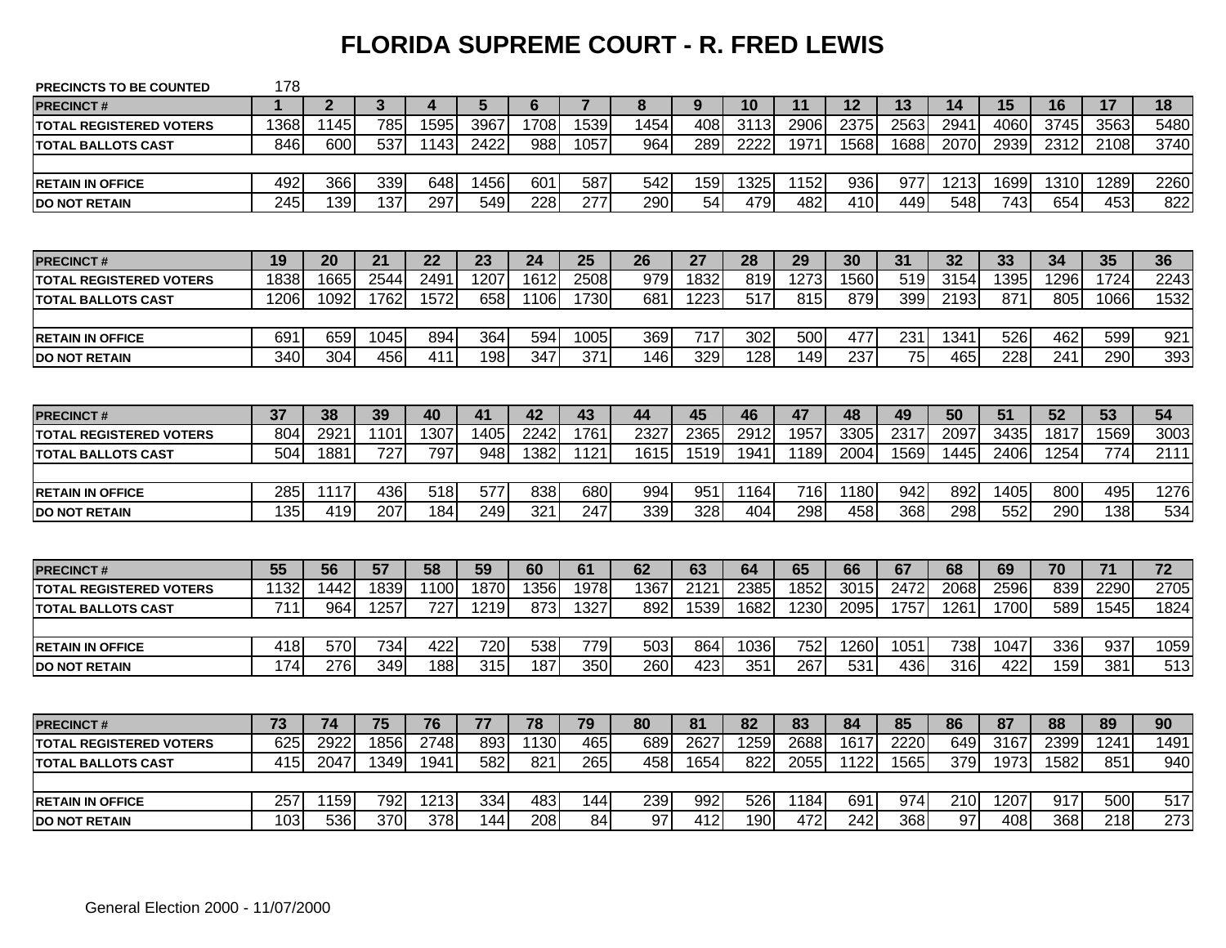### **FLORIDA SUPREME COURT - R. FRED LEWIS**

| <b>PRECINCTS TO BE COUNTED</b> | 178              |                |      |          |      |      |                  |      |      |      |      |      |                 |      |      |                  |      |      |
|--------------------------------|------------------|----------------|------|----------|------|------|------------------|------|------|------|------|------|-----------------|------|------|------------------|------|------|
| <b>PRECINCT#</b>               | 1                | $\overline{2}$ | 3    | $\Delta$ | 5    | 6    | $\overline{7}$   | 8    | 9    | 10   | 11   | 12   | 13              | 14   | 15   | 16               | 17   | 18   |
| <b>TOTAL REGISTERED VOTERS</b> | 1368             | 1145           | 785  | 1595     | 3967 | 1708 | 1539             | 1454 | 408  | 3113 | 2906 | 2375 | 2563            | 2941 | 4060 | 3745             | 3563 | 5480 |
| <b>TOTAL BALLOTS CAST</b>      | 846              | 600            | 537  | 1143     | 2422 | 988  | 1057             | 964  | 289  | 2222 | 1971 | 1568 | 1688            | 2070 | 2939 | 2312             | 2108 | 3740 |
|                                |                  |                |      |          |      |      |                  |      |      |      |      |      |                 |      |      |                  |      |      |
| <b>RETAIN IN OFFICE</b>        | 492              | 366            | 339  | 648      | 1456 | 601  | 587              | 542  | 159  | 1325 | 1152 | 936  | 977             | 1213 | 1699 | 1310             | 1289 | 2260 |
| <b>DO NOT RETAIN</b>           | $\overline{245}$ | 139            | 137  | 297      | 549  | 228  | $\overline{277}$ | 290  | 54   | 479  | 482  | 410  | 449             | 548  | 743  | 654              | 453  | 822  |
|                                |                  |                |      |          |      |      |                  |      |      |      |      |      |                 |      |      |                  |      |      |
| <b>PRECINCT#</b>               | 19               | 20             | 21   | 22       | 23   | 24   | 25               | 26   | 27   | 28   | 29   | 30   | 31              | 32   | 33   | 34               | 35   | 36   |
| <b>TOTAL REGISTERED VOTERS</b> | 1838             | 1665           | 2544 | 249'     | 1207 | 1612 | 2508             | 979  | 1832 | 819  | 1273 | 1560 | 519             | 3154 | 1395 | 1296             | 1724 | 2243 |
| <b>TOTAL BALLOTS CAST</b>      | 1206             | 1092           | 1762 | 1572     | 658  | 1106 | 1730             | 681  | 1223 | 517  | 815  | 879  | 399             | 2193 | 871  | 805              | 1066 | 1532 |
|                                |                  |                |      |          |      |      |                  |      |      |      |      |      |                 |      |      |                  |      |      |
| <b>RETAIN IN OFFICE</b>        | 691              | 659            | 1045 | 894      | 364  | 594  | 1005             | 369  | 717  | 302  | 500  | 477  | 231             | 1341 | 526  | 462              | 599  | 921  |
| <b>DO NOT RETAIN</b>           | 340              | 304            | 456  | 411      | 198  | 347  | $\overline{371}$ | 146  | 329  | 128  | 149  | 237  | $\overline{75}$ | 465  | 228  | $\overline{241}$ | 290  | 393  |
|                                |                  |                |      |          |      |      |                  |      |      |      |      |      |                 |      |      |                  |      |      |
| <b>PRECINCT#</b>               | 37               | 38             | 39   | 40       | 41   | 42   | 43               | 44   | 45   | 46   | 47   | 48   | 49              | 50   | 51   | 52               | 53   | 54   |
| <b>TOTAL REGISTERED VOTERS</b> | 804              | 292'           | 1101 | 1307     | 1405 | 2242 | 1761             | 2327 | 2365 | 2912 | 1957 | 3305 | 2317            | 2097 | 3435 | 1817             | 1569 | 3003 |
| <b>TOTAL BALLOTS CAST</b>      | 504              | 1881           | 727  | 797      | 948  | 1382 | 1121             | 1615 | 1519 | 1941 | 1189 | 2004 | 1569            | 1445 | 2406 | 1254             | 774  | 2111 |
|                                |                  |                |      |          |      |      |                  |      |      |      |      |      |                 |      |      |                  |      |      |
| <b>RETAIN IN OFFICE</b>        | 285              | 1117           | 436  | 518      | 577  | 838  | 680              | 994  | 951  | 1164 | 716  | 1180 | 942             | 892  | 1405 | 800              | 495  | 1276 |
| <b>IDO NOT RETAIN</b>          | 135              | 419            | 207  | 184      | 249  | 321  | 247              | 339  | 328  | 404  | 298  | 458  | 368             | 298  | 552  | 290              | 138  | 534  |
|                                |                  |                |      |          |      |      |                  |      |      |      |      |      |                 |      |      |                  |      |      |
| <b>PRECINCT#</b>               | 55               | 56             | 57   | 58       | 59   | 60   | 61               | 62   | 63   | 64   | 65   | 66   | 67              | 68   | 69   | 70               | 71   | 72   |
| <b>TOTAL REGISTERED VOTERS</b> | 1132             | 1442           | 1839 | 1100     | 1870 | 1356 | 1978             | 1367 | 2121 | 2385 | 1852 | 3015 | 2472            | 2068 | 2596 | 839              | 2290 | 2705 |
| <b>ITOTAL BALLOTS CAST</b>     | 711              | 964            | 1257 | 727      | 1219 | 873  | 1327             | 892  | 1539 | 1682 | 1230 | 2095 | 1757            | 1261 | 1700 | 589              | 1545 | 1824 |
|                                |                  |                |      |          |      |      |                  |      |      |      |      |      |                 |      |      |                  |      |      |
| <b>RETAIN IN OFFICE</b>        | 418              | 570            | 734  | 422      | 720  | 538  | 779              | 503  | 864  | 1036 | 752  | 1260 | 1051            | 738  | 1047 | 336              | 937  | 1059 |
| <b>DO NOT RETAIN</b>           | 174              | 276            | 349  | 188      | 315  | 187  | 350              | 260  | 423  | 351  | 267  | 531  | 436             | 316  | 422  | 159              | 381  | 513  |
|                                |                  |                |      |          |      |      |                  |      |      |      |      |      |                 |      |      |                  |      |      |
| <b>PRECINCT#</b>               | 73               | 74             | 75   | 76       | 77   | 78   | 79               | 80   | 81   | 82   | 83   | 84   | 85              | 86   | 87   | 88               | 89   | 90   |
| <b>TOTAL REGISTERED VOTERS</b> | 625              | 2922           | 1856 | 2748     | 893  | 1130 | 465              | 689  | 2627 | 1259 | 2688 | 1617 | 2220            | 649  | 3167 | 2399             | 1241 | 1491 |
| <b>TOTAL BALLOTS CAST</b>      | 415              | 2047           | 1349 | 1941     | 582  | 821  | 265              | 458  | 1654 | 822  | 2055 | 1122 | 1565            | 379  | 1973 | 1582             | 851  | 940  |
|                                |                  |                |      |          |      |      |                  |      |      |      |      |      |                 |      |      |                  |      |      |
| <b>RETAIN IN OFFICE</b>        | 257              | 1159           | 792  | 1213     | 334  | 483  | 144              | 239  | 992  | 526  | 1184 | 691  | 974             | 210  | 1207 | 917              | 500  | 517  |
| <b>DO NOT RETAIN</b>           | 103              | 536            | 370  | 378      | 144  | 208  | 84               | 97   | 412  | 190  | 472  | 242  | 368             | 97   | 408  | 368              | 218  | 273  |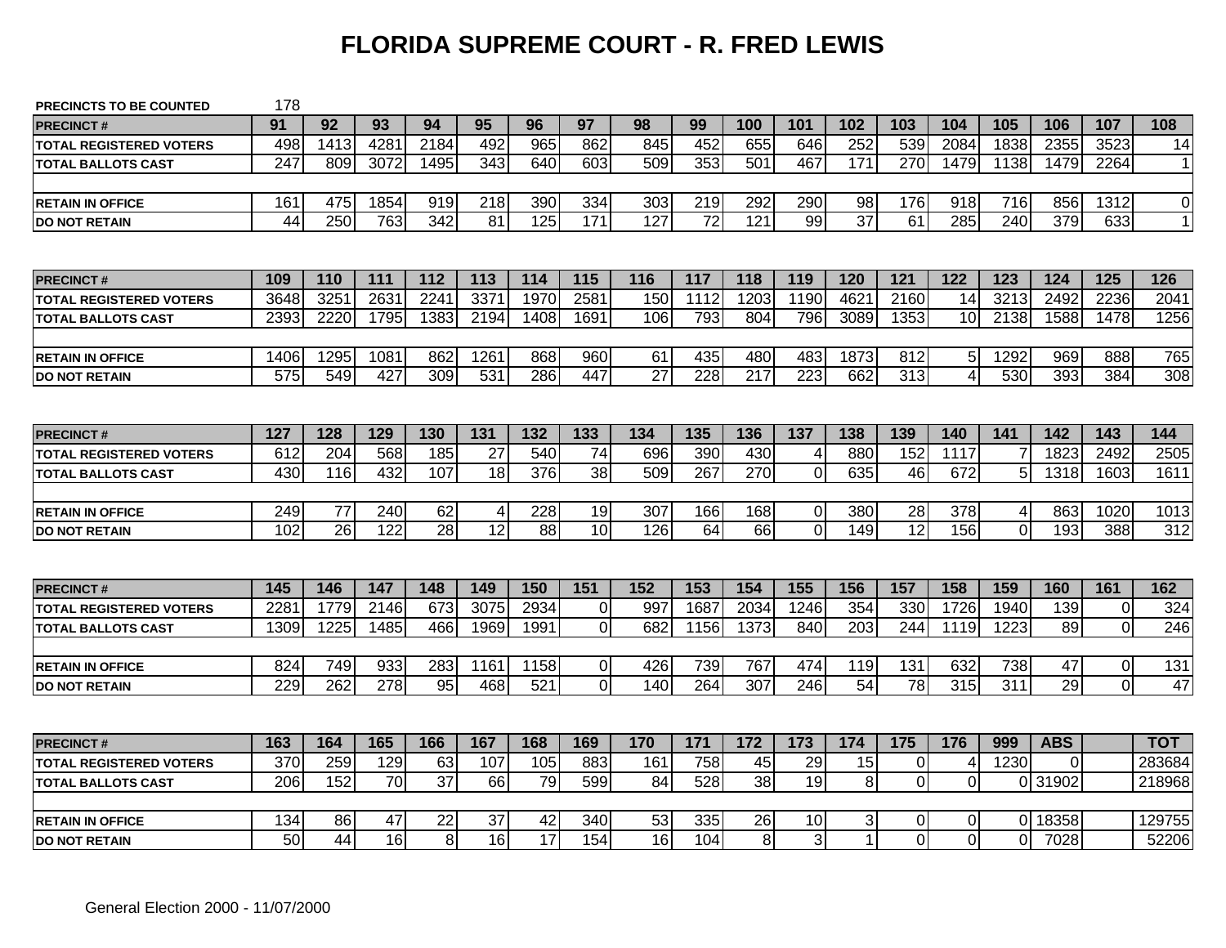### **FLORIDA SUPREME COURT - R. FRED LEWIS**

| <b>PRECINCTS TO BE COUNTED</b> | 178              |      |      |                  |                 |      |                  |                 |                 |                  |                |                 |                  |                |          |            |                |                |
|--------------------------------|------------------|------|------|------------------|-----------------|------|------------------|-----------------|-----------------|------------------|----------------|-----------------|------------------|----------------|----------|------------|----------------|----------------|
| <b>PRECINCT#</b>               | 91               | 92   | 93   | 94               | 95              | 96   | 97               | 98              | 99              | 100              | 101            | 102             | 103              | 104            | 105      | 106        | 107            | 108            |
| <b>TOTAL REGISTERED VOTERS</b> | 498              | 1413 | 4281 | 2184             | 492             | 965  | 862              | 845             | 452             | 655              | 646            | 252             | 539              | 2084           | 1838     | 2355       | 3523           | 14             |
| <b>TOTAL BALLOTS CAST</b>      | 247              | 809  | 3072 | 1495             | 343             | 640  | 603              | 509             | 353             | 501              | 467            | 171             | 270              | 1479           | 1138     | 1479       | 2264           | $\vert$ 1      |
|                                |                  |      |      |                  |                 |      |                  |                 |                 |                  |                |                 |                  |                |          |            |                |                |
| <b>RETAIN IN OFFICE</b>        | 161              | 475  | 1854 | 919              | 218             | 390  | 334              | 303             | 219             | 292              | 290            | 98              | 176              | 918            | 716      | 856        | 1312           | $\overline{0}$ |
| <b>DO NOT RETAIN</b>           | $\overline{44}$  | 250  | 763  | $\overline{342}$ | $\overline{81}$ | 125  | 171              | 127             | $\overline{72}$ | 121              | 99             | $\overline{37}$ | $\overline{61}$  | 285            | 240      | 379        | 633            | 11             |
|                                |                  |      |      |                  |                 |      |                  |                 |                 |                  |                |                 |                  |                |          |            |                |                |
| <b>PRECINCT#</b>               | 109              | 110  | 111  | 112              | 113             | 114  | 115              | 116             | 117             | 118              | 119            | 120             | 121              | 122            | 123      | 124        | 125            | 126            |
| <b>TOTAL REGISTERED VOTERS</b> | 3648             | 3251 | 2631 | 2241             | 3371            | 1970 | 2581             | 150             | 1112            | 1203             | 1190           | 4621            | 2160             | 14             | 3213     | 2492       | 2236           | 2041           |
| <b>TOTAL BALLOTS CAST</b>      | 2393             | 2220 | 1795 | 1383             | 2194            | 1408 | 1691             | 106             | 793             | 804              | 796            | 3089            | 1353             | 10             | 2138     | 1588       | 1478           | 1256           |
|                                |                  |      |      |                  |                 |      |                  |                 |                 |                  |                |                 |                  |                |          |            |                |                |
| <b>RETAIN IN OFFICE</b>        | 1406             | 1295 | 1081 | 862              | 1261            | 868  | 960              | 61              | 435             | 480              | 483            | 1873            | 812              | 5              | 1292     | 969        | 888            | 765            |
| <b>DO NOT RETAIN</b>           | $\overline{575}$ | 549  | 427  | 309              | 531             | 286  | 447              | $\overline{27}$ | 228             | $\overline{217}$ | 223            | 662             | $\overline{313}$ | 4              | 530      | 393        | 384            | 308            |
|                                |                  |      |      |                  |                 |      |                  |                 |                 |                  |                |                 |                  |                |          |            |                |                |
| <b>PRECINCT#</b>               | 127              | 128  | 129  | 130              | 131             | 132  | 133              | 134             | 135             | 136              | 137            | 138             | 139              | 140            | 141      | 142        | 143            | 144            |
| <b>TOTAL REGISTERED VOTERS</b> | 612              | 204  | 568  | 185              | 27              | 540  | 74               | 696             | 390             | 430              | $\overline{4}$ | 880             | 152              | 1117           |          | 1823       | 2492           | 2505           |
| <b>TOTAL BALLOTS CAST</b>      | 430              | 116  | 432  | 107              | 18              | 376  | 38               | 509             | 267             | 270              | $\mathbf 0$    | 635             | 46               | 672            | 5        | 1318       | 1603           | 1611           |
|                                |                  |      |      |                  |                 |      |                  |                 |                 |                  |                |                 |                  |                |          |            |                |                |
| <b>RETAIN IN OFFICE</b>        | 249              | 77   | 240  | 62               | 4               | 228  | 19               | 307             | 166             | 168              | $\mathbf 0$    | 380             | 28               | 378            | 4        | 863        | 1020           | 1013           |
| <b>DO NOT RETAIN</b>           | 102              | 26   | 122  | 28               | 12              | 88   | 10 <sup>1</sup>  | 126             | 64              | 66               | $\overline{0}$ | 149             | 12               | 156            | $\Omega$ | 193        | 388            | 312            |
|                                |                  |      |      |                  |                 |      |                  |                 |                 |                  |                |                 |                  |                |          |            |                |                |
| <b>PRECINCT#</b>               | 145              | 146  | 147  | 148              | 149             | 150  | $\overline{151}$ | 152             | 153             | 154              | 155            | 156             | 157              | 158            | 159      | 160        | 161            | 162            |
| <b>TOTAL REGISTERED VOTERS</b> | 228'             | 1779 | 2146 | 673              | 3075            | 2934 | $\overline{0}$   | 997             | 1687            | 2034             | 1246           | 354             | 330              | 1726           | 1940     | 139        | $\mathbf 0$    | 324            |
| <b>TOTAL BALLOTS CAST</b>      | 1309             | 1225 | 1485 | 466              | 1969            | 1991 | 0l               | 682             | 1156            | 1373             | 840            | 203             | 244              | 1119           | 1223     | 89         | $\overline{0}$ | 246            |
|                                |                  |      |      |                  |                 |      |                  |                 |                 |                  |                |                 |                  |                |          |            |                |                |
| <b>RETAIN IN OFFICE</b>        | 824              | 749  | 933  | 283              | 1161            | 1158 | 0                | 426             | 739             | 767              | 474            | 119             | 131              | 632            | 738      | 47         | $\mathbf 0$    | 131            |
| <b>DO NOT RETAIN</b>           | 229              | 262  | 278  | 95               | 468             | 521  | $\overline{0}$   | 140             | 264             | 307              | 246            | 54              | 78               | 315            | 311      | 29         | $\mathbf{0}$   | 47             |
|                                |                  |      |      |                  |                 |      |                  |                 |                 |                  |                |                 |                  |                |          |            |                |                |
| <b>PRECINCT#</b>               | 163              | 164  | 165  | 166              | 167             | 168  | 169              | 170             | 171             | 172              | 173            | 174             | 175              | 176            | 999      | <b>ABS</b> |                | тот            |
| <b>TOTAL REGISTERED VOTERS</b> | 370              | 259  | 129  | 63               | 107             | 105  | 883              | 161             | 758             | 45               | 29             | 15              | $\overline{0}$   | 4              | 1230     | $\Omega$   |                | 283684         |
| <b>TOTAL BALLOTS CAST</b>      | 206              | 152  | 70   | 37               | 66              | 79   | 599              | 84              | 528             | 38               | 19             | 8               | $\overline{0}$   | $\pmb{0}$      |          | 0 31902    |                | 218968         |
|                                |                  |      |      |                  |                 |      |                  |                 |                 |                  |                |                 |                  |                |          |            |                |                |
| <b>RETAIN IN OFFICE</b>        | 134              | 86   | 47   | 22               | 37              | 42   | 340              | 53              | 335             | 26               | 10             | 3               | 0                | 0              | ΩI       | 18358      |                | 129755         |
| <b>DO NOT RETAIN</b>           | 50               | 44   | 16   | 8                | 16              | 17   | 154              | 16              | 104             | 8 <sup>1</sup>   | 3              |                 | $\Omega$         | $\overline{0}$ | $\Omega$ | 7028       |                | 52206          |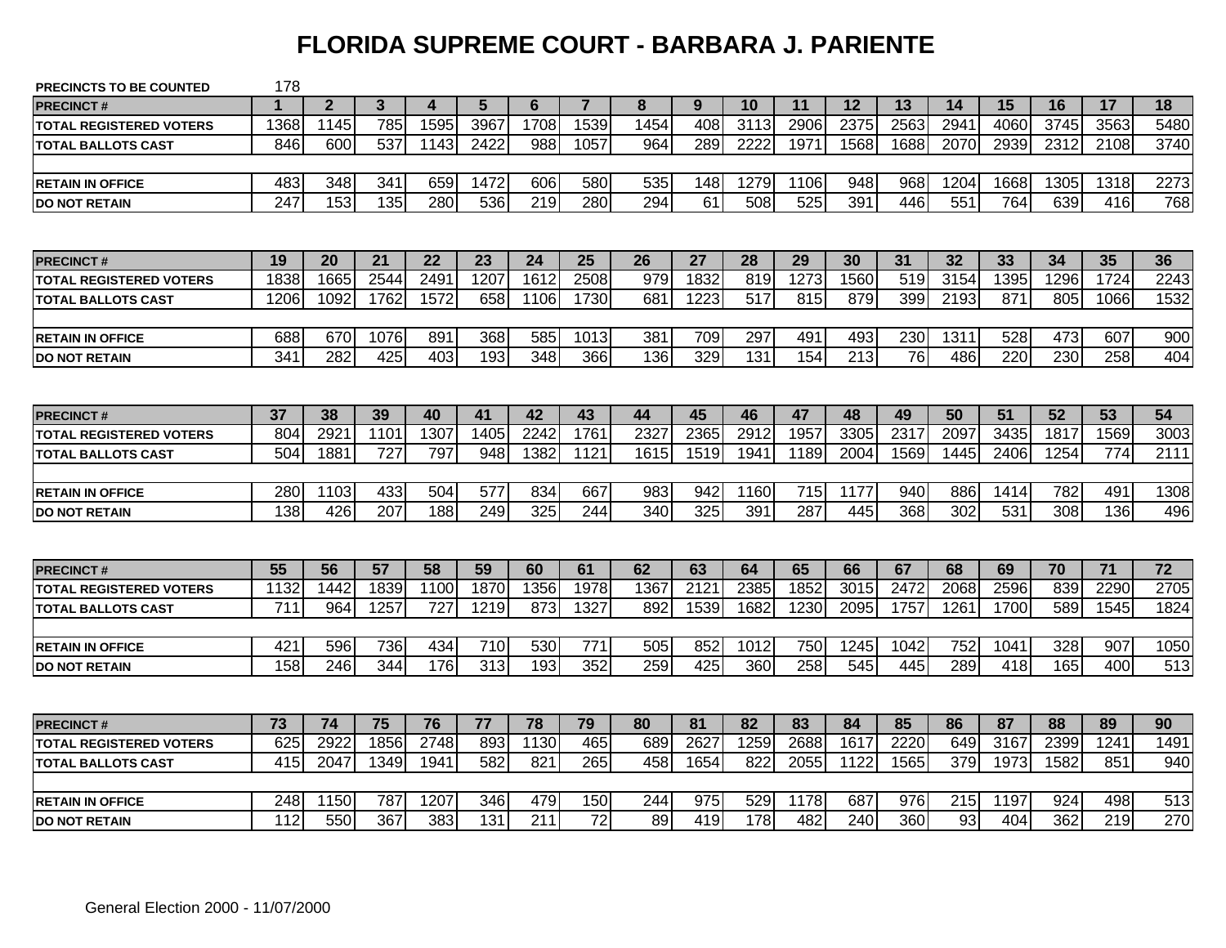#### **FLORIDA SUPREME COURT - BARBARA J. PARIENTE**

| <b>PRECINCTS TO BE COUNTED</b> | 178              |                |              |      |                 |                |                 |      |                 |      |      |      |                 |      |      |      |      |      |
|--------------------------------|------------------|----------------|--------------|------|-----------------|----------------|-----------------|------|-----------------|------|------|------|-----------------|------|------|------|------|------|
| <b>PRECINCT#</b>               |                  | $\overline{2}$ | $\mathbf{3}$ | 4    | $5\phantom{.0}$ | $6\phantom{1}$ | $\overline{7}$  | 8    | 9               | 10   | 11   | 12   | 13              | 14   | 15   | 16   | 17   | 18   |
| <b>TOTAL REGISTERED VOTERS</b> | 1368             | 1145           | 785          | 1595 | 3967            | 1708           | 1539            | 1454 | 408             | 3113 | 2906 | 2375 | 2563            | 2941 | 4060 | 3745 | 3563 | 5480 |
| <b>TOTAL BALLOTS CAST</b>      | 846              | 600            | 537          | 1143 | 2422            | 988            | 1057            | 964  | 289             | 2222 | 1971 | 1568 | 1688            | 2070 | 2939 | 2312 | 2108 | 3740 |
|                                |                  |                |              |      |                 |                |                 |      |                 |      |      |      |                 |      |      |      |      |      |
| <b>RETAIN IN OFFICE</b>        | 483              | 348            | 341          | 659  | 1472            | 606            | 580             | 535  | 148             | 1279 | 1106 | 948  | 968             | 1204 | 1668 | 1305 | 1318 | 2273 |
| <b>DO NOT RETAIN</b>           | $\overline{247}$ | 153            | 135          | 280  | 536             | 219            | 280             | 294  | $\overline{61}$ | 508  | 525  | 391  | 446             | 551  | 764  | 639  | 416  | 768  |
|                                |                  |                |              |      |                 |                |                 |      |                 |      |      |      |                 |      |      |      |      |      |
| <b>PRECINCT#</b>               | 19               | 20             | 21           | 22   | 23              | 24             | 25              | 26   | 27              | 28   | 29   | 30   | 31              | 32   | 33   | 34   | 35   | 36   |
| <b>TOTAL REGISTERED VOTERS</b> | 1838             | 1665           | 2544         | 2491 | 1207            | 1612           | 2508            | 979  | 1832            | 819  | 1273 | 1560 | 519             | 3154 | 1395 | 1296 | 1724 | 2243 |
| <b>TOTAL BALLOTS CAST</b>      | 1206             | 1092           | 1762         | 1572 | 658             | 1106           | 1730            | 681  | 1223            | 517  | 815  | 879  | 399             | 2193 | 871  | 805  | 1066 | 1532 |
|                                |                  |                |              |      |                 |                |                 |      |                 |      |      |      |                 |      |      |      |      |      |
| <b>RETAIN IN OFFICE</b>        | 688              | 670            | 1076         | 891  | 368             | 585            | 1013            | 381  | 709             | 297  | 491  | 493  | 230             | 1311 | 528  | 473  | 607  | 900  |
| <b>DO NOT RETAIN</b>           | 341              | 282            | 425          | 403  | 193             | 348            | 366             | 136  | 329             | 131  | 154  | 213  | $\overline{76}$ | 486  | 220  | 230  | 258  | 404  |
|                                |                  |                |              |      |                 |                |                 |      |                 |      |      |      |                 |      |      |      |      |      |
| <b>PRECINCT#</b>               | 37               | 38             | 39           | 40   | 41              | 42             | 43              | 44   | 45              | 46   | 47   | 48   | 49              | 50   | 51   | 52   | 53   | 54   |
| <b>TOTAL REGISTERED VOTERS</b> | 804              | 2921           | 1101         | 1307 | 1405            | 2242           | 1761            | 2327 | 2365            | 2912 | 1957 | 3305 | 2317            | 2097 | 3435 | 1817 | 1569 | 3003 |
| <b>TOTAL BALLOTS CAST</b>      | 504              | 1881           | 727          | 797  | 948             | 1382           | 1121            | 1615 | 1519            | 1941 | 1189 | 2004 | 1569            | 1445 | 2406 | 1254 | 774  | 2111 |
|                                |                  |                |              |      |                 |                |                 |      |                 |      |      |      |                 |      |      |      |      |      |
| <b>RETAIN IN OFFICE</b>        | 280              | 1103           | 433          | 504  | 577             | 834            | 667             | 983  | 942             | 1160 | 715  | 1177 | 940             | 886  | 1414 | 782  | 491  | 1308 |
| <b>IDO NOT RETAIN</b>          | 138              | 426            | 207          | 188  | 249             | 325            | 244             | 340  | 325             | 391  | 287  | 445  | 368             | 302  | 531  | 308  | 136  | 496  |
|                                |                  |                |              |      |                 |                |                 |      |                 |      |      |      |                 |      |      |      |      |      |
| <b>PRECINCT#</b>               | 55               | 56             | 57           | 58   | 59              | 60             | 61              | 62   | 63              | 64   | 65   | 66   | 67              | 68   | 69   | 70   | 71   | 72   |
| <b>TOTAL REGISTERED VOTERS</b> | 1132             | 1442           | 1839         | 1100 | 1870            | 1356           | 1978            | 1367 | 2121            | 2385 | 1852 | 3015 | 2472            | 2068 | 2596 | 839  | 2290 | 2705 |
| <b>TOTAL BALLOTS CAST</b>      | 711              | 964            | 1257         | 727  | 1219            | 873            | 1327            | 892  | 1539            | 1682 | 1230 | 2095 | 1757            | 1261 | 1700 | 589  | 1545 | 1824 |
|                                |                  |                |              |      |                 |                |                 |      |                 |      |      |      |                 |      |      |      |      |      |
| <b>RETAIN IN OFFICE</b>        | 421              | 596            | 736          | 434  | 710             | 530            | 771             | 505  | 852             | 1012 | 750  | 1245 | 1042            | 752  | 1041 | 328  | 907  | 1050 |
| <b>DO NOT RETAIN</b>           | 158              | 246            | 344          | 176  | 313             | 193            | 352             | 259  | 425             | 360  | 258  | 545  | 445             | 289  | 418  | 165  | 400  | 513  |
|                                |                  |                |              |      |                 |                |                 |      |                 |      |      |      |                 |      |      |      |      |      |
| <b>PRECINCT#</b>               | 73               | 74             | 75           | 76   | 77              | 78             | 79              | 80   | 81              | 82   | 83   | 84   | 85              | 86   | 87   | 88   | 89   | 90   |
| <b>TOTAL REGISTERED VOTERS</b> | 625              | 2922           | 1856         | 2748 | 893             | 1130           | 465             | 689  | 2627            | 1259 | 2688 | 1617 | 2220            | 649  | 3167 | 2399 | 1241 | 1491 |
| <b>TOTAL BALLOTS CAST</b>      | 415              | 2047           | 1349         | 1941 | 582             | 821            | 265             | 458  | 1654            | 822  | 2055 | 1122 | 1565            | 379  | 1973 | 1582 | 851  | 940  |
|                                |                  |                |              |      |                 |                |                 |      |                 |      |      |      |                 |      |      |      |      |      |
| <b>RETAIN IN OFFICE</b>        | 248              | 1150           | 787          | 1207 | 346             | 479            | 150             | 244  | 975             | 529  | 1178 | 687  | 976             | 215  | 1197 | 924  | 498  | 513  |
| <b>IDO NOT RETAIN</b>          | 112              | 550            | 367          | 383  | 131             | 211            | $\overline{72}$ | 89   | 419             | 178  | 482  | 240  | 360             | 93   | 404  | 362  | 219  | 270  |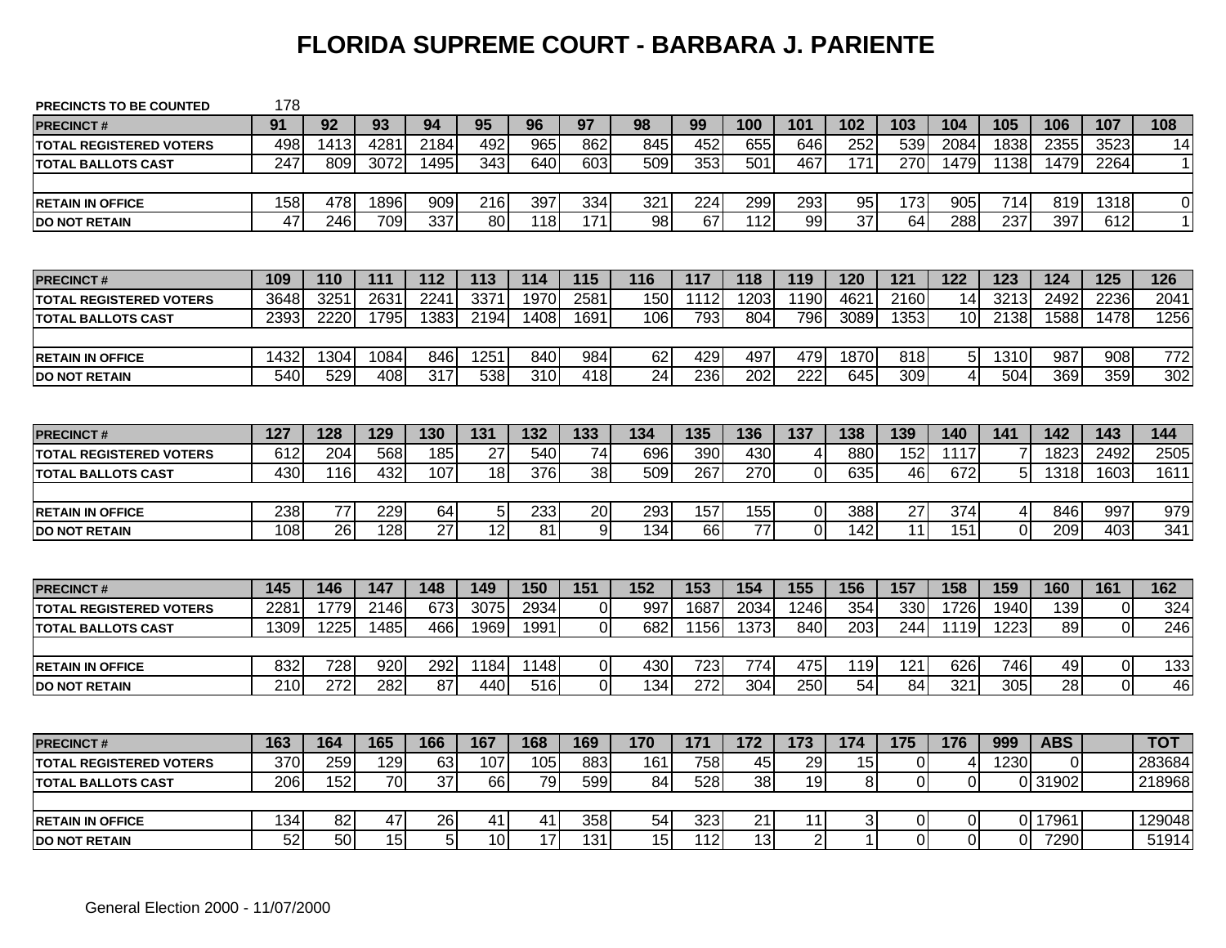### **FLORIDA SUPREME COURT - BARBARA J. PARIENTE**

| <b>PRECINCTS TO BE COUNTED</b> | 178             |          |                       |                      |                       |                       |                 |                 |                         |                       |                      |                 |                |                     |          |                  |                |                 |
|--------------------------------|-----------------|----------|-----------------------|----------------------|-----------------------|-----------------------|-----------------|-----------------|-------------------------|-----------------------|----------------------|-----------------|----------------|---------------------|----------|------------------|----------------|-----------------|
| <b>PRECINCT#</b>               | 91              | 92       | 93                    | 94                   | 95                    | 96                    | 97              | 98              | 99                      | 100                   | 101                  | 102             | 103            | 104                 | 105      | 106              | 107            | 108             |
| <b>TOTAL REGISTERED VOTERS</b> | 498             | 1413     | 4281                  | 2184                 | 492                   | 965                   | 862             | 845             | 452                     | 655                   | 646                  | 252             | 539            | 2084                | 1838     | 2355             | 3523           | 14              |
| <b>TOTAL BALLOTS CAST</b>      | 247             | 809      | 3072                  | 1495                 | 343                   | 640                   | 603             | 509             | 353                     | 501                   | 467                  | 171             | 270            | 1479                | 1138     | 1479             | 2264           | 11              |
|                                |                 |          |                       |                      |                       |                       |                 |                 |                         |                       |                      |                 |                |                     |          |                  |                |                 |
| <b>RETAIN IN OFFICE</b>        | 158             | 478      | 1896                  | 909                  | 216                   | 397                   | 334             | 321             | 224                     | 299                   | 293                  | 95              | 173            | 905                 | 714      | 819              | 1318           | $\overline{0}$  |
| <b>DO NOT RETAIN</b>           | $\overline{47}$ | 246      | 709                   | 337                  | 80                    | 118                   | 171             | 98              | 67                      | 112                   | 99                   | $\overline{37}$ | 64             | 288                 | 237      | 397              | 612            | 11              |
|                                |                 |          |                       |                      |                       |                       |                 |                 |                         |                       |                      |                 |                |                     |          |                  |                |                 |
| <b>PRECINCT#</b>               | 109             | 110      | 111                   | 112                  | 113                   | 114                   | 115             | 116             | 117                     | 118                   | 119                  | 120             | 121            | 122                 | 123      | $\overline{124}$ | 125            | 126             |
| <b>TOTAL REGISTERED VOTERS</b> | 3648            | 3251     | 2631                  | 2241                 | 3371                  | 1970                  | 2581            | 150             | 1112                    | 1203                  | 1190                 | 4621            | 2160           | 14                  | 3213     | 2492             | 2236           | 2041            |
| <b>TOTAL BALLOTS CAST</b>      | 2393            | 2220     | 1795                  | 1383                 | 2194                  | 1408                  | 1691            | 106             | 793                     | 804                   | 796                  | 3089            | 1353           | 10                  | 2138     | 1588             | 1478           | 1256            |
|                                |                 |          |                       |                      |                       |                       |                 |                 |                         |                       |                      |                 |                |                     |          |                  |                |                 |
| <b>RETAIN IN OFFICE</b>        | 1432            | 1304     | 1084                  | 846                  | 1251                  | 840                   | 984             | 62              | 429                     | 497                   | 479                  | 1870            | 818            | 5                   | 1310     | 987              | 908            | 772             |
| <b>DO NOT RETAIN</b>           | 540             | 529      | 408                   | $\overline{317}$     | 538                   | 310                   | 418             | $\overline{24}$ | 236                     | 202                   | 222                  | 645             | 309            | $\overline{4}$      | 504      | 369              | 359            | 302             |
|                                |                 |          |                       |                      |                       |                       |                 |                 |                         |                       |                      |                 |                |                     |          |                  |                |                 |
| <b>PRECINCT#</b>               | 127             | 128      | 129                   | 130                  | 131                   | 132                   | 133             | 134             | 135                     | 136                   | 137                  | 138             | 139            | 140                 | 141      | 142              | 143            | 144             |
| <b>TOTAL REGISTERED VOTERS</b> | 612             | 204      | 568                   | 185                  | 27                    | 540                   | 74              | 696             | 390                     | 430                   | 4                    | 880             | 152            | 1117                |          | 1823             | 2492           | 2505            |
| <b>TOTAL BALLOTS CAST</b>      | 430             | 116      | 432                   | 107                  | 18                    | 376                   | 38              | 509             | 267                     | 270                   | $\overline{0}$       | 635             | 46             | 672                 | 5        | 1318             | 1603           | 1611            |
|                                |                 |          |                       |                      |                       |                       |                 |                 |                         |                       |                      |                 |                |                     |          |                  |                |                 |
| <b>RETAIN IN OFFICE</b>        | 238             | 77       | 229                   | 64                   | $\overline{5}$        | 233                   | $\overline{20}$ | 293             | 157                     | 155                   | $\pmb{0}$            | 388             | 27             | 374                 | 4        | 846              | 997            | 979             |
| <b>DO NOT RETAIN</b>           | 108             | 26       | 128                   | 27                   | $\overline{12}$       | 81                    | 9               | 134             | 66                      | 77                    | $\overline{0}$       | 142             | 11             | 151                 | $\Omega$ | 209              | 403            | 341             |
|                                |                 |          |                       |                      |                       |                       |                 |                 |                         |                       |                      |                 |                |                     |          |                  |                |                 |
| <b>PRECINCT#</b>               | 145             | 146      | 147                   | 148                  | 149                   | 150                   | 151             | 152             | 153                     | 154                   | 155                  | 156             | 157            | 158                 | 159      | 160              | 161            | 162             |
| <b>TOTAL REGISTERED VOTERS</b> | 228             | 1779     | 2146                  | 673                  | 3075                  | 2934                  | $\Omega$        | 997             | 1687                    | 2034                  | 1246                 | 354             | 330            | 1726                | 1940     | 139              | $\pmb{0}$      | 324             |
| <b>TOTAL BALLOTS CAST</b>      | 1309            | 1225     | 1485                  | 466                  | 1969                  | 1991                  | $\Omega$        | 682             | 1156                    | 1373                  | 840                  | 203             | 244            | 1119                | 1223     | 89               | $\mathbf 0$    | 246             |
|                                |                 |          |                       |                      |                       |                       |                 |                 |                         |                       |                      |                 |                |                     |          |                  |                |                 |
| <b>RETAIN IN OFFICE</b>        | 832             | 728      | 920                   | 292                  | 1184                  | 1148                  | $\overline{0}$  | 430             | 723                     | 774                   | 475                  | 119             | 121            | 626                 | 746      | 49               | $\mathbf 0$    | 133             |
| <b>DO NOT RETAIN</b>           | 210             | 272      | 282                   | 87                   | 440                   | 516                   | $\Omega$        | 134             | 272                     | 304                   | 250                  | 54              | 84             | 321                 | 305      | 28               | $\overline{0}$ | 46              |
|                                |                 |          |                       |                      |                       |                       |                 |                 |                         |                       |                      |                 |                |                     |          |                  |                |                 |
| <b>PRECINCT#</b>               | 163             | 164      | 165                   | 166                  | 167                   | 168                   | 169             | 170             | 171                     | 172                   | 173                  | 174             | 175            | 176                 | 999      | <b>ABS</b>       |                | тот             |
|                                |                 |          |                       |                      |                       |                       |                 |                 |                         |                       |                      | 15              | $\overline{0}$ |                     |          |                  |                | 283684          |
| <b>TOTAL REGISTERED VOTERS</b> | 370             | 259      | 129                   | 63                   | 107                   | 105                   | 883             | 161             | 758                     | 45                    | 29                   |                 |                | 4                   | 1230     | $\Omega$         |                |                 |
| <b>TOTAL BALLOTS CAST</b>      | 206             | 152      | 70                    | $\overline{37}$      | 66                    | 79                    | 599             | 84              | 528                     | 38                    | 19                   | 8 <sup>1</sup>  | $\overline{0}$ | $\mathbf 0$         |          | 0 31902          |                | 218968          |
|                                |                 |          |                       |                      |                       |                       |                 |                 |                         |                       |                      |                 |                |                     |          |                  |                |                 |
| <b>RETAIN IN OFFICE</b>        | 134<br>52       | 82<br>50 | 47<br>$\overline{15}$ | 26<br>$\overline{5}$ | 41<br>$\overline{10}$ | 41<br>$\overline{17}$ | 358<br>131      | 54<br>15        | 323<br>$\overline{112}$ | 21<br>$\overline{13}$ | 11<br>$\overline{2}$ | 3 <sup>1</sup>  | ΟI<br>$\Omega$ | 0<br>$\overline{0}$ |          | 0 17961<br>7290  |                | 129048<br>51914 |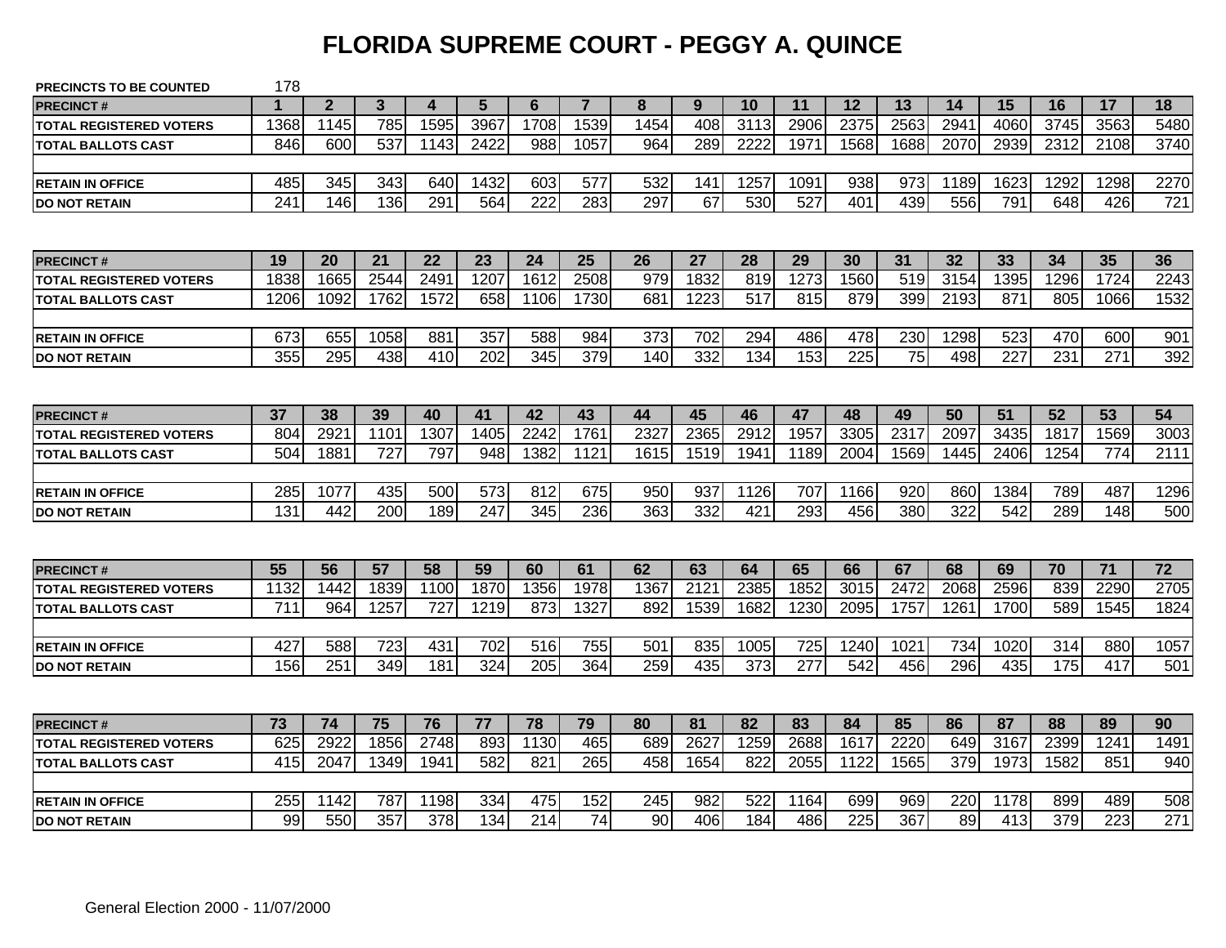#### **FLORIDA SUPREME COURT - PEGGY A. QUINCE**

| <b>PRECINCTS TO BE COUNTED</b> | 178              |                |                |                  |                  |                  |                |      |      |                 |      |      |      |      |      |                  |                  |                  |
|--------------------------------|------------------|----------------|----------------|------------------|------------------|------------------|----------------|------|------|-----------------|------|------|------|------|------|------------------|------------------|------------------|
| <b>PRECINCT#</b>               |                  | $\overline{2}$ | $\overline{3}$ | 4                | 5                | 6                | $\overline{7}$ | 8    | 9    | 10              | 11   | 12   | 13   | 14   | 15   | 16               | 17               | 18               |
| <b>TOTAL REGISTERED VOTERS</b> | 1368             | 1145           | 785            | 1595             | 3967             | 1708             | 1539           | 1454 | 408  | 3113            | 2906 | 2375 | 2563 | 2941 | 4060 | 3745             | 3563             | 5480             |
| <b>TOTAL BALLOTS CAST</b>      | 846              | 600            | 537            | 1143             | 2422             | 988              | 1057           | 964  | 289  | 2222            | 1971 | 1568 | 1688 | 2070 | 2939 | 2312             | 2108             | 3740             |
|                                |                  |                |                |                  |                  |                  |                |      |      |                 |      |      |      |      |      |                  |                  |                  |
| <b>RETAIN IN OFFICE</b>        | 485              | 345            | 343            | 640              | 1432             | 603              | 577            | 532  | 141  | 1257            | 1091 | 938  | 973  | 1189 | 1623 | 1292             | 1298             | 2270             |
| <b>DO NOT RETAIN</b>           | 241              | 146            | 136            | 291              | 564              | $\overline{222}$ | 283            | 297  | 67   | 530             | 527  | 401  | 439  | 556  | 791  | 648              | 426              | 721              |
|                                |                  |                |                |                  |                  |                  |                |      |      |                 |      |      |      |      |      |                  |                  |                  |
| <b>PRECINCT#</b>               | 19               | 20             | 21             | 22               | 23               | 24               | 25             | 26   | 27   | 28              | 29   | 30   | 31   | 32   | 33   | 34               | 35               | 36               |
| <b>TOTAL REGISTERED VOTERS</b> | 1838             | 1665           | 2544           | 249              | 1207             | 1612             | 2508           | 979  | 1832 | 819             | 1273 | 1560 | 519  | 3154 | 1395 | 1296             | 1724             | 2243             |
| <b>TOTAL BALLOTS CAST</b>      | 1206             | 1092           | 1762           | 1572             | 658              | 1106             | 1730           | 681  | 1223 | 517             | 815  | 879  | 399  | 2193 | 871  | 805              | 1066             | 1532             |
|                                |                  |                |                |                  |                  |                  |                |      |      |                 |      |      |      |      |      |                  |                  |                  |
| <b>RETAIN IN OFFICE</b>        | 673              | 655            | 1058           | 881              | 357              | 588              | 984            | 373  | 702  | 294             | 486  | 478  | 230  | 1298 | 523  | 470              | 600              | 901              |
| <b>DO NOT RETAIN</b>           | 355              | 295            | 438            | 410              | 202              | 345              | 379            | 140  | 332  | 134             | 153  | 225  | 75   | 498  | 227  | 231              | 271              | 392              |
|                                |                  |                |                |                  |                  |                  |                |      |      |                 |      |      |      |      |      |                  |                  |                  |
| <b>PRECINCT#</b>               | 37               | 38             | 39             | 40               | 41               | 42               | 43             | 44   | 45   | 46              | 47   | 48   | 49   | 50   | 51   | 52               | 53               | 54               |
| <b>TOTAL REGISTERED VOTERS</b> | 804              | 2921           | 1101           | 1307             | 1405             | 2242             | 1761           | 2327 | 2365 | 2912            | 1957 | 3305 | 2317 | 2097 | 3435 | 1817             | 1569             | 3003             |
| <b>TOTAL BALLOTS CAST</b>      | 504              | 1881           | 727            | 797              | 948              | 1382             | 1121           | 1615 | 1519 | 1941            | 1189 | 2004 | 1569 | 1445 | 2406 | 1254             | 774              | 2111             |
|                                |                  |                |                |                  |                  |                  |                |      |      |                 |      |      |      |      |      |                  |                  |                  |
| <b>RETAIN IN OFFICE</b>        | 285              | 1077           | 435            | $\overline{500}$ | 573              | 812              | 675            | 950  | 937  | 1126            | 707  | 1166 | 920  | 860  | 1384 | 789              | 487              | 1296             |
| <b>DO NOT RETAIN</b>           | 131              | 442            | 200            | 189              | $\overline{247}$ | 345              | 236            | 363  | 332  | 421             | 293  | 456  | 380  | 322  | 542  | 289              | 148              | 500              |
|                                |                  |                |                |                  |                  |                  |                |      |      |                 |      |      |      |      |      |                  |                  |                  |
| <b>PRECINCT#</b>               | 55               | 56             | 57             | 58               | 59               | 60               | 61             | 62   | 63   | 64              | 65   | 66   | 67   | 68   | 69   | 70               | 71               | 72               |
| <b>TOTAL REGISTERED VOTERS</b> | 1132             | 1442           | 1839           | 1100             | 1870             | 1356             | 1978           | 1367 | 2121 | 2385            | 1852 | 3015 | 2472 | 2068 | 2596 | 839              | 2290             | 2705             |
| <b>TOTAL BALLOTS CAST</b>      | $\overline{711}$ | 964            | 1257           | $\overline{727}$ | 1219             | 873              | 1327           | 892  | 1539 | 1682            | 1230 | 2095 | 1757 | 1261 | 1700 | 589              | 1545             | 1824             |
|                                |                  |                |                |                  |                  |                  |                |      |      |                 |      |      |      |      |      |                  |                  |                  |
| <b>RETAIN IN OFFICE</b>        | 427              | 588            | 723            | 431              | 702              | 516              | 755            | 501  | 835  | 1005            | 725  | 1240 | 1021 | 734  | 1020 | 314              | 880              | 1057             |
| <b>DO NOT RETAIN</b>           | 156              | 251            | 349            | 181              | 324              | 205              | 364            | 259  | 435  | $\frac{1}{373}$ | 277  | 542  | 456  | 296  | 435  | 175              | 417              | 501              |
|                                |                  |                |                |                  |                  |                  |                |      |      |                 |      |      |      |      |      |                  |                  |                  |
| <b>PRECINCT#</b>               | 73               | 74             | 75             | 76               | 77               | 78               | 79             | 80   | 81   | 82              | 83   | 84   | 85   | 86   | 87   | 88               | 89               | 90               |
| <b>TOTAL REGISTERED VOTERS</b> | 625              | 2922           | 1856           | 2748             | 893              | 1130             | 465            | 689  | 2627 | 1259            | 2688 | 1617 | 2220 | 649  | 3167 | 2399             | 1241             | 1491             |
| <b>TOTAL BALLOTS CAST</b>      | 415              | 2047           | 1349           | 1941             | 582              | 821              | 265            | 458  | 1654 | 822             | 2055 | 1122 | 1565 | 379  | 1973 | 1582             | 851              | 940              |
|                                |                  |                |                |                  |                  |                  |                |      |      |                 |      |      |      |      |      |                  |                  |                  |
| <b>RETAIN IN OFFICE</b>        | 255              | 1142           | 787            | 1198             | 334              | 475              | 152            | 245  | 982  | 522             | 1164 | 699  | 969  | 220  | 1178 | 899              | 489              | 508              |
| <b>DO NOT RETAIN</b>           | 99               | 550            | 357            | 378              | 134              | $\overline{214}$ | 74             | 90   | 406  | 184             | 486  | 225  | 367  | 89   | 413  | $\overline{379}$ | $\overline{223}$ | $\overline{271}$ |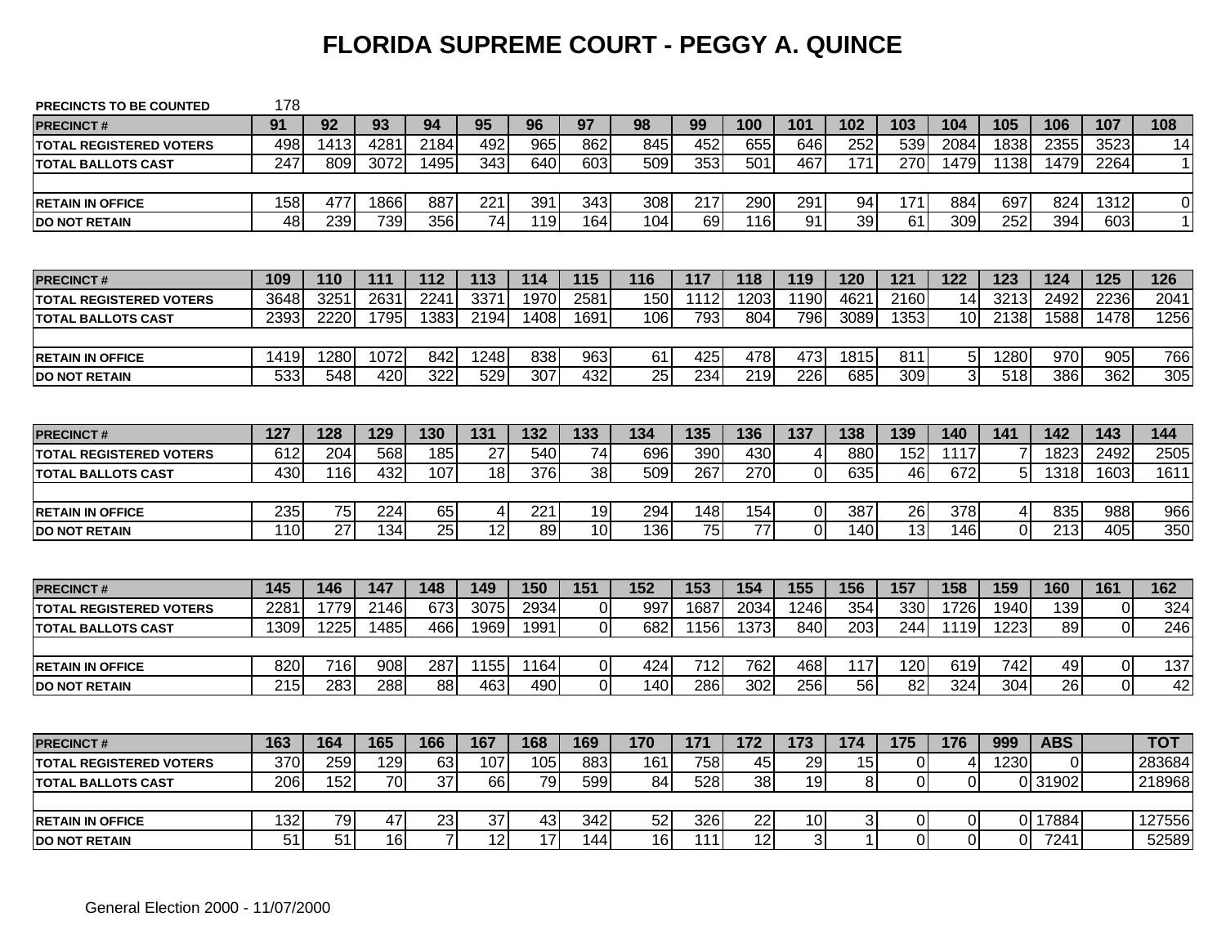### **FLORIDA SUPREME COURT - PEGGY A. QUINCE**

| <b>PRECINCTS TO BE COUNTED</b> | 178              |                  |      |                  |                 |      |                 |                 |      |                 |                |                |                |                |          |                  |                |           |
|--------------------------------|------------------|------------------|------|------------------|-----------------|------|-----------------|-----------------|------|-----------------|----------------|----------------|----------------|----------------|----------|------------------|----------------|-----------|
| <b>PRECINCT#</b>               | 91               | 92               | 93   | 94               | 95              | 96   | 97              | 98              | 99   | 100             | 101            | 102            | 103            | 104            | 105      | 106              | 107            | 108       |
| <b>TOTAL REGISTERED VOTERS</b> | 498              | 1413             | 428  | 2184             | 492             | 965  | 862             | 845             | 452  | 655             | 646            | 252            | 539            | 2084           | 1838     | 2355             | 3523           | 14        |
| <b>TOTAL BALLOTS CAST</b>      | $\overline{247}$ | 809              | 3072 | 1495             | 343             | 640  | 603             | 509             | 353  | 501             | 467            | 171            | 270            | 1479           | 1138     | 1479             | 2264           | $\vert$ 1 |
|                                |                  |                  |      |                  |                 |      |                 |                 |      |                 |                |                |                |                |          |                  |                |           |
| <b>RETAIN IN OFFICE</b>        | 158              | 477              | 1866 | 887              | 221             | 391  | 343             | 308             | 217  | 290             | 291            | 94             | 171            | 884            | 697      | 824              | 1312           | $\Omega$  |
| <b>DO NOT RETAIN</b>           | $\overline{48}$  | 239              | 739  | 356              | $\overline{74}$ | 119  | 164             | 104             | 69   | 116             | 91             | 39             | 61             | 309            | 252      | 394              | 603            | 1         |
|                                |                  |                  |      |                  |                 |      |                 |                 |      |                 |                |                |                |                |          |                  |                |           |
| <b>PRECINCT#</b>               | 109              | 110              | 111  | 112              | 113             | 114  | 115             | 116             | 117  | 118             | 119            | 120            | 121            | 122            | 123      | 124              | 125            | 126       |
| <b>TOTAL REGISTERED VOTERS</b> | 3648             | 325'             | 2631 | 2241             | 337'            | 1970 | 2581            | 150             | 1112 | 1203            | 1190           | 462            | 2160           | 14             | 3213     | 2492             | 2236           | 2041      |
| <b>TOTAL BALLOTS CAST</b>      | 2393             | 2220             | 1795 | 1383             | 2194            | 1408 | 1691            | 106             | 793  | 804             | 796            | 3089           | 1353           | 10             | 2138     | 1588             | 1478           | 1256      |
|                                |                  |                  |      |                  |                 |      |                 |                 |      |                 |                |                |                |                |          |                  |                |           |
| <b>RETAIN IN OFFICE</b>        | 1419             | 1280             | 1072 | 842              | 1248            | 838  | 963             | 61              | 425  | 478             | 473            | 1815           | 811            | 5              | 1280     | 970              | 905            | 766       |
| <b>DO NOT RETAIN</b>           | 533              | $\overline{548}$ | 420  | $\overline{322}$ | 529             | 307  | 432             | $\overline{25}$ | 234  | 219             | 226            | 685            | 309            | $\overline{3}$ | 518      | 386              | 362            | 305       |
|                                |                  |                  |      |                  |                 |      |                 |                 |      |                 |                |                |                |                |          |                  |                |           |
| <b>PRECINCT#</b>               | 127              | 128              | 129  | 130              | 131             | 132  | 133             | 134             | 135  | 136             | 137            | 138            | 139            | 140            | 141      | 142              | 143            | 144       |
| <b>TOTAL REGISTERED VOTERS</b> | 612              | 204              | 568  | 185              | 27              | 540  | 74              | 696             | 390  | 430             | 4              | 880            | 152            | 1117           |          | 1823             | 2492           | 2505      |
| <b>TOTAL BALLOTS CAST</b>      | 430              | 116              | 432  | 107              | 18              | 376  | 38              | 509             | 267  | 270             | $\overline{0}$ | 635            | 46             | 672            | 5        | 1318             | 1603           | 1611      |
|                                |                  |                  |      |                  |                 |      |                 |                 |      |                 |                |                |                |                |          |                  |                |           |
| <b>RETAIN IN OFFICE</b>        | 235              | 75               | 224  | 65               | 4               | 221  | 19              | 294             | 148  | 154             | $\pmb{0}$      | 387            | 26             | 378            | 4        | 835              | 988            | 966       |
| <b>DO NOT RETAIN</b>           | 110              | 27               | 134  | 25               | $\overline{12}$ | 89   | 10 <sup>1</sup> | 136             | 75   | $\overline{77}$ | $\overline{0}$ | 140            | 13             | 146            | $\Omega$ | $\overline{213}$ | 405            | 350       |
|                                |                  |                  |      |                  |                 |      |                 |                 |      |                 |                |                |                |                |          |                  |                |           |
| <b>PRECINCT#</b>               | 145              | 146              | 147  | 148              | 149             | 150  | 151             | 152             | 153  | 154             | 155            | 156            | 157            | 158            | 159      | 160              | 161            | 162       |
| <b>TOTAL REGISTERED VOTERS</b> | 228 <sup>2</sup> | 1779             | 2146 | 673              | 3075            | 2934 | $\overline{0}$  | 997             | 1687 | 2034            | 1246           | 354            | 330            | 1726           | 1940     | 139              | $\mathbf 0$    | 324       |
| <b>TOTAL BALLOTS CAST</b>      | 1309             | 1225             | 1485 | 466              | 1969            | 1991 | $\overline{0}$  | 682             | 1156 | 1373            | 840            | 203            | 244            | 1119           | 1223     | 89               | $\overline{0}$ | 246       |
|                                |                  |                  |      |                  |                 |      |                 |                 |      |                 |                |                |                |                |          |                  |                |           |
| <b>RETAIN IN OFFICE</b>        | 820              | 716              | 908  | 287              | 1155            | 1164 | $\overline{0}$  | 424             | 712  | 762             | 468            | 117            | 120            | 619            | 742      | 49               | $\mathbf 0$    | 137       |
| <b>DO NOT RETAIN</b>           | 215              | 283              | 288  | 88               | 463             | 490  | $\overline{0}$  | 140             | 286  | 302             | 256            | 56             | 82             | 324            | 304      | 26               | $\overline{0}$ | 42        |
|                                |                  |                  |      |                  |                 |      |                 |                 |      |                 |                |                |                |                |          |                  |                |           |
| <b>PRECINCT#</b>               | 163              | 164              | 165  | 166              | 167             | 168  | 169             | 170             | 171  | 172             | 173            | 174            | 175            | 176            | 999      | <b>ABS</b>       |                | тот       |
| <b>TOTAL REGISTERED VOTERS</b> | 370              | 259              | 129  | 63               | 107             | 105  | 883             | 161             | 758  | 45              | 29             | 15             | $\mathbf 0$    | 4              | 1230     | $\mathbf 0$      |                | 283684    |
| <b>TOTAL BALLOTS CAST</b>      | 206              | 152              | 70   | 37               | 66              | 79   | 599             | 84              | 528  | 38              | 19             | 8              | $\overline{0}$ | $\mathbf 0$    |          | 0 31902          |                | 218968    |
|                                |                  |                  |      |                  |                 |      |                 |                 |      |                 |                |                |                |                |          |                  |                |           |
| <b>RETAIN IN OFFICE</b>        | 132              | 79               | 47   | 23               | 37              | 43   | 342             | 52              | 326  | 22              | 10             | 3 <sup>1</sup> | $\overline{0}$ | 0              |          | 0 17884          |                | 127556    |
| <b>DO NOT RETAIN</b>           | 51               | 51               | 16   | $\overline{7}$   | 12              | 17   | 144             | 16              | 111  | 12              | 3              | 1              | $\Omega$       | 0              | 0        | 7241             |                | 52589     |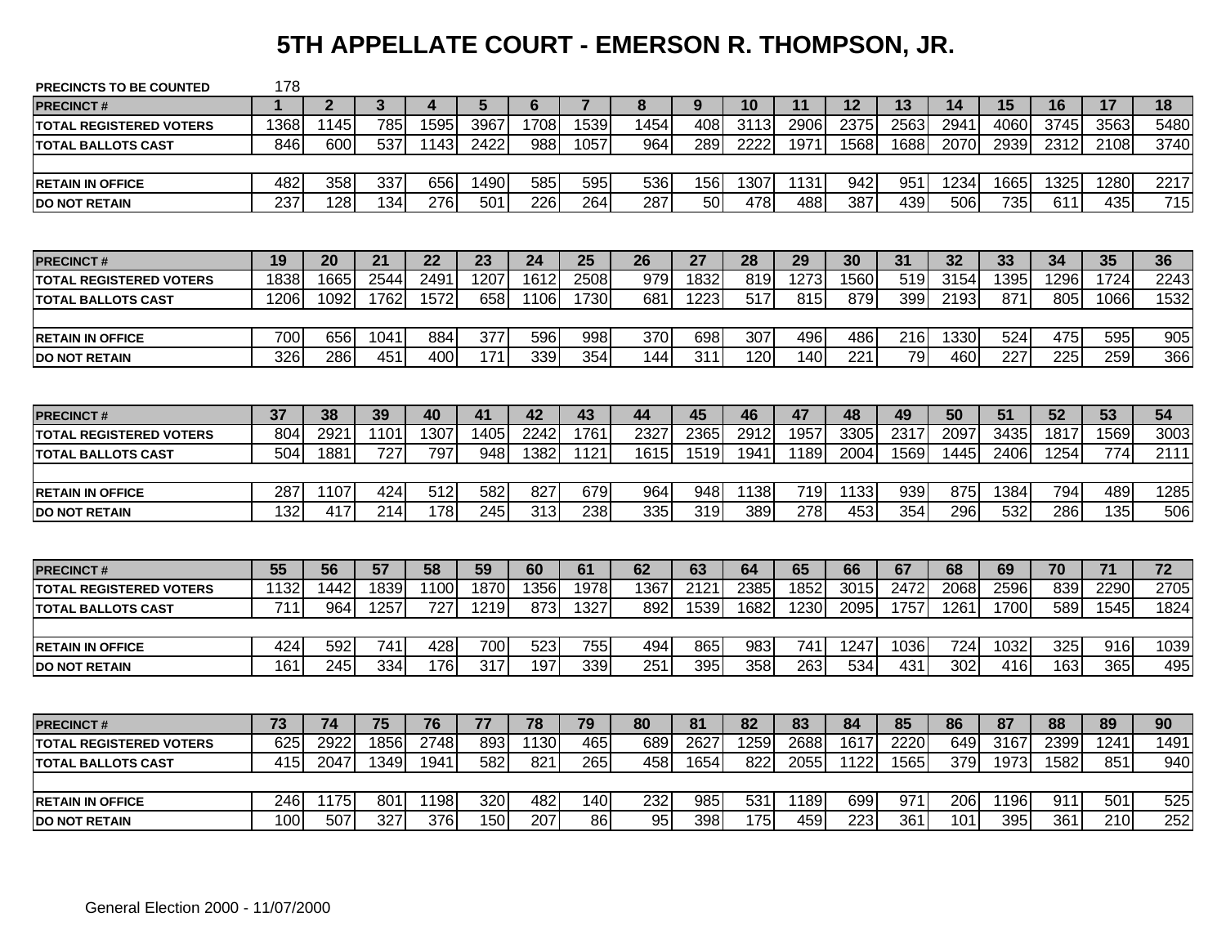# **5TH APPELLATE COURT - EMERSON R. THOMPSON, JR.**

| <b>PRECINCTS TO BE COUNTED</b> | 178  |                |      |                  |      |      |                |      |                 |      |      |                  |      |      |      |      |                 |                 |
|--------------------------------|------|----------------|------|------------------|------|------|----------------|------|-----------------|------|------|------------------|------|------|------|------|-----------------|-----------------|
| <b>PRECINCT#</b>               |      | $\overline{2}$ | 3    | 4                | 5    | 6    | $\overline{7}$ | 8    | 9               | 10   | 11   | 12               | 13   | 14   | 15   | 16   | 17              | 18              |
| <b>TOTAL REGISTERED VOTERS</b> | 1368 | 1145           | 785  | 1595             | 3967 | 1708 | 1539           | 1454 | 408             | 3113 | 2906 | 2375             | 2563 | 2941 | 4060 | 3745 | 3563            | 5480            |
| <b>TOTAL BALLOTS CAST</b>      | 846  | 600            | 537  | 1143             | 2422 | 988  | 1057           | 964  | 289             | 2222 | 1971 | 1568             | 1688 | 2070 | 2939 | 2312 | 2108            | 3740            |
|                                |      |                |      |                  |      |      |                |      |                 |      |      |                  |      |      |      |      |                 |                 |
| <b>RETAIN IN OFFICE</b>        | 482  | 358            | 337  | 656              | 1490 | 585  | 595            | 536  | 156             | 1307 | 1131 | 942              | 951  | 1234 | 1665 | 1325 | 1280            | 2217            |
| <b>DO NOT RETAIN</b>           | 237  | 128            | 134  | 276              | 501  | 226  | 264            | 287  | $\overline{50}$ | 478  | 488  | 387              | 439  | 506  | 735  | 611  | 435             | 715             |
|                                |      |                |      |                  |      |      |                |      |                 |      |      |                  |      |      |      |      |                 |                 |
| <b>PRECINCT#</b>               | 19   | 20             | 21   | 22               | 23   | 24   | 25             | 26   | 27              | 28   | 29   | 30               | 31   | 32   | 33   | 34   | 35              | 36              |
| <b>TOTAL REGISTERED VOTERS</b> | 1838 | 1665           | 2544 | 2491             | 1207 | 1612 | 2508           | 979  | 1832            | 819  | 1273 | 1560             | 519  | 3154 | 1395 | 1296 | 1724            | 2243            |
| <b>TOTAL BALLOTS CAST</b>      | 1206 | 1092           | 1762 | 1572             | 658  | 1106 | 1730           | 681  | 1223            | 517  | 815  | 879              | 399  | 2193 | 871  | 805  | 1066            | 1532            |
|                                |      |                |      |                  |      |      |                |      |                 |      |      |                  |      |      |      |      |                 |                 |
| <b>RETAIN IN OFFICE</b>        | 700  | 656            | 1041 | 884              | 377  | 596  | 998            | 370  | 698             | 307  | 496  | 486              | 216  | 1330 | 524  | 475  | 595             | 905             |
| <b>DO NOT RETAIN</b>           | 326  | 286            | 451  | 400              | 171  | 339  | 354            | 144  | 311             | 120  | 140  | 221              | 79   | 460  | 227  | 225  | 259             | 366             |
|                                |      |                |      |                  |      |      |                |      |                 |      |      |                  |      |      |      |      |                 |                 |
| <b>PRECINCT#</b>               | 37   | 38             | 39   | 40               | 41   | 42   | 43             | 44   | 45              | 46   | 47   | 48               | 49   | 50   | 51   | 52   | 53              | 54              |
| <b>TOTAL REGISTERED VOTERS</b> | 804  | 2921           | 1101 | 1307             | 1405 | 2242 | 1761           | 2327 | 2365            | 2912 | 1957 | 3305             | 2317 | 2097 | 3435 | 1817 | 1569            | 3003            |
| <b>TOTAL BALLOTS CAST</b>      | 504  | 1881           | 727  | 797              | 948  | 1382 | 1121           | 1615 | 1519            | 1941 | 1189 | 2004             | 1569 | 1445 | 2406 | 1254 | 774             | 2111            |
|                                |      |                |      |                  |      |      |                |      |                 |      |      |                  |      |      |      |      |                 |                 |
| <b>RETAIN IN OFFICE</b>        | 287  | 1107           | 424  | $\overline{512}$ | 582  | 827  | 679            | 964  | 948             | 1138 | 719  | 1133             | 939  | 875  | 1384 | 794  | 489             | 1285            |
| <b>DO NOT RETAIN</b>           | 132  | 417            | 214  | 178              | 245  | 313  | 238            | 335  | 319             | 389  | 278  | 453              | 354  | 296  | 532  | 286  | 135             | 506             |
|                                |      |                |      |                  |      |      |                |      |                 |      |      |                  |      |      |      |      |                 |                 |
| <b>PRECINCT#</b>               | 55   | 56             | 57   | 58               | 59   | 60   | 61             | 62   | 63              | 64   | 65   | 66               | 67   | 68   | 69   | 70   | $\overline{71}$ | $\overline{72}$ |
| <b>TOTAL REGISTERED VOTERS</b> | 1132 | 1442           | 1839 | 1100             | 1870 | 1356 | 1978           | 1367 | 2121            | 2385 | 1852 | 3015             | 2472 | 2068 | 2596 | 839  | 2290            | 2705            |
| <b>TOTAL BALLOTS CAST</b>      | 711  | 964            | 1257 | 727              | 1219 | 873  | 1327           | 892  | 1539            | 1682 | 1230 | 2095             | 1757 | 1261 | 1700 | 589  | 1545            | 1824            |
|                                |      |                |      |                  |      |      |                |      |                 |      |      |                  |      |      |      |      |                 |                 |
| <b>RETAIN IN OFFICE</b>        | 424  | 592            | 741  | 428              | 700  | 523  | 755            | 494  | 865             | 983  | 741  | 1247             | 1036 | 724  | 1032 | 325  | 916             | 1039            |
| <b>DO NOT RETAIN</b>           | 161  | 245            | 334  | 176              | 317  | 197  | 339            | 251  | 395             | 358  | 263  | 534              | 431  | 302  | 416  | 163  | 365             | 495             |
|                                |      |                |      |                  |      |      |                |      |                 |      |      |                  |      |      |      |      |                 |                 |
| <b>PRECINCT#</b>               | 73   | 74             | 75   | 76               | 77   | 78   | 79             | 80   | 81              | 82   | 83   | 84               | 85   | 86   | 87   | 88   | 89              | 90              |
| <b>TOTAL REGISTERED VOTERS</b> | 625  | 2922           | 1856 | 2748             | 893  | 1130 | 465            | 689  | 2627            | 1259 | 2688 | 1617             | 2220 | 649  | 3167 | 2399 | 1241            | 1491            |
| <b>TOTAL BALLOTS CAST</b>      | 415  | 2047           | 1349 | 1941             | 582  | 821  | 265            | 458  | 1654            | 822  | 2055 | 1122             | 1565 | 379  | 1973 | 1582 | 851             | 940             |
|                                |      |                |      |                  |      |      |                |      |                 |      |      |                  |      |      |      |      |                 |                 |
| <b>RETAIN IN OFFICE</b>        | 246  | 1175           | 801  | 1198             | 320  | 482  | 140            | 232  | 985             | 531  | 1189 | 699              | 971  | 206  | 1196 | 911  | 501             | 525             |
| <b>DO NOT RETAIN</b>           | 100  | 507            | 327  | 376              | 150  | 207  | 86             | 95   | 398             | 175  | 459  | $\overline{223}$ | 361  | 101  | 395  | 361  | 210             | 252             |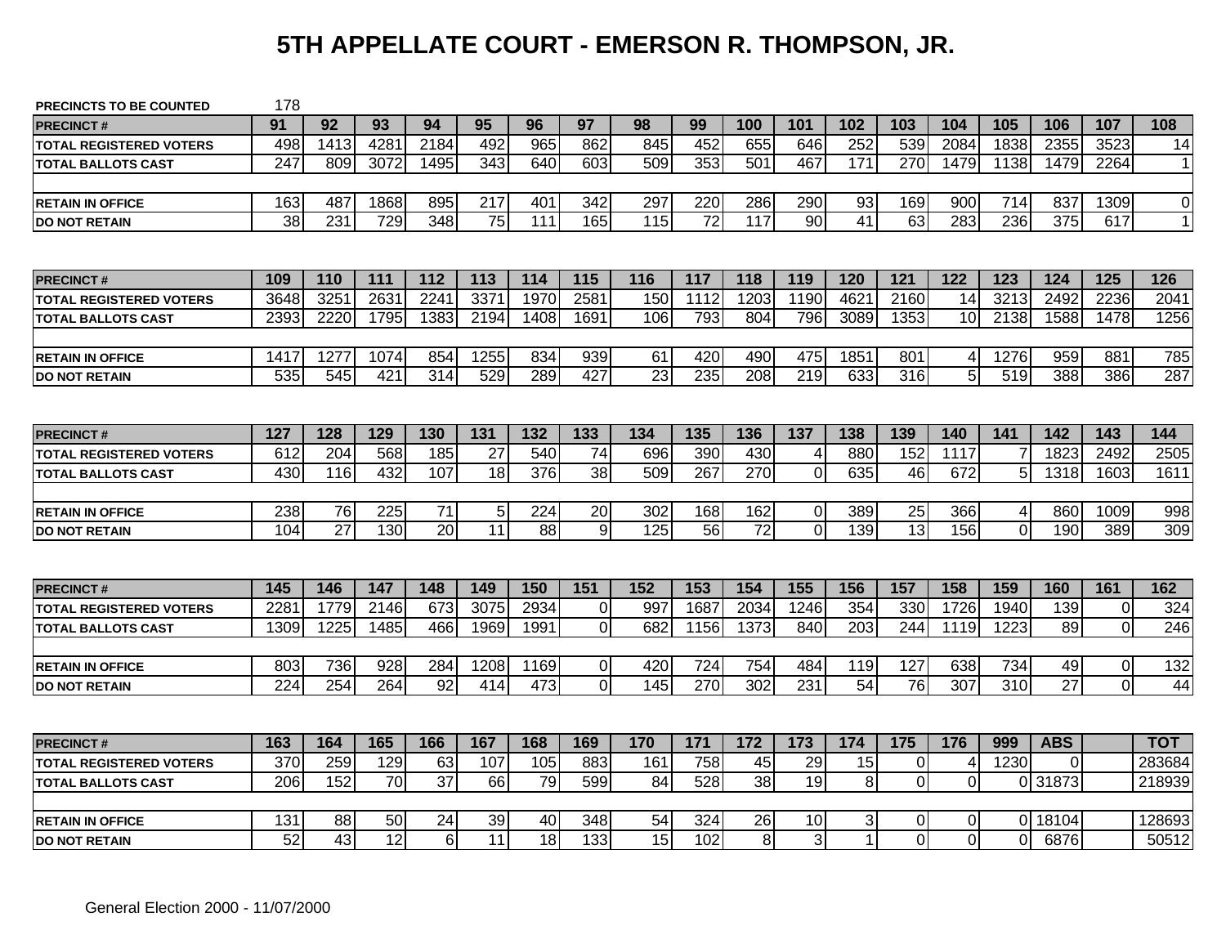# **5TH APPELLATE COURT - EMERSON R. THOMPSON, JR.**

| PRECINCTS TO BE COUNTED        | 178              |                 |      |                  |                 |                 |                |                 |                 |      |                 |                 |                |                |          |                  |                |        |
|--------------------------------|------------------|-----------------|------|------------------|-----------------|-----------------|----------------|-----------------|-----------------|------|-----------------|-----------------|----------------|----------------|----------|------------------|----------------|--------|
| <b>PRECINCT#</b>               | 91               | 92              | 93   | 94               | 95              | 96              | 97             | 98              | 99              | 100  | 101             | 102             | 103            | 104            | 105      | 106              | 107            | 108    |
| <b>TOTAL REGISTERED VOTERS</b> | 498              | 1413            | 4281 | 2184             | 492             | 965             | 862            | 845             | 452             | 655  | 646             | 252             | 539            | 2084           | 1838     | 2355             | 3523           | 14     |
| <b>TOTAL BALLOTS CAST</b>      | 247              | 809             | 3072 | 1495             | 343             | 640             | 603            | 509             | 353             | 501  | 467             | 171             | 270            | 1479           | 1138     | 1479             | 2264           | 11     |
|                                |                  |                 |      |                  |                 |                 |                |                 |                 |      |                 |                 |                |                |          |                  |                |        |
| <b>IRETAIN IN OFFICE</b>       | 163              | 487             | 1868 | 895              | 217             | 401             | 342            | 297             | 220             | 286  | 290             | 93              | 169            | 900            | 714      | 837              | 1309           | 0      |
| <b>DO NOT RETAIN</b>           | $\overline{38}$  | 231             | 729  | $\overline{348}$ | 75              | 111             | 165            | 115             | $\overline{72}$ | 117  | $\overline{90}$ | $\overline{41}$ | 63             | 283            | 236      | $\overline{375}$ | 617            | 1      |
|                                |                  |                 |      |                  |                 |                 |                |                 |                 |      |                 |                 |                |                |          |                  |                |        |
| <b>PRECINCT#</b>               | 109              | 110             | 111  | 112              | 113             | 114             | 115            | 116             | 117             | 118  | 119             | 120             | 121            | 122            | 123      | $\overline{124}$ | 125            | 126    |
| <b>TOTAL REGISTERED VOTERS</b> | 3648             | 3251            | 2631 | 2241             | 3371            | 1970            | 2581           | 150             | 1112            | 1203 | 1190            | 4621            | 2160           | 14             | 3213     | 2492             | 2236           | 2041   |
| <b>TOTAL BALLOTS CAST</b>      | 2393             | 2220            | 1795 | 1383             | 2194            | 1408            | 1691           | 106             | 793             | 804  | 796             | 3089            | 1353           | 10             | 2138     | 1588             | 1478           | 1256   |
|                                |                  |                 |      |                  |                 |                 |                |                 |                 |      |                 |                 |                |                |          |                  |                |        |
| <b>RETAIN IN OFFICE</b>        | 1417             | 1277            | 1074 | 854              | 1255            | 834             | 939            | 61              | 420             | 490  | 475             | 1851            | 801            | $\overline{4}$ | 1276     | 959              | 881            | 785    |
| <b>DO NOT RETAIN</b>           | 535              | 545             | 421  | 314              | 529             | 289             | 427            | 23              | 235             | 208  | 219             | 633             | 316            | 5              | 519      | 388              | 386            | 287    |
|                                |                  |                 |      |                  |                 |                 |                |                 |                 |      |                 |                 |                |                |          |                  |                |        |
| <b>PRECINCT#</b>               | 127              | 128             | 129  | 130              | 131             | 132             | 133            | 134             | 135             | 136  | 137             | 138             | 139            | 140            | 141      | 142              | 143            | 144    |
| <b>TOTAL REGISTERED VOTERS</b> | 612              | 204             | 568  | 185              | 27              | 540             | 74             | 696             | 390             | 430  | 4               | 880             | 152            | 1117           |          | 1823             | 2492           | 2505   |
| <b>TOTAL BALLOTS CAST</b>      | 430              | 116             | 432  | 107              | 18              | 376             | 38             | 509             | 267             | 270  | $\Omega$        | 635             | 46             | 672            | 5        | 1318             | 1603           | 1611   |
|                                |                  |                 |      |                  |                 |                 |                |                 |                 |      |                 |                 |                |                |          |                  |                |        |
| <b>RETAIN IN OFFICE</b>        | 238              | 76              | 225  | $\overline{71}$  | 5 <sub>l</sub>  | 224             | 20             | 302             | 168             | 162  | 0               | 389             | 25             | 366            | 4        | 860              | 1009           | 998    |
| <b>DO NOT RETAIN</b>           | 104              | 27              | 130  | 20               | $\overline{11}$ | 88              | 9              | 125             | 56              | 72   | $\overline{0}$  | 139             | 13             | 156            | $\Omega$ | 190              | 389            | 309    |
|                                |                  |                 |      |                  |                 |                 |                |                 |                 |      |                 |                 |                |                |          |                  |                |        |
| <b>PRECINCT#</b>               | 145              | 146             | 147  | 148              | 149             | 150             | 151            | 152             | 153             | 154  | 155             | 156             | 157            | 158            | 159      | 160              | 161            | 162    |
| <b>TOTAL REGISTERED VOTERS</b> | 228 <sup>2</sup> | 1779            | 2146 | 673              | 3075            | 2934            | 0              | 997             | 1687            | 2034 | 1246            | 354             | 330            | 1726           | 1940     | 139              | $\Omega$       | 324    |
| <b>TOTAL BALLOTS CAST</b>      | 1309             | 1225            | 1485 | 466              | 1969            | 1991            | $\overline{0}$ | 682             | 1156            | 1373 | 840             | 203             | 244            | 1119           | 1223     | 89               | $\mathbf 0$    | 246    |
|                                |                  |                 |      |                  |                 |                 |                |                 |                 |      |                 |                 |                |                |          |                  |                |        |
| <b>RETAIN IN OFFICE</b>        | 803              | 736             | 928  | 284              | 1208            | 1169            | $\overline{0}$ | 420             | 724             | 754  | 484             | 119             | 127            | 638            | 734      | 49               | $\mathbf 0$    | 132    |
| <b>DO NOT RETAIN</b>           | 224              | 254             | 264  | 92               | 414             | 473             | $\Omega$       | 145             | 270             | 302  | 231             | 54              | 76             | 307            | 310      | $\overline{27}$  | $\overline{0}$ | 44     |
|                                |                  |                 |      |                  |                 |                 |                |                 |                 |      |                 |                 |                |                |          |                  |                |        |
| <b>PRECINCT#</b>               | 163              | 164             | 165  | 166              | 167             | 168             | 169            | 170             | 171             | 172  | 173             | 174             | 175            | 176            | 999      | <b>ABS</b>       |                | тот    |
| <b>TOTAL REGISTERED VOTERS</b> | 370              | 259             | 129  | 63               | 107             | 105             | 883            | 161             | 758             | 45   | 29              | 15              | $\overline{0}$ | $\overline{4}$ | 1230     | $\Omega$         |                | 283684 |
| <b>TOTAL BALLOTS CAST</b>      | 206              | 152             | 70   | $\overline{37}$  | 66              | 79              | 599            | 84              | 528             | 38   | 19              | $\bf 8$         | $\overline{0}$ | $\overline{0}$ |          | 0 31873          |                | 218939 |
|                                |                  |                 |      |                  |                 |                 |                |                 |                 |      |                 |                 |                |                |          |                  |                |        |
| <b>RETAIN IN OFFICE</b>        | 131              | 88              | 50   | 24               | 39              | 40              | 348            | 54              | 324             | 26   | 10              | 3               | 01             | 0              |          | 0 18104          |                | 128693 |
| <b>DO NOT RETAIN</b>           | $\overline{52}$  | $\overline{43}$ | 12   | $\overline{6}$   | 11              | $\overline{18}$ | 133            | $\overline{15}$ | 102             | 8    | $\overline{3}$  | $\mathbf{1}$    | $\Omega$       | $\overline{0}$ | ΩI       | 6876             |                | 50512  |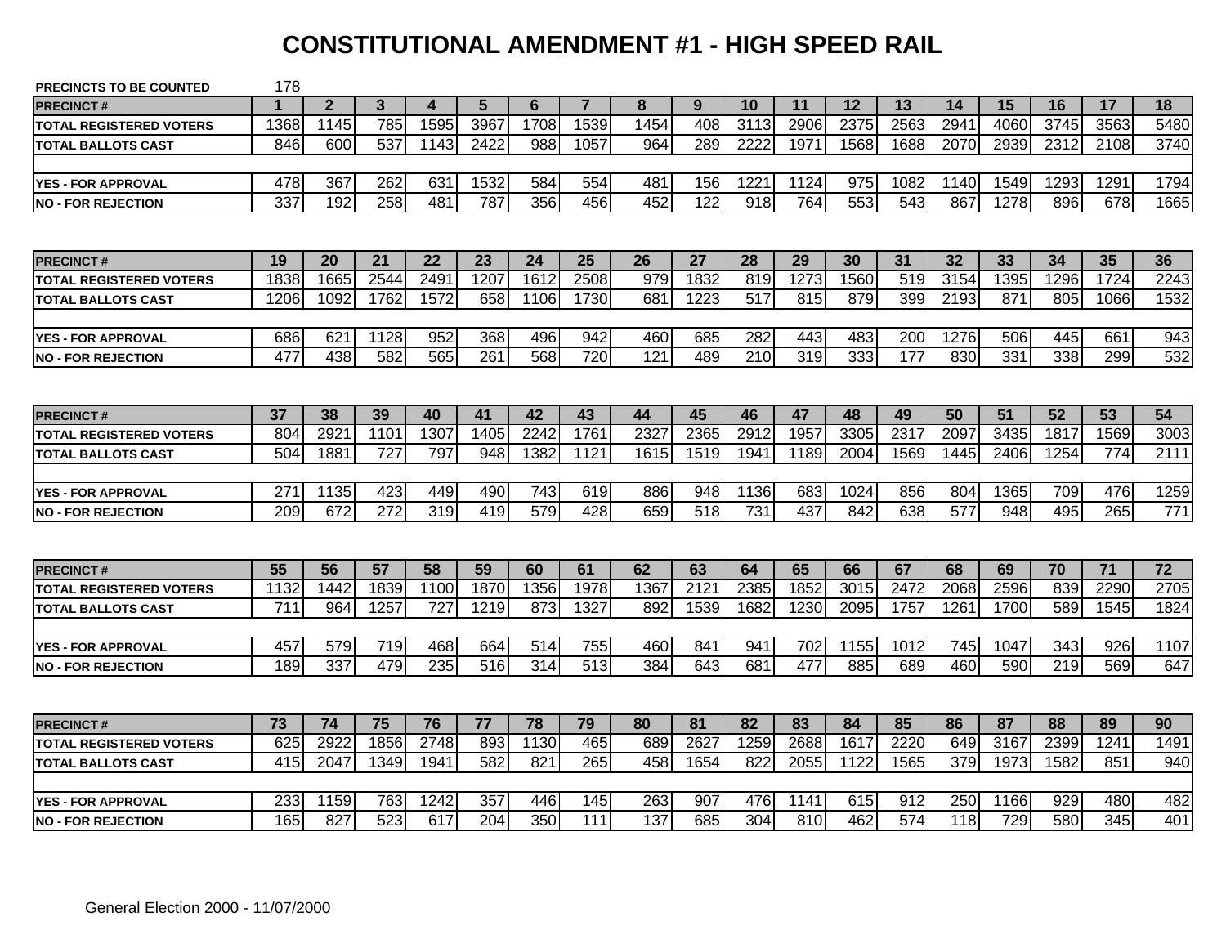#### **CONSTITUTIONAL AMENDMENT #1 - HIGH SPEED RAIL**

| <b>PRECINCTS TO BE COUNTED</b> | 178  |                |              |      |                  |      |                |      |      |                  |                  |      |                  |      |      |      |      |      |
|--------------------------------|------|----------------|--------------|------|------------------|------|----------------|------|------|------------------|------------------|------|------------------|------|------|------|------|------|
| <b>PRECINCT#</b>               |      | $\overline{2}$ | $\mathbf{3}$ | 4    | 5                | 6    | $\overline{7}$ | 8    | 9    | 10               | 11               | 12   | 13               | 14   | 15   | 16   | 17   | 18   |
| <b>TOTAL REGISTERED VOTERS</b> | 1368 | 1145           | 785          | 1595 | 3967             | 1708 | 1539           | 1454 | 408  | 3113             | 2906             | 2375 | 2563             | 2941 | 4060 | 3745 | 3563 | 5480 |
| <b>TOTAL BALLOTS CAST</b>      | 846  | 600            | 537          | 1143 | 2422             | 988  | 1057           | 964  | 289  | 2222             | 1971             | 1568 | 1688             | 2070 | 2939 | 2312 | 2108 | 3740 |
|                                |      |                |              |      |                  |      |                |      |      |                  |                  |      |                  |      |      |      |      |      |
| <b>YES - FOR APPROVAL</b>      | 478  | 367            | 262          | 631  | 1532             | 584  | 554            | 481  | 156  | 1221             | 1124             | 975  | 1082             | 1140 | 1549 | 1293 | 1291 | 1794 |
| <b>INO - FOR REJECTION</b>     | 337  | 192            | 258          | 481  | 787              | 356  | 456            | 452  | 122  | $\overline{918}$ | 764              | 553  | $\overline{543}$ | 867  | 1278 | 896  | 678  | 1665 |
|                                |      |                |              |      |                  |      |                |      |      |                  |                  |      |                  |      |      |      |      |      |
| <b>PRECINCT#</b>               | 19   | 20             | 21           | 22   | 23               | 24   | 25             | 26   | 27   | 28               | 29               | 30   | 31               | 32   | 33   | 34   | 35   | 36   |
| <b>TOTAL REGISTERED VOTERS</b> | 1838 | 1665           | 2544         | 249' | 1207             | 1612 | 2508           | 979  | 1832 | 819              | 1273             | 1560 | 519              | 3154 | 1395 | 1296 | 1724 | 2243 |
| <b>TOTAL BALLOTS CAST</b>      | 1206 | 1092           | 1762         | 1572 | 658              | 1106 | 1730           | 681  | 1223 | 517              | 815              | 879  | 399              | 2193 | 871  | 805  | 1066 | 1532 |
|                                |      |                |              |      |                  |      |                |      |      |                  |                  |      |                  |      |      |      |      |      |
| <b>YES - FOR APPROVAL</b>      | 686  | 621            | 1128         | 952  | 368              | 496  | 942            | 460  | 685  | 282              | 443              | 483  | 200              | 1276 | 506  | 445  | 661  | 943  |
| <b>NO - FOR REJECTION</b>      | 477  | 438            | 582          | 565  | 261              | 568  | 720            | 121  | 489  | $\overline{210}$ | $\overline{319}$ | 333  | 177              | 830  | 331  | 338  | 299  | 532  |
|                                |      |                |              |      |                  |      |                |      |      |                  |                  |      |                  |      |      |      |      |      |
| <b>PRECINCT#</b>               | 37   | 38             | 39           | 40   | 41               | 42   | 43             | 44   | 45   | 46               | 47               | 48   | 49               | 50   | 51   | 52   | 53   | 54   |
| <b>TOTAL REGISTERED VOTERS</b> | 804  | 2921           | 1101         | 1307 | 1405             | 2242 | 1761           | 2327 | 2365 | 2912             | 1957             | 3305 | 2317             | 2097 | 3435 | 1817 | 1569 | 3003 |
| <b>TOTAL BALLOTS CAST</b>      | 504  | 1881           | 727          | 797  | 948              | 1382 | 1121           | 1615 | 1519 | 1941             | 1189             | 2004 | 1569             | 1445 | 2406 | 1254 | 774  | 2111 |
|                                |      |                |              |      |                  |      |                |      |      |                  |                  |      |                  |      |      |      |      |      |
| <b>YES - FOR APPROVAL</b>      | 271  | 1135           | 423          | 449  | 490              | 743  | 619            | 886  | 948  | 1136             | 683              | 1024 | 856              | 804  | 1365 | 709  | 476  | 1259 |
| <b>INO - FOR REJECTION</b>     | 209  | 672            | 272          | 319  | 419              | 579  | 428            | 659  | 518  | 731              | 437              | 842  | 638              | 577  | 948  | 495  | 265  | 771  |
|                                |      |                |              |      |                  |      |                |      |      |                  |                  |      |                  |      |      |      |      |      |
| <b>PRECINCT#</b>               | 55   | 56             | 57           | 58   | 59               | 60   | 61             | 62   | 63   | 64               | 65               | 66   | 67               | 68   | 69   | 70   | 71   | 72   |
| <b>TOTAL REGISTERED VOTERS</b> | 1132 | 1442           | 1839         | 1100 | 1870             | 1356 | 1978           | 1367 | 2121 | 2385             | 1852             | 3015 | 2472             | 2068 | 2596 | 839  | 2290 | 2705 |
| <b>TOTAL BALLOTS CAST</b>      | 711  | 964            | 1257         | 727  | 1219             | 873  | 1327           | 892  | 1539 | 1682             | 1230             | 2095 | 1757             | 1261 | 1700 | 589  | 1545 | 1824 |
|                                |      |                |              |      |                  |      |                |      |      |                  |                  |      |                  |      |      |      |      |      |
| <b>YES - FOR APPROVAL</b>      | 457  | 579            | 719          | 468  | 664              | 514  | 755            | 460  | 841  | 941              | 702              | 1155 | 1012             | 745  | 1047 | 343  | 926  | 1107 |
| <b>NO - FOR REJECTION</b>      | 189  | 337            | 479          | 235  | $\overline{516}$ | 314  | 513            | 384  | 643  | 681              | 477              | 885  | 689              | 460  | 590  | 219  | 569  | 647  |
|                                |      |                |              |      |                  |      |                |      |      |                  |                  |      |                  |      |      |      |      |      |
| <b>PRECINCT#</b>               | 73   | 74             | 75           | 76   | 77               | 78   | 79             | 80   | 81   | 82               | 83               | 84   | 85               | 86   | 87   | 88   | 89   | 90   |
| <b>TOTAL REGISTERED VOTERS</b> | 625  | 2922           | 1856         | 2748 | 893              | 1130 | 465            | 689  | 2627 | 1259             | 2688             | 1617 | 2220             | 649  | 3167 | 2399 | 1241 | 1491 |
| <b>TOTAL BALLOTS CAST</b>      | 415  | 2047           | 1349         | 1941 | 582              | 821  | 265            | 458  | 1654 | 822              | 2055             | 1122 | 1565             | 379  | 1973 | 1582 | 851  | 940  |
|                                |      |                |              |      |                  |      |                |      |      |                  |                  |      |                  |      |      |      |      |      |
| <b>YES - FOR APPROVAL</b>      | 233  | 1159           | 763          | 1242 | 357              | 446  | 145            | 263  | 907  | 476              | 1141             | 615  | 912              | 250  | 1166 | 929  | 480  | 482  |
| <b>INO - FOR REJECTION</b>     | 165  | 827            | 523          | 617  | 204              | 350  | 111            | 137  | 685  | 304              | 810              | 462  | 574              | 118  | 729  | 580  | 345  | 401  |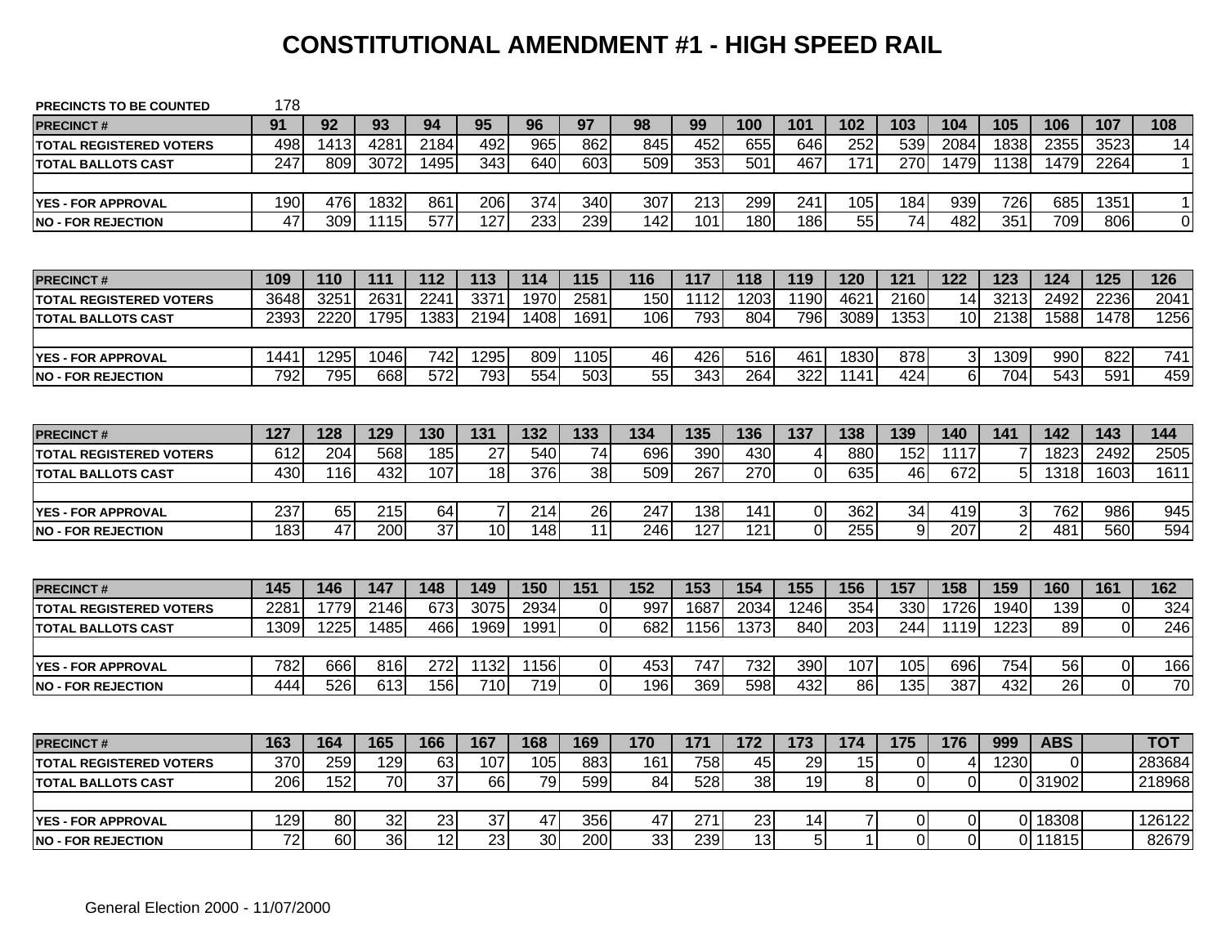#### **CONSTITUTIONAL AMENDMENT #1 - HIGH SPEED RAIL**

| 91<br>107<br>108<br>92<br>93<br>94<br>95<br>96<br>97<br>98<br>99<br>100<br>101<br>102<br>103<br>104<br>105<br>106<br><b>PRECINCT#</b><br>4281<br>2184<br>965<br>845<br>452<br>252<br>539<br>2084<br>2355<br>3523<br>498<br>1413<br>492<br>862<br>655<br>646<br>1838<br>14<br><b>TOTAL REGISTERED VOTERS</b><br>$\overline{247}$<br>353<br>$\overline{270}$<br>809<br>3072<br>1495<br>343<br>640<br>603<br>509<br>501<br>467<br>171<br>1479<br>1138<br>1479<br>2264<br><b>TOTAL BALLOTS CAST</b><br>190<br>476<br>1832<br>861<br>206<br>374<br>340<br>307<br>213<br>299<br>241<br>184<br>939<br>726<br>685<br>1351<br>$\vert$ 1<br>105<br><b>YES - FOR APPROVAL</b><br>$\overline{47}$<br>309<br>$\overline{577}$<br>127<br>233<br>239<br>$\overline{142}$<br>55<br>$\overline{74}$<br>709<br>$\overline{0}$<br>101<br>180<br>186<br>482<br>351<br>806<br>1115<br>112<br>115<br>121<br>124<br>125<br>109<br>111<br>113<br>114<br>116<br>117<br>118<br>119<br>120<br>122<br>123<br>126<br>110<br><b>PRECINCT#</b><br>2631<br>3371<br>1970<br>2581<br>1203<br>462<br>3213<br>2492<br>2236<br>3251<br>2241<br>150<br>1112<br>1190<br>2160<br>14<br>2041<br>3648<br><b>TOTAL REGISTERED VOTERS</b><br>2393<br>2220<br>1795<br>1383<br>2194<br>1691<br>793<br>804<br>796<br>3089<br>1353<br>2138<br>1588<br>1478<br>1256<br>1408<br>106<br>10<br><b>TOTAL BALLOTS CAST</b><br>$\overline{742}$<br>1441<br>1295<br>1295<br>1105<br>46<br>426<br>516<br>461<br>1830<br>878<br>3<br>1309<br>990<br>822<br>741<br>1046<br>809<br>$\overline{55}$<br>6<br>792<br>795<br>668<br>572<br>793<br>554<br>503<br>343<br>264<br>322<br>424<br>704<br>543<br>591<br>459<br>1141<br>127<br>132<br>133<br>137<br>142<br>128<br>129<br>130<br>131<br>134<br>135<br>136<br>138<br>139<br>140<br>141<br>143<br>144<br><b>PRECINCT#</b><br>204<br>185<br>27<br>540<br>74<br>696<br>390<br>430<br>880<br>152<br>1823<br>2492<br>612<br>568<br>1117<br>2505<br>4<br>TOTAL REGISTERED VOTERS<br>430<br>432<br>107<br>376<br>38<br>509<br>267<br>270<br>$\overline{0}$<br>635<br>672<br>5<br>1318<br>116<br>18<br>46<br>1603<br>1611<br>TOTAL BALLOTS CAST<br>$\overline{7}$<br>$\overline{26}$<br>247<br>237<br>65<br>64<br>214<br>138<br>$\pmb{0}$<br>362<br>34<br>419<br>3<br>762<br>986<br>945<br>215<br>141<br><b>YES - FOR APPROVAL</b><br>37<br>10<br>11<br>$\overline{0}$<br>255<br>9<br>$\overline{2}$<br>183<br>47<br>200<br>148<br>127<br>121<br>207<br>481<br>560<br>246<br>145<br>148<br>151<br>152<br>153<br>154<br>155<br>156<br>157<br>158<br>159<br>161<br>162<br>146<br>147<br>149<br>150<br>160<br>1726<br>228'<br>1779<br>2146<br>673<br>3075<br>2934<br>$\Omega$<br>997<br>1687<br>2034<br>1246<br>354<br>330<br>$\overline{0}$<br>1940<br>139<br>324<br><b>TOTAL REGISTERED VOTERS</b><br>$\mathbf 0$<br>466<br>1969<br>$\overline{0}$<br>682<br>1373<br>840<br>203<br>244<br>1223<br>89<br>1309<br>1225<br>1485<br>1991<br>1156<br>1119<br><b>TOTAL BALLOTS CAST</b><br>1132<br>$\overline{0}$<br>453<br>$\mathbf 0$<br>166<br>782<br>666<br>816<br>272<br>1156<br>747<br>732<br>390<br>107<br>105<br>696<br>754<br>56<br><b>YES - FOR APPROVAL</b><br>$\overline{0}$<br>$\overline{\mathsf{o}}$<br>26<br>444<br>526<br>156<br>710<br>719<br>196<br>369<br>598<br>432<br>86<br>135<br>387<br>432<br>613<br>163<br>165<br>166<br>167<br>169<br>171<br>172<br>173<br>174<br>175<br>176<br>999<br><b>ABS</b><br>164<br>168<br>170<br>тот<br><b>PRECINCT#</b><br>370<br>259<br>129<br>63<br>105<br>883<br>758<br>45<br>29<br>15<br>$\overline{0}$<br>1230<br>107<br>161<br>$\mathbf 0$<br>283684<br>$\overline{4}$<br><b>TOTAL REGISTERED VOTERS</b><br>$\overline{37}$<br>$\, 8$<br>$\overline{0}$<br>206<br>152<br>70<br>66<br>79<br>599<br>528<br>38<br>19<br>$\mathbf 0$<br>84<br>0 31902<br><b>TOTAL BALLOTS CAST</b><br>7<br>0 18308<br>129<br>80<br>32<br>23<br>37<br>47<br>356<br>47<br>271<br>23<br>14<br>0<br>126122<br>$\overline{0}$<br><b>YES - FOR APPROVAL</b><br>$\overline{12}$<br>$\overline{23}$<br>$\overline{33}$<br>5<br>0<br>72<br>60<br>36<br>30<br>239<br>13<br>$\Omega$<br>200<br>1<br>0 11815<br>82679 | <b>PRECINCTS TO BE COUNTED</b> | 178 |  |  |  |  |  |  |  |  |        |
|-------------------------------------------------------------------------------------------------------------------------------------------------------------------------------------------------------------------------------------------------------------------------------------------------------------------------------------------------------------------------------------------------------------------------------------------------------------------------------------------------------------------------------------------------------------------------------------------------------------------------------------------------------------------------------------------------------------------------------------------------------------------------------------------------------------------------------------------------------------------------------------------------------------------------------------------------------------------------------------------------------------------------------------------------------------------------------------------------------------------------------------------------------------------------------------------------------------------------------------------------------------------------------------------------------------------------------------------------------------------------------------------------------------------------------------------------------------------------------------------------------------------------------------------------------------------------------------------------------------------------------------------------------------------------------------------------------------------------------------------------------------------------------------------------------------------------------------------------------------------------------------------------------------------------------------------------------------------------------------------------------------------------------------------------------------------------------------------------------------------------------------------------------------------------------------------------------------------------------------------------------------------------------------------------------------------------------------------------------------------------------------------------------------------------------------------------------------------------------------------------------------------------------------------------------------------------------------------------------------------------------------------------------------------------------------------------------------------------------------------------------------------------------------------------------------------------------------------------------------------------------------------------------------------------------------------------------------------------------------------------------------------------------------------------------------------------------------------------------------------------------------------------------------------------------------------------------------------------------------------------------------------------------------------------------------------------------------------------------------------------------------------------------------------------------------------------------------------------------------------------------------------------------------------------------------------------------------------------------------------------------------------------------------------------------------------------------------------------------------------------------------------------------------------------------------------------------------------------------------------------------------------------------------------------------------------------------------------------------------------------------------------------------------------------------------------------------------------------------------------------|--------------------------------|-----|--|--|--|--|--|--|--|--|--------|
|                                                                                                                                                                                                                                                                                                                                                                                                                                                                                                                                                                                                                                                                                                                                                                                                                                                                                                                                                                                                                                                                                                                                                                                                                                                                                                                                                                                                                                                                                                                                                                                                                                                                                                                                                                                                                                                                                                                                                                                                                                                                                                                                                                                                                                                                                                                                                                                                                                                                                                                                                                                                                                                                                                                                                                                                                                                                                                                                                                                                                                                                                                                                                                                                                                                                                                                                                                                                                                                                                                                                                                                                                                                                                                                                                                                                                                                                                                                                                                                                                                                                                                                         |                                |     |  |  |  |  |  |  |  |  |        |
|                                                                                                                                                                                                                                                                                                                                                                                                                                                                                                                                                                                                                                                                                                                                                                                                                                                                                                                                                                                                                                                                                                                                                                                                                                                                                                                                                                                                                                                                                                                                                                                                                                                                                                                                                                                                                                                                                                                                                                                                                                                                                                                                                                                                                                                                                                                                                                                                                                                                                                                                                                                                                                                                                                                                                                                                                                                                                                                                                                                                                                                                                                                                                                                                                                                                                                                                                                                                                                                                                                                                                                                                                                                                                                                                                                                                                                                                                                                                                                                                                                                                                                                         |                                |     |  |  |  |  |  |  |  |  |        |
|                                                                                                                                                                                                                                                                                                                                                                                                                                                                                                                                                                                                                                                                                                                                                                                                                                                                                                                                                                                                                                                                                                                                                                                                                                                                                                                                                                                                                                                                                                                                                                                                                                                                                                                                                                                                                                                                                                                                                                                                                                                                                                                                                                                                                                                                                                                                                                                                                                                                                                                                                                                                                                                                                                                                                                                                                                                                                                                                                                                                                                                                                                                                                                                                                                                                                                                                                                                                                                                                                                                                                                                                                                                                                                                                                                                                                                                                                                                                                                                                                                                                                                                         |                                |     |  |  |  |  |  |  |  |  | 11     |
|                                                                                                                                                                                                                                                                                                                                                                                                                                                                                                                                                                                                                                                                                                                                                                                                                                                                                                                                                                                                                                                                                                                                                                                                                                                                                                                                                                                                                                                                                                                                                                                                                                                                                                                                                                                                                                                                                                                                                                                                                                                                                                                                                                                                                                                                                                                                                                                                                                                                                                                                                                                                                                                                                                                                                                                                                                                                                                                                                                                                                                                                                                                                                                                                                                                                                                                                                                                                                                                                                                                                                                                                                                                                                                                                                                                                                                                                                                                                                                                                                                                                                                                         |                                |     |  |  |  |  |  |  |  |  |        |
|                                                                                                                                                                                                                                                                                                                                                                                                                                                                                                                                                                                                                                                                                                                                                                                                                                                                                                                                                                                                                                                                                                                                                                                                                                                                                                                                                                                                                                                                                                                                                                                                                                                                                                                                                                                                                                                                                                                                                                                                                                                                                                                                                                                                                                                                                                                                                                                                                                                                                                                                                                                                                                                                                                                                                                                                                                                                                                                                                                                                                                                                                                                                                                                                                                                                                                                                                                                                                                                                                                                                                                                                                                                                                                                                                                                                                                                                                                                                                                                                                                                                                                                         |                                |     |  |  |  |  |  |  |  |  |        |
|                                                                                                                                                                                                                                                                                                                                                                                                                                                                                                                                                                                                                                                                                                                                                                                                                                                                                                                                                                                                                                                                                                                                                                                                                                                                                                                                                                                                                                                                                                                                                                                                                                                                                                                                                                                                                                                                                                                                                                                                                                                                                                                                                                                                                                                                                                                                                                                                                                                                                                                                                                                                                                                                                                                                                                                                                                                                                                                                                                                                                                                                                                                                                                                                                                                                                                                                                                                                                                                                                                                                                                                                                                                                                                                                                                                                                                                                                                                                                                                                                                                                                                                         | <b>NO - FOR REJECTION</b>      |     |  |  |  |  |  |  |  |  |        |
|                                                                                                                                                                                                                                                                                                                                                                                                                                                                                                                                                                                                                                                                                                                                                                                                                                                                                                                                                                                                                                                                                                                                                                                                                                                                                                                                                                                                                                                                                                                                                                                                                                                                                                                                                                                                                                                                                                                                                                                                                                                                                                                                                                                                                                                                                                                                                                                                                                                                                                                                                                                                                                                                                                                                                                                                                                                                                                                                                                                                                                                                                                                                                                                                                                                                                                                                                                                                                                                                                                                                                                                                                                                                                                                                                                                                                                                                                                                                                                                                                                                                                                                         |                                |     |  |  |  |  |  |  |  |  |        |
|                                                                                                                                                                                                                                                                                                                                                                                                                                                                                                                                                                                                                                                                                                                                                                                                                                                                                                                                                                                                                                                                                                                                                                                                                                                                                                                                                                                                                                                                                                                                                                                                                                                                                                                                                                                                                                                                                                                                                                                                                                                                                                                                                                                                                                                                                                                                                                                                                                                                                                                                                                                                                                                                                                                                                                                                                                                                                                                                                                                                                                                                                                                                                                                                                                                                                                                                                                                                                                                                                                                                                                                                                                                                                                                                                                                                                                                                                                                                                                                                                                                                                                                         |                                |     |  |  |  |  |  |  |  |  |        |
|                                                                                                                                                                                                                                                                                                                                                                                                                                                                                                                                                                                                                                                                                                                                                                                                                                                                                                                                                                                                                                                                                                                                                                                                                                                                                                                                                                                                                                                                                                                                                                                                                                                                                                                                                                                                                                                                                                                                                                                                                                                                                                                                                                                                                                                                                                                                                                                                                                                                                                                                                                                                                                                                                                                                                                                                                                                                                                                                                                                                                                                                                                                                                                                                                                                                                                                                                                                                                                                                                                                                                                                                                                                                                                                                                                                                                                                                                                                                                                                                                                                                                                                         |                                |     |  |  |  |  |  |  |  |  |        |
|                                                                                                                                                                                                                                                                                                                                                                                                                                                                                                                                                                                                                                                                                                                                                                                                                                                                                                                                                                                                                                                                                                                                                                                                                                                                                                                                                                                                                                                                                                                                                                                                                                                                                                                                                                                                                                                                                                                                                                                                                                                                                                                                                                                                                                                                                                                                                                                                                                                                                                                                                                                                                                                                                                                                                                                                                                                                                                                                                                                                                                                                                                                                                                                                                                                                                                                                                                                                                                                                                                                                                                                                                                                                                                                                                                                                                                                                                                                                                                                                                                                                                                                         |                                |     |  |  |  |  |  |  |  |  |        |
|                                                                                                                                                                                                                                                                                                                                                                                                                                                                                                                                                                                                                                                                                                                                                                                                                                                                                                                                                                                                                                                                                                                                                                                                                                                                                                                                                                                                                                                                                                                                                                                                                                                                                                                                                                                                                                                                                                                                                                                                                                                                                                                                                                                                                                                                                                                                                                                                                                                                                                                                                                                                                                                                                                                                                                                                                                                                                                                                                                                                                                                                                                                                                                                                                                                                                                                                                                                                                                                                                                                                                                                                                                                                                                                                                                                                                                                                                                                                                                                                                                                                                                                         |                                |     |  |  |  |  |  |  |  |  |        |
|                                                                                                                                                                                                                                                                                                                                                                                                                                                                                                                                                                                                                                                                                                                                                                                                                                                                                                                                                                                                                                                                                                                                                                                                                                                                                                                                                                                                                                                                                                                                                                                                                                                                                                                                                                                                                                                                                                                                                                                                                                                                                                                                                                                                                                                                                                                                                                                                                                                                                                                                                                                                                                                                                                                                                                                                                                                                                                                                                                                                                                                                                                                                                                                                                                                                                                                                                                                                                                                                                                                                                                                                                                                                                                                                                                                                                                                                                                                                                                                                                                                                                                                         | <b>YES - FOR APPROVAL</b>      |     |  |  |  |  |  |  |  |  |        |
|                                                                                                                                                                                                                                                                                                                                                                                                                                                                                                                                                                                                                                                                                                                                                                                                                                                                                                                                                                                                                                                                                                                                                                                                                                                                                                                                                                                                                                                                                                                                                                                                                                                                                                                                                                                                                                                                                                                                                                                                                                                                                                                                                                                                                                                                                                                                                                                                                                                                                                                                                                                                                                                                                                                                                                                                                                                                                                                                                                                                                                                                                                                                                                                                                                                                                                                                                                                                                                                                                                                                                                                                                                                                                                                                                                                                                                                                                                                                                                                                                                                                                                                         | <b>NO - FOR REJECTION</b>      |     |  |  |  |  |  |  |  |  |        |
|                                                                                                                                                                                                                                                                                                                                                                                                                                                                                                                                                                                                                                                                                                                                                                                                                                                                                                                                                                                                                                                                                                                                                                                                                                                                                                                                                                                                                                                                                                                                                                                                                                                                                                                                                                                                                                                                                                                                                                                                                                                                                                                                                                                                                                                                                                                                                                                                                                                                                                                                                                                                                                                                                                                                                                                                                                                                                                                                                                                                                                                                                                                                                                                                                                                                                                                                                                                                                                                                                                                                                                                                                                                                                                                                                                                                                                                                                                                                                                                                                                                                                                                         |                                |     |  |  |  |  |  |  |  |  |        |
|                                                                                                                                                                                                                                                                                                                                                                                                                                                                                                                                                                                                                                                                                                                                                                                                                                                                                                                                                                                                                                                                                                                                                                                                                                                                                                                                                                                                                                                                                                                                                                                                                                                                                                                                                                                                                                                                                                                                                                                                                                                                                                                                                                                                                                                                                                                                                                                                                                                                                                                                                                                                                                                                                                                                                                                                                                                                                                                                                                                                                                                                                                                                                                                                                                                                                                                                                                                                                                                                                                                                                                                                                                                                                                                                                                                                                                                                                                                                                                                                                                                                                                                         |                                |     |  |  |  |  |  |  |  |  |        |
|                                                                                                                                                                                                                                                                                                                                                                                                                                                                                                                                                                                                                                                                                                                                                                                                                                                                                                                                                                                                                                                                                                                                                                                                                                                                                                                                                                                                                                                                                                                                                                                                                                                                                                                                                                                                                                                                                                                                                                                                                                                                                                                                                                                                                                                                                                                                                                                                                                                                                                                                                                                                                                                                                                                                                                                                                                                                                                                                                                                                                                                                                                                                                                                                                                                                                                                                                                                                                                                                                                                                                                                                                                                                                                                                                                                                                                                                                                                                                                                                                                                                                                                         |                                |     |  |  |  |  |  |  |  |  |        |
|                                                                                                                                                                                                                                                                                                                                                                                                                                                                                                                                                                                                                                                                                                                                                                                                                                                                                                                                                                                                                                                                                                                                                                                                                                                                                                                                                                                                                                                                                                                                                                                                                                                                                                                                                                                                                                                                                                                                                                                                                                                                                                                                                                                                                                                                                                                                                                                                                                                                                                                                                                                                                                                                                                                                                                                                                                                                                                                                                                                                                                                                                                                                                                                                                                                                                                                                                                                                                                                                                                                                                                                                                                                                                                                                                                                                                                                                                                                                                                                                                                                                                                                         |                                |     |  |  |  |  |  |  |  |  |        |
|                                                                                                                                                                                                                                                                                                                                                                                                                                                                                                                                                                                                                                                                                                                                                                                                                                                                                                                                                                                                                                                                                                                                                                                                                                                                                                                                                                                                                                                                                                                                                                                                                                                                                                                                                                                                                                                                                                                                                                                                                                                                                                                                                                                                                                                                                                                                                                                                                                                                                                                                                                                                                                                                                                                                                                                                                                                                                                                                                                                                                                                                                                                                                                                                                                                                                                                                                                                                                                                                                                                                                                                                                                                                                                                                                                                                                                                                                                                                                                                                                                                                                                                         |                                |     |  |  |  |  |  |  |  |  |        |
|                                                                                                                                                                                                                                                                                                                                                                                                                                                                                                                                                                                                                                                                                                                                                                                                                                                                                                                                                                                                                                                                                                                                                                                                                                                                                                                                                                                                                                                                                                                                                                                                                                                                                                                                                                                                                                                                                                                                                                                                                                                                                                                                                                                                                                                                                                                                                                                                                                                                                                                                                                                                                                                                                                                                                                                                                                                                                                                                                                                                                                                                                                                                                                                                                                                                                                                                                                                                                                                                                                                                                                                                                                                                                                                                                                                                                                                                                                                                                                                                                                                                                                                         |                                |     |  |  |  |  |  |  |  |  |        |
|                                                                                                                                                                                                                                                                                                                                                                                                                                                                                                                                                                                                                                                                                                                                                                                                                                                                                                                                                                                                                                                                                                                                                                                                                                                                                                                                                                                                                                                                                                                                                                                                                                                                                                                                                                                                                                                                                                                                                                                                                                                                                                                                                                                                                                                                                                                                                                                                                                                                                                                                                                                                                                                                                                                                                                                                                                                                                                                                                                                                                                                                                                                                                                                                                                                                                                                                                                                                                                                                                                                                                                                                                                                                                                                                                                                                                                                                                                                                                                                                                                                                                                                         | <b>NO - FOR REJECTION</b>      |     |  |  |  |  |  |  |  |  | 594    |
|                                                                                                                                                                                                                                                                                                                                                                                                                                                                                                                                                                                                                                                                                                                                                                                                                                                                                                                                                                                                                                                                                                                                                                                                                                                                                                                                                                                                                                                                                                                                                                                                                                                                                                                                                                                                                                                                                                                                                                                                                                                                                                                                                                                                                                                                                                                                                                                                                                                                                                                                                                                                                                                                                                                                                                                                                                                                                                                                                                                                                                                                                                                                                                                                                                                                                                                                                                                                                                                                                                                                                                                                                                                                                                                                                                                                                                                                                                                                                                                                                                                                                                                         |                                |     |  |  |  |  |  |  |  |  |        |
|                                                                                                                                                                                                                                                                                                                                                                                                                                                                                                                                                                                                                                                                                                                                                                                                                                                                                                                                                                                                                                                                                                                                                                                                                                                                                                                                                                                                                                                                                                                                                                                                                                                                                                                                                                                                                                                                                                                                                                                                                                                                                                                                                                                                                                                                                                                                                                                                                                                                                                                                                                                                                                                                                                                                                                                                                                                                                                                                                                                                                                                                                                                                                                                                                                                                                                                                                                                                                                                                                                                                                                                                                                                                                                                                                                                                                                                                                                                                                                                                                                                                                                                         | <b>PRECINCT#</b>               |     |  |  |  |  |  |  |  |  |        |
|                                                                                                                                                                                                                                                                                                                                                                                                                                                                                                                                                                                                                                                                                                                                                                                                                                                                                                                                                                                                                                                                                                                                                                                                                                                                                                                                                                                                                                                                                                                                                                                                                                                                                                                                                                                                                                                                                                                                                                                                                                                                                                                                                                                                                                                                                                                                                                                                                                                                                                                                                                                                                                                                                                                                                                                                                                                                                                                                                                                                                                                                                                                                                                                                                                                                                                                                                                                                                                                                                                                                                                                                                                                                                                                                                                                                                                                                                                                                                                                                                                                                                                                         |                                |     |  |  |  |  |  |  |  |  |        |
|                                                                                                                                                                                                                                                                                                                                                                                                                                                                                                                                                                                                                                                                                                                                                                                                                                                                                                                                                                                                                                                                                                                                                                                                                                                                                                                                                                                                                                                                                                                                                                                                                                                                                                                                                                                                                                                                                                                                                                                                                                                                                                                                                                                                                                                                                                                                                                                                                                                                                                                                                                                                                                                                                                                                                                                                                                                                                                                                                                                                                                                                                                                                                                                                                                                                                                                                                                                                                                                                                                                                                                                                                                                                                                                                                                                                                                                                                                                                                                                                                                                                                                                         |                                |     |  |  |  |  |  |  |  |  | 246    |
|                                                                                                                                                                                                                                                                                                                                                                                                                                                                                                                                                                                                                                                                                                                                                                                                                                                                                                                                                                                                                                                                                                                                                                                                                                                                                                                                                                                                                                                                                                                                                                                                                                                                                                                                                                                                                                                                                                                                                                                                                                                                                                                                                                                                                                                                                                                                                                                                                                                                                                                                                                                                                                                                                                                                                                                                                                                                                                                                                                                                                                                                                                                                                                                                                                                                                                                                                                                                                                                                                                                                                                                                                                                                                                                                                                                                                                                                                                                                                                                                                                                                                                                         |                                |     |  |  |  |  |  |  |  |  |        |
|                                                                                                                                                                                                                                                                                                                                                                                                                                                                                                                                                                                                                                                                                                                                                                                                                                                                                                                                                                                                                                                                                                                                                                                                                                                                                                                                                                                                                                                                                                                                                                                                                                                                                                                                                                                                                                                                                                                                                                                                                                                                                                                                                                                                                                                                                                                                                                                                                                                                                                                                                                                                                                                                                                                                                                                                                                                                                                                                                                                                                                                                                                                                                                                                                                                                                                                                                                                                                                                                                                                                                                                                                                                                                                                                                                                                                                                                                                                                                                                                                                                                                                                         |                                |     |  |  |  |  |  |  |  |  |        |
|                                                                                                                                                                                                                                                                                                                                                                                                                                                                                                                                                                                                                                                                                                                                                                                                                                                                                                                                                                                                                                                                                                                                                                                                                                                                                                                                                                                                                                                                                                                                                                                                                                                                                                                                                                                                                                                                                                                                                                                                                                                                                                                                                                                                                                                                                                                                                                                                                                                                                                                                                                                                                                                                                                                                                                                                                                                                                                                                                                                                                                                                                                                                                                                                                                                                                                                                                                                                                                                                                                                                                                                                                                                                                                                                                                                                                                                                                                                                                                                                                                                                                                                         | <b>NO - FOR REJECTION</b>      |     |  |  |  |  |  |  |  |  | 70     |
|                                                                                                                                                                                                                                                                                                                                                                                                                                                                                                                                                                                                                                                                                                                                                                                                                                                                                                                                                                                                                                                                                                                                                                                                                                                                                                                                                                                                                                                                                                                                                                                                                                                                                                                                                                                                                                                                                                                                                                                                                                                                                                                                                                                                                                                                                                                                                                                                                                                                                                                                                                                                                                                                                                                                                                                                                                                                                                                                                                                                                                                                                                                                                                                                                                                                                                                                                                                                                                                                                                                                                                                                                                                                                                                                                                                                                                                                                                                                                                                                                                                                                                                         |                                |     |  |  |  |  |  |  |  |  |        |
|                                                                                                                                                                                                                                                                                                                                                                                                                                                                                                                                                                                                                                                                                                                                                                                                                                                                                                                                                                                                                                                                                                                                                                                                                                                                                                                                                                                                                                                                                                                                                                                                                                                                                                                                                                                                                                                                                                                                                                                                                                                                                                                                                                                                                                                                                                                                                                                                                                                                                                                                                                                                                                                                                                                                                                                                                                                                                                                                                                                                                                                                                                                                                                                                                                                                                                                                                                                                                                                                                                                                                                                                                                                                                                                                                                                                                                                                                                                                                                                                                                                                                                                         |                                |     |  |  |  |  |  |  |  |  |        |
|                                                                                                                                                                                                                                                                                                                                                                                                                                                                                                                                                                                                                                                                                                                                                                                                                                                                                                                                                                                                                                                                                                                                                                                                                                                                                                                                                                                                                                                                                                                                                                                                                                                                                                                                                                                                                                                                                                                                                                                                                                                                                                                                                                                                                                                                                                                                                                                                                                                                                                                                                                                                                                                                                                                                                                                                                                                                                                                                                                                                                                                                                                                                                                                                                                                                                                                                                                                                                                                                                                                                                                                                                                                                                                                                                                                                                                                                                                                                                                                                                                                                                                                         |                                |     |  |  |  |  |  |  |  |  |        |
|                                                                                                                                                                                                                                                                                                                                                                                                                                                                                                                                                                                                                                                                                                                                                                                                                                                                                                                                                                                                                                                                                                                                                                                                                                                                                                                                                                                                                                                                                                                                                                                                                                                                                                                                                                                                                                                                                                                                                                                                                                                                                                                                                                                                                                                                                                                                                                                                                                                                                                                                                                                                                                                                                                                                                                                                                                                                                                                                                                                                                                                                                                                                                                                                                                                                                                                                                                                                                                                                                                                                                                                                                                                                                                                                                                                                                                                                                                                                                                                                                                                                                                                         |                                |     |  |  |  |  |  |  |  |  | 218968 |
|                                                                                                                                                                                                                                                                                                                                                                                                                                                                                                                                                                                                                                                                                                                                                                                                                                                                                                                                                                                                                                                                                                                                                                                                                                                                                                                                                                                                                                                                                                                                                                                                                                                                                                                                                                                                                                                                                                                                                                                                                                                                                                                                                                                                                                                                                                                                                                                                                                                                                                                                                                                                                                                                                                                                                                                                                                                                                                                                                                                                                                                                                                                                                                                                                                                                                                                                                                                                                                                                                                                                                                                                                                                                                                                                                                                                                                                                                                                                                                                                                                                                                                                         |                                |     |  |  |  |  |  |  |  |  |        |
|                                                                                                                                                                                                                                                                                                                                                                                                                                                                                                                                                                                                                                                                                                                                                                                                                                                                                                                                                                                                                                                                                                                                                                                                                                                                                                                                                                                                                                                                                                                                                                                                                                                                                                                                                                                                                                                                                                                                                                                                                                                                                                                                                                                                                                                                                                                                                                                                                                                                                                                                                                                                                                                                                                                                                                                                                                                                                                                                                                                                                                                                                                                                                                                                                                                                                                                                                                                                                                                                                                                                                                                                                                                                                                                                                                                                                                                                                                                                                                                                                                                                                                                         |                                |     |  |  |  |  |  |  |  |  |        |
|                                                                                                                                                                                                                                                                                                                                                                                                                                                                                                                                                                                                                                                                                                                                                                                                                                                                                                                                                                                                                                                                                                                                                                                                                                                                                                                                                                                                                                                                                                                                                                                                                                                                                                                                                                                                                                                                                                                                                                                                                                                                                                                                                                                                                                                                                                                                                                                                                                                                                                                                                                                                                                                                                                                                                                                                                                                                                                                                                                                                                                                                                                                                                                                                                                                                                                                                                                                                                                                                                                                                                                                                                                                                                                                                                                                                                                                                                                                                                                                                                                                                                                                         | <b>NO - FOR REJECTION</b>      |     |  |  |  |  |  |  |  |  |        |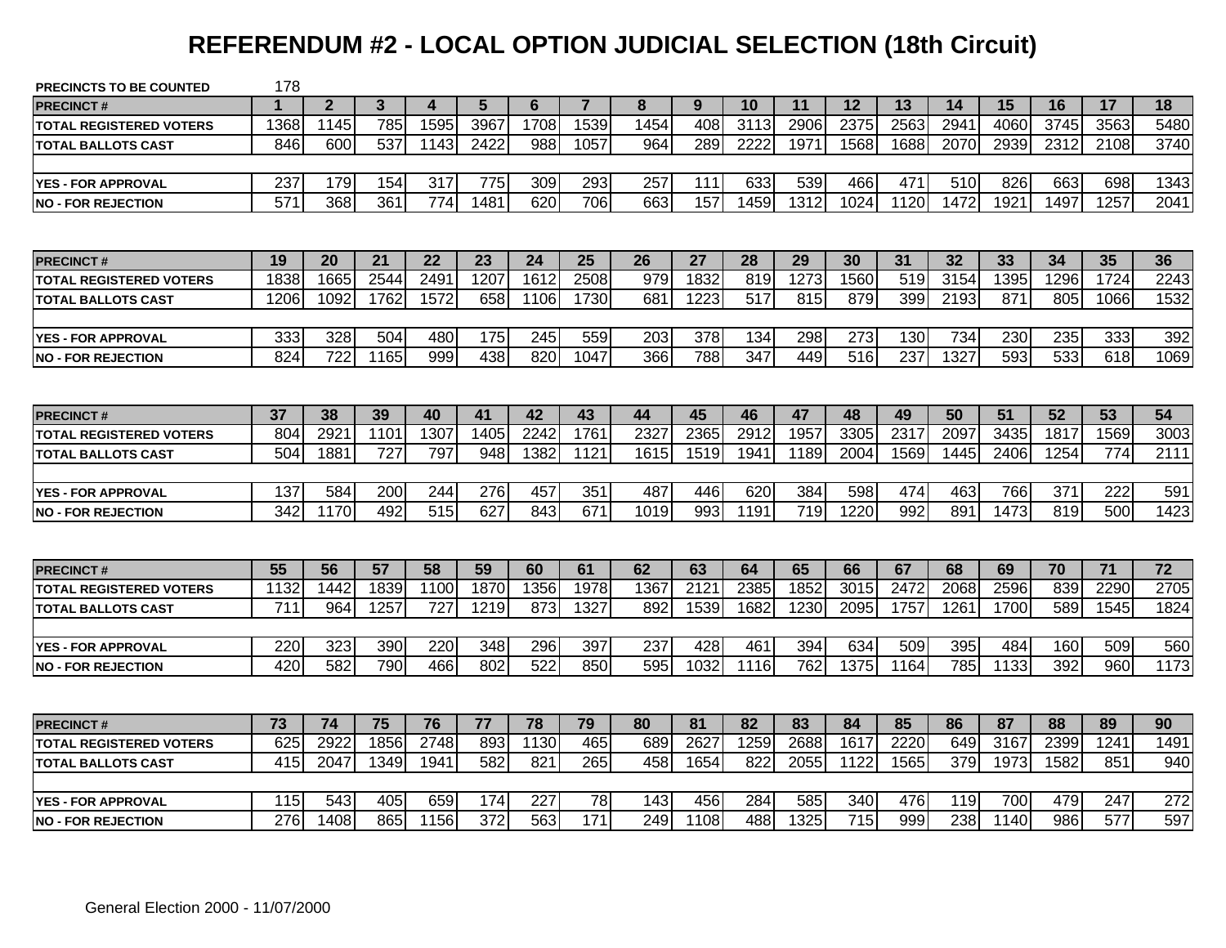# **REFERENDUM #2 - LOCAL OPTION JUDICIAL SELECTION (18th Circuit)**

| <b>PRECINCTS TO BE COUNTED</b> | 178              |              |      |      |                  |      |                |      |      |      |                  |      |      |      |      |      |                  |      |
|--------------------------------|------------------|--------------|------|------|------------------|------|----------------|------|------|------|------------------|------|------|------|------|------|------------------|------|
| <b>PRECINCT#</b>               | $\mathbf 1$      | $\mathbf{2}$ | 3    | Δ    | 5                | 6    | $\overline{7}$ | 8    | 9    | 10   | 11               | 12   | 13   | 14   | 15   | 16   | 17               | 18   |
| <b>TOTAL REGISTERED VOTERS</b> | 1368             | 1145         | 785  | 1595 | 3967             | 1708 | 1539           | 1454 | 408  | 3113 | 2906             | 2375 | 2563 | 2941 | 4060 | 3745 | 3563             | 5480 |
| <b>TOTAL BALLOTS CAST</b>      | 846              | 600          | 537  | 1143 | 2422             | 988  | 1057           | 964  | 289  | 2222 | 1971             | 1568 | 1688 | 2070 | 2939 | 2312 | 2108             | 3740 |
|                                |                  |              |      |      |                  |      |                |      |      |      |                  |      |      |      |      |      |                  |      |
| <b>YES - FOR APPROVAL</b>      | 237              | 179          | 154  | 317  | 775              | 309  | 293            | 257  | 111  | 633  | 539              | 466  | 471  | 510  | 826  | 663  | 698              | 1343 |
| <b>NO - FOR REJECTION</b>      | 571              | 368          | 361  | 774  | 1481             | 620  | 706            | 663  | 157  | 1459 | 1312             | 1024 | 1120 | 1472 | 1921 | 1497 | 1257             | 2041 |
|                                |                  |              |      |      |                  |      |                |      |      |      |                  |      |      |      |      |      |                  |      |
| <b>PRECINCT#</b>               | 19               | 20           | 21   | 22   | 23               | 24   | 25             | 26   | 27   | 28   | 29               | 30   | 31   | 32   | 33   | 34   | 35               | 36   |
| <b>TOTAL REGISTERED VOTERS</b> | 1838             | 1665         | 2544 | 2491 | 1207             | 1612 | 2508           | 979  | 1832 | 819  | 1273             | 1560 | 519  | 3154 | 1395 | 1296 | 1724             | 2243 |
| <b>TOTAL BALLOTS CAST</b>      | 1206             | 1092         | 1762 | 1572 | 658              | 1106 | 1730           | 681  | 1223 | 517  | 815              | 879  | 399  | 2193 | 871  | 805  | 1066             | 1532 |
|                                |                  |              |      |      |                  |      |                |      |      |      |                  |      |      |      |      |      |                  |      |
| <b>YES - FOR APPROVAL</b>      | 333              | 328          | 504  | 480  | 175              | 245  | 559            | 203  | 378  | 134  | 298              | 273  | 130  | 734  | 230  | 235  | 333              | 392  |
| <b>NO - FOR REJECTION</b>      | 824              | 722          | 1165 | 999  | 438              | 820  | 1047           | 366  | 788  | 347  | 449              | 516  | 237  | 1327 | 593  | 533  | 618              | 1069 |
|                                |                  |              |      |      |                  |      |                |      |      |      |                  |      |      |      |      |      |                  |      |
| <b>PRECINCT#</b>               | 37               | 38           | 39   | 40   | 41               | 42   | 43             | 44   | 45   | 46   | 47               | 48   | 49   | 50   | 51   | 52   | 53               | 54   |
| <b>TOTAL REGISTERED VOTERS</b> | 804              | 2921         | 1101 | 1307 | 1405             | 2242 | 1761           | 2327 | 2365 | 2912 | 1957             | 3305 | 2317 | 2097 | 3435 | 1817 | 1569             | 3003 |
| <b>TOTAL BALLOTS CAST</b>      | 504              | 1881         | 727  | 797  | 948              | 1382 | 1121           | 1615 | 1519 | 1941 | 1189             | 2004 | 1569 | 1445 | 2406 | 1254 | 774              | 2111 |
|                                |                  |              |      |      |                  |      |                |      |      |      |                  |      |      |      |      |      |                  |      |
| <b>YES - FOR APPROVAL</b>      | 137              | 584          | 200  | 244  | 276              | 457  | 351            | 487  | 446  | 620  | 384              | 598  | 474  | 463  | 766  | 371  | 222              | 591  |
| <b>NO - FOR REJECTION</b>      | 342              | 1170         | 492  | 515  | 627              | 843  | 671            | 1019 | 993  | 1191 | $\overline{719}$ | 1220 | 992  | 891  | 1473 | 819  | 500              | 1423 |
|                                |                  |              |      |      |                  |      |                |      |      |      |                  |      |      |      |      |      |                  |      |
| <b>PRECINCT#</b>               | 55               | 56           | 57   | 58   | 59               | 60   | 61             | 62   | 63   | 64   | 65               | 66   | 67   | 68   | 69   | 70   | 71               | 72   |
| <b>TOTAL REGISTERED VOTERS</b> | 1132             | 1442         | 1839 | 1100 | 1870             | 1356 | 1978           | 1367 | 2121 | 2385 | 1852             | 3015 | 2472 | 2068 | 2596 | 839  | 2290             | 2705 |
| <b>ITOTAL BALLOTS CAST</b>     | $\overline{711}$ | 964          | 1257 | 727  | 1219             | 873  | 1327           | 892  | 1539 | 1682 | 1230             | 2095 | 1757 | 1261 | 1700 | 589  | 1545             | 1824 |
|                                |                  |              |      |      |                  |      |                |      |      |      |                  |      |      |      |      |      |                  |      |
| <b>YES - FOR APPROVAL</b>      | 220              | 323          | 390  | 220  | 348              | 296  | 397            | 237  | 428  | 461  | 394              | 634  | 509  | 395  | 484  | 160  | 509              | 560  |
| <b>NO - FOR REJECTION</b>      | 420              | 582          | 790  | 466  | 802              | 522  | 850            | 595  | 1032 | 1116 | 762              | 1375 | 1164 | 785  | 1133 | 392  | 960              | 1173 |
|                                |                  |              |      |      |                  |      |                |      |      |      |                  |      |      |      |      |      |                  |      |
| <b>PRECINCT#</b>               | 73               | 74           | 75   | 76   | 77               | 78   | 79             | 80   | 81   | 82   | 83               | 84   | 85   | 86   | 87   | 88   | 89               | 90   |
| <b>TOTAL REGISTERED VOTERS</b> | 625              | 2922         | 1856 | 2748 | 893              | 1130 | 465            | 689  | 2627 | 1259 | 2688             | 1617 | 2220 | 649  | 3167 | 2399 | 1241             | 1491 |
| <b>TOTAL BALLOTS CAST</b>      | 415              | 2047         | 1349 | 1941 | 582              | 821  | 265            | 458  | 1654 | 822  | 2055             | 1122 | 1565 | 379  | 1973 | 1582 | 851              | 940  |
|                                |                  |              |      |      |                  |      |                |      |      |      |                  |      |      |      |      |      |                  |      |
| <b>YES - FOR APPROVAL</b>      | 115              | 543          | 405  | 659  | 174              | 227  | 78             | 143  | 456  | 284  | 585              | 340  | 476  | 119  | 700  | 479  | 247              | 272  |
| <b>NO - FOR REJECTION</b>      | 276              | 1408         | 865  | 1156 | $\overline{372}$ | 563  | 171            | 249  | 1108 | 488  | 1325             | 715  | 999  | 238  | 1140 | 986  | $\overline{577}$ | 597  |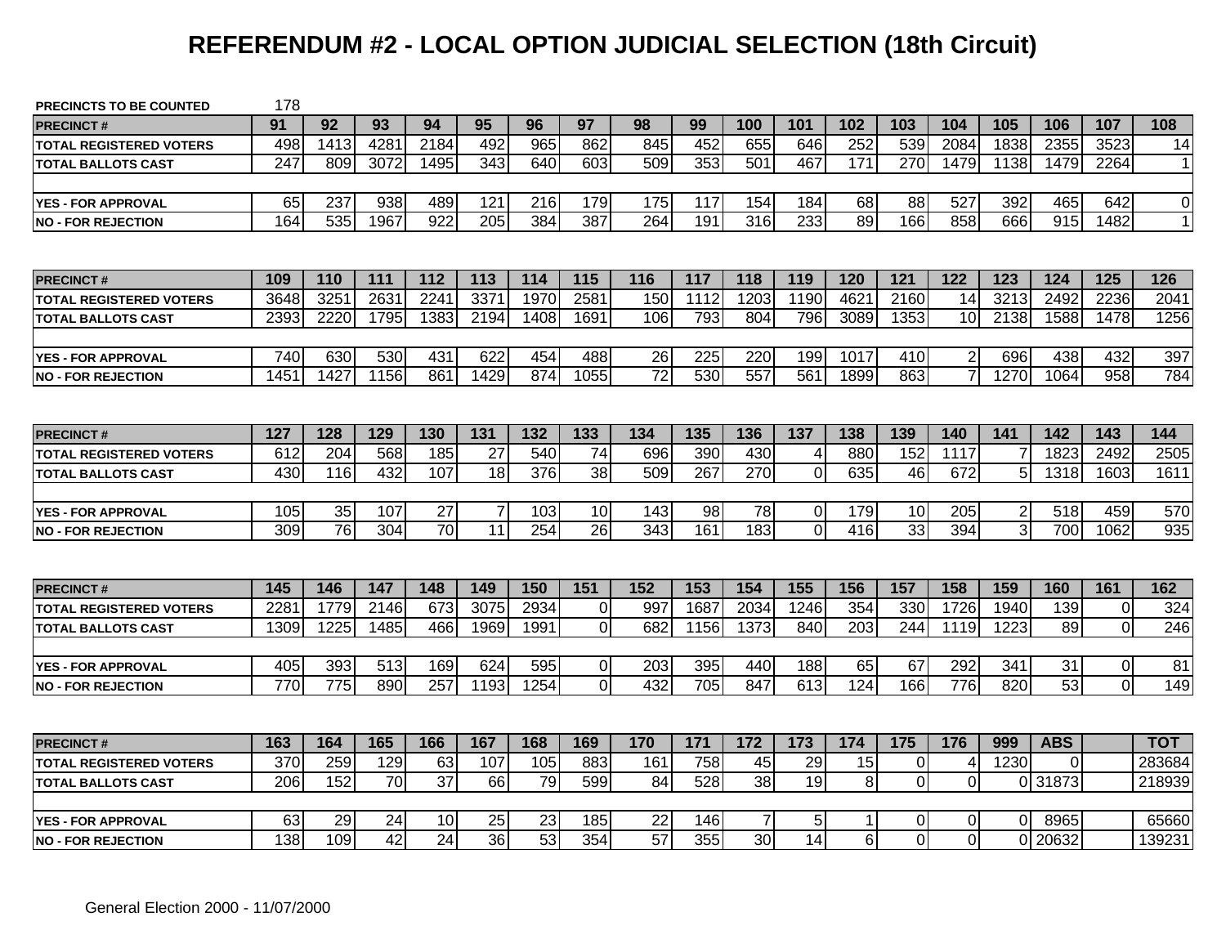# **REFERENDUM #2 - LOCAL OPTION JUDICIAL SELECTION (18th Circuit)**

| <b>PRECINCTS TO BE COUNTED</b> | 178  |                  |                 |                  |                 |                 |                |                 |      |                 |                 |                 |                |                |                |                  |                |                |
|--------------------------------|------|------------------|-----------------|------------------|-----------------|-----------------|----------------|-----------------|------|-----------------|-----------------|-----------------|----------------|----------------|----------------|------------------|----------------|----------------|
| <b>PRECINCT#</b>               | 91   | 92               | 93              | 94               | 95              | 96              | 97             | 98              | 99   | 100             | 101             | 102             | 103            | 104            | 105            | 106              | 107            | 108            |
| <b>TOTAL REGISTERED VOTERS</b> | 498  | 1413             | 4281            | 2184             | 492             | 965             | 862            | 845             | 452  | 655             | 646             | 252             | 539            | 2084           | 1838           | 2355             | 3523           | 14             |
| <b>TOTAL BALLOTS CAST</b>      | 247  | 809              | 3072            | 1495             | 343             | 640             | 603            | 509             | 353  | 501             | 467             | $\frac{1}{171}$ | 270            | 1479           | 1138           | 1479             | 2264           | 11             |
|                                |      |                  |                 |                  |                 |                 |                |                 |      |                 |                 |                 |                |                |                |                  |                |                |
| <b>YES - FOR APPROVAL</b>      | 65   | 237              | 938             | 489              | 121             | 216             | 179            | 175             | 117  | 154             | 184             | 68              | 88             | 527            | 392            | 465              | 642            | $\overline{0}$ |
| <b>NO - FOR REJECTION</b>      | 164  | $\overline{535}$ | 1967            | $\overline{922}$ | 205             | 384             | 387            | 264             | 191  | 316             | 233             | 89              | 166            | 858            | 666            | $\overline{915}$ | 1482           | 1              |
|                                |      |                  |                 |                  |                 |                 |                |                 |      |                 |                 |                 |                |                |                |                  |                |                |
| <b>PRECINCT#</b>               | 109  | 110              | 111             | 112              | 113             | 114             | 115            | 116             | 117  | 118             | 119             | 120             | 121            | 122            | 123            | 124              | 125            | 126            |
| <b>TOTAL REGISTERED VOTERS</b> | 3648 | 325              | 2631            | 2241             | 337             | 1970            | 2581           | 150             | 1112 | 1203            | 1190            | 462             | 2160           | 14             | 3213           | 2492             | 2236           | 2041           |
| <b>TOTAL BALLOTS CAST</b>      | 2393 | 2220             | 1795            | 1383             | 2194            | 1408            | 1691           | 106             | 793  | 804             | 796             | 3089            | 1353           | 10             | 2138           | 1588             | 1478           | 1256           |
|                                |      |                  |                 |                  |                 |                 |                |                 |      |                 |                 |                 |                |                |                |                  |                |                |
| <b>YES - FOR APPROVAL</b>      | 740  | 630              | 530             | 431              | 622             | 454             | 488            | 26              | 225  | 220             | 199             | 1017            | 410            | $\overline{2}$ | 696            | 438              | 432            | 397            |
| <b>NO - FOR REJECTION</b>      | 1451 | 1427             | 1156            | 861              | 1429            | 874             | 1055           | $\overline{72}$ | 530  | 557             | 561             | 1899            | 863            | $\overline{7}$ | 1270           | 1064             | 958            | 784            |
|                                |      |                  |                 |                  |                 |                 |                |                 |      |                 |                 |                 |                |                |                |                  |                |                |
| <b>PRECINCT#</b>               | 127  | 128              | 129             | 130              | 131             | 132             | 133            | 134             | 135  | 136             | 137             | 138             | 139            | 140            | 141            | 142              | 143            | 144            |
| <b>TOTAL REGISTERED VOTERS</b> | 612  | 204              | 568             | 185              | 27              | 540             | 74             | 696             | 390  | 430             | $\overline{4}$  | 880             | 152            | 1117           |                | 1823             | 2492           | 2505           |
| <b>TOTAL BALLOTS CAST</b>      | 430  | 116              | 432             | 107              | 18              | 376             | 38             | 509             | 267  | 270             | $\mathbf 0$     | 635             | 46             | 672            | 5              | 1318             | 1603           | 1611           |
|                                |      |                  |                 |                  |                 |                 |                |                 |      |                 |                 |                 |                |                |                |                  |                |                |
| <b>YES - FOR APPROVAL</b>      | 105  | 35               | 107             | 27               | $\overline{7}$  | 103             | 10             | 143             | 98   | 78              | $\pmb{0}$       | 179             | 10             | 205            | $\overline{2}$ | 518              | 459            | 570            |
| <b>NO - FOR REJECTION</b>      | 309  | 76               | 304             | $\overline{70}$  | 11              | 254             | 26             | 343             | 161  | 183             | $\overline{0}$  | 416             | 33             | 394            | 3              | 700              | 1062           | 935            |
|                                |      |                  |                 |                  |                 |                 |                |                 |      |                 |                 |                 |                |                |                |                  |                |                |
| <b>PRECINCT#</b>               | 145  | 146              | 147             | 148              | 149             | 150             | 151            | 152             | 153  | 154             | 155             | 156             | 157            | 158            | 159            | 160              | 161            | 162            |
| <b>TOTAL REGISTERED VOTERS</b> | 228  | 1779             | 2146            | 673              | 3075            | 2934            | $\overline{0}$ | 997             | 1687 | 2034            | 1246            | 354             | 330            | 1726           | 1940           | 139              | 0              | 324            |
| <b>TOTAL BALLOTS CAST</b>      | 1309 | 1225             | 1485            | 466              | 1969            | 1991            | $\overline{0}$ | 682             | 1156 | 1373            | 840             | 203             | 244            | 1119           | 1223           | 89               | $\overline{0}$ | 246            |
|                                |      |                  |                 |                  |                 |                 |                |                 |      |                 |                 |                 |                |                |                |                  |                |                |
| <b>YES - FOR APPROVAL</b>      | 405  | 393              | 513             | 169              | 624             | 595             | $\overline{0}$ | 203             | 395  | 440             | 188             | 65              | 67             | 292            | 341            | 31               | $\mathbf 0$    | 81             |
| <b>NO - FOR REJECTION</b>      | 770  | 775              | 890             | 257              | 1193            | 1254            | $\Omega$       | 432             | 705  | 847             | 613             | 124             | 166            | 776            | 820            | $\overline{53}$  | $\mathbf{0}$   | 149            |
|                                |      |                  |                 |                  |                 |                 |                |                 |      |                 |                 |                 |                |                |                |                  |                |                |
| <b>PRECINCT#</b>               | 163  | 164              | 165             | 166              | 167             | 168             | 169            | 170             | 171  | 172             | 173             | 174             | 175            | 176            | 999            | <b>ABS</b>       |                | тот            |
| <b>TOTAL REGISTERED VOTERS</b> | 370  | 259              | 129             | 63               | 107             | 105             | 883            | 161             | 758  | 45              | 29              | 15              | $\overline{0}$ | 4              | 1230           | $\Omega$         |                | 283684         |
| <b>TOTAL BALLOTS CAST</b>      | 206  | 152              | 70              | $\overline{37}$  | 66              | 79              | 599            | 84              | 528  | 38              | 19              | 8               | $\overline{0}$ | $\mathbf 0$    |                | 0 31873          |                | 218939         |
|                                |      |                  |                 |                  |                 |                 |                |                 |      |                 |                 |                 |                |                |                |                  |                |                |
| <b>YES - FOR APPROVAL</b>      | 63   | 29               | 24              | 10               | 25              | 23              | 185            | 22              | 146  | 7               | 5               |                 | 0              | 0              | $\Omega$       | 8965             |                | 65660          |
| <b>NO - FOR REJECTION</b>      | 138  | 109              | $\overline{42}$ | $\overline{24}$  | $\overline{36}$ | $\overline{53}$ | 354            | $\overline{57}$ | 355  | 30 <sup>1</sup> | $\overline{14}$ | 6               | $\Omega$       | $\overline{0}$ |                | 0 20632          |                | 139231         |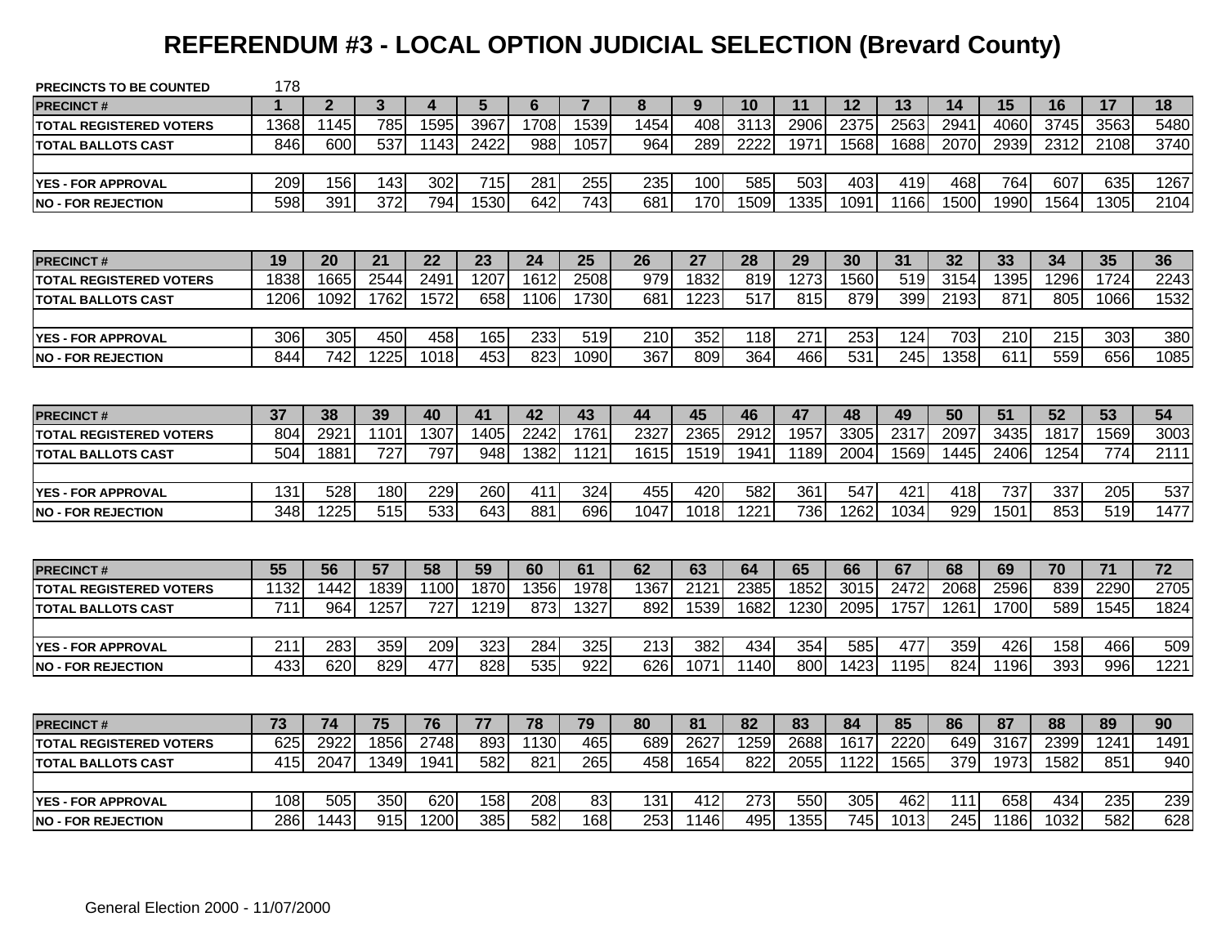# **REFERENDUM #3 - LOCAL OPTION JUDICIAL SELECTION (Brevard County)**

| <b>PRECINCTS TO BE COUNTED</b> | 178         |                  |      |                  |      |      |                |      |      |      |      |      |                  |      |      |      |                  |                 |
|--------------------------------|-------------|------------------|------|------------------|------|------|----------------|------|------|------|------|------|------------------|------|------|------|------------------|-----------------|
| <b>PRECINCT#</b>               | $\mathbf 1$ | $\mathbf{2}$     | 3    | 4                | 5    | 6    | $\overline{7}$ | 8    | 9    | 10   | 11   | 12   | 13               | 14   | 15   | 16   | 17               | 18              |
| <b>TOTAL REGISTERED VOTERS</b> | 1368        | 1145             | 785  | 1595             | 3967 | 1708 | 1539           | 1454 | 408  | 3113 | 2906 | 2375 | 2563             | 2941 | 406C | 3745 | 3563             | 5480            |
| <b>TOTAL BALLOTS CAST</b>      | 846         | 600              | 537  | 1143             | 2422 | 988  | 1057           | 964  | 289  | 2222 | 1971 | 1568 | 1688             | 2070 | 2939 | 2312 | 2108             | 3740            |
|                                |             |                  |      |                  |      |      |                |      |      |      |      |      |                  |      |      |      |                  |                 |
| YES - FOR APPROVAL             | 209         | 156              | 143  | 302              | 715  | 281  | 255            | 235  | 100  | 585  | 503  | 403  | 419              | 468  | 764  | 607  | 635              | 1267            |
| <b>NO - FOR REJECTION</b>      | 598         | 391              | 372  | 794              | 1530 | 642  | 743            | 681  | 170  | 1509 | 1335 | 1091 | 1166             | 1500 | 1990 | 1564 | 1305             | 2104            |
|                                |             |                  |      |                  |      |      |                |      |      |      |      |      |                  |      |      |      |                  |                 |
| <b>PRECINCT#</b>               | 19          | 20               | 21   | 22               | 23   | 24   | 25             | 26   | 27   | 28   | 29   | 30   | 31               | 32   | 33   | 34   | 35               | 36              |
| <b>TOTAL REGISTERED VOTERS</b> | 1838        | 1665             | 2544 | $\overline{249}$ | 1207 | 1612 | 2508           | 979  | 1832 | 819  | 1273 | 1560 | 519              | 3154 | 1395 | 1296 | 1724             | 2243            |
| <b>TOTAL BALLOTS CAST</b>      | 1206        | 1092             | 1762 | 1572             | 658  | 1106 | 1730           | 681  | 1223 | 517  | 815  | 879  | 399              | 2193 | 871  | 805  | 1066             | 1532            |
|                                |             |                  |      |                  |      |      |                |      |      |      |      |      |                  |      |      |      |                  |                 |
| <b>YES - FOR APPROVAL</b>      | 306         | 305              | 450  | 458              | 165  | 233  | 519            | 210  | 352  | 118  | 271  | 253  | 124              | 703  | 210  | 215  | 303              | 380             |
| <b>NO - FOR REJECTION</b>      | 844         | $\overline{742}$ | 1225 | 1018             | 453  | 823  | 1090           | 367  | 809  | 364  | 466  | 531  | $\overline{245}$ | 1358 | 611  | 559  | 656              | 1085            |
|                                |             |                  |      |                  |      |      |                |      |      |      |      |      |                  |      |      |      |                  |                 |
| <b>PRECINCT#</b>               | 37          | 38               | 39   | 40               | 41   | 42   | 43             | 44   | 45   | 46   | 47   | 48   | 49               | 50   | 51   | 52   | 53               | 54              |
| <b>TOTAL REGISTERED VOTERS</b> | 804         | 2921             | 1101 | 1307             | 1405 | 2242 | 1761           | 2327 | 2365 | 2912 | 1957 | 3305 | 2317             | 2097 | 3435 | 1817 | 1569             | 3003            |
| <b>TOTAL BALLOTS CAST</b>      | 504         | 1881             | 727  | 797              | 948  | 1382 | 1121           | 1615 | 1519 | 1941 | 1189 | 2004 | 1569             | 1445 | 2406 | 1254 | 774              | 2111            |
|                                |             |                  |      |                  |      |      |                |      |      |      |      |      |                  |      |      |      |                  |                 |
| <b>YES - FOR APPROVAL</b>      | 131         | 528              | 180  | 229              | 260  | 411  | 324            | 455  | 420  | 582  | 361  | 547  | 421              | 418  | 737  | 337  | 205              | 537             |
| <b>NO - FOR REJECTION</b>      | 348         | 1225             | 515  | 533              | 643  | 881  | 696            | 1047 | 1018 | 1221 | 736  | 1262 | 1034             | 929  | 1501 | 853  | $\overline{519}$ | 1477            |
|                                |             |                  |      |                  |      |      |                |      |      |      |      |      |                  |      |      |      |                  |                 |
| <b>PRECINCT#</b>               | 55          | 56               | 57   | 58               | 59   | 60   | 61             | 62   | 63   | 64   | 65   | 66   | 67               | 68   | 69   | 70   | $71$             | $\overline{72}$ |
| <b>TOTAL REGISTERED VOTERS</b> | 1132        | 1442             | 1839 | 1100             | 1870 | 1356 | 1978           | 1367 | 2121 | 2385 | 1852 | 3015 | 2472             | 2068 | 2596 | 839  | 2290             | 2705            |
| <b>ITOTAL BALLOTS CAST</b>     | 711         | 964              | 1257 | 727              | 1219 | 873  | 1327           | 892  | 1539 | 1682 | 1230 | 2095 | 1757             | 1261 | 1700 | 589  | 1545             | 1824            |
|                                |             |                  |      |                  |      |      |                |      |      |      |      |      |                  |      |      |      |                  |                 |
| <b>YES - FOR APPROVAL</b>      | 211         | 283              | 359  | 209              | 323  | 284  | 325            | 213  | 382  | 434  | 354  | 585  | 477              | 359  | 426  | 158  | 466              | 509             |
| <b>NO - FOR REJECTION</b>      | 433         | 620              | 829  | 477              | 828  | 535  | 922            | 626  | 1071 | 1140 | 800  | 1423 | 1195             | 824  | 1196 | 393  | 996              | 1221            |
|                                |             |                  |      |                  |      |      |                |      |      |      |      |      |                  |      |      |      |                  |                 |
| <b>PRECINCT#</b>               | 73          | 74               | 75   | 76               | 77   | 78   | 79             | 80   | 81   | 82   | 83   | 84   | 85               | 86   | 87   | 88   | 89               | 90              |
| <b>TOTAL REGISTERED VOTERS</b> | 625         | 2922             | 1856 | 2748             | 893  | 1130 | 465            | 689  | 2627 | 1259 | 2688 | 1617 | 2220             | 649  | 3167 | 2399 | 1241             | 1491            |
| <b>TOTAL BALLOTS CAST</b>      | 415         | 2047             | 1349 | 1941             | 582  | 821  | 265            | 458  | 1654 | 822  | 2055 | 1122 | 1565             | 379  | 1973 | 1582 | 851              | 940             |
|                                |             |                  |      |                  |      |      |                |      |      |      |      |      |                  |      |      |      |                  |                 |
| <b>YES - FOR APPROVAL</b>      | 108         | 505              | 350  | 620              | 158  | 208  | 83             | 131  | 412  | 273  | 550  | 305  | 462              | 111  | 658  | 434  | 235              | 239             |
| <b>NO - FOR REJECTION</b>      | 286         | 1443             | 915  | 1200             | 385  | 582  | 168            | 253  | 1146 | 495  | 1355 | 745  | 1013             | 245  | 1186 | 1032 | 582              | 628             |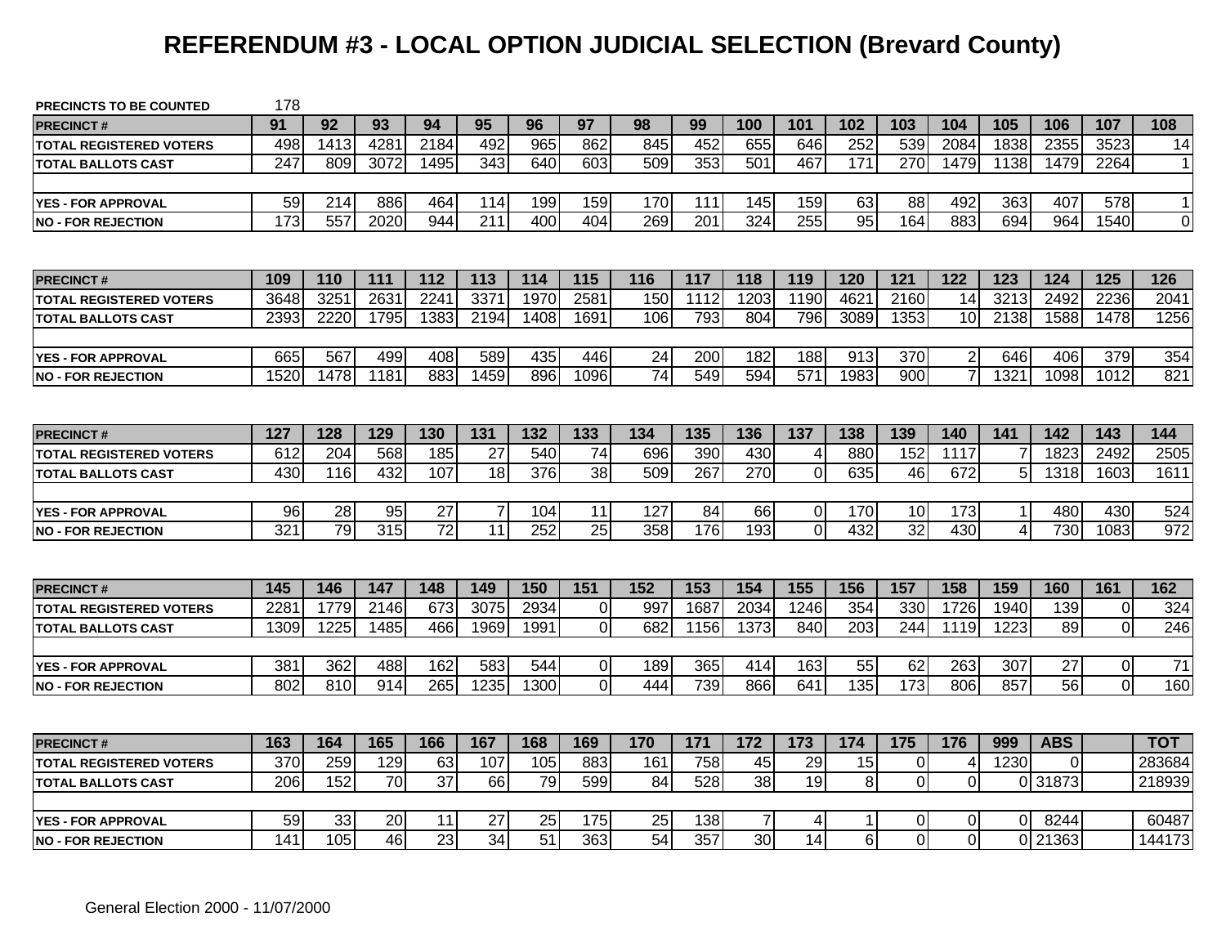# **REFERENDUM #3 - LOCAL OPTION JUDICIAL SELECTION (Brevard County)**

| <b>PRECINCTS TO BE COUNTED</b> | 178             |                 |      |                 |                |      |                  |                  |                  |                 |                |                  |                  |                |          |            |                |                |
|--------------------------------|-----------------|-----------------|------|-----------------|----------------|------|------------------|------------------|------------------|-----------------|----------------|------------------|------------------|----------------|----------|------------|----------------|----------------|
| <b>PRECINCT#</b>               | 91              | 92              | 93   | 94              | 95             | 96   | 97               | 98               | 99               | 100             | 101            | 102              | 103              | 104            | 105      | 106        | 107            | 108            |
| <b>TOTAL REGISTERED VOTERS</b> | 498             | 1413            | 4281 | 2184            | 492            | 965  | 862              | 845              | 452              | 655             | 646            | 252              | 539              | 2084           | 1838     | 2355       | 3523           | 14             |
| <b>TOTAL BALLOTS CAST</b>      | 247             | 809             | 3072 | 1495            | 343            | 640  | 603              | 509              | 353              | 501             | 467            | 171              | 270              | 1479           | 1138     | 1479       | 2264           | $\mathbf{1}$   |
| <b>YES - FOR APPROVAL</b>      | 59              | 214             | 886  | 464             | 114            | 199  | 159              | 170              | 111              | 145             | 159            | 63               | 88               | 492            | 363      | 407        | 578            | $\mathbf 1$    |
| <b>NO - FOR REJECTION</b>      | 173             | 557             | 2020 | 944             | 211            | 400  | 404              | 269              | $\overline{201}$ | 324             | 255            | $\overline{95}$  | 164              | 883            | 694      | 964        | 1540           | $\overline{0}$ |
|                                |                 |                 |      |                 |                |      |                  |                  |                  |                 |                |                  |                  |                |          |            |                |                |
| <b>PRECINCT#</b>               | 109             | 110             | 111  | 112             | 113            | 114  | 115              | 116              | 117              | 118             | 119            | 120              | 121              | 122            | 123      | 124        | 125            | 126            |
| <b>TOTAL REGISTERED VOTERS</b> | 3648            | 325'            | 2631 | 2241            | 337'           | 1970 | 2581             | 150              | 1112             | 1203            | 1190           | 4621             | 2160             | 14             | 3213     | 2492       | 2236           | 2041           |
| <b>TOTAL BALLOTS CAST</b>      | 2393            | 2220            | 1795 | 1383            | 2194           | 1408 | 1691             | 106              | 793              | 804             | 796            | 3089             | 1353             | 10             | 2138     | 1588       | 1478           | 1256           |
| <b>YES - FOR APPROVAL</b>      | 665             | 567             | 499  | 408             | 589            | 435  | 446              | 24               | 200              | 182             | 188            | 913              | 370              | $\overline{2}$ | 646      | 406        | 379            | 354            |
| <b>INO - FOR REJECTION</b>     | 1520            | 1478            | 1181 | 883             | 1459           | 896  | 1096             | 74               | 549              | 594             | 571            | 1983             | 900              | $\overline{7}$ | 1321     | 1098       | 1012           | 821            |
|                                |                 |                 |      |                 |                |      |                  |                  |                  |                 |                |                  |                  |                |          |            |                |                |
| <b>PRECINCT#</b>               | 127             | 128             | 129  | 130             | 131            | 132  | 133              | 134              | 135              | 136             | 137            | 138              | 139              | 140            | 141      | 142        | 143            | 144            |
| TOTAL REGISTERED VOTERS        | 612             | 204             | 568  | 185             | 27             | 540  | 74               | 696              | 390              | 430             | $\overline{4}$ | 880              | 152              | 1117           |          | 1823       | 2492           | 2505           |
| TOTAL BALLOTS CAST             | 430             | 116             | 432  | 107             | 18             | 376  | 38               | 509              | 267              | 270             | $\mathbf 0$    | 635              | 46               | 672            | 5        | 1318       | 1603           | 1611           |
|                                |                 |                 |      |                 |                |      |                  |                  |                  |                 |                |                  |                  |                |          |            |                |                |
| <b>YES - FOR APPROVAL</b>      | $\overline{96}$ | $\overline{28}$ | 95   | $\overline{27}$ | $\overline{7}$ | 104  | 11               | 127              | 84               | 66              | $\overline{0}$ | 170              | 10               | 173            |          | 480        | 430            | 524            |
| <b>NO - FOR REJECTION</b>      | 321             | 79              | 315  | $\overline{72}$ | 11             | 252  | 25               | 358              | 176              | 193             | $\Omega$       | 432              | 32               | 430            | 4        | 730        | 1083           | 972            |
|                                |                 |                 |      |                 |                |      |                  |                  |                  |                 |                |                  |                  |                |          |            |                |                |
| <b>PRECINCT#</b>               | 145             | 146             | 147  | 148             | 149            | 150  | $\overline{151}$ | $\overline{152}$ | 153              | 154             | 155            | 156              | 157              | 158            | 159      | 160        | 161            | 162            |
| <b>TOTAL REGISTERED VOTERS</b> | 228             | 1779            | 2146 | 673             | 3075           | 2934 | 0                | 997              | 1687             | 2034            | 1246           | 354              | 330              | 1726           | 1940     | 139        | $\mathbf 0$    | 324            |
| <b>TOTAL BALLOTS CAST</b>      | 1309            | 1225            | 1485 | 466             | 1969           | 1991 | $\overline{0}$   | 682              | 1156             | 1373            | 840            | 203              | 244              | 1119           | 1223     | 89         | $\overline{0}$ | 246            |
|                                |                 |                 |      |                 |                |      |                  |                  |                  |                 |                |                  |                  |                |          |            |                |                |
| <b>YES - FOR APPROVAL</b>      | 381             | 362             | 488  | 162             | 583            | 544  | 0                | 189              | 365              | 414             | 163            | 55               | 62               | 263            | 307      | 27         | $\overline{0}$ | 71             |
| <b>NO - FOR REJECTION</b>      | 802             | 810             | 914  | 265             | 1235           | 1300 | $\Omega$         | 444              | 739              | 866             | 641            | $\overline{135}$ | $\overline{173}$ | 806            | 857      | 56         | $\overline{0}$ | 160            |
|                                |                 |                 |      |                 |                |      |                  |                  |                  |                 |                |                  |                  |                |          |            |                |                |
| <b>PRECINCT#</b>               | 163             | 164             | 165  | 166             | 167            | 168  | 169              | 170              | 171              | 172             | 173            | 174              | 175              | 176            | 999      | <b>ABS</b> |                | <b>TOT</b>     |
| <b>TOTAL REGISTERED VOTERS</b> | 370             | 259             | 129  | 63              | 107            | 105  | 883              | 161              | 758              | 45              | 29             | 15               | $\mathbf 0$      | 4              | 1230     | $\Omega$   |                | 283684         |
| <b>TOTAL BALLOTS CAST</b>      | 206             | 152             | 70   | $\overline{37}$ | 66             | 79   | 599              | 84               | 528              | $\overline{38}$ | 19             | $\, 8$           | $\overline{0}$   | $\overline{0}$ | 0        | 31873      |                | 218939         |
|                                |                 |                 |      |                 |                |      |                  |                  |                  |                 |                |                  |                  |                |          |            |                |                |
| <b>YES - FOR APPROVAL</b>      | 59              | 33              | 20   | 11              | 27             | 25   | 175              | 25               | 138              | 7               | 4              | 1                | 0                | $\overline{0}$ | $\Omega$ | 8244       |                | 60487          |
| <b>NO - FOR REJECTION</b>      | 141             | 105             | 46   | $\overline{23}$ | 34             | 51   | 363              | 54               | 357              | 30              | 14             | 6                | $\Omega$         | $\Omega$       |          | 21363      |                | 144173         |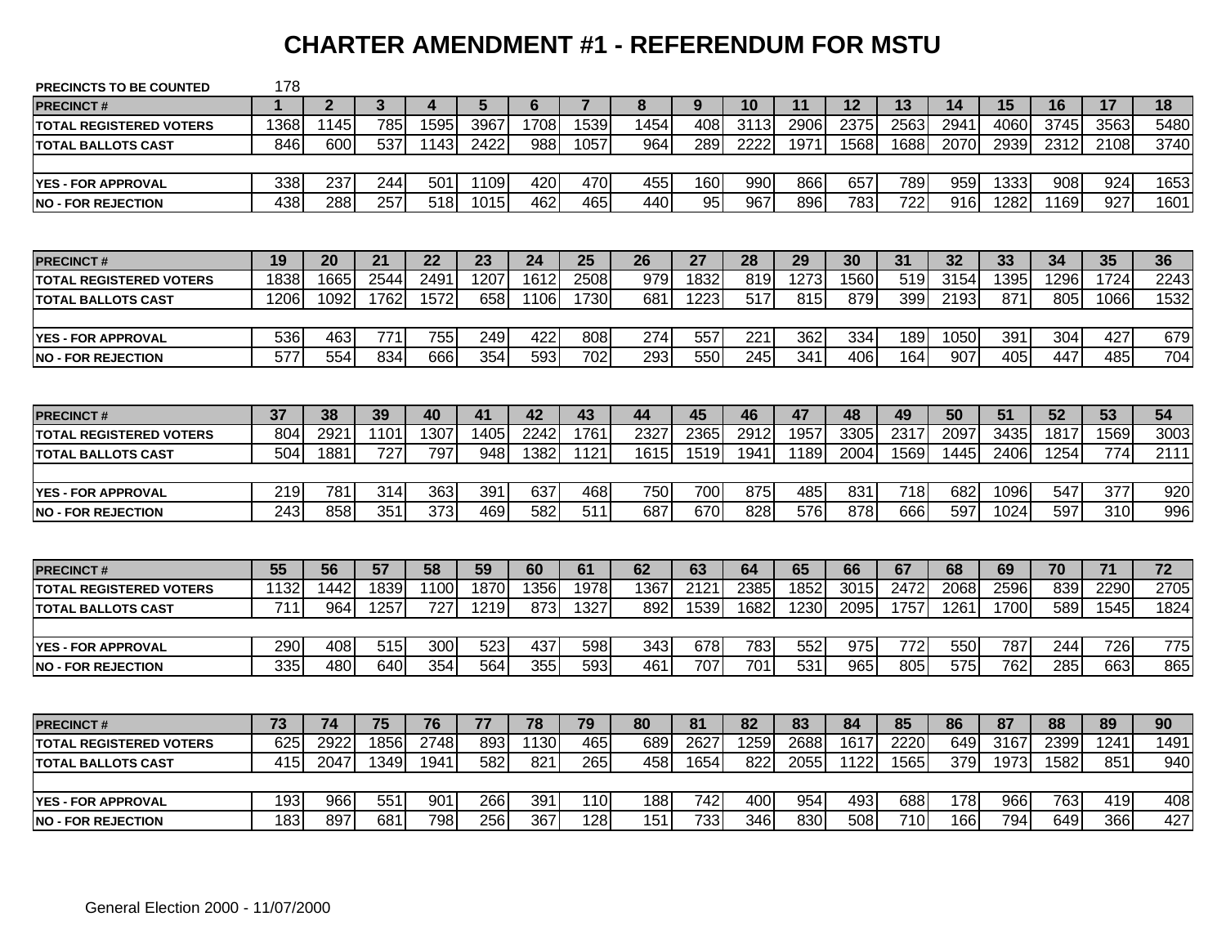#### **CHARTER AMENDMENT #1 - REFERENDUM FOR MSTU**

| <b>PRECINCTS TO BE COUNTED</b> | 178              |                |      |                  |      |      |                |      |      |      |      |      |                  |      |      |      |      |      |
|--------------------------------|------------------|----------------|------|------------------|------|------|----------------|------|------|------|------|------|------------------|------|------|------|------|------|
| <b>PRECINCT#</b>               |                  | $\overline{2}$ | 3    | 4                | 5    | 6    | $\overline{7}$ | 8    | 9    | 10   | 11   | 12   | 13               | 14   | 15   | 16   | 17   | 18   |
| <b>TOTAL REGISTERED VOTERS</b> | 1368             | 1145           | 785  | 1595             | 3967 | 1708 | 1539           | 1454 | 408  | 3113 | 2906 | 2375 | 2563             | 2941 | 4060 | 3745 | 3563 | 5480 |
| <b>TOTAL BALLOTS CAST</b>      | 846              | 600            | 537  | 1143             | 2422 | 988  | 1057           | 964  | 289  | 2222 | 1971 | 1568 | 1688             | 2070 | 2939 | 2312 | 2108 | 3740 |
|                                |                  |                |      |                  |      |      |                |      |      |      |      |      |                  |      |      |      |      |      |
| <b>YES - FOR APPROVAL</b>      | 338              | 237            | 244  | 501              | 1109 | 420  | 470            | 455  | 160  | 990  | 866  | 657  | 789              | 959  | 1333 | 908  | 924  | 1653 |
| <b>NO - FOR REJECTION</b>      | 438              | 288            | 257  | 518              | 1015 | 462  | 465            | 440  | 95   | 967  | 896  | 783  | 722              | 916  | 1282 | 1169 | 927  | 1601 |
|                                |                  |                |      |                  |      |      |                |      |      |      |      |      |                  |      |      |      |      |      |
| <b>PRECINCT#</b>               | 19               | 20             | 21   | 22               | 23   | 24   | 25             | 26   | 27   | 28   | 29   | 30   | 31               | 32   | 33   | 34   | 35   | 36   |
| <b>TOTAL REGISTERED VOTERS</b> | 1838             | 1665           | 2544 | 249'             | 1207 | 1612 | 2508           | 979  | 1832 | 819  | 1273 | 1560 | 519              | 3154 | 1395 | 1296 | 1724 | 2243 |
| <b>TOTAL BALLOTS CAST</b>      | 1206             | 1092           | 1762 | 1572             | 658  | 1106 | 1730           | 681  | 1223 | 517  | 815  | 879  | 399              | 2193 | 871  | 805  | 1066 | 1532 |
|                                |                  |                |      |                  |      |      |                |      |      |      |      |      |                  |      |      |      |      |      |
| <b>YES - FOR APPROVAL</b>      | 536              | 463            | 771  | 755              | 249  | 422  | 808            | 274  | 557  | 221  | 362  | 334  | 189              | 1050 | 391  | 304  | 427  | 679  |
| <b>INO - FOR REJECTION</b>     | 577              | 554            | 834  | 666              | 354  | 593  | 702            | 293  | 550  | 245  | 341  | 406  | 164              | 907  | 405  | 447  | 485  | 704  |
|                                |                  |                |      |                  |      |      |                |      |      |      |      |      |                  |      |      |      |      |      |
| <b>PRECINCT#</b>               | 37               | 38             | 39   | 40               | 41   | 42   | 43             | 44   | 45   | 46   | 47   | 48   | 49               | 50   | 51   | 52   | 53   | 54   |
| <b>TOTAL REGISTERED VOTERS</b> | 804              | 2921           | 1101 | 1307             | 1405 | 2242 | 1761           | 2327 | 2365 | 2912 | 1957 | 3305 | 2317             | 2097 | 3435 | 1817 | 1569 | 3003 |
| <b>TOTAL BALLOTS CAST</b>      | 504              | 1881           | 727  | 797              | 948  | 1382 | 1121           | 1615 | 1519 | 1941 | 1189 | 2004 | 1569             | 1445 | 2406 | 1254 | 774  | 2111 |
|                                |                  |                |      |                  |      |      |                |      |      |      |      |      |                  |      |      |      |      |      |
| <b>YES - FOR APPROVAL</b>      | 219              | 781            | 314  | 363              | 391  | 637  | 468            | 750  | 700  | 875  | 485  | 831  | 718              | 682  | 1096 | 547  | 377  | 920  |
| <b>NO - FOR REJECTION</b>      | 243              | 858            | 351  | $\overline{373}$ | 469  | 582  | 511            | 687  | 670  | 828  | 576  | 878  | 666              | 597  | 1024 | 597  | 310  | 996  |
|                                |                  |                |      |                  |      |      |                |      |      |      |      |      |                  |      |      |      |      |      |
| <b>PRECINCT#</b>               | 55               | 56             | 57   | 58               | 59   | 60   | 61             | 62   | 63   | 64   | 65   | 66   | 67               | 68   | 69   | 70   | 71   | 72   |
| <b>TOTAL REGISTERED VOTERS</b> | 1132             | 1442           | 1839 | 1100             | 1870 | 1356 | 1978           | 1367 | 2121 | 2385 | 1852 | 3015 | 2472             | 2068 | 2596 | 839  | 2290 | 2705 |
| <b>TOTAL BALLOTS CAST</b>      | $\overline{711}$ | 964            | 1257 | $\overline{727}$ | 1219 | 873  | 1327           | 892  | 1539 | 1682 | 1230 | 2095 | 1757             | 1261 | 1700 | 589  | 1545 | 1824 |
|                                |                  |                |      |                  |      |      |                |      |      |      |      |      |                  |      |      |      |      |      |
| <b>YES - FOR APPROVAL</b>      | 290              | 408            | 515  | 300              | 523  | 437  | 598            | 343  | 678  | 783  | 552  | 975  | 772              | 550  | 787  | 244  | 726  | 775  |
| <b>INO - FOR REJECTION</b>     | 335              | 480            | 640  | 354              | 564  | 355  | 593            | 461  | 707  | 701  | 531  | 965  | 805              | 575  | 762  | 285  | 663  | 865  |
|                                |                  |                |      |                  |      |      |                |      |      |      |      |      |                  |      |      |      |      |      |
| <b>PRECINCT#</b>               | 73               | 74             | 75   | 76               | 77   | 78   | 79             | 80   | 81   | 82   | 83   | 84   | 85               | 86   | 87   | 88   | 89   | 90   |
| <b>TOTAL REGISTERED VOTERS</b> | 625              | 2922           | 1856 | 2748             | 893  | 1130 | 465            | 689  | 2627 | 1259 | 2688 | 1617 | 2220             | 649  | 3167 | 2399 | 1241 | 1491 |
| <b>TOTAL BALLOTS CAST</b>      | 415              | 2047           | 1349 | 1941             | 582  | 821  | 265            | 458  | 1654 | 822  | 2055 | 1122 | 1565             | 379  | 1973 | 1582 | 851  | 940  |
|                                |                  |                |      |                  |      |      |                |      |      |      |      |      |                  |      |      |      |      |      |
| <b>YES - FOR APPROVAL</b>      | 193              | 966            | 551  | 901              | 266  | 391  | 110            | 188  | 742  | 400  | 954  | 493  | 688              | 178  | 966  | 763  | 419  | 408  |
| <b>INO - FOR REJECTION</b>     | 183              | 897            | 681  | 798              | 256  | 367  | 128            | 151  | 733  | 346  | 830  | 508  | $\overline{710}$ | 166  | 794  | 649  | 366  | 427  |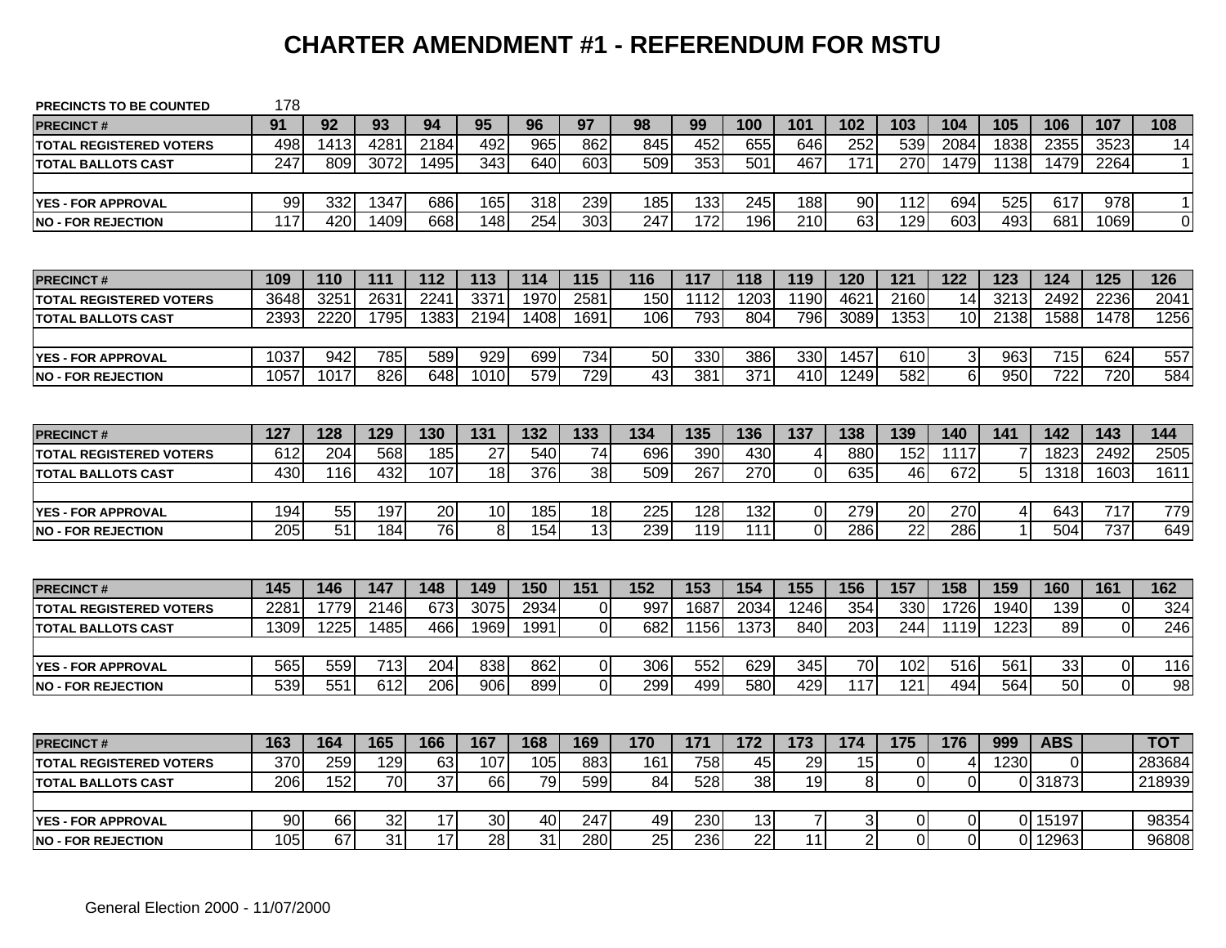### **CHARTER AMENDMENT #1 - REFERENDUM FOR MSTU**

| <b>PRECINCTS TO BE COUNTED</b> | 178  |      |                 |                 |                 |      |                 |                 |      |                  |                |      |                  |                |                |            |                |              |
|--------------------------------|------|------|-----------------|-----------------|-----------------|------|-----------------|-----------------|------|------------------|----------------|------|------------------|----------------|----------------|------------|----------------|--------------|
| <b>PRECINCT#</b>               | 91   | 92   | 93              | 94              | 95              | 96   | 97              | 98              | 99   | 100              | 101            | 102  | 103              | 104            | 105            | 106        | 107            | 108          |
| <b>TOTAL REGISTERED VOTERS</b> | 498  | 1413 | 4281            | 2184            | 492             | 965  | 862             | 845             | 452  | 655              | 646            | 252  | 539              | 2084           | 1838           | 2355       | 3523           | 14           |
| <b>TOTAL BALLOTS CAST</b>      | 247  | 809  | 3072            | 1495            | 343             | 640  | 603             | 509             | 353  | 501              | 467            | 171  | 270              | 1479           | 1138           | 1479       | 2264           | $\mathbf{1}$ |
|                                |      |      |                 |                 |                 |      |                 |                 |      |                  |                |      |                  |                |                |            |                |              |
| <b>YES - FOR APPROVAL</b>      | 99   | 332  | 1347            | 686             | 165             | 318  | 239             | 185             | 133  | 245              | 188            | 90   | 112              | 694            | 525            | 617        | 978            | $\mathbf{1}$ |
| <b>NO - FOR REJECTION</b>      | 117  | 420  | 1409            | 668             | 148             | 254  | 303             | 247             | 172  | 196              | 210            | 63   | 129              | 603            | 493            | 681        | 1069           | $\mathbf 0$  |
|                                |      |      |                 |                 |                 |      |                 |                 |      |                  |                |      |                  |                |                |            |                |              |
| <b>PRECINCT#</b>               | 109  | 110  | 111             | 112             | 113             | 114  | 115             | 116             | 117  | 118              | 119            | 120  | 121              | 122            | 123            | 124        | 125            | 126          |
| TOTAL REGISTERED VOTERS        | 3648 | 3251 | 2631            | 2241            | 3371            | 1970 | 2581            | 150             | 1112 | 1203             | 1190           | 4621 | 2160             | 14             | 3213           | 2492       | 2236           | 2041         |
| <b>TOTAL BALLOTS CAST</b>      | 2393 | 2220 | 1795            | 1383            | 2194            | 1408 | 1691            | 106             | 793  | 804              | 796            | 3089 | 1353             | 10             | 2138           | 1588       | 1478           | 1256         |
|                                |      |      |                 |                 |                 |      |                 |                 |      |                  |                |      |                  |                |                |            |                |              |
| <b>YES - FOR APPROVAL</b>      | 1037 | 942  | 785             | 589             | 929             | 699  | 734             | 50              | 330  | 386              | 330            | 1457 | 610              | $\sqrt{3}$     | 963            | 715        | 624            | 557          |
| <b>NO - FOR REJECTION</b>      | 1057 | 1017 | 826             | 648             | 1010            | 579  | 729             | $\overline{43}$ | 381  | $\overline{371}$ | 410            | 1249 | 582              | $\overline{6}$ | 950            | 722        | 720            | 584          |
|                                |      |      |                 |                 |                 |      |                 |                 |      |                  |                |      |                  |                |                |            |                |              |
| <b>PRECINCT#</b>               | 127  | 128  | 129             | 130             | 131             | 132  | 133             | 134             | 135  | 136              | 137            | 138  | 139              | 140            | 141            | 142        | 143            | 144          |
| <b>TOTAL REGISTERED VOTERS</b> | 612  | 204  | 568             | 185             | 27              | 540  | 74              | 696             | 390  | 430              | 4              | 880  | 152              | 1117           |                | 1823       | 2492           | 2505         |
| TOTAL BALLOTS CAST             | 430  | 116  | 432             | 107             | 18              | 376  | $\overline{38}$ | 509             | 267  | 270              | $\mathbf 0$    | 635  | 46               | 672            | 5              | 1318       | 1603           | 1611         |
|                                |      |      |                 |                 |                 |      |                 |                 |      |                  |                |      |                  |                |                |            |                |              |
| <b>YES - FOR APPROVAL</b>      | 194  | 55   | 197             | 20              | 10 <sup>1</sup> | 185  | 18              | 225             | 128  | 132              | $\overline{0}$ | 279  | 20               | 270            | $\overline{4}$ | 643        | 717            | 779          |
| <b>NO - FOR REJECTION</b>      | 205  | 51   | 184             | 76              | 8 <sup>1</sup>  | 154  | 13              | 239             | 119  | 111              | $\overline{0}$ | 286  | 22               | 286            |                | 504        | 737            | 649          |
|                                |      |      |                 |                 |                 |      |                 |                 |      |                  |                |      |                  |                |                |            |                |              |
| <b>PRECINCT#</b>               | 145  | 146  | 147             | 148             | 149             | 150  | 151             | 152             | 153  | 154              | 155            | 156  | 157              | 158            | 159            | 160        | 161            | 162          |
| <b>TOTAL REGISTERED VOTERS</b> | 228' | 1779 | 2146            | 673             | 3075            | 2934 | $\Omega$        | 997             | 1687 | 2034             | 1246           | 354  | 330              | 1726           | 1940           | 139        | $\pmb{0}$      | 324          |
| <b>TOTAL BALLOTS CAST</b>      | 1309 | 1225 | 1485            | 466             | 1969            | 1991 | $\Omega$        | 682             | 1156 | 1373             | 840            | 203  | 244              | 1119           | 1223           | 89         | $\overline{0}$ | 246          |
|                                |      |      |                 |                 |                 |      |                 |                 |      |                  |                |      |                  |                |                |            |                |              |
| <b>YES - FOR APPROVAL</b>      | 565  | 559  | 713             | 204             | 838             | 862  | $\Omega$        | 306             | 552  | 629              | 345            | 70   | 102              | 516            | 561            | 33         | $\overline{0}$ | 116          |
| <b>NO - FOR REJECTION</b>      | 539  | 551  | 612             | 206             | 906             | 899  | $\Omega$        | 299             | 499  | 580              | 429            | 117  | $\overline{121}$ | 494            | 564            | 50         | $\overline{0}$ | 98           |
|                                |      |      |                 |                 |                 |      |                 |                 |      |                  |                |      |                  |                |                |            |                |              |
| <b>PRECINCT#</b>               | 163  | 164  | 165             | 166             | 167             | 168  | 169             | 170             | 171  | 172              | 173            | 174  | 175              | 176            | 999            | <b>ABS</b> |                | <b>TOT</b>   |
| <b>TOTAL REGISTERED VOTERS</b> | 370  | 259  | 129             | 63              | 107             | 105  | 883             | 161             | 758  | 45               | 29             | 15   | $\overline{0}$   | $\overline{4}$ | 1230           | 0          |                | 283684       |
| <b>TOTAL BALLOTS CAST</b>      | 206  | 152  | 70              | $\overline{37}$ | 66              | 79   | 599             | 84              | 528  | $\overline{38}$  | 19             | 8    | $\overline{0}$   | 0              |                | 0 31873    |                | 218939       |
|                                |      |      |                 |                 |                 |      |                 |                 |      |                  |                |      |                  |                |                |            |                |              |
| <b>YES - FOR APPROVAL</b>      | 90   | 66   | 32              | 17              | 30              | 40   | 247             | 49              | 230  | 13               | 7              | 3    | 0                | 0              |                | 0 15197    |                | 98354        |
| <b>NO - FOR REJECTION</b>      | 105  | 67   | $\overline{31}$ | $\overline{17}$ | 28              | 31   | 280             | 25              | 236  | $\overline{22}$  | 11             | 2    | 0                | 0              |                | 0 12963    |                | 96808        |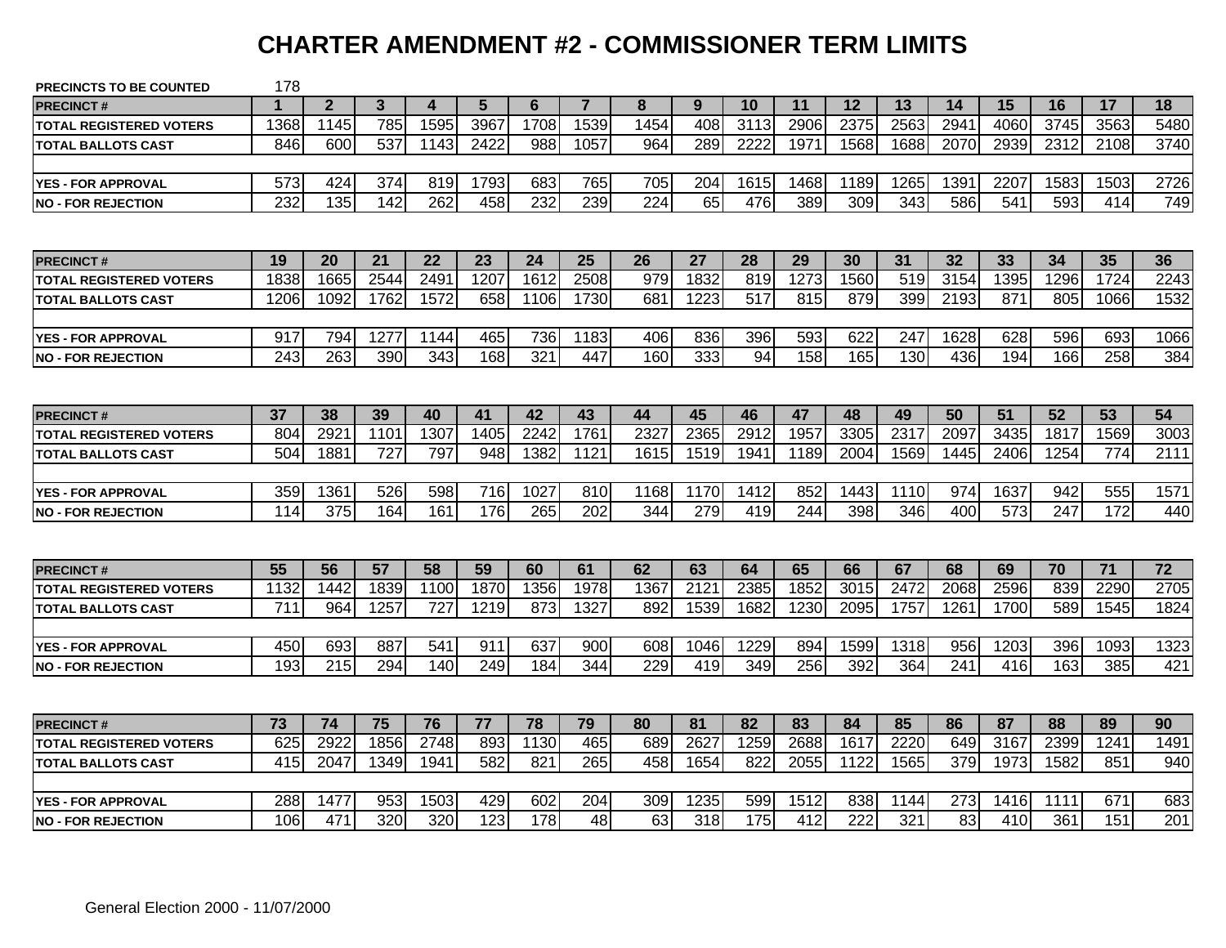# **CHARTER AMENDMENT #2 - COMMISSIONER TERM LIMITS**

| <b>PRECINCTS TO BE COUNTED</b> | 178  |              |              |      |      |      |                |      |      |      |      |      |      |      |      |      |                 |                 |
|--------------------------------|------|--------------|--------------|------|------|------|----------------|------|------|------|------|------|------|------|------|------|-----------------|-----------------|
| <b>PRECINCT#</b>               | 1    | $\mathbf{2}$ | $\mathbf{3}$ | 4    | 5    | 6    | $\overline{7}$ | 8    | 9    | 10   | 11   | 12   | 13   | 14   | 15   | 16   | 17              | 18              |
| <b>TOTAL REGISTERED VOTERS</b> | 1368 | 1145         | 785          | 1595 | 3967 | 1708 | 1539           | 1454 | 408  | 3113 | 2906 | 2375 | 2563 | 2941 | 4060 | 3745 | 3563            | 5480            |
| <b>TOTAL BALLOTS CAST</b>      | 846  | 600          | 537          | 1143 | 2422 | 988  | 1057           | 964  | 289  | 2222 | 1971 | 1568 | 1688 | 2070 | 2939 | 2312 | 2108            | 3740            |
|                                |      |              |              |      |      |      |                |      |      |      |      |      |      |      |      |      |                 |                 |
| <b>YES - FOR APPROVAL</b>      | 573  | 424          | 374          | 819  | 1793 | 683  | 765            | 705  | 204  | 1615 | 1468 | 1189 | 1265 | 1391 | 2207 | 1583 | 1503            | 2726            |
| <b>NO - FOR REJECTION</b>      | 232  | 135          | 142          | 262  | 458  | 232  | 239            | 224  | 65   | 476  | 389  | 309  | 343  | 586  | 541  | 593  | 414             | 749             |
|                                |      |              |              |      |      |      |                |      |      |      |      |      |      |      |      |      |                 |                 |
| <b>PRECINCT#</b>               | 19   | 20           | 21           | 22   | 23   | 24   | 25             | 26   | 27   | 28   | 29   | 30   | 31   | 32   | 33   | 34   | 35              | 36              |
| <b>TOTAL REGISTERED VOTERS</b> | 1838 | 1665         | 2544         | 249  | 1207 | 1612 | 2508           | 979  | 1832 | 819  | 1273 | 1560 | 519  | 3154 | 1395 | 1296 | 1724            | 2243            |
| <b>TOTAL BALLOTS CAST</b>      | 1206 | 1092         | 1762         | 1572 | 658  | 1106 | 1730           | 681  | 1223 | 517  | 815  | 879  | 399  | 2193 | 871  | 805  | 1066            | 1532            |
|                                |      |              |              |      |      |      |                |      |      |      |      |      |      |      |      |      |                 |                 |
| <b>YES - FOR APPROVAL</b>      | 917  | 794          | 1277         | 1144 | 465  | 736  | 1183           | 406  | 836  | 396  | 593  | 622  | 247  | 1628 | 628  | 596  | 693             | 1066            |
| <b>NO - FOR REJECTION</b>      | 243  | 263          | 390          | 343  | 168  | 321  | 447            | 160  | 333  | 94   | 158  | 165  | 130  | 436  | 194  | 166  | 258             | 384             |
|                                |      |              |              |      |      |      |                |      |      |      |      |      |      |      |      |      |                 |                 |
| <b>PRECINCT#</b>               | 37   | 38           | 39           | 40   | 41   | 42   | 43             | 44   | 45   | 46   | 47   | 48   | 49   | 50   | 51   | 52   | 53              | 54              |
| <b>TOTAL REGISTERED VOTERS</b> | 804  | 2921         | 1101         | 1307 | 1405 | 2242 | 1761           | 2327 | 2365 | 2912 | 1957 | 3305 | 2317 | 2097 | 3435 | 1817 | 1569            | 3003            |
| <b>TOTAL BALLOTS CAST</b>      | 504  | 1881         | 727          | 797  | 948  | 1382 | 1121           | 1615 | 1519 | 1941 | 1189 | 2004 | 1569 | 1445 | 2406 | 1254 | 774             | 2111            |
|                                |      |              |              |      |      |      |                |      |      |      |      |      |      |      |      |      |                 |                 |
| <b>YES - FOR APPROVAL</b>      | 359  | 1361         | 526          | 598  | 716  | 1027 | 810            | 1168 | 1170 | 1412 | 852  | 1443 | 1110 | 974  | 1637 | 942  | 555             | 1571            |
| <b>NO - FOR REJECTION</b>      | 114  | 375          | 164          | 161  | 176  | 265  | 202            | 344  | 279  | 419  | 244  | 398  | 346  | 400  | 573  | 247  | 172             | 440             |
|                                |      |              |              |      |      |      |                |      |      |      |      |      |      |      |      |      |                 |                 |
| <b>PRECINCT#</b>               | 55   | 56           | 57           | 58   | 59   | 60   | 61             | 62   | 63   | 64   | 65   | 66   | 67   | 68   | 69   | 70   | $\overline{71}$ | $\overline{72}$ |
| <b>TOTAL REGISTERED VOTERS</b> | 1132 | 1442         | 1839         | 1100 | 1870 | 1356 | 1978           | 1367 | 2121 | 2385 | 1852 | 3015 | 2472 | 2068 | 2596 | 839  | 2290            | 2705            |
| <b>TOTAL BALLOTS CAST</b>      | 711  | 964          | 1257         | 727  | 1219 | 873  | 1327           | 892  | 1539 | 1682 | 1230 | 2095 | 1757 | 1261 | 1700 | 589  | 1545            | 1824            |
|                                |      |              |              |      |      |      |                |      |      |      |      |      |      |      |      |      |                 |                 |
| <b>YES - FOR APPROVAL</b>      | 450  | 693          | 887          | 541  | 911  | 637  | 900            | 608  | 1046 | 1229 | 894  | 1599 | 1318 | 956  | 1203 | 396  | 1093            | 1323            |
| <b>NO - FOR REJECTION</b>      | 193  | 215          | 294          | 140  | 249  | 184  | 344            | 229  | 419  | 349  | 256  | 392  | 364  | 241  | 416  | 163  | 385             | 421             |
|                                |      |              |              |      |      |      |                |      |      |      |      |      |      |      |      |      |                 |                 |
| <b>PRECINCT#</b>               | 73   | 74           | 75           | 76   | 77   | 78   | 79             | 80   | 81   | 82   | 83   | 84   | 85   | 86   | 87   | 88   | 89              | 90              |
| <b>TOTAL REGISTERED VOTERS</b> | 625  | 2922         | 1856         | 2748 | 893  | 1130 | 465            | 689  | 2627 | 1259 | 2688 | 1617 | 2220 | 649  | 3167 | 2399 | 1241            | 1491            |
| <b>TOTAL BALLOTS CAST</b>      | 415  | 2047         | 1349         | 1941 | 582  | 821  | 265            | 458  | 1654 | 822  | 2055 | 1122 | 1565 | 379  | 1973 | 1582 | 851             | 940             |
|                                |      |              |              |      |      |      |                |      |      |      |      |      |      |      |      |      |                 |                 |
| <b>YES - FOR APPROVAL</b>      | 288  | 1477         | 953          | 1503 | 429  | 602  | 204            | 309  | 1235 | 599  | 1512 | 838  | 1144 | 273  | 1416 | 1111 | 671             | 683             |
| <b>NO - FOR REJECTION</b>      | 106  | 471          | 320          | 320  | 123  | 178  | 48             | 63   | 318  | 175  | 412  | 222  | 321  | 83   | 410  | 361  | 151             | 201             |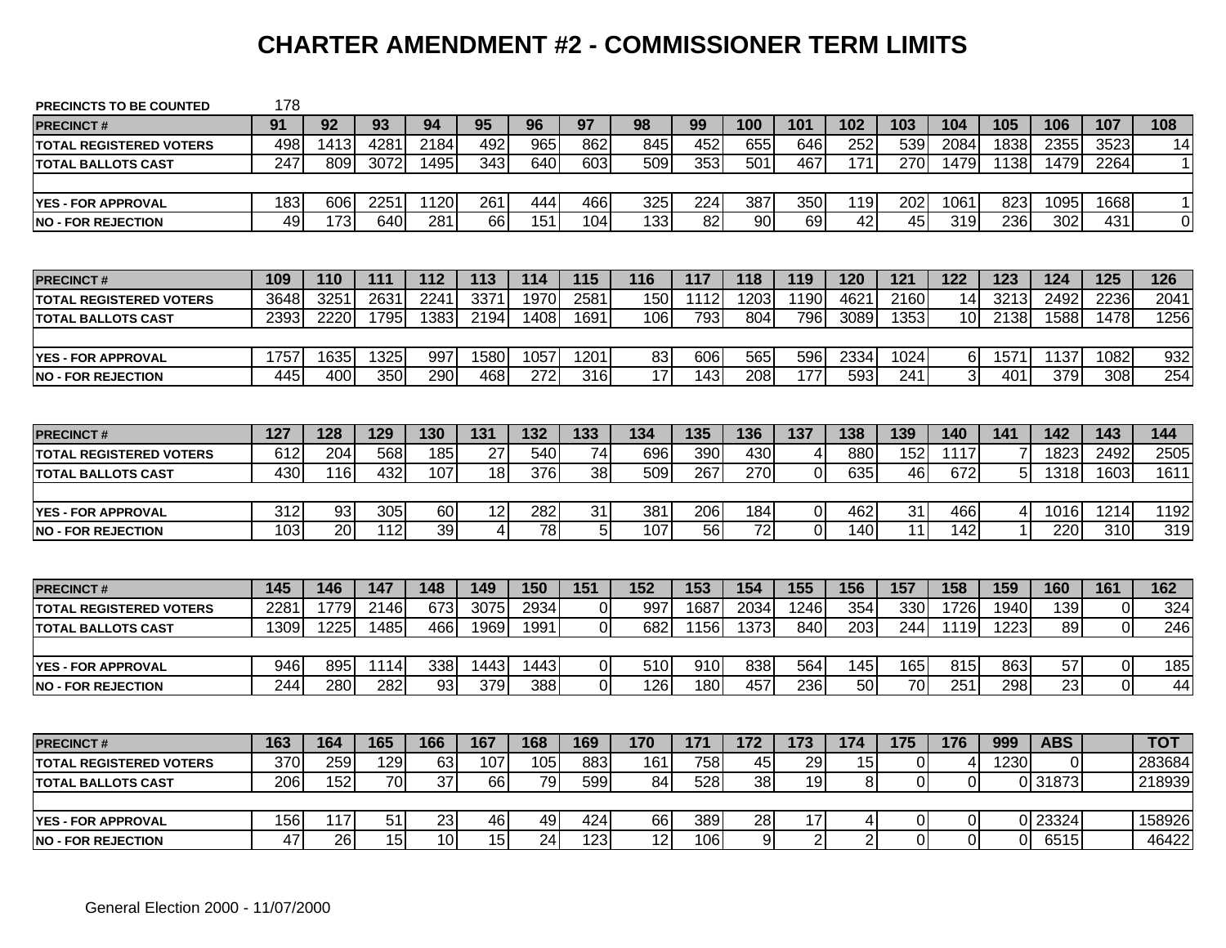# **CHARTER AMENDMENT #2 - COMMISSIONER TERM LIMITS**

| <b>PRECINCTS TO BE COUNTED</b> | 178  |      |      |      |      |                  |                 |                 |                 |                |                |                 |                 |                |      |                 |                |              |
|--------------------------------|------|------|------|------|------|------------------|-----------------|-----------------|-----------------|----------------|----------------|-----------------|-----------------|----------------|------|-----------------|----------------|--------------|
| <b>PRECINCT#</b>               | 91   | 92   | 93   | 94   | 95   | 96               | 97              | 98              | 99              | 100            | 101            | 102             | 103             | 104            | 105  | 106             | 107            | 108          |
| <b>TOTAL REGISTERED VOTERS</b> | 498  | 1413 | 4281 | 2184 | 492  | 965              | 862             | 845             | 452             | 655            | 646            | 252             | 539             | 2084           | 1838 | 2355            | 3523           | 14           |
| <b>TOTAL BALLOTS CAST</b>      | 247  | 809  | 3072 | 1495 | 343  | 640              | 603             | 509             | $\frac{1}{353}$ | 501            | 467            | $\frac{1}{171}$ | 270             | 1479           | 1138 | 1479            | 2264           | $\mathbf{1}$ |
|                                |      |      |      |      |      |                  |                 |                 |                 |                |                |                 |                 |                |      |                 |                |              |
| <b>YES - FOR APPROVAL</b>      | 183  | 606  | 2251 | 1120 | 261  | 444              | 466             | 325             | 224             | 387            | 350            | 119             | 202             | 1061           | 823  | 1095            | 1668           | $\mathbf{1}$ |
| <b>INO - FOR REJECTION</b>     | 49   | 173  | 640  | 281  | 66   | 151              | 104             | 133             | $\overline{82}$ | 90             | 69             | $\overline{42}$ | $\overline{45}$ | 319            | 236  | 302             | 431            | $\mathbf 0$  |
|                                |      |      |      |      |      |                  |                 |                 |                 |                |                |                 |                 |                |      |                 |                |              |
| <b>PRECINCT#</b>               | 109  | 110  | 111  | 112  | 113  | 114              | 115             | 116             | 117             | 118            | 119            | 120             | 121             | 122            | 123  | 124             | 125            | 126          |
| <b>TOTAL REGISTERED VOTERS</b> | 3648 | 3251 | 2631 | 2241 | 3371 | 1970             | 2581            | 150             | 1112            | 1203           | 1190           | 4621            | 2160            | 14             | 3213 | 2492            | 2236           | 2041         |
| <b>TOTAL BALLOTS CAST</b>      | 2393 | 2220 | 1795 | 1383 | 2194 | 1408             | 1691            | 106             | 793             | 804            | 796            | 3089            | 1353            | 10             | 2138 | 1588            | 1478           | 1256         |
|                                |      |      |      |      |      |                  |                 |                 |                 |                |                |                 |                 |                |      |                 |                |              |
| <b>YES - FOR APPROVAL</b>      | 1757 | 1635 | 1325 | 997  | 1580 | 1057             | 1201            | 83              | 606             | 565            | 596            | 2334            | 1024            | 6              | 1571 | 1137            | 1082           | 932          |
| <b>NO - FOR REJECTION</b>      | 445  | 400  | 350  | 290  | 468  | $\overline{272}$ | 316             | $\overline{17}$ | $\frac{1}{143}$ | 208            | 177            | 593             | 241             | 3              | 401  | 379             | 308            | 254          |
|                                |      |      |      |      |      |                  |                 |                 |                 |                |                |                 |                 |                |      |                 |                |              |
| <b>PRECINCT#</b>               | 127  | 128  | 129  | 130  | 131  | 132              | 133             | 134             | 135             | 136            | 137            | 138             | 139             | 140            | 141  | 142             | 143            | 144          |
| <b>TOTAL REGISTERED VOTERS</b> | 612  | 204  | 568  | 185  | 27   | 540              | 74              | 696             | 390             | 430            | 4              | 880             | 152             | 1117           |      | 1823            | 2492           | 2505         |
| <b>TOTAL BALLOTS CAST</b>      | 430  | 116  | 432  | 107  | 18   | 376              | $\overline{38}$ | 509             | 267             | 270            | $\mathbf 0$    | 635             | 46              | 672            | 5    | 1318            | 1603           | 1611         |
|                                |      |      |      |      |      |                  |                 |                 |                 |                |                |                 |                 |                |      |                 |                |              |
| <b>YES - FOR APPROVAL</b>      | 312  | 93   | 305  | 60   | 12   | 282              | 31              | 381             | 206             | 184            | 0              | 462             | 31              | 466            | 4    | 1016            | 1214           | 1192         |
| <b>NO - FOR REJECTION</b>      | 103  | 20   | 112  | 39   | 4    | 78               | 5               | 107             | 56              | 72             | $\overline{0}$ | 140             | 11              | 142            |      | 220             | 310            | 319          |
|                                |      |      |      |      |      |                  |                 |                 |                 |                |                |                 |                 |                |      |                 |                |              |
| <b>PRECINCT#</b>               | 145  | 146  | 147  | 148  | 149  | 150              | 151             | 152             | 153             | 154            | 155            | 156             | 157             | 158            | 159  | 160             | 161            | 162          |
| <b>TOTAL REGISTERED VOTERS</b> | 228  | 1779 | 2146 | 673  | 3075 | 2934             | $\Omega$        | 997             | 1687            | 2034           | 1246           | 354             | 330             | 1726           | 1940 | 139             | 0              | 324          |
| <b>TOTAL BALLOTS CAST</b>      | 1309 | 1225 | 1485 | 466  | 1969 | 1991             | $\mathbf 0$     | 682             | 1156            | 1373           | 840            | 203             | 244             | 1119           | 1223 | 89              | $\overline{0}$ | 246          |
|                                |      |      |      |      |      |                  |                 |                 |                 |                |                |                 |                 |                |      |                 |                |              |
| <b>YES - FOR APPROVAL</b>      | 946  | 895  | 1114 | 338  | 1443 | 1443             | $\overline{0}$  | 510             | 910             | 838            | 564            | 145             | 165             | 815            | 863  | 57              | $\overline{0}$ | 185          |
| <b>NO - FOR REJECTION</b>      | 244  | 280  | 282  | 93   | 379  | 388              | $\overline{0}$  | 126             | 180             | 457            | 236            | 50              | $\overline{70}$ | 251            | 298  | $\overline{23}$ | $\overline{0}$ | 44           |
|                                |      |      |      |      |      |                  |                 |                 |                 |                |                |                 |                 |                |      |                 |                |              |
| <b>PRECINCT#</b>               | 163  | 164  | 165  | 166  | 167  | 168              | 169             | 170             | 171             | 172            | 173            | 174             | 175             | 176            | 999  | <b>ABS</b>      |                | тот          |
| <b>TOTAL REGISTERED VOTERS</b> | 370  | 259  | 129  | 63   | 107  | 105              | 883             | 161             | 758             | 45             | 29             | 15              | $\overline{0}$  | 4              | 1230 | 0               |                | 283684       |
| <b>TOTAL BALLOTS CAST</b>      | 206  | 152  | 70   | 37   | 66   | 79               | 599             | 84              | 528             | 38             | 19             | $\bf 8$         | $\overline{0}$  | 0              |      | 0 31873         |                | 218939       |
|                                |      |      |      |      |      |                  |                 |                 |                 |                |                |                 |                 |                |      |                 |                |              |
| <b>YES - FOR APPROVAL</b>      | 156  | 117  | 51   | 23   | 46   | 49               | 424             | 66              | 389             | 28             | 17             | 4               | 01              | 0              |      | 0 23324         |                | 158926       |
| <b>NO - FOR REJECTION</b>      | 47   | 26   | 15   | 10   | 15   | 24               | 123             | 12              | 106             | $\overline{9}$ | $\overline{2}$ | $\overline{2}$  | ΩI              | $\overline{0}$ | ΩI   | 6515            |                | 46422        |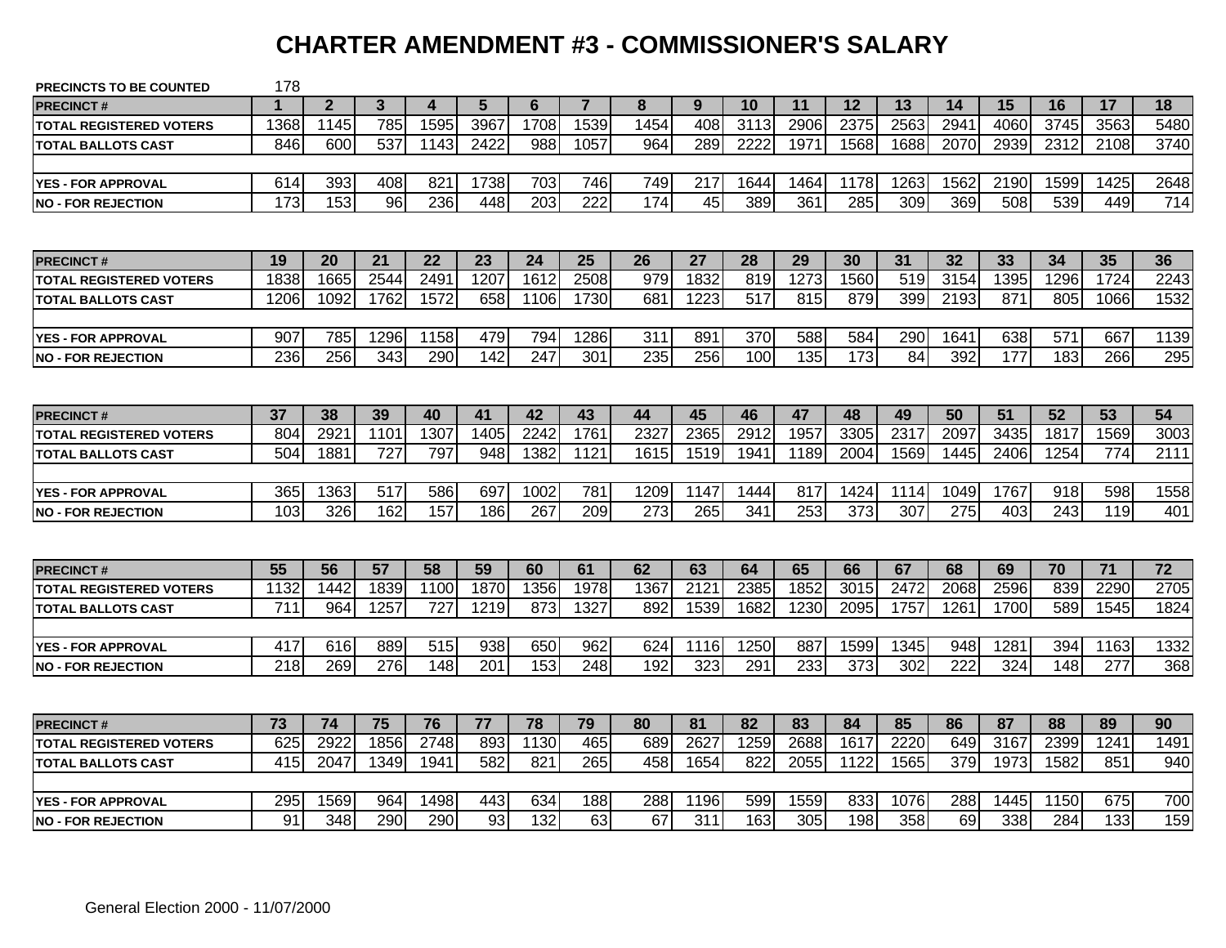# **CHARTER AMENDMENT #3 - COMMISSIONER'S SALARY**

| <b>PRECINCTS TO BE COUNTED</b> | 178              |                |      |                        |                 |                  |                  |      |                 |      |      |      |                 |                  |      |      |      |      |
|--------------------------------|------------------|----------------|------|------------------------|-----------------|------------------|------------------|------|-----------------|------|------|------|-----------------|------------------|------|------|------|------|
| <b>PRECINCT#</b>               | 1                | $\overline{2}$ | 3    | $\boldsymbol{\Lambda}$ | $5\phantom{.0}$ | 6                | $\overline{7}$   | 8    | 9               | 10   | 11   | 12   | 13              | 14               | 15   | 16   | 17   | 18   |
| <b>TOTAL REGISTERED VOTERS</b> | 1368             | 1145           | 785  | 1595                   | 3967            | 1708             | 1539             | 1454 | 408             | 3113 | 2906 | 2375 | 2563            | 294 <sup>-</sup> | 4060 | 3745 | 3563 | 5480 |
| <b>TOTAL BALLOTS CAST</b>      | 846              | 600            | 537  | 1143                   | 2422            | 988              | 1057             | 964  | 289             | 2222 | 1971 | 1568 | 1688            | 2070             | 2939 | 2312 | 2108 | 3740 |
|                                |                  |                |      |                        |                 |                  |                  |      |                 |      |      |      |                 |                  |      |      |      |      |
| <b>YES - FOR APPROVAL</b>      | 614              | 393            | 408  | 821                    | 1738            | 703              | 746              | 749  | 217             | 1644 | 1464 | 1178 | 1263            | 1562             | 2190 | 1599 | 1425 | 2648 |
| <b>INO - FOR REJECTION</b>     | $\overline{173}$ | 153            | 96   | 236                    | 448             | $\overline{203}$ | $\overline{222}$ | 174  | $\overline{45}$ | 389  | 361  | 285  | 309             | 369              | 508  | 539  | 449  | 714  |
|                                |                  |                |      |                        |                 |                  |                  |      |                 |      |      |      |                 |                  |      |      |      |      |
| <b>PRECINCT#</b>               | 19               | 20             | 21   | 22                     | 23              | 24               | 25               | 26   | 27              | 28   | 29   | 30   | 31              | 32               | 33   | 34   | 35   | 36   |
| <b>TOTAL REGISTERED VOTERS</b> | 1838             | 1665           | 2544 | 2491                   | 1207            | 1612             | 2508             | 979  | 1832            | 819  | 1273 | 1560 | 519             | 3154             | 1395 | 1296 | 1724 | 2243 |
| <b>TOTAL BALLOTS CAST</b>      | 1206             | 1092           | 1762 | 1572                   | 658             | 1106             | 1730             | 681  | 1223            | 517  | 815  | 879  | 399             | 2193             | 871  | 805  | 1066 | 1532 |
|                                |                  |                |      |                        |                 |                  |                  |      |                 |      |      |      |                 |                  |      |      |      |      |
| <b>YES - FOR APPROVAL</b>      | 907              | 785            | 1296 | 1158                   | 479             | 794              | 1286             | 311  | 891             | 370  | 588  | 584  | 290             | 1641             | 638  | 571  | 667  | 1139 |
| <b>INO - FOR REJECTION</b>     | 236              | 256            | 343  | 290                    | 142             | 247              | 301              | 235  | 256             | 100  | 135  | 173  | $\overline{84}$ | 392              | 177  | 183  | 266  | 295  |
|                                |                  |                |      |                        |                 |                  |                  |      |                 |      |      |      |                 |                  |      |      |      |      |
| <b>PRECINCT#</b>               | 37               | 38             | 39   | 40                     | 41              | 42               | 43               | 44   | 45              | 46   | 47   | 48   | 49              | 50               | 51   | 52   | 53   | 54   |
| <b>TOTAL REGISTERED VOTERS</b> | 804              | 292'           | 1101 | 1307                   | 1405            | 2242             | 1761             | 2327 | 2365            | 2912 | 1957 | 3305 | 2317            | 2097             | 3435 | 1817 | 1569 | 3003 |
| <b>TOTAL BALLOTS CAST</b>      | 504              | 1881           | 727  | 797                    | 948             | 1382             | 1121             | 1615 | 1519            | 1941 | 1189 | 2004 | 1569            | 1445             | 2406 | 1254 | 774  | 2111 |
|                                |                  |                |      |                        |                 |                  |                  |      |                 |      |      |      |                 |                  |      |      |      |      |
| <b>YES - FOR APPROVAL</b>      | 365              | 1363           | 517  | 586                    | 697             | 1002             | 781              | 1209 | 1147            | 1444 | 817  | 1424 | 1114            | 1049             | 1767 | 918  | 598  | 1558 |
| <b>NO - FOR REJECTION</b>      | 103              | 326            | 162  | 157                    | 186             | 267              | 209              | 273  | 265             | 341  | 253  | 373  | 307             | 275              | 403  | 243  | 119  | 401  |
|                                |                  |                |      |                        |                 |                  |                  |      |                 |      |      |      |                 |                  |      |      |      |      |
| <b>PRECINCT#</b>               | 55               | 56             | 57   | 58                     | 59              | 60               | 61               | 62   | 63              | 64   | 65   | 66   | 67              | 68               | 69   | 70   | 71   | 72   |
| <b>TOTAL REGISTERED VOTERS</b> | 1132             | 1442           | 1839 | 1100                   | 1870            | 1356             | 1978             | 1367 | 212'            | 2385 | 1852 | 3015 | 2472            | 2068             | 2596 | 839  | 2290 | 2705 |
| <b>ITOTAL BALLOTS CAST</b>     | 711              | 964            | 1257 | 727                    | 1219            | 873              | 1327             | 892  | 1539            | 1682 | 1230 | 2095 | 1757            | 1261             | 1700 | 589  | 1545 | 1824 |
|                                |                  |                |      |                        |                 |                  |                  |      |                 |      |      |      |                 |                  |      |      |      |      |
| <b>YES - FOR APPROVAL</b>      | 417              | 616            | 889  | 515                    | 938             | 650              | 962              | 624  | 1116            | 1250 | 887  | 1599 | 1345            | 948              | 1281 | 394  | 1163 | 1332 |
| <b>NO - FOR REJECTION</b>      | 218              | 269            | 276  | 148                    | 201             | 153              | 248              | 192  | 323             | 291  | 233  | 373  | 302             | 222              | 324  | 148  | 277  | 368  |
|                                |                  |                |      |                        |                 |                  |                  |      |                 |      |      |      |                 |                  |      |      |      |      |
| <b>PRECINCT#</b>               | 73               | 74             | 75   | 76                     | 77              | 78               | 79               | 80   | 81              | 82   | 83   | 84   | 85              | 86               | 87   | 88   | 89   | 90   |
| <b>TOTAL REGISTERED VOTERS</b> | 625              | 2922           | 1856 | 2748                   | 893             | 1130             | 465              | 689  | 2627            | 1259 | 2688 | 1617 | 2220            | 649              | 3167 | 2399 | 1241 | 1491 |
| <b>TOTAL BALLOTS CAST</b>      | 415              | 2047           | 1349 | 1941                   | 582             | 821              | 265              | 458  | 1654            | 822  | 2055 | 1122 | 1565            | 379              | 1973 | 1582 | 851  | 940  |
|                                |                  |                |      |                        |                 |                  |                  |      |                 |      |      |      |                 |                  |      |      |      |      |
| <b>YES - FOR APPROVAL</b>      | 295              | 1569           | 964  | 1498                   | 443             | 634              | 188              | 288  | 1196            | 599  | 1559 | 833  | 1076            | 288              | 1445 | 1150 | 675  | 700  |
| <b>NO - FOR REJECTION</b>      | 91               | 348            | 290  | 290                    | 93              | 132              | 63               | 67   | 311             | 163  | 305  | 198  | 358             | 69               | 338  | 284  | 133  | 159  |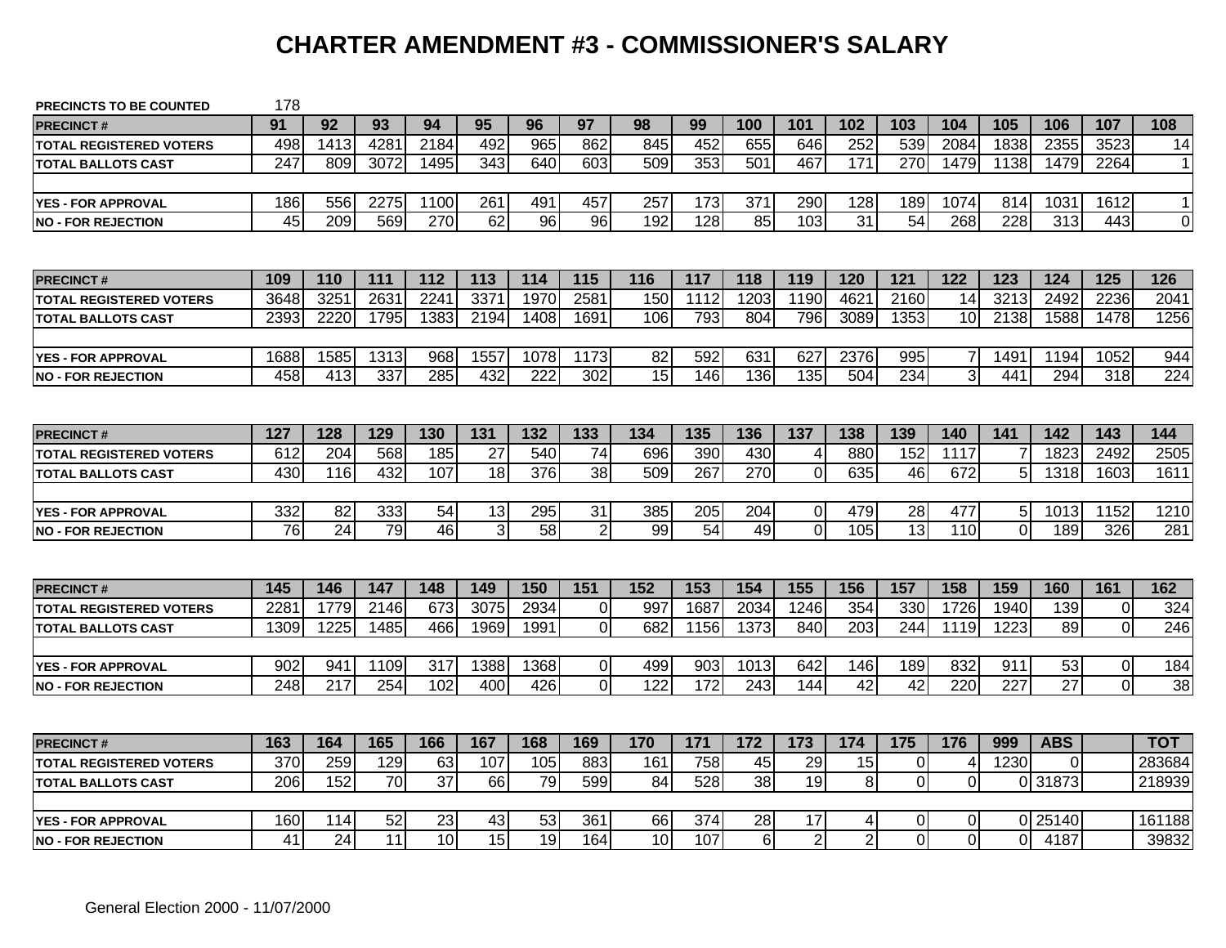# **CHARTER AMENDMENT #3 - COMMISSIONER'S SALARY**

| <b>PRECINCTS TO BE COUNTED</b> | 178              |      |      |                 |      |      |                   |     |      |                |                |                  |                 |                |                |                 |                |                 |
|--------------------------------|------------------|------|------|-----------------|------|------|-------------------|-----|------|----------------|----------------|------------------|-----------------|----------------|----------------|-----------------|----------------|-----------------|
| <b>PRECINCT#</b>               | 91               | 92   | 93   | 94              | 95   | 96   | 97                | 98  | 99   | 100            | 101            | 102              | 103             | 104            | 105            | 106             | 107            | 108             |
| <b>TOTAL REGISTERED VOTERS</b> | 498              | 1413 | 4281 | 2184            | 492  | 965  | 862               | 845 | 452  | 655            | 646            | 252              | 539             | 2084           | 1838           | 2355            | 3523           | 14              |
| <b>TOTAL BALLOTS CAST</b>      | 247              | 809  | 3072 | 1495            | 343  | 640  | 603               | 509 | 353  | 501            | 467            | 171              | 270             | 1479           | 1138           | 1479            | 2264           | $\mathbf{1}$    |
|                                |                  |      |      |                 |      |      |                   |     |      |                |                |                  |                 |                |                |                 |                |                 |
| <b>YES - FOR APPROVAL</b>      | 186              | 556  | 2275 | 1100            | 261  | 491  | 457               | 257 | 173  | 371            | 290            | 128              | 189             | 1074           | 814            | 1031            | 1612           | $\mathbf{1}$    |
| <b>NO - FOR REJECTION</b>      | 45               | 209  | 569  | 270             | 62   | 96   | 96                | 192 | 128  | 85             | 103            | 31               | 54              | 268            | 228            | 313             | 443            | $\overline{0}$  |
|                                |                  |      |      |                 |      |      |                   |     |      |                |                |                  |                 |                |                |                 |                |                 |
| <b>PRECINCT#</b>               | 109              | 110  | 111  | 112             | 113  | 114  | 115               | 116 | 117  | 118            | 119            | 120              | 121             | 122            | 123            | 124             | 125            | 126             |
| <b>TOTAL REGISTERED VOTERS</b> | 3648             | 3251 | 2631 | 2241            | 3371 | 1970 | 2581              | 150 | 1112 | 1203           | 1190           | 4621             | 2160            | 14             | 3213           | 2492            | 2236           | 2041            |
| <b>TOTAL BALLOTS CAST</b>      | 2393             | 2220 | 1795 | 1383            | 2194 | 1408 | 1691              | 106 | 793  | 804            | 796            | 3089             | 1353            | 10             | 2138           | 1588            | 1478           | 1256            |
|                                |                  |      |      |                 |      |      |                   |     |      |                |                |                  |                 |                |                |                 |                |                 |
| <b>YES - FOR APPROVAL</b>      | 1688             | 1585 | 1313 | 968             | 1557 | 1078 | $11\overline{73}$ | 82  | 592  | 631            | 627            | 2376             | 995             | $\overline{7}$ | 1491           | 1194            | 1052           | 944             |
| <b>NO - FOR REJECTION</b>      | 458              | 413  | 337  | 285             | 432  | 222  | 302               | 15  | 146  | 136            | 135            | 504              | 234             | $\overline{3}$ | 441            | 294             | 318            | 224             |
|                                |                  |      |      |                 |      |      |                   |     |      |                |                |                  |                 |                |                |                 |                |                 |
| <b>PRECINCT#</b>               | 127              | 128  | 129  | 130             | 131  | 132  | 133               | 134 | 135  | 136            | 137            | 138              | 139             | 140            | 141            | 142             | 143            | 144             |
| <b>TOTAL REGISTERED VOTERS</b> | 612              | 204  | 568  | 185             | 27   | 540  | 74                | 696 | 390  | 430            | 4              | 880              | 152             | 1117           |                | 1823            | 2492           | 2505            |
| <b>TOTAL BALLOTS CAST</b>      | 430              | 116  | 432  | 107             | 18   | 376  | $\overline{38}$   | 509 | 267  | 270            | $\mathbf 0$    | 635              | 46              | 672            | 5              | 1318            | 1603           | 1611            |
|                                |                  |      |      |                 |      |      |                   |     |      |                |                |                  |                 |                |                |                 |                |                 |
| <b>YES - FOR APPROVAL</b>      | 332              | 82   | 333  | $\overline{54}$ | 13   | 295  | $\overline{31}$   | 385 | 205  | 204            | $\Omega$       | 479              | 28              | 477            | 5 <sup>1</sup> | 1013            | 1152           | 1210            |
| <b>NO - FOR REJECTION</b>      | 76               | 24   | 79   | 46              | 3    | 58   | $\overline{2}$    | 99  | 54   | 49             | $\overline{0}$ | 105              | 13              | 110            | $\Omega$       | 189             | 326            | 281             |
|                                |                  |      |      |                 |      |      |                   |     |      |                |                |                  |                 |                |                |                 |                |                 |
| <b>PRECINCT#</b>               | 145              | 146  | 147  | 148             | 149  | 150  | $\overline{151}$  | 152 | 153  | 154            | 155            | 156              | 157             | 158            | 159            | 160             | 161            | 162             |
| <b>TOTAL REGISTERED VOTERS</b> | 228 <sup>2</sup> | 1779 | 2146 | 673             | 3075 | 2934 | $\Omega$          | 997 | 1687 | 2034           | 1246           | 354              | 330             | 1726           | 1940           | 139             | $\mathbf 0$    | 324             |
| <b>TOTAL BALLOTS CAST</b>      | 1309             | 1225 | 1485 | 466             | 1969 | 1991 | $\overline{0}$    | 682 | 1156 | 1373           | 840            | $\overline{203}$ | 244             | 1119           | 1223           | 89              | $\overline{0}$ | 246             |
|                                |                  |      |      |                 |      |      |                   |     |      |                |                |                  |                 |                |                |                 |                |                 |
| <b>YES - FOR APPROVAL</b>      | 902              | 941  | 1109 | 317             | 1388 | 1368 | $\overline{0}$    | 499 | 903  | 1013           | 642            | 146              | 189             | 832            | 911            | 53              | $\overline{0}$ | 184             |
| <b>INO - FOR REJECTION</b>     | $\overline{248}$ | 217  | 254  | 102             | 400  | 426  | $\overline{0}$    | 122 | 172  | 243            | 144            | $\overline{42}$  | $\overline{42}$ | 220            | 227            | $\overline{27}$ | $\overline{0}$ | $\overline{38}$ |
|                                |                  |      |      |                 |      |      |                   |     |      |                |                |                  |                 |                |                |                 |                |                 |
| <b>PRECINCT#</b>               | 163              | 164  | 165  | 166             | 167  | 168  | 169               | 170 | 171  | 172            | 173            | 174              | 175             | 176            | 999            | <b>ABS</b>      |                | тот             |
| <b>TOTAL REGISTERED VOTERS</b> | 370              | 259  | 129  | 63              | 107  | 105  | 883               | 161 | 758  | 45             | 29             | 15               | $\overline{0}$  | 4              | 1230           | 0               |                | 283684          |
| <b>TOTAL BALLOTS CAST</b>      | 206              | 152  | 70   | 37              | 66   | 79   | 599               | 84  | 528  | 38             | 19             | 8                | $\Omega$        | $\mathbf 0$    |                | 0 31873         |                | 218939          |
|                                |                  |      |      |                 |      |      |                   |     |      |                |                |                  |                 |                |                |                 |                |                 |
| <b>YES - FOR APPROVAL</b>      | 160              | 114  | 52   | 23              | 43   | 53   | 361               | 66  | 374  | 28             | 17             | 4                | 0               | 0              |                | 0 25140         |                | 161188          |
| <b>NO - FOR REJECTION</b>      | 41               | 24   | 11   | 10              | 15   | 19   | 164               | 10  | 107  | 6 <sup>1</sup> | $\overline{2}$ | $\overline{2}$   | $\Omega$        | $\overline{0}$ | ΩI             | 4187            |                | 39832           |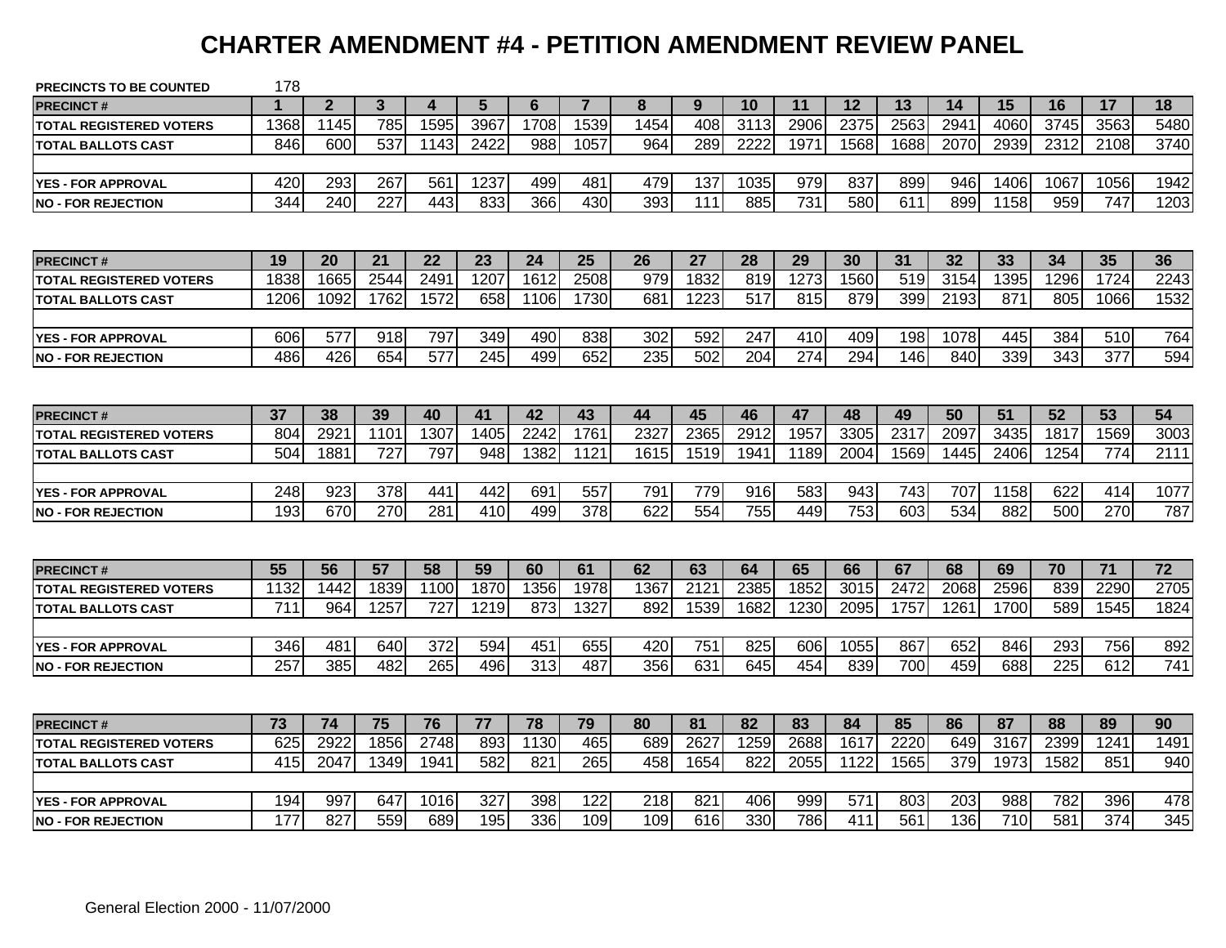#### **CHARTER AMENDMENT #4 - PETITION AMENDMENT REVIEW PANEL**

| <b>PRECINCTS TO BE COUNTED</b> | 178              |                |      |                  |      |      |                  |      |      |      |      |      |      |      |                  |                  |                  |      |
|--------------------------------|------------------|----------------|------|------------------|------|------|------------------|------|------|------|------|------|------|------|------------------|------------------|------------------|------|
| <b>PRECINCT#</b>               |                  | $\overline{2}$ | 3    | 4                | 5    | 6    | $\overline{7}$   | 8    | 9    | 10   | 11   | 12   | 13   | 14   | 15               | 16               | 17               | 18   |
| <b>TOTAL REGISTERED VOTERS</b> | 1368             | 1145           | 785  | 1595             | 3967 | 1708 | 1539             | 1454 | 408  | 3113 | 2906 | 2375 | 2563 | 2941 | 4060             | 3745             | 3563             | 5480 |
| <b>TOTAL BALLOTS CAST</b>      | 846              | 600            | 537  | 1143             | 2422 | 988  | 1057             | 964  | 289  | 2222 | 1971 | 1568 | 1688 | 2070 | 2939             | 2312             | 2108             | 3740 |
|                                |                  |                |      |                  |      |      |                  |      |      |      |      |      |      |      |                  |                  |                  |      |
| <b>YES - FOR APPROVAL</b>      | 420              | 293            | 267  | 561              | 1237 | 499  | 481              | 479  | 137  | 1035 | 979  | 837  | 899  | 946  | 1406             | 1067             | 1056             | 1942 |
| <b>NO - FOR REJECTION</b>      | 344              | 240            | 227  | 443              | 833  | 366  | 430              | 393  | 111  | 885  | 731  | 580  | 611  | 899  | 1158             | 959              | 747              | 1203 |
|                                |                  |                |      |                  |      |      |                  |      |      |      |      |      |      |      |                  |                  |                  |      |
| <b>PRECINCT#</b>               | 19               | 20             | 21   | 22               | 23   | 24   | 25               | 26   | 27   | 28   | 29   | 30   | 31   | 32   | 33               | 34               | 35               | 36   |
| <b>TOTAL REGISTERED VOTERS</b> | 1838             | 1665           | 2544 | 249'             | 1207 | 1612 | 2508             | 979  | 1832 | 819  | 1273 | 1560 | 519  | 3154 | 1395             | 1296             | 1724             | 2243 |
| <b>TOTAL BALLOTS CAST</b>      | 1206             | 1092           | 1762 | 1572             | 658  | 1106 | 1730             | 681  | 1223 | 517  | 815  | 879  | 399  | 2193 | 871              | 805              | 1066             | 1532 |
|                                |                  |                |      |                  |      |      |                  |      |      |      |      |      |      |      |                  |                  |                  |      |
| <b>YES - FOR APPROVAL</b>      | 606              | 577            | 918  | 797              | 349  | 490  | 838              | 302  | 592  | 247  | 410  | 409  | 198  | 1078 | 445              | 384              | 510              | 764  |
| <b>INO - FOR REJECTION</b>     | 486              | 426            | 654  | 577              | 245  | 499  | 652              | 235  | 502  | 204  | 274  | 294  | 146  | 840  | 339              | 343              | 377              | 594  |
|                                |                  |                |      |                  |      |      |                  |      |      |      |      |      |      |      |                  |                  |                  |      |
| <b>PRECINCT#</b>               | 37               | 38             | 39   | 40               | 41   | 42   | 43               | 44   | 45   | 46   | 47   | 48   | 49   | 50   | 51               | 52               | 53               | 54   |
| <b>TOTAL REGISTERED VOTERS</b> | 804              | 2921           | 1101 | 1307             | 1405 | 2242 | 1761             | 2327 | 2365 | 2912 | 1957 | 3305 | 2317 | 2097 | 3435             | 1817             | 1569             | 3003 |
| <b>TOTAL BALLOTS CAST</b>      | 504              | 1881           | 727  | 797              | 948  | 1382 | 1121             | 1615 | 1519 | 1941 | 1189 | 2004 | 1569 | 1445 | 2406             | 1254             | 774              | 2111 |
|                                |                  |                |      |                  |      |      |                  |      |      |      |      |      |      |      |                  |                  |                  |      |
| <b>YES - FOR APPROVAL</b>      | 248              | 923            | 378  | 441              | 442  | 691  | 557              | 791  | 779  | 916  | 583  | 943  | 743  | 707  | 1158             | 622              | 414              | 1077 |
| <b>NO - FOR REJECTION</b>      | 193              | 670            | 270  | 281              | 410  | 499  | $\overline{378}$ | 622  | 554  | 755  | 449  | 753  | 603  | 534  | 882              | 500              | 270              | 787  |
|                                |                  |                |      |                  |      |      |                  |      |      |      |      |      |      |      |                  |                  |                  |      |
| <b>PRECINCT#</b>               | 55               | 56             | 57   | 58               | 59   | 60   | 61               | 62   | 63   | 64   | 65   | 66   | 67   | 68   | 69               | 70               | 71               | 72   |
| <b>TOTAL REGISTERED VOTERS</b> | 1132             | 1442           | 1839 | 1100             | 1870 | 1356 | 1978             | 1367 | 2121 | 2385 | 1852 | 3015 | 2472 | 2068 | 2596             | 839              | 2290             | 2705 |
| <b>TOTAL BALLOTS CAST</b>      | $\overline{711}$ | 964            | 1257 | $\overline{727}$ | 1219 | 873  | 1327             | 892  | 1539 | 1682 | 1230 | 2095 | 1757 | 1261 | 1700             | 589              | 1545             | 1824 |
|                                |                  |                |      |                  |      |      |                  |      |      |      |      |      |      |      |                  |                  |                  |      |
| <b>YES - FOR APPROVAL</b>      | 346              | 481            | 640  | 372              | 594  | 451  | 655              | 420  | 751  | 825  | 606  | 1055 | 867  | 652  | 846              | 293              | 756              | 892  |
| <b>INO - FOR REJECTION</b>     | 257              | 385            | 482  | 265              | 496  | 313  | 487              | 356  | 631  | 645  | 454  | 839  | 700  | 459  | 688              | $\overline{225}$ | 612              | 741  |
|                                |                  |                |      |                  |      |      |                  |      |      |      |      |      |      |      |                  |                  |                  |      |
| <b>PRECINCT#</b>               | 73               | 74             | 75   | 76               | 77   | 78   | 79               | 80   | 81   | 82   | 83   | 84   | 85   | 86   | 87               | 88               | 89               | 90   |
| <b>TOTAL REGISTERED VOTERS</b> | 625              | 2922           | 1856 | 2748             | 893  | 1130 | 465              | 689  | 2627 | 1259 | 2688 | 1617 | 2220 | 649  | 3167             | 2399             | 1241             | 1491 |
| <b>TOTAL BALLOTS CAST</b>      | 415              | 2047           | 1349 | 1941             | 582  | 821  | 265              | 458  | 1654 | 822  | 2055 | 1122 | 1565 | 379  | 1973             | 1582             | 851              | 940  |
|                                |                  |                |      |                  |      |      |                  |      |      |      |      |      |      |      |                  |                  |                  |      |
| <b>YES - FOR APPROVAL</b>      | 194              | 997            | 647  | 1016             | 327  | 398  | 122              | 218  | 821  | 406  | 999  | 571  | 803  | 203  | 988              | 782              | 396              | 478  |
| <b>INO - FOR REJECTION</b>     | 177              | 827            | 559  | 689              | 195  | 336  | 109              | 109  | 616  | 330  | 786  | 411  | 561  | 136  | $\overline{710}$ | 581              | $\overline{374}$ | 345  |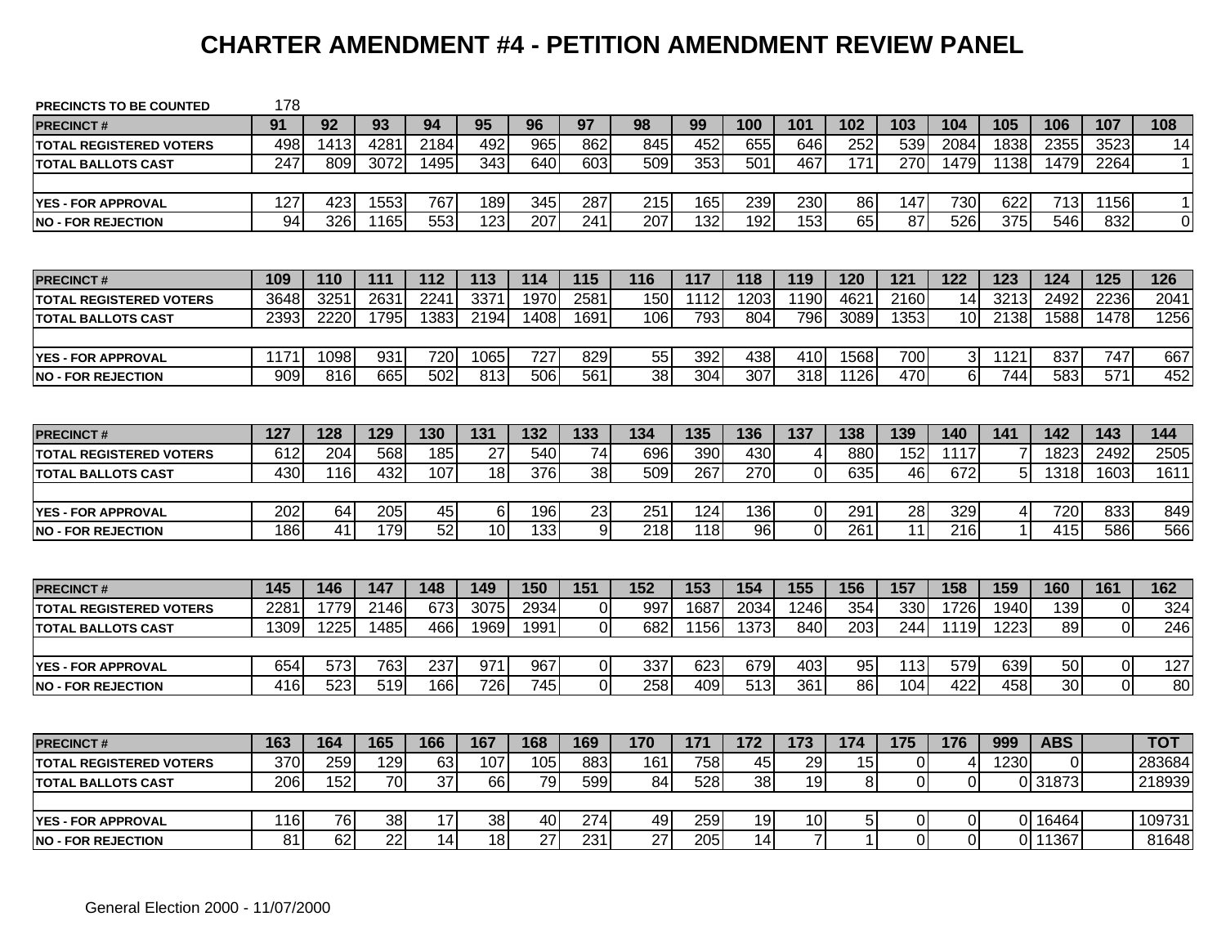#### **CHARTER AMENDMENT #4 - PETITION AMENDMENT REVIEW PANEL**

| <b>PRECINCTS TO BE COUNTED</b> | 178              |      |      |                 |          |                  |                  |     |      |                  |                |                 |                |                 |                |            |                |                |
|--------------------------------|------------------|------|------|-----------------|----------|------------------|------------------|-----|------|------------------|----------------|-----------------|----------------|-----------------|----------------|------------|----------------|----------------|
| <b>PRECINCT#</b>               | 91               | 92   | 93   | 94              | 95       | 96               | 97               | 98  | 99   | 100              | 101            | 102             | 103            | 104             | 105            | 106        | 107            | 108            |
| <b>TOTAL REGISTERED VOTERS</b> | 498              | 1413 | 4281 | 2184            | 492      | 965              | 862              | 845 | 452  | 655              | 646            | 252             | 539            | 2084            | 1838           | 2355       | 3523           | 14             |
| <b>TOTAL BALLOTS CAST</b>      | 247              | 809  | 3072 | 1495            | 343      | 640              | 603              | 509 | 353  | 501              | 467            | 171             | 270            | 1479            | 1138           | 1479       | 2264           | $\mathbf{1}$   |
|                                |                  |      |      |                 |          |                  |                  |     |      |                  |                |                 |                |                 |                |            |                |                |
| <b>YES - FOR APPROVAL</b>      | 127              | 423  | 1553 | 767             | 189      | 345              | 287              | 215 | 165  | 239              | 230            | 86              | 147            | 730             | 622            | 713        | 1156           | $\mathbf{1}$   |
| <b>NO - FOR REJECTION</b>      | 94               | 326  | 1165 | 553             | 123      | 207              | 241              | 207 | 132  | 192              | 153            | 65              | 87             | 526             | 375            | 546        | 832            | $\overline{0}$ |
|                                |                  |      |      |                 |          |                  |                  |     |      |                  |                |                 |                |                 |                |            |                |                |
| <b>PRECINCT#</b>               | 109              | 110  | 111  | 112             | 113      | 114              | 115              | 116 | 117  | 118              | 119            | 120             | 121            | 122             | 123            | 124        | 125            | 126            |
| TOTAL REGISTERED VOTERS        | 3648             | 3251 | 2631 | 2241            | 3371     | 1970             | 2581             | 150 | 1112 | 1203             | 1190           | 4621            | 2160           | 14              | 3213           | 2492       | 2236           | 2041           |
| <b>TOTAL BALLOTS CAST</b>      | 2393             | 2220 | 1795 | 1383            | 2194     | 1408             | 1691             | 106 | 793  | 804              | 796            | 3089            | 1353           | 10              | 2138           | 1588       | 1478           | 1256           |
|                                |                  |      |      |                 |          |                  |                  |     |      |                  |                |                 |                |                 |                |            |                |                |
| <b>YES - FOR APPROVAL</b>      | 1171             | 1098 | 931  | 720             | 1065     | 727              | 829              | 55  | 392  | 438              | 410            | 1568            | 700            | $\mathbf{3}$    | 1121           | 837        | 747            | 667            |
| <b>NO - FOR REJECTION</b>      | 909              | 816  | 665  | 502             | 813      | 506              | 561              | 38  | 304  | 307              | 318            | 1126            | 470            | $6\phantom{1}6$ | 744            | 583        | 571            | 452            |
|                                |                  |      |      |                 |          |                  |                  |     |      |                  |                |                 |                |                 |                |            |                |                |
| <b>PRECINCT#</b>               | 127              | 128  | 129  | 130             | 131      | 132              | 133              | 134 | 135  | 136              | 137            | 138             | 139            | 140             | 141            | 142        | 143            | 144            |
| TOTAL REGISTERED VOTERS        | 612              | 204  | 568  | 185             | 27       | 540              | 74               | 696 | 390  | 430              | 4              | 880             | 152            | 1117            |                | 1823       | 2492           | 2505           |
| TOTAL BALLOTS CAST             | 430              | 116  | 432  | 107             | 18       | 376              | $\overline{38}$  | 509 | 267  | 270              | $\mathbf 0$    | 635             | 46             | 672             | 5 <sup>5</sup> | 1318       | 1603           | 1611           |
|                                |                  |      |      |                 |          |                  |                  |     |      |                  |                |                 |                |                 |                |            |                |                |
| <b>YES - FOR APPROVAL</b>      | 202              | 64   | 205  | 45              | $6 \mid$ | 196              | $\overline{23}$  | 251 | 124  | 136              | $\overline{0}$ | 291             | 28             | 329             | 4              | 720        | 833            | 849            |
| <b>NO - FOR REJECTION</b>      | 186              | 41   | 179  | $\overline{52}$ | 10       | 133              | 9                | 218 | 118  | 96               | $\overline{0}$ | 261             | 11             | 216             |                | 415        | 586            | 566            |
|                                |                  |      |      |                 |          |                  |                  |     |      |                  |                |                 |                |                 |                |            |                |                |
| <b>PRECINCT#</b>               | 145              | 146  | 147  | 148             | 149      | 150              | $\overline{151}$ | 152 | 153  | 154              | 155            | 156             | 157            | 158             | 159            | 160        | 161            | 162            |
| <b>TOTAL REGISTERED VOTERS</b> | 228'             | 1779 | 2146 | 673             | 3075     | 2934             | $\Omega$         | 997 | 1687 | 2034             | 1246           | 354             | 330            | 1726            | 1940           | 139        | $\mathbf 0$    | 324            |
| <b>TOTAL BALLOTS CAST</b>      | 1309             | 1225 | 1485 | 466             | 1969     | 1991             | $\overline{0}$   | 682 | 1156 | 1373             | 840            | 203             | 244            | 1119            | 1223           | 89         | $\mathbf 0$    | 246            |
|                                |                  |      |      |                 |          |                  |                  |     |      |                  |                |                 |                |                 |                |            |                |                |
| <b>YES - FOR APPROVAL</b>      | 654              | 573  | 763  | 237             | 971      | 967              | $\Omega$         | 337 | 623  | 679              | 403            | 95              | 113            | 579             | 639            | 50         | $\pmb{0}$      | 127            |
| <b>INO - FOR REJECTION</b>     | $\overline{416}$ | 523  | 519  | 166             | 726      | $\overline{745}$ | $\Omega$         | 258 | 409  | $\overline{513}$ | 361            | $\overline{86}$ | 104            | 422             | 458            | 30         | $\overline{0}$ | 80             |
|                                |                  |      |      |                 |          |                  |                  |     |      |                  |                |                 |                |                 |                |            |                |                |
| <b>PRECINCT#</b>               | 163              | 164  | 165  | 166             | 167      | 168              | 169              | 170 | 171  | 172              | 173            | 174             | 175            | 176             | 999            | <b>ABS</b> |                | тот            |
| <b>TOTAL REGISTERED VOTERS</b> | 370              | 259  | 129  | 63              | 107      | 105              | 883              | 161 | 758  | 45               | 29             | 15              | $\overline{0}$ | 4               | 1230           | 0          |                | 283684         |
| <b>TOTAL BALLOTS CAST</b>      | 206              | 152  | 70   | $\overline{37}$ | 66       | 79               | 599              | 84  | 528  | 38               | 19             | $\bf 8$         | $\Omega$       | 0               |                | 0 31873    |                | 218939         |
|                                |                  |      |      |                 |          |                  |                  |     |      |                  |                |                 |                |                 |                |            |                |                |
| <b>YES - FOR APPROVAL</b>      | 116              | 76   | 38   | 17              | 38       | 40               | 274              | 49  | 259  | 19               | 10             | $5\vert$        | 0              | 0               |                | 0 16464    |                | 109731         |
| <b>NO - FOR REJECTION</b>      | 81               | 62   | 22   | 14              | 18       | $\overline{27}$  | 231              | 27  | 205  | 14               | $\overline{7}$ | $\mathbf{1}$    | $\Omega$       | 0               |                | 0 11367    |                | 81648          |
|                                |                  |      |      |                 |          |                  |                  |     |      |                  |                |                 |                |                 |                |            |                |                |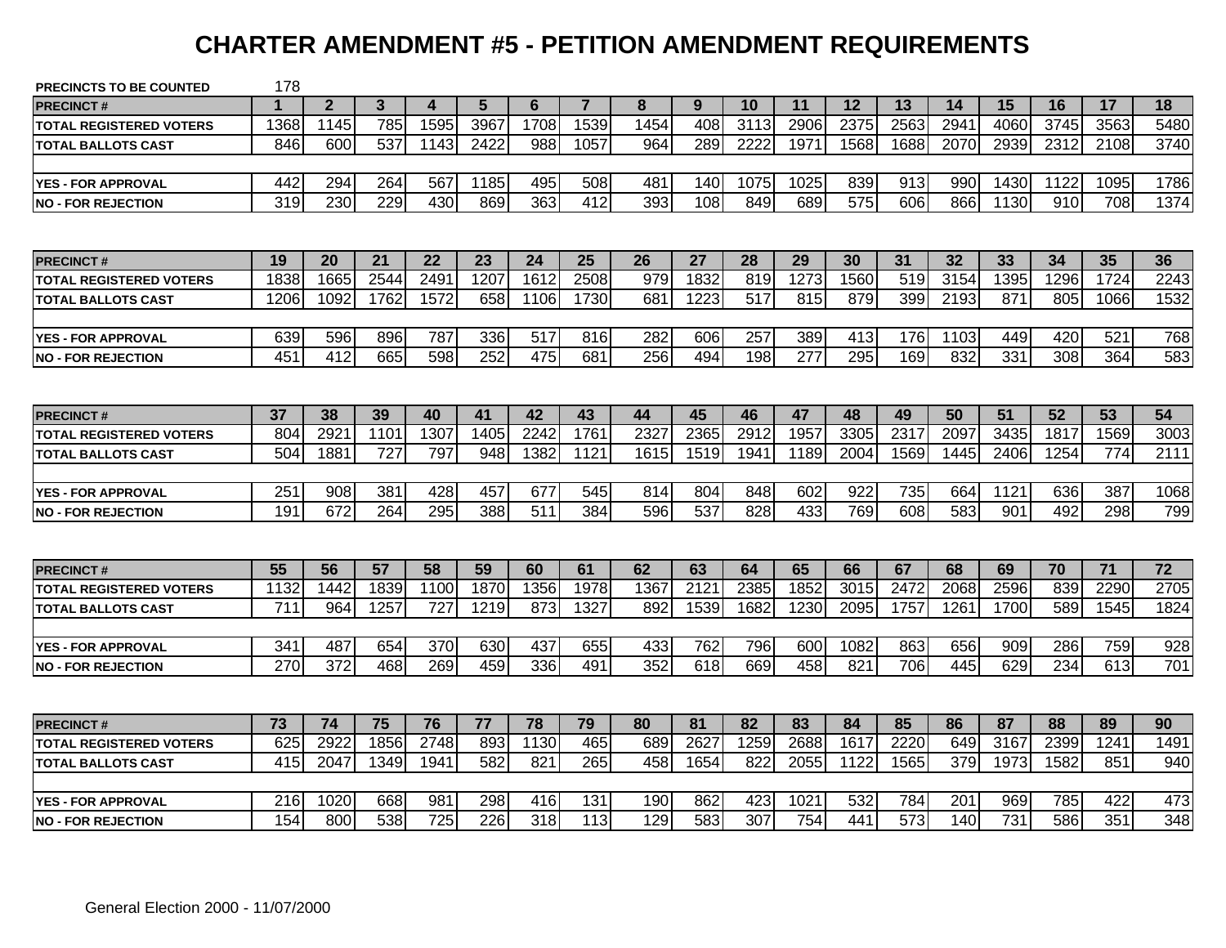#### **CHARTER AMENDMENT #5 - PETITION AMENDMENT REQUIREMENTS**

| <b>PRECINCTS TO BE COUNTED</b> | 178  |              |      |                  |                  |      |                |      |      |      |      |      |      |      |      |      |                 |                 |
|--------------------------------|------|--------------|------|------------------|------------------|------|----------------|------|------|------|------|------|------|------|------|------|-----------------|-----------------|
| <b>PRECINCT#</b>               | 1    | $\mathbf{2}$ | 3    | 4                | 5                | 6    | $\overline{7}$ | 8    | 9    | 10   | 11   | 12   | 13   | 14   | 15   | 16   | 17              | 18              |
| <b>TOTAL REGISTERED VOTERS</b> | 1368 | 1145         | 785  | 1595             | 3967             | 1708 | 1539           | 1454 | 408  | 3113 | 2906 | 2375 | 2563 | 2941 | 4060 | 3745 | 3563            | 5480            |
| <b>TOTAL BALLOTS CAST</b>      | 846  | 600          | 537  | 1143             | 2422             | 988  | 1057           | 964  | 289  | 2222 | 1971 | 1568 | 1688 | 2070 | 2939 | 2312 | 2108            | 3740            |
|                                |      |              |      |                  |                  |      |                |      |      |      |      |      |      |      |      |      |                 |                 |
| <b>YES - FOR APPROVAL</b>      | 442  | 294          | 264  | 567              | 1185             | 495  | 508            | 481  | 140  | 1075 | 1025 | 839  | 913  | 990  | 1430 | 1122 | 1095            | 1786            |
| <b>NO - FOR REJECTION</b>      | 319  | 230          | 229  | 430              | 869              | 363  | 412            | 393  | 108  | 849  | 689  | 575  | 606  | 866  | 1130 | 910  | 708             | 1374            |
|                                |      |              |      |                  |                  |      |                |      |      |      |      |      |      |      |      |      |                 |                 |
| <b>PRECINCT#</b>               | 19   | 20           | 21   | 22               | 23               | 24   | 25             | 26   | 27   | 28   | 29   | 30   | 31   | 32   | 33   | 34   | 35              | 36              |
| <b>TOTAL REGISTERED VOTERS</b> | 1838 | 1665         | 2544 | 249              | 1207             | 1612 | 2508           | 979  | 1832 | 819  | 1273 | 1560 | 519  | 3154 | 1395 | 1296 | 1724            | 2243            |
| <b>TOTAL BALLOTS CAST</b>      | 1206 | 1092         | 1762 | 1572             | 658              | 1106 | 1730           | 681  | 1223 | 517  | 815  | 879  | 399  | 2193 | 871  | 805  | 1066            | 1532            |
|                                |      |              |      |                  |                  |      |                |      |      |      |      |      |      |      |      |      |                 |                 |
| <b>YES - FOR APPROVAL</b>      | 639  | 596          | 896  | 787              | 336              | 517  | 816            | 282  | 606  | 257  | 389  | 413  | 176  | 1103 | 449  | 420  | 521             | 768             |
| <b>INO - FOR REJECTION</b>     | 451  | 412          | 665  | 598              | 252              | 475  | 681            | 256  | 494  | 198  | 277  | 295  | 169  | 832  | 331  | 308  | 364             | 583             |
|                                |      |              |      |                  |                  |      |                |      |      |      |      |      |      |      |      |      |                 |                 |
| <b>PRECINCT#</b>               | 37   | 38           | 39   | 40               | 41               | 42   | 43             | 44   | 45   | 46   | 47   | 48   | 49   | 50   | 51   | 52   | 53              | 54              |
| <b>TOTAL REGISTERED VOTERS</b> | 804  | 2921         | 1101 | 1307             | 1405             | 2242 | 1761           | 2327 | 2365 | 2912 | 1957 | 3305 | 2317 | 2097 | 3435 | 1817 | 1569            | 3003            |
| <b>TOTAL BALLOTS CAST</b>      | 504  | 1881         | 727  | 797              | 948              | 1382 | 1121           | 1615 | 1519 | 1941 | 1189 | 2004 | 1569 | 1445 | 2406 | 1254 | 774             | 2111            |
|                                |      |              |      |                  |                  |      |                |      |      |      |      |      |      |      |      |      |                 |                 |
| <b>YES - FOR APPROVAL</b>      | 251  | 908          | 381  | 428              | 457              | 677  | 545            | 814  | 804  | 848  | 602  | 922  | 735  | 664  | 1121 | 636  | 387             | 1068            |
| <b>NO - FOR REJECTION</b>      | 191  | 672          | 264  | 295              | 388              | 511  | 384            | 596  | 537  | 828  | 433  | 769  | 608  | 583  | 901  | 492  | 298             | 799             |
|                                |      |              |      |                  |                  |      |                |      |      |      |      |      |      |      |      |      |                 |                 |
| <b>PRECINCT#</b>               | 55   | 56           | 57   | 58               | 59               | 60   | 61             | 62   | 63   | 64   | 65   | 66   | 67   | 68   | 69   | 70   | $\overline{71}$ | $\overline{72}$ |
| <b>TOTAL REGISTERED VOTERS</b> | 1132 | 1442         | 1839 | 1100             | 1870             | 1356 | 1978           | 1367 | 2121 | 2385 | 1852 | 3015 | 2472 | 2068 | 2596 | 839  | 2290            | 2705            |
| <b>TOTAL BALLOTS CAST</b>      | 711  | 964          | 1257 | 727              | 1219             | 873  | 1327           | 892  | 1539 | 1682 | 1230 | 2095 | 1757 | 1261 | 1700 | 589  | 1545            | 1824            |
|                                |      |              |      |                  |                  |      |                |      |      |      |      |      |      |      |      |      |                 |                 |
| <b>YES - FOR APPROVAL</b>      | 341  | 487          | 654  | 370              | 630              | 437  | 655            | 433  | 762  | 796  | 600  | 1082 | 863  | 656  | 909  | 286  | 759             | 928             |
| <b>NO - FOR REJECTION</b>      | 270  | 372          | 468  | 269              | 459              | 336  | 491            | 352  | 618  | 669  | 458  | 821  | 706  | 445  | 629  | 234  | 613             | 701             |
|                                |      |              |      |                  |                  |      |                |      |      |      |      |      |      |      |      |      |                 |                 |
| <b>PRECINCT#</b>               | 73   | 74           | 75   | 76               | 77               | 78   | 79             | 80   | 81   | 82   | 83   | 84   | 85   | 86   | 87   | 88   | 89              | 90              |
| <b>TOTAL REGISTERED VOTERS</b> | 625  | 2922         | 1856 | 2748             | 893              | 1130 | 465            | 689  | 2627 | 1259 | 2688 | 1617 | 2220 | 649  | 3167 | 2399 | 1241            | 1491            |
| <b>TOTAL BALLOTS CAST</b>      | 415  | 2047         | 1349 | 1941             | 582              | 821  | 265            | 458  | 1654 | 822  | 2055 | 1122 | 1565 | 379  | 1973 | 1582 | 851             | 940             |
|                                |      |              |      |                  |                  |      |                |      |      |      |      |      |      |      |      |      |                 |                 |
| <b>YES - FOR APPROVAL</b>      | 216  | 1020         | 668  | 981              | 298              | 416  | 131            | 190  | 862  | 423  | 1021 | 532  | 784  | 201  | 969  | 785  | 422             | 473             |
| <b>INO - FOR REJECTION</b>     | 154  | 800          | 538  | $\overline{725}$ | $\overline{226}$ | 318  | 113            | 129  | 583  | 307  | 754  | 441  | 573  | 140  | 731  | 586  | 351             | 348             |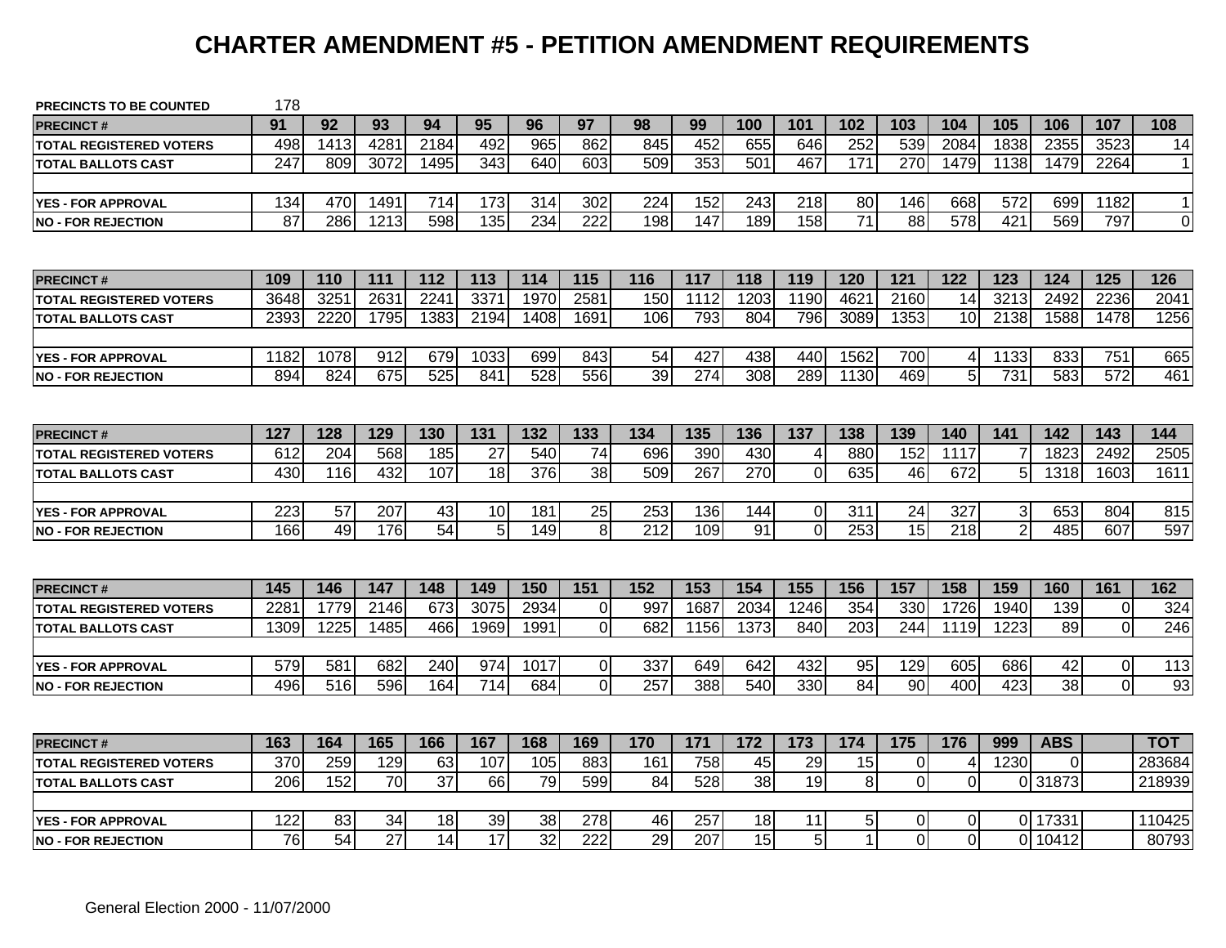#### **CHARTER AMENDMENT #5 - PETITION AMENDMENT REQUIREMENTS**

| <b>PRECINCTS TO BE COUNTED</b> | 178  |                 |                 |      |                 |                  |                  |     |      |                  |                |                 |                  |                  |                |                 |                  |             |
|--------------------------------|------|-----------------|-----------------|------|-----------------|------------------|------------------|-----|------|------------------|----------------|-----------------|------------------|------------------|----------------|-----------------|------------------|-------------|
| <b>PRECINCT#</b>               | 91   | 92              | 93              | 94   | 95              | 96               | 97               | 98  | 99   | 100              | 101            | 102             | 103              | 104              | 105            | 106             | 107              | 108         |
| <b>TOTAL REGISTERED VOTERS</b> | 498  | 1413            | 4281            | 2184 | 492             | 965              | 862              | 845 | 452  | 655              | 646            | 252             | 539              | 2084             | 1838           | 2355            | 3523             | 14          |
| <b>TOTAL BALLOTS CAST</b>      | 247  | 809             | 3072            | 1495 | 343             | 640              | 603              | 509 | 353  | 501              | 467            | 171             | 270              | 1479             | 1138           | 1479            | 2264             | $\mathbf 1$ |
| <b>YES - FOR APPROVAL</b>      | 134  | 470             | 1491            | 714  | 173             | 314              | 302              | 224 | 152  | 243              | 218            | 80              | 146              | 668              | 572            | 699             | 1182             | $\mathbf 1$ |
| <b>NO - FOR REJECTION</b>      | 87   | 286             | 1213            | 598  | 135             | 234              | $\overline{222}$ | 198 | 147  | 189              | 158            | $\overline{71}$ | $\overline{88}$  | $\overline{578}$ | 421            | 569             | 797              | 0           |
|                                |      |                 |                 |      |                 |                  |                  |     |      |                  |                |                 |                  |                  |                |                 |                  |             |
| <b>PRECINCT#</b>               | 109  | 110             | 111             | 112  | 113             | 114              | 115              | 116 | 117  | 118              | 119            | 120             | 121              | $\overline{122}$ | 123            | 124             | 125              | 126         |
| <b>TOTAL REGISTERED VOTERS</b> | 3648 | 3251            | 2631            | 2241 | 3371            | 1970             | 2581             | 150 | 1112 | 1203             | 1190           | 4621            | 2160             | 14               | 3213           | 2492            | 2236             | 2041        |
| <b>TOTAL BALLOTS CAST</b>      | 2393 | 2220            | 1795            | 1383 | 2194            | 1408             | 1691             | 106 | 793  | 804              | 796            | 3089            | 1353             | 10               | 2138           | 1588            | 1478             | 1256        |
| <b>YES - FOR APPROVAL</b>      | 1182 | 1078            | 912             | 679  | 1033            | 699              | 843              | 54  | 427  | 438              | 440            | 1562            | 700              | 4                | 1133           | 833             | 751              | 665         |
| <b>NO - FOR REJECTION</b>      | 894  | 824             | 675             | 525  | 841             | $\overline{528}$ | 556              | 39  | 274  | $\overline{308}$ | 289            | 1130            | 469              | $\overline{5}$   | 731            | 583             | $\overline{572}$ | 461         |
|                                |      |                 |                 |      |                 |                  |                  |     |      |                  |                |                 |                  |                  |                |                 |                  |             |
| <b>PRECINCT#</b>               | 127  | 128             | 129             | 130  | 131             | 132              | 133              | 134 | 135  | 136              | 137            | 138             | 139              | 140              | 141            | 142             | 143              | 144         |
| <b>TOTAL REGISTERED VOTERS</b> | 612  | 204             | 568             | 185  | 27              | 540              | 74               | 696 | 390  | 430              | $\overline{4}$ | 880             | 152              | 1117             |                | 1823            | 2492             | 2505        |
| <b>TOTAL BALLOTS CAST</b>      | 430  | 116             | 432             | 107  | 18              | 376              | 38               | 509 | 267  | 270              | $\overline{0}$ | 635             | 46               | 672              | 5              | 1318            | 1603             | 1611        |
|                                |      |                 |                 |      |                 |                  |                  |     |      |                  |                |                 |                  |                  |                |                 |                  |             |
| <b>YES - FOR APPROVAL</b>      | 223  | 57              | 207             | 43   | 10              | 181              | 25               | 253 | 136  | 144              | $\overline{0}$ | 311             | 24               | 327              | 3 <sup>1</sup> | 653             | 804              | 815         |
| <b>NO - FOR REJECTION</b>      | 166  | 49              | 176             | 54   | 5               | 149              | 8                | 212 | 109  | 91               | $\Omega$       | 253             | 15               | 218              | $\overline{2}$ | 485             | 607              | 597         |
|                                |      |                 |                 |      |                 |                  |                  |     |      |                  |                |                 |                  |                  |                |                 |                  |             |
| <b>PRECINCT#</b>               | 145  | 146             | 147             | 148  | 149             | 150              | $\overline{151}$ | 152 | 153  | 154              | 155            | 156             | $\overline{157}$ | 158              | 159            | 160             | 161              | 162         |
| <b>TOTAL REGISTERED VOTERS</b> | 228' | 1779            | 2146            | 673  | 3075            | 2934             | $\Omega$         | 997 | 1687 | 2034             | 1246           | 354             | 330              | 1726             | 1940           | 139             | $\mathbf 0$      | 324         |
| <b>TOTAL BALLOTS CAST</b>      | 1309 | 1225            | 1485            | 466  | 1969            | 1991             | $\Omega$         | 682 | 1156 | 1373             | 840            | 203             | 244              | 1119             | 1223           | 89              | $\overline{0}$   | 246         |
|                                |      |                 |                 |      |                 |                  |                  |     |      |                  |                |                 |                  |                  |                |                 |                  |             |
| <b>YES - FOR APPROVAL</b>      | 579  | 581             | 682             | 240  | 974             | 1017             | $\overline{0}$   | 337 | 649  | 642              | 432            | 95              | 129              | 605              | 686            | 42              | $\overline{0}$   | 113         |
| <b>NO - FOR REJECTION</b>      | 496  | 516             | 596             | 164  | 714             | 684              | $\Omega$         | 257 | 388  | 540              | 330            | 84              | 90               | 400              | 423            | $\overline{38}$ | $\overline{0}$   | 93          |
|                                |      |                 |                 |      |                 |                  |                  |     |      |                  |                |                 |                  |                  |                |                 |                  |             |
| <b>PRECINCT#</b>               | 163  | 164             | 165             | 166  | 167             | 168              | 169              | 170 | 171  | 172              | 173            | 174             | 175              | 176              | 999            | <b>ABS</b>      |                  | <b>TOT</b>  |
| <b>TOTAL REGISTERED VOTERS</b> | 370  | 259             | 129             | 63   | 107             | 105              | 883              | 161 | 758  | 45               | 29             | 15              | 0                | 4                | 1230           | 0               |                  | 283684      |
| <b>TOTAL BALLOTS CAST</b>      | 206  | 152             | 70              | 37   | 66              | 79               | 599              | 84  | 528  | 38               | 19             | 8               | $\Omega$         | $\overline{0}$   | $\Omega$       | 31873           |                  | 218939      |
|                                |      |                 |                 |      |                 |                  |                  |     |      |                  |                |                 |                  |                  |                |                 |                  |             |
| <b>YES - FOR APPROVAL</b>      | 122  | 83              | 34              | 18   | 39              | 38               | 278              | 46  | 257  | 18               | 11             | 5               | 0                | $\overline{0}$   |                | 0 17331         |                  | 110425      |
| <b>NO - FOR REJECTION</b>      | 76   | $\overline{54}$ | $\overline{27}$ | 14   | $\overline{17}$ | 32               | 222              | 29  | 207  | 15               | 5              | $\mathbf{1}$    | $\Omega$         | $\Omega$         |                | 0 10412         |                  | 80793       |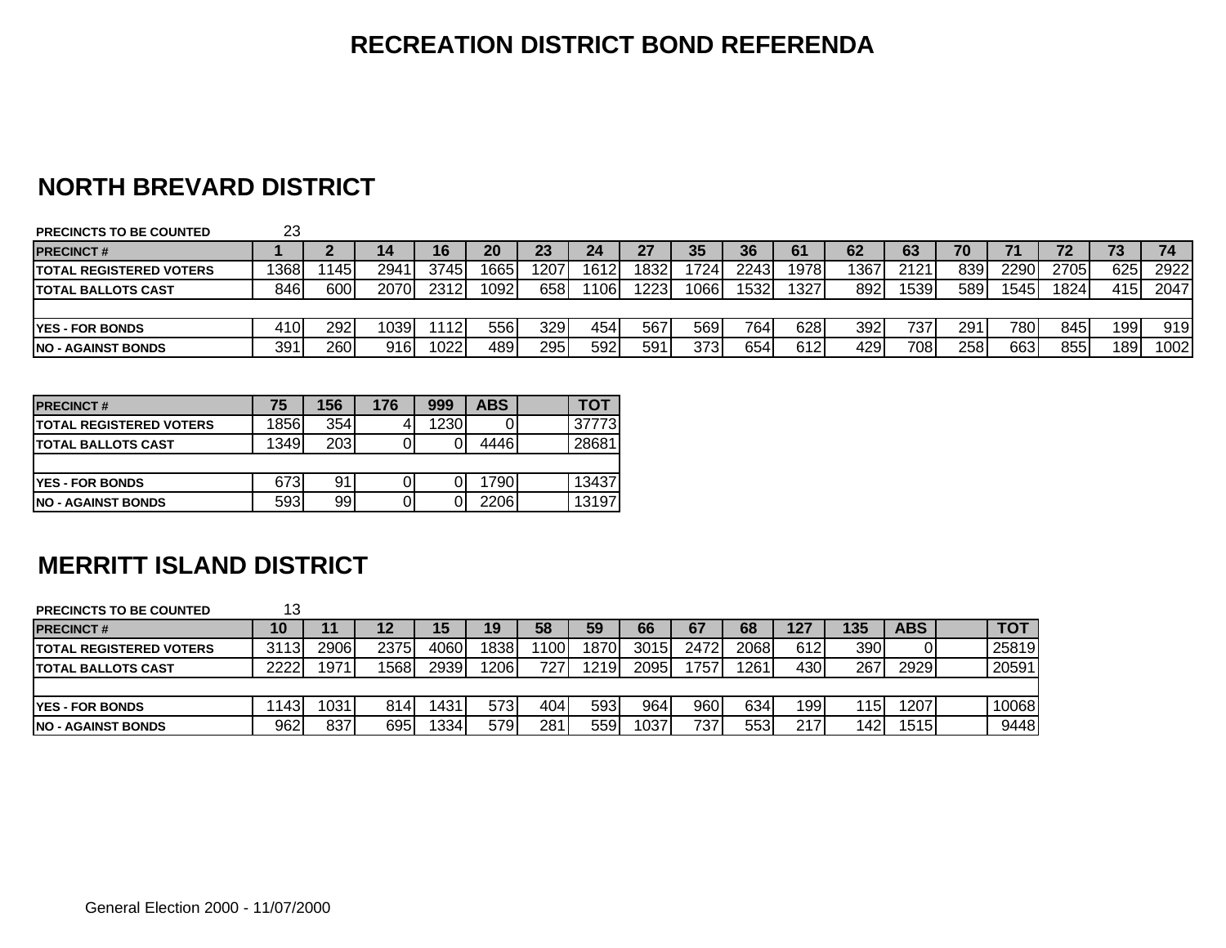#### **NORTH BREVARD DISTRICT**

| <b>PRECINCTS TO BE COUNTED</b>  | 23   |     |                  |      |      |          |       |      |      |      |       |      |      |     |       |      |     |      |
|---------------------------------|------|-----|------------------|------|------|----------|-------|------|------|------|-------|------|------|-----|-------|------|-----|------|
| <b>IPRECINCT#</b>               |      |     |                  | 16   | 20   | מה<br>Zυ | 24    | 27   | 35   | 36   | 61    | 62   | 63   | 70  |       |      | . J | 74   |
| <b>ITOTAL REGISTERED VOTERS</b> | 1368 | 145 | 294 <sup>.</sup> | 3745 | 1665 | 1207     | 1612  | 1832 | 724  | 2243 | 1978  | 1367 | 2121 | 839 | 22901 | 2705 | 625 | 2922 |
| <b>ITOTAL BALLOTS CAST</b>      | 846I | 600 | 2070             | 2312 | 1092 | 658      | 1106. | 1223 | 066  | 1532 | 13271 | 892  | 1539 | 589 | 1545  | 1824 | 415 | 2047 |
|                                 |      |     |                  |      |      |          |       |      |      |      |       |      |      |     |       |      |     |      |
| <b>IYES - FOR BONDS</b>         | 410  | 292 | 1039             | 112  | 556  | 329      | 454   | 567  | 569  | 764  | 628   | 392  | 737  | 291 | 780   | 845  | 199 | 919  |
| <b>INO - AGAINST BONDS</b>      | 391  | 260 | 9161             | 1022 | 489  | 295      | 592   | 591  | 3731 | 654  | 612   | 4291 | 708  | 258 | 6631  | 855  | 189 | 1002 |

| <b>PRECINCT#</b>                | 75   | 156 | 176 | 999  | <b>ABS</b> | TOT    |
|---------------------------------|------|-----|-----|------|------------|--------|
| <b>ITOTAL REGISTERED VOTERS</b> | 1856 | 354 |     | 1230 |            | 377731 |
| <b>ITOTAL BALLOTS CAST</b>      | 1349 | 203 |     |      | 4446       | 28681  |
|                                 |      |     |     |      |            |        |
| <b>YES - FOR BONDS</b>          | 673  | 91  |     |      | 1790       | 13437  |
| <b>INO - AGAINST BONDS</b>      | 593  | 99  |     |      | 2206       | 13197  |

#### **MERRITT ISLAND DISTRICT**

| <b>PRECINCTS TO BE COUNTED</b> | 13   |      |      |      |      |      |       |      |                  |      |      |     |            |                 |
|--------------------------------|------|------|------|------|------|------|-------|------|------------------|------|------|-----|------------|-----------------|
| <b>PRECINCT#</b>               |      |      | 12   | 15   | 19   | 58   | 59    | 66   | 67               | 68   | 127  | 135 | <b>ABS</b> | TO <sub>1</sub> |
| <b>TOTAL REGISTERED VOTERS</b> | 3113 | 2906 | 2375 | 4060 | 1838 | 1100 | 1870  | 3015 | 2472             | 2068 | 612  | 390 | υι         | 25819           |
| <b>TOTAL BALLOTS CAST</b>      | 2222 | 1971 | 1568 | 2939 | 1206 | 727  | 1219l | 2095 | 757              | '261 | 4301 | 267 | 2929       | 20591           |
|                                |      |      |      |      |      |      |       |      |                  |      |      |     |            |                 |
| <b>YES - FOR BONDS</b>         | 143  | 1031 | 8141 | 431  | 573  | 404  | 593   | 964  | 960              | 634  | 199  | 115 | 2071       | 10068           |
| <b>INO - AGAINST BONDS</b>     | 962  | 837  | 695  | 334  | 579  | 281  | 559   | 1037 | 737 <sub>1</sub> | 553  | 217  | 142 | 15151      | 9448            |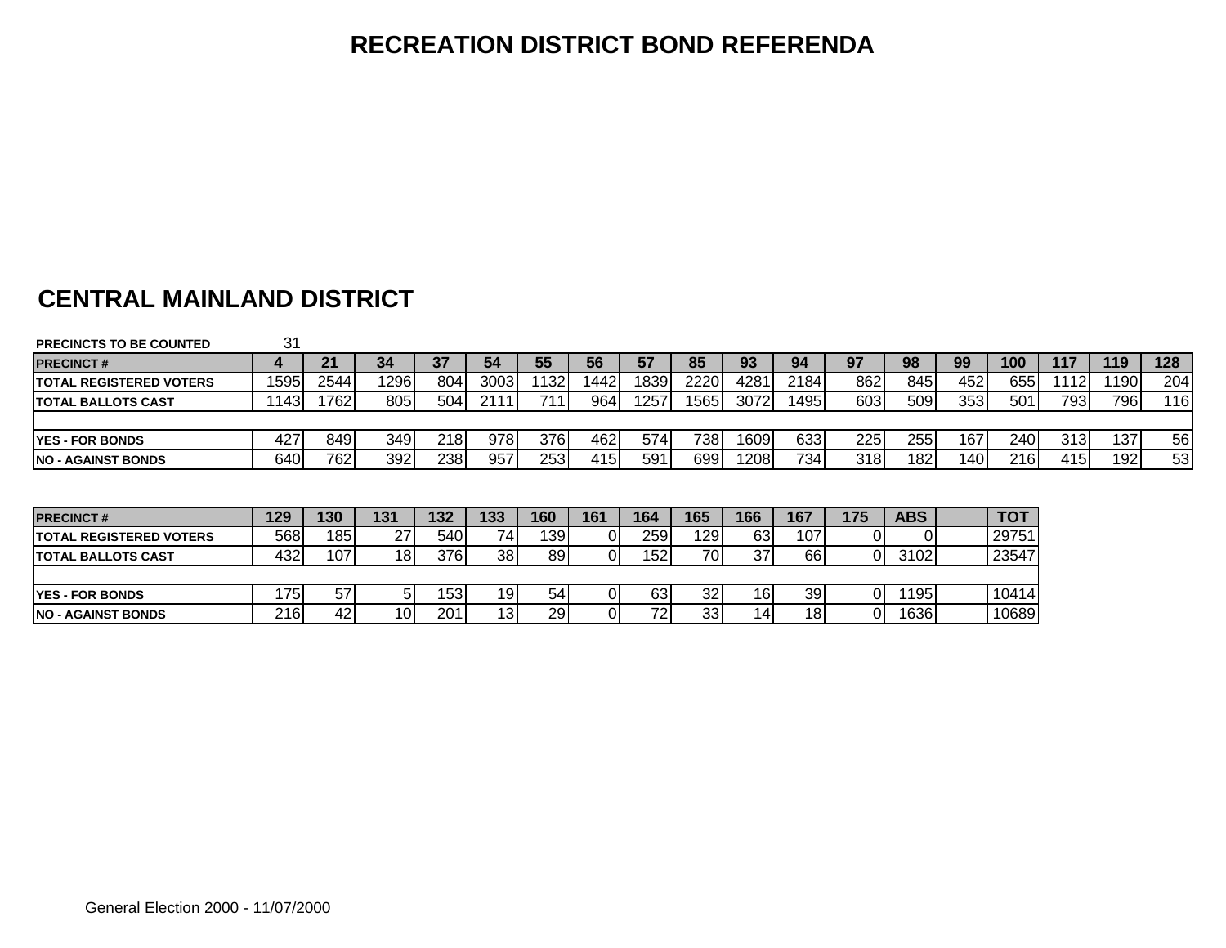# **CENTRAL MAINLAND DISTRICT**

| <b>PRECINCTS TO BE COUNTED</b>  | 31   |       |                 |      |                 |       |      |      |      |      |      |     |            |     |            |       |                  |     |
|---------------------------------|------|-------|-----------------|------|-----------------|-------|------|------|------|------|------|-----|------------|-----|------------|-------|------------------|-----|
| <b>PRECINCT#</b>                |      | 21    | 34              | 37   | 54              | 55    | 56   | 57   | 85   | 93   | 94   | 97  | 98         | 99  | 100        | 117   | 119              | 128 |
| <b>ITOTAL REGISTERED VOTERS</b> | 1595 | 2544  | 12961           | 804  | 3003            | 11321 | 1442 | 1839 | 2220 | 4281 | 2184 | 862 | 845        | 452 | 655        | 1112. | 1190.            | 204 |
| <b>ITOTAL BALLOTS CAST</b>      | 143I | 17621 | 805             | 504  | 2111            | 711   | 964  | 1257 | 1565 | 3072 | 1495 | 603 | 509        | 353 | 501        | 793   | 796              | 116 |
|                                 |      |       |                 |      |                 |       |      |      |      |      |      |     |            |     |            |       |                  |     |
| <b>IYES - FOR BONDS</b>         | 427  | 849   | 349             | 218I | 978             | 376I  | 462  | 574  | 738  | 1609 | 633  | 225 | 255 I      | 167 | 240        | 313I  | 137              | 56  |
| INO - AGAINST BONDS             | 640  | 762   | 392             | 238I | 957             | 253   | 415  | 591  | 699  | 1208 | 7341 | 318 | 182        | 140 | 216        | 415I  | 192 <sub>1</sub> | 53  |
|                                 |      |       |                 |      |                 |       |      |      |      |      |      |     |            |     |            |       |                  |     |
|                                 |      |       |                 |      |                 |       |      |      |      |      |      |     |            |     |            |       |                  |     |
| <b>PRECINCT#</b>                | 129  | 130   | 131             | 132  | 133             | 160   | 161  | 164  | 165  | 166  | 167  | 175 | <b>ABS</b> |     | <b>TOT</b> |       |                  |     |
| <b>ITOTAL REGISTERED VOTERS</b> | 568I | 185   | 27              | 540I | 74 <sub>1</sub> | 139I  |      | 259  | 1291 | 631  | 107  | 01  |            |     | 29751      |       |                  |     |
| <b>ITOTAL BALLOTS CAST</b>      | 4321 | 107   | 18 <sub>l</sub> | 376I | 38 <sub>l</sub> | 891   |      | 152I | 70I  | 37.  | 66I  | 01  | 3102       |     | 23547      |       |                  |     |

| <b>YES - FOR BONDS</b>    | 75  | $-$<br>ິ |                 | ro.<br>ິບປ | 19  | $-1$<br>54 | 63                      | 32 <sub>1</sub> | 16  | 39 | 195  | 10414 |
|---------------------------|-----|----------|-----------------|------------|-----|------------|-------------------------|-----------------|-----|----|------|-------|
| <b>NO - AGAINST BONDS</b> | 216 | 42       | 10 <sub>1</sub> | 201        | 131 | 29         | <b>ר קי</b><br><u>_</u> | 33              | 14. | 18 | 1636 | 10689 |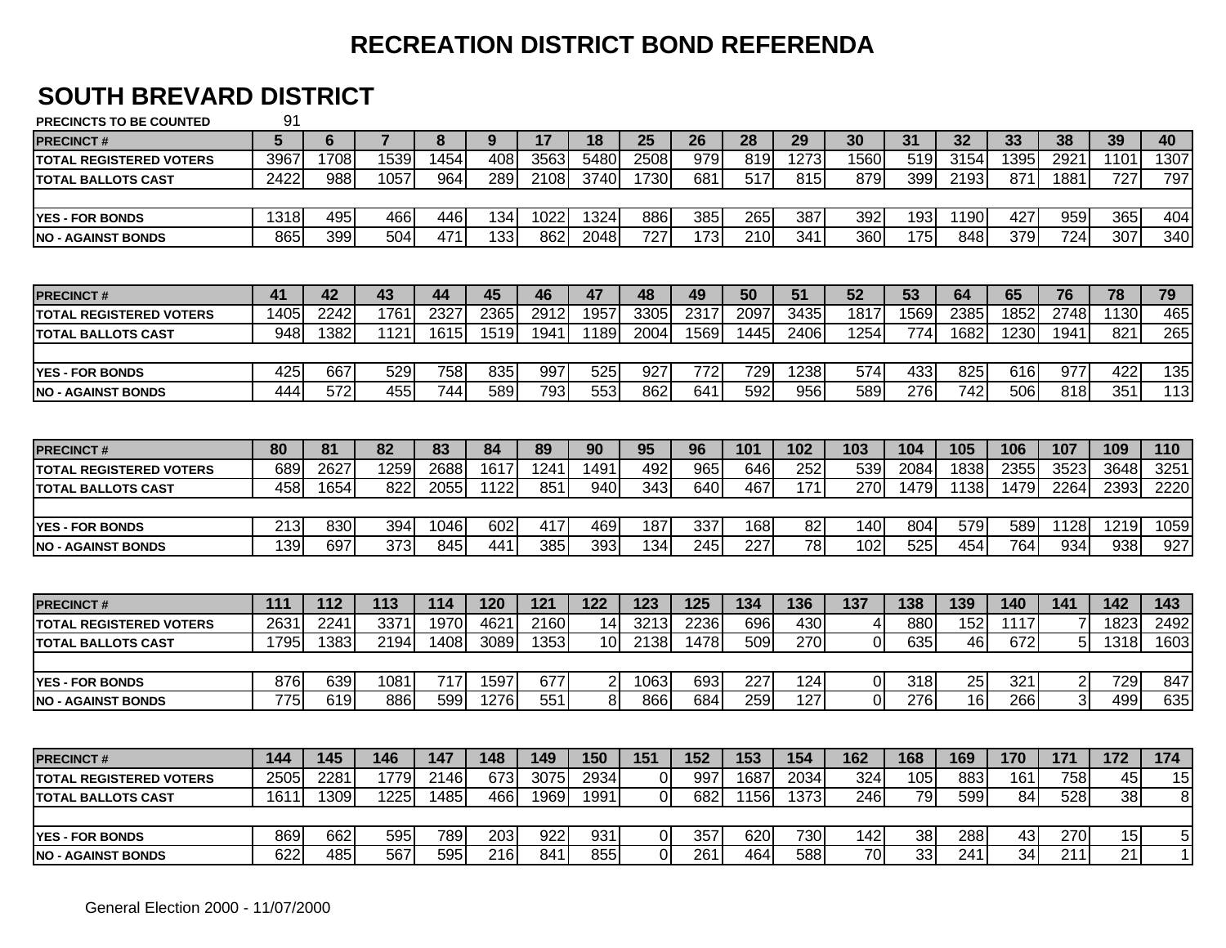# **SOUTH BREVARD DISTRICT**

| <b>PRECINCT#</b>               | 5    | 6    |      | 8    | 9                | 17   | 18             | 25             | 26   | 28               | 29               | 30          | 31   | 32   | 33              | 38             | 39   | 40          |
|--------------------------------|------|------|------|------|------------------|------|----------------|----------------|------|------------------|------------------|-------------|------|------|-----------------|----------------|------|-------------|
| <b>TOTAL REGISTERED VOTERS</b> | 3967 | 1708 | 1539 | 1454 | 408              | 3563 | 5480           | 2508           | 979  | 819              | 1273             | 1560        | 519  | 3154 | 1395            | 2921           | 1101 | 1307        |
| <b>TOTAL BALLOTS CAST</b>      | 2422 | 988  | 1057 | 964  | 289              | 2108 | 3740           | 1730           | 681  | 517              | 815              | 879         | 399  | 2193 | 871             | 1881           | 727  | 797         |
|                                |      |      |      |      |                  |      |                |                |      |                  |                  |             |      |      |                 |                |      |             |
| <b>YES - FOR BONDS</b>         | 1318 | 495  | 466  | 446  | 134              | 1022 | 1324           | 886            | 385  | 265              | 387              | 392         | 193  | 1190 | 427             | 959            | 365  | 404         |
| INO - AGAINST BONDS            | 865  | 399  | 504  | 471  | $\overline{133}$ | 862  | 2048           | 727            | 173  | $\overline{210}$ | $\overline{341}$ | 360         | 175  | 848  | 379             | 724            | 307  | 340         |
|                                |      |      |      |      |                  |      |                |                |      |                  |                  |             |      |      |                 |                |      |             |
| <b>PRECINCT#</b>               | 41   | 42   | 43   | 44   | 45               | 46   | 47             | 48             | 49   | 50               | 51               | 52          | 53   | 64   | 65              | 76             | 78   | 79          |
| <b>TOTAL REGISTERED VOTERS</b> | 1405 | 2242 | 176' | 2327 | 2365             | 2912 | 1957           | 3305           | 2317 | 2097             | 3435             | 1817        | 1569 | 2385 | 1852            | 2748           | 1130 | 465         |
| <b>TOTAL BALLOTS CAST</b>      | 948  | 1382 | 1121 | 1615 | 1519             | 1941 | 1189           | 2004           | 1569 | 1445             | 2406             | 1254        | 774  | 1682 | 1230            | 1941           | 821  | 265         |
|                                |      |      |      |      |                  |      |                |                |      |                  |                  |             |      |      |                 |                |      |             |
| <b>YES - FOR BONDS</b>         | 425  | 667  | 529  | 758  | 835              | 997  | 525            | 927            | 772  | 729              | 1238             | 574         | 433  | 825  | 616             | 977            | 422  | 135         |
| <b>NO - AGAINST BONDS</b>      | 444  | 572  | 455  | 744  | 589              | 793  | 553            | 862            | 641  | 592              | 956              | 589         | 276  | 742  | 506             | 818            | 351  | 113         |
|                                |      |      |      |      |                  |      |                |                |      |                  |                  |             |      |      |                 |                |      |             |
| <b>PRECINCT#</b>               | 80   | 81   | 82   | 83   | 84               | 89   | 90             | 95             | 96   | 101              | 102              | 103         | 104  | 105  | 106             | 107            | 109  | 110         |
| <b>TOTAL REGISTERED VOTERS</b> | 689  | 2627 | 1259 | 2688 | 1617             | 1241 | 1491           | 492            | 965  | 646              | 252              | 539         | 2084 | 1838 | 2355            | 3523           | 3648 | 3251        |
| <b>TOTAL BALLOTS CAST</b>      | 458  | 1654 | 822  | 2055 | 1122             | 851  | 940            | 343            | 640  | 467              | 171              | 270         | 1479 | 1138 | 1479            | 2264           | 2393 | 2220        |
|                                |      |      |      |      |                  |      |                |                |      |                  |                  |             |      |      |                 |                |      |             |
| <b>YES - FOR BONDS</b>         | 213  | 830  | 394  | 1046 | 602              | 417  | 469            | 187            | 337  | 168              | 82               | 140         | 804  | 579  | 589             | 1128           | 1219 | 1059        |
| <b>NO - AGAINST BONDS</b>      | 139  | 697  | 373  | 845  | 441              | 385  | 393            | 134            | 245  | 227              | $\overline{78}$  | 102         | 525  | 454  | 764             | 934            | 938  | 927         |
|                                |      |      |      |      |                  |      |                |                |      |                  |                  |             |      |      |                 |                |      |             |
| <b>PRECINCT#</b>               | 111  | 112  | 113  | 114  | 120              | 121  | 122            | 123            | 125  | 134              | 136              | 137         | 138  | 139  | 140             | 141            | 142  | 143         |
| <b>TOTAL REGISTERED VOTERS</b> | 2631 | 2241 | 337' | 1970 | 4621             | 2160 | 14             | 3213           | 2236 | 696              | 430              | 4           | 880  | 152  | 1117            |                | 1823 | 2492        |
| <b>TOTAL BALLOTS CAST</b>      | 1795 | 1383 | 2194 | 1408 | 3089             | 1353 | 10             | 2138           | 1478 | 509              | 270              | 0           | 635  | 46   | 672             | 5              | 1318 | 1603        |
|                                |      |      |      |      |                  |      |                |                |      |                  |                  |             |      |      |                 |                |      |             |
| <b>YES - FOR BONDS</b>         | 876  | 639  | 1081 | 717  | 1597             | 677  | $\overline{c}$ | 1063           | 693  | 227              | 124              | $\mathbf 0$ | 318  | 25   | 321             | $\overline{2}$ | 729  | 847         |
| INO - AGAINST BONDS            | 775  | 619  | 886  | 599  | 1276             | 551  | 8              | 866            | 684  | 259              | 127              | $\Omega$    | 276  | 16   | 266             | 3              | 499  | 635         |
|                                |      |      |      |      |                  |      |                |                |      |                  |                  |             |      |      |                 |                |      |             |
| <b>PRECINCT#</b>               | 144  | 145  | 146  | 147  | 148              | 149  | 150            | 151            | 152  | 153              | 154              | 162         | 168  | 169  | 170             | 171            | 172  | 174         |
| <b>TOTAL REGISTERED VOTERS</b> | 2505 | 2281 | 1779 | 2146 | 673              | 3075 | 2934           | $\overline{O}$ | 997  | 1687             | 2034             | 324         | 105  | 883  | 161             | 758            | 45   | 15          |
| <b>TOTAL BALLOTS CAST</b>      | 1611 | 1309 | 1225 | 1485 | 466              | 1969 | 1991           | $\overline{0}$ | 682  | 1156             | 1373             | 246         | 79   | 599  | 84              | 528            | 38   | 8           |
|                                |      |      |      |      |                  |      |                |                |      |                  |                  |             |      |      |                 |                |      |             |
| <b>YES - FOR BONDS</b>         | 869  | 662  | 595  | 789  | 203              | 922  | 931            | Οl             | 357  | 620              | 730              | 142         | 38   | 288  | 43              | 270            | 15   | 5           |
|                                | 622  | 485  | 567  | 595  | 216              | 841  | 855            | $\Omega$       | 261  | 464              | 588              | 70          | 33   | 241  | $\overline{34}$ | 211            | 21   | $\mathbf 1$ |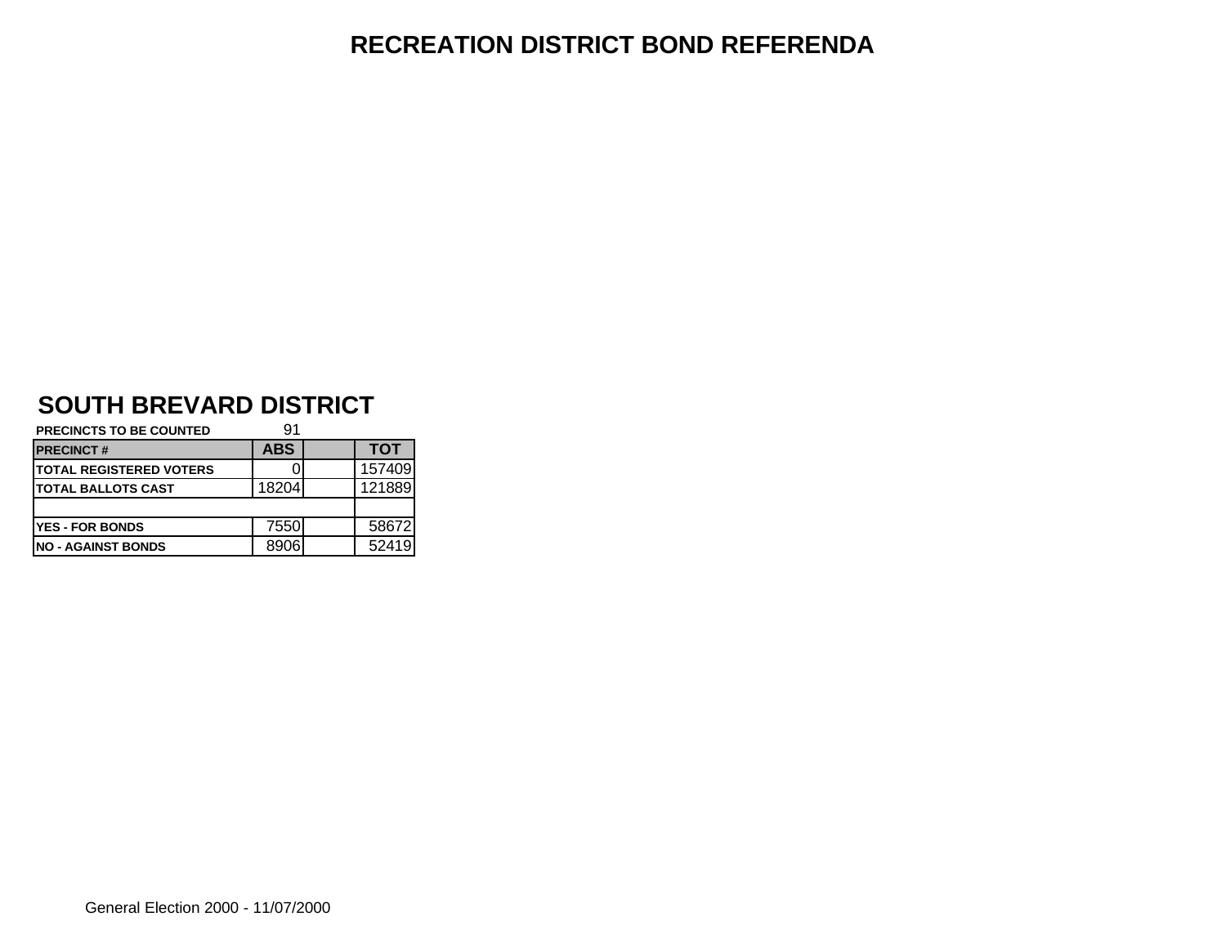# **SOUTH BREVARD DISTRICT**

| <b>PRECINCTS TO BE COUNTED</b>  | 91         |            |
|---------------------------------|------------|------------|
| <b>PRECINCT#</b>                | <b>ABS</b> | <b>TOT</b> |
| <b>ITOTAL REGISTERED VOTERS</b> |            | 157409     |
| <b>ITOTAL BALLOTS CAST</b>      | 18204      | 121889     |
|                                 |            |            |
| <b>YES - FOR BONDS</b>          | 7550       | 58672      |
| <b>INO - AGAINST BONDS</b>      | 8906       | 52419      |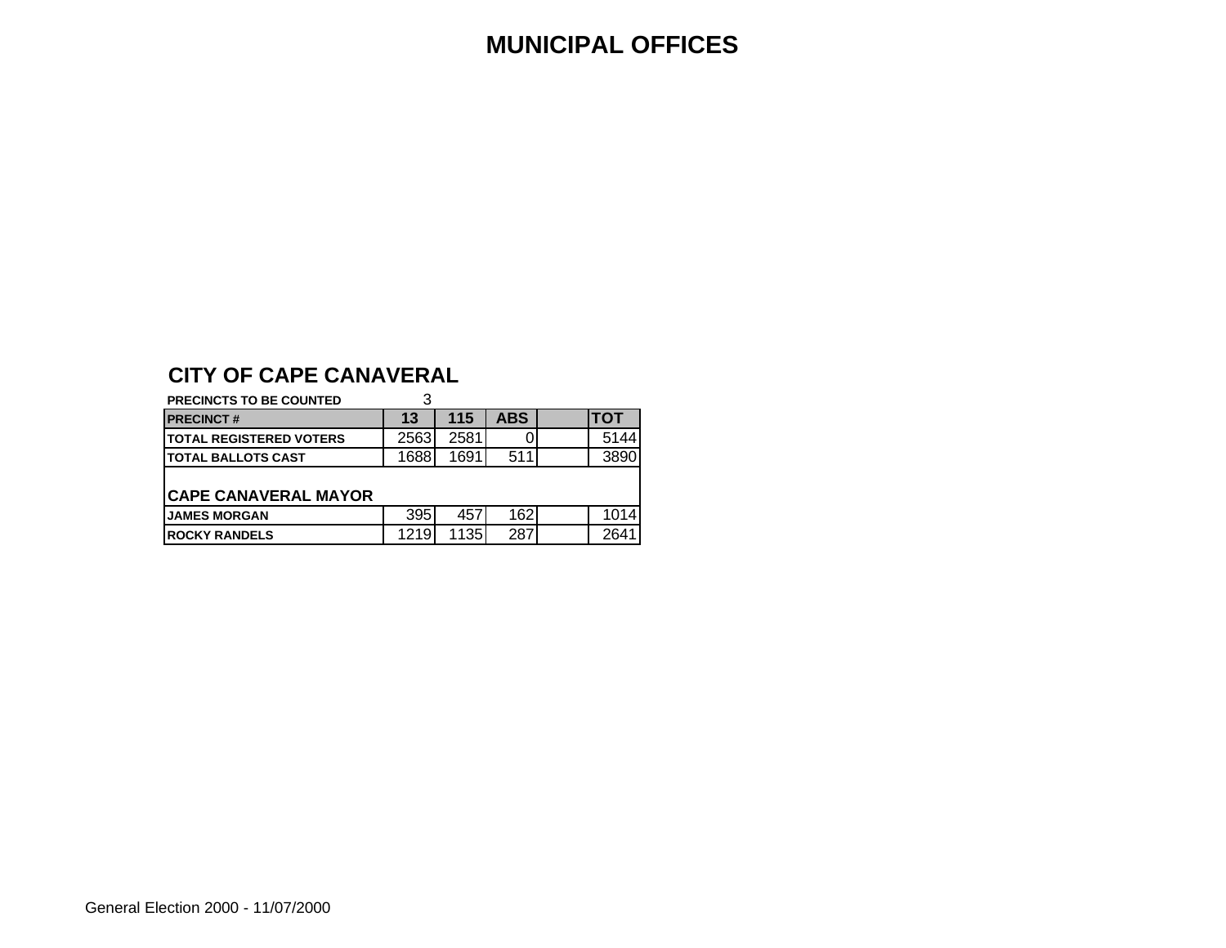#### **MUNICIPAL OFFICES**

#### **CITY OF CAPE CANAVERAL**

#### **PRECINCTS TO BE COUNTED** 3

| <b>PRECINCT#</b>                | 13    | 115  | ABS. | ITOT  |
|---------------------------------|-------|------|------|-------|
| <b>ITOTAL REGISTERED VOTERS</b> | 25631 | 2581 | 0    | 5144  |
| <b>ITOTAL BALLOTS CAST</b>      | 1688  | 1691 | 511  | 38901 |

#### **CAPE CANAVERAL MAYOR**

| <b>IJAMES MORGAN</b>  | 305<br>ບບບ | 457   | 1621 |      |
|-----------------------|------------|-------|------|------|
| <b>IROCKY RANDELS</b> | 1219       | ำ วร. | 2871 | 264' |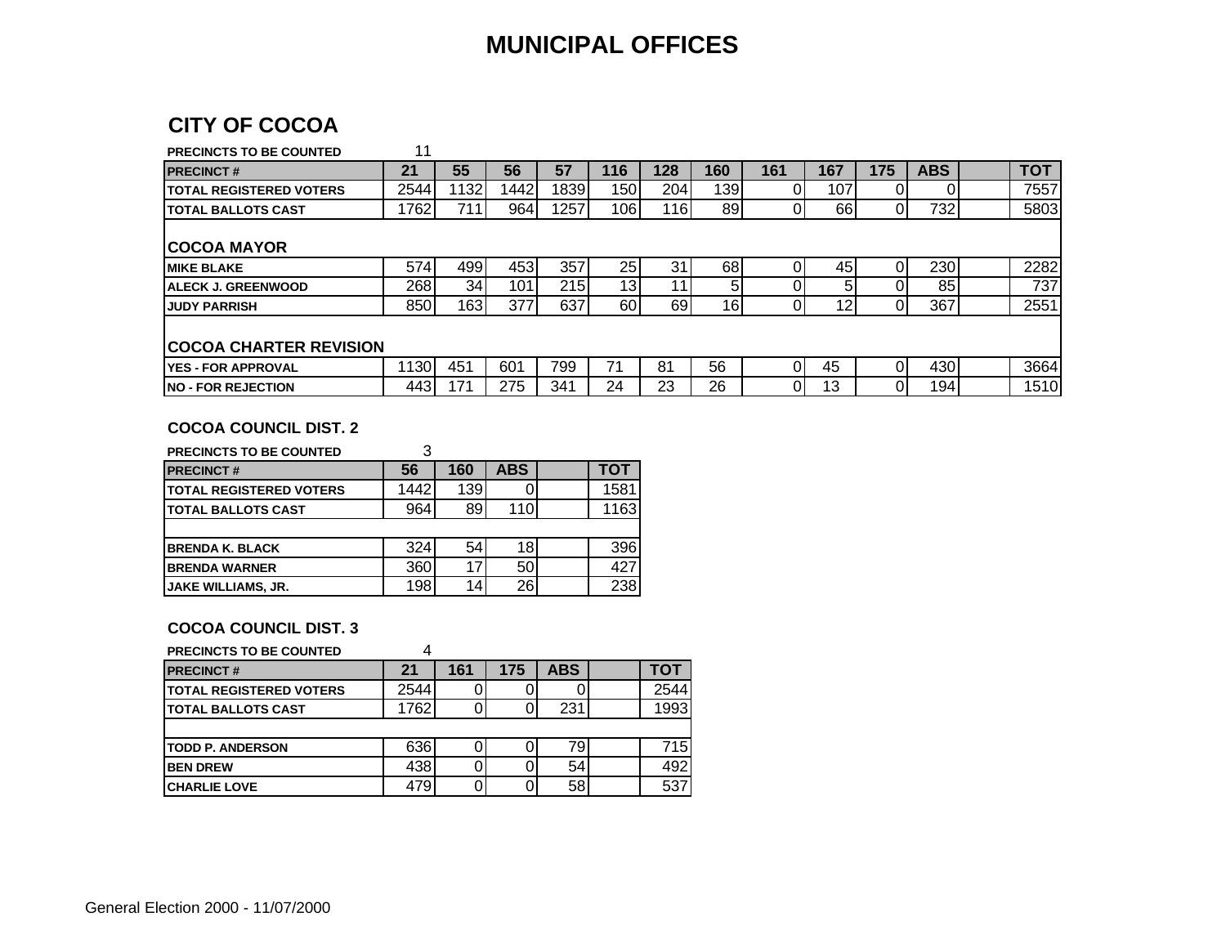#### **MUNICIPAL OFFICES**

#### **CITY OF COCOA**

| <b>PRECINCTS TO BE COUNTED</b>  | 11    |      |      |      |                 |     |     |                |     |     |            |            |
|---------------------------------|-------|------|------|------|-----------------|-----|-----|----------------|-----|-----|------------|------------|
| <b>PRECINCT#</b>                | 21    | 55   | 56   | 57   | 116             | 128 | 160 | 161            | 167 | 175 | <b>ABS</b> | <b>TOT</b> |
| <b>ITOTAL REGISTERED VOTERS</b> | 2544  | 1132 | 1442 | 1839 | 150             | 204 | 139 | 01             | 107 |     |            | 7557       |
| <b>ITOTAL BALLOTS CAST</b>      | 1762  | 711  | 964  | 1257 | 106             | 116 | 89  | 01             | 66  |     | 732        | 5803       |
| ICOCOA MAYOR                    |       |      |      |      |                 |     |     |                |     |     |            |            |
| <b>IMIKE BLAKE</b>              | 574   | 499  | 453  | 357  | 25              | 31  | 681 | 01             | 45  |     | 230        | 2282       |
| IALECK J. GREENWOOD             | 268   | 34 I | 101  | 215  | 13 <sub>1</sub> | 11  |     |                |     |     | 85         | 737        |
| <b>JUDY PARRISH</b>             | 850   | 163  | 377  | 637  | 60              | 69  | 16  | 01             | 12  | 0   | 367        | 2551       |
|                                 |       |      |      |      |                 |     |     |                |     |     |            |            |
| <b>COCOA CHARTER REVISION</b>   |       |      |      |      |                 |     |     |                |     |     |            |            |
| IYES - FOR APPROVAL             | 1130I | 451  | 601  | 799  | 71              | 81  | 56  | $\overline{0}$ | 45  |     | 430        | 3664       |
| <b>INO - FOR REJECTION</b>      | 4431  | 171  | 275  | 341  | 24              | 23  | 26  | $\overline{0}$ | 13  |     | 194        | 1510       |

#### **COCOA COUNCIL DIST. 2**

| PRECINCTS TO BE COUNTED         |      |                 |            |      |
|---------------------------------|------|-----------------|------------|------|
| <b>PRECINCT#</b>                | 56   | 160             | <b>ABS</b> | тот  |
| <b>ITOTAL REGISTERED VOTERS</b> | 1442 | 139             |            | 1581 |
| <b>ITOTAL BALLOTS CAST</b>      | 964  | 89              | 110        | 1163 |
|                                 |      |                 |            |      |
| <b>BRENDA K. BLACK</b>          | 324  | 54              | 18         | 396  |
| <b>BRENDA WARNER</b>            | 360  | 17 <sub>1</sub> | 50         | 427  |
| <b>JAKE WILLIAMS, JR.</b>       | 198  | 14              | 26         | 238  |

#### **COCOA COUNCIL DIST. 3**

#### **PRECINCTS TO BE COUNTED** 4

| <b>PRECINCT#</b>                | 21   | 161 | 175 | <b>ABS</b> | тот  |
|---------------------------------|------|-----|-----|------------|------|
| <b>ITOTAL REGISTERED VOTERS</b> | 2544 |     |     |            | 2544 |
| <b>ITOTAL BALLOTS CAST</b>      | 1762 |     |     | 231        | 1993 |
|                                 |      |     |     |            |      |
| <b>TODD P. ANDERSON</b>         | 636  |     |     | 79         | 715  |
| <b>BEN DREW</b>                 | 438  |     |     | 54         | 492  |
| <b>CHARLIE LOVE</b>             | 479  |     |     | 58         | 537  |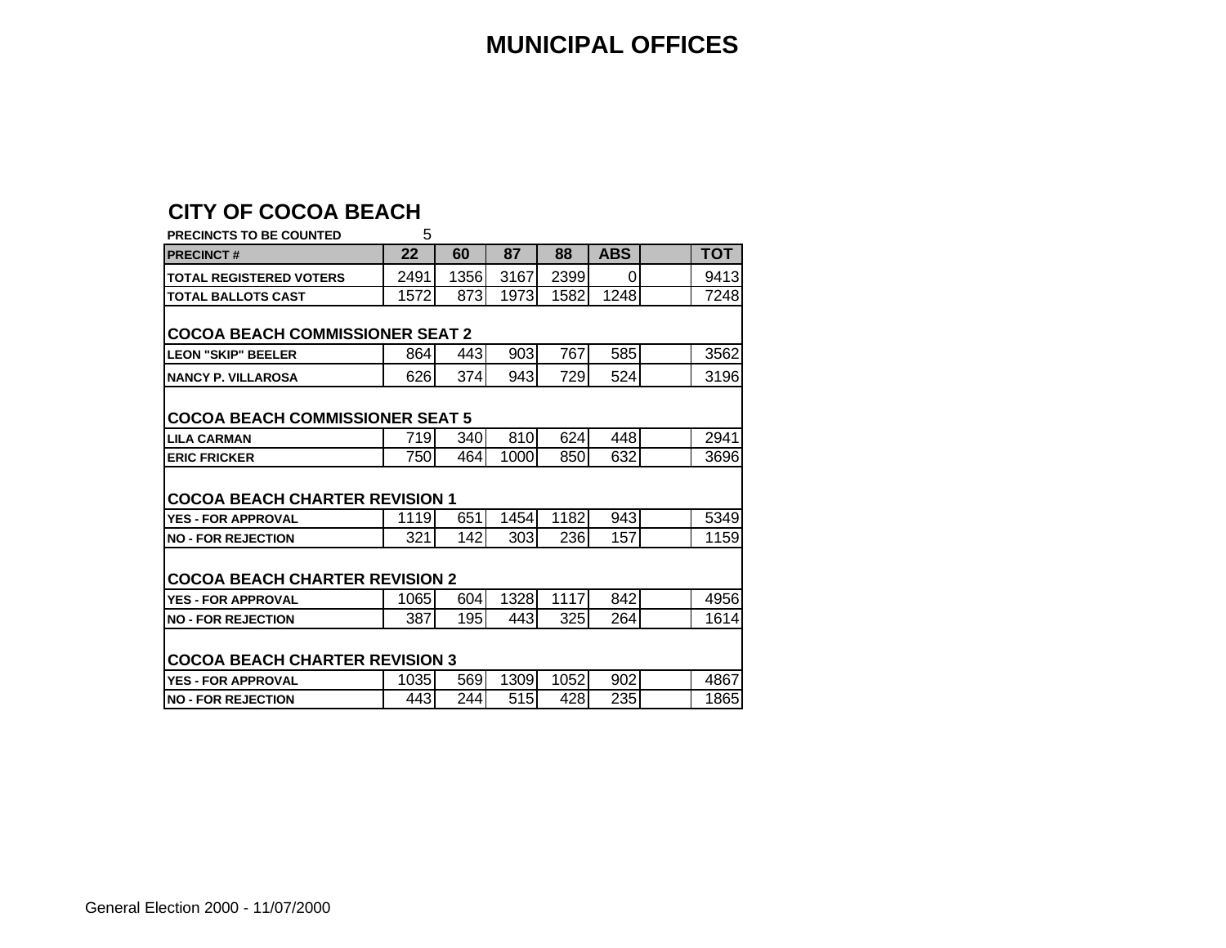#### **CITY OF COCOA BEACH**

| PRECINCTS TO BE COUNTED                | 5    |      |      |      |            |  |            |  |  |  |  |  |  |  |  |  |  |  |  |
|----------------------------------------|------|------|------|------|------------|--|------------|--|--|--|--|--|--|--|--|--|--|--|--|
| <b>PRECINCT#</b>                       | 22   | 60   | 87   | 88   | <b>ABS</b> |  | <b>TOT</b> |  |  |  |  |  |  |  |  |  |  |  |  |
| <b>TOTAL REGISTERED VOTERS</b>         | 2491 | 1356 | 3167 | 2399 | $\Omega$   |  | 9413       |  |  |  |  |  |  |  |  |  |  |  |  |
| <b>TOTAL BALLOTS CAST</b>              | 1572 | 873  | 1973 | 1582 | 1248       |  | 7248       |  |  |  |  |  |  |  |  |  |  |  |  |
| <b>COCOA BEACH COMMISSIONER SEAT 2</b> |      |      |      |      |            |  |            |  |  |  |  |  |  |  |  |  |  |  |  |
| <b>LEON "SKIP" BEELER</b>              | 864  | 443  | 903  | 767  | 585        |  | 3562       |  |  |  |  |  |  |  |  |  |  |  |  |
| <b>NANCY P. VILLAROSA</b>              | 626  | 374  | 943  | 729  | 524        |  | 3196       |  |  |  |  |  |  |  |  |  |  |  |  |
| <b>COCOA BEACH COMMISSIONER SEAT 5</b> |      |      |      |      |            |  |            |  |  |  |  |  |  |  |  |  |  |  |  |
| <b>LILA CARMAN</b>                     | 719  | 340  | 810  | 624  | 448        |  | 2941       |  |  |  |  |  |  |  |  |  |  |  |  |
| <b>ERIC FRICKER</b>                    | 750  | 464  | 1000 | 850  | 632        |  | 3696       |  |  |  |  |  |  |  |  |  |  |  |  |
| <b>COCOA BEACH CHARTER REVISION 1</b>  |      |      |      |      |            |  |            |  |  |  |  |  |  |  |  |  |  |  |  |
| <b>YES - FOR APPROVAL</b>              | 1119 | 651  | 1454 | 1182 | 943        |  | 5349       |  |  |  |  |  |  |  |  |  |  |  |  |
| <b>NO - FOR REJECTION</b>              | 321  | 142  | 303  | 236  | 157        |  | 1159       |  |  |  |  |  |  |  |  |  |  |  |  |
| <b>COCOA BEACH CHARTER REVISION 2</b>  |      |      |      |      |            |  |            |  |  |  |  |  |  |  |  |  |  |  |  |
| <b>YES - FOR APPROVAL</b>              | 1065 | 604  | 1328 | 1117 | 842        |  | 4956       |  |  |  |  |  |  |  |  |  |  |  |  |
| <b>NO - FOR REJECTION</b>              | 387  | 195  | 443  | 325  | 264        |  | 1614       |  |  |  |  |  |  |  |  |  |  |  |  |
| <b>COCOA BEACH CHARTER REVISION 3</b>  |      |      |      |      |            |  |            |  |  |  |  |  |  |  |  |  |  |  |  |
| <b>YES - FOR APPROVAL</b>              | 1035 | 569  | 1309 | 1052 | 902        |  | 4867       |  |  |  |  |  |  |  |  |  |  |  |  |
| <b>NO - FOR REJECTION</b>              | 443  | 244  | 515  | 428  | 235        |  | 1865       |  |  |  |  |  |  |  |  |  |  |  |  |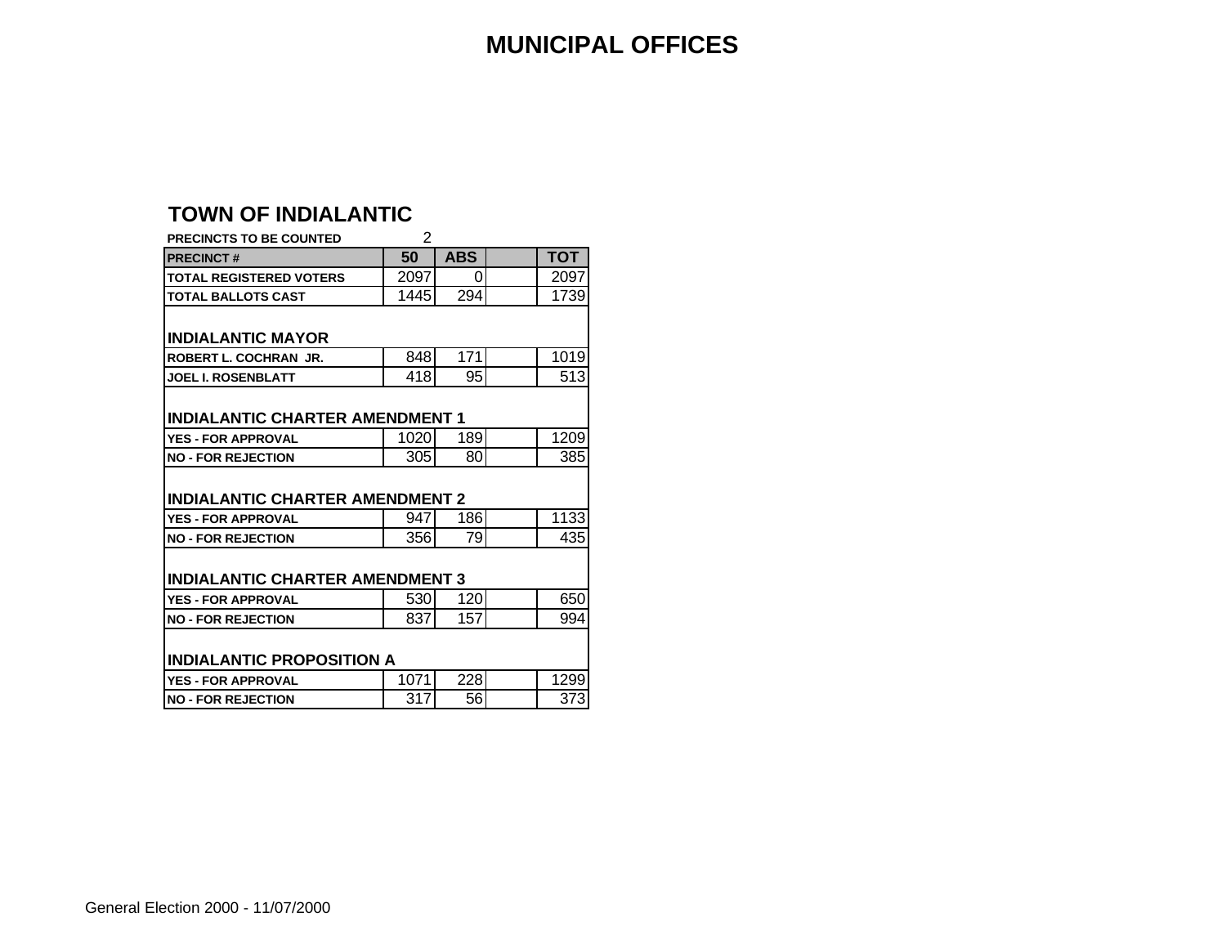#### **MUNICIPAL OFFICES**

#### **TOWN OF INDIALANTIC**

| PRECINCTS TO BE COUNTED                | 2    |            |            |
|----------------------------------------|------|------------|------------|
| <b>PRECINCT#</b>                       | 50   | <b>ABS</b> | <b>TOT</b> |
| <b>TOTAL REGISTERED VOTERS</b>         | 2097 | 0          | 2097       |
| <b>TOTAL BALLOTS CAST</b>              | 1445 | 294        | 1739       |
|                                        |      |            |            |
| <b>INDIALANTIC MAYOR</b>               |      |            |            |
| ROBERT L. COCHRAN JR.                  | 848  | 171        | 1019       |
| <b>JOEL I. ROSENBLATT</b>              | 418  | 95         | 513        |
|                                        |      |            |            |
| <b>INDIALANTIC CHARTER AMENDMENT 1</b> |      |            |            |
|                                        |      |            |            |
| <b>YES - FOR APPROVAL</b>              | 1020 | 189        | 1209       |
| <b>NO - FOR REJECTION</b>              | 305  | 80         | 385        |
|                                        |      |            |            |
| <b>INDIALANTIC CHARTER AMENDMENT 2</b> |      |            |            |
| <b>YES - FOR APPROVAL</b>              | 947  | 186        | 1133       |
| <b>NO - FOR REJECTION</b>              | 356  | 79         | 435        |
|                                        |      |            |            |
| <b>INDIALANTIC CHARTER AMENDMENT 3</b> |      |            |            |
| <b>YES - FOR APPROVAL</b>              | 530  | 120        | 650        |
| <b>NO - FOR REJECTION</b>              | 837  | 157        | 994        |
|                                        |      |            |            |
| <b>INDIALANTIC PROPOSITION A</b>       |      |            |            |
| <b>YES - FOR APPROVAL</b>              | 1071 | 228        | 1299       |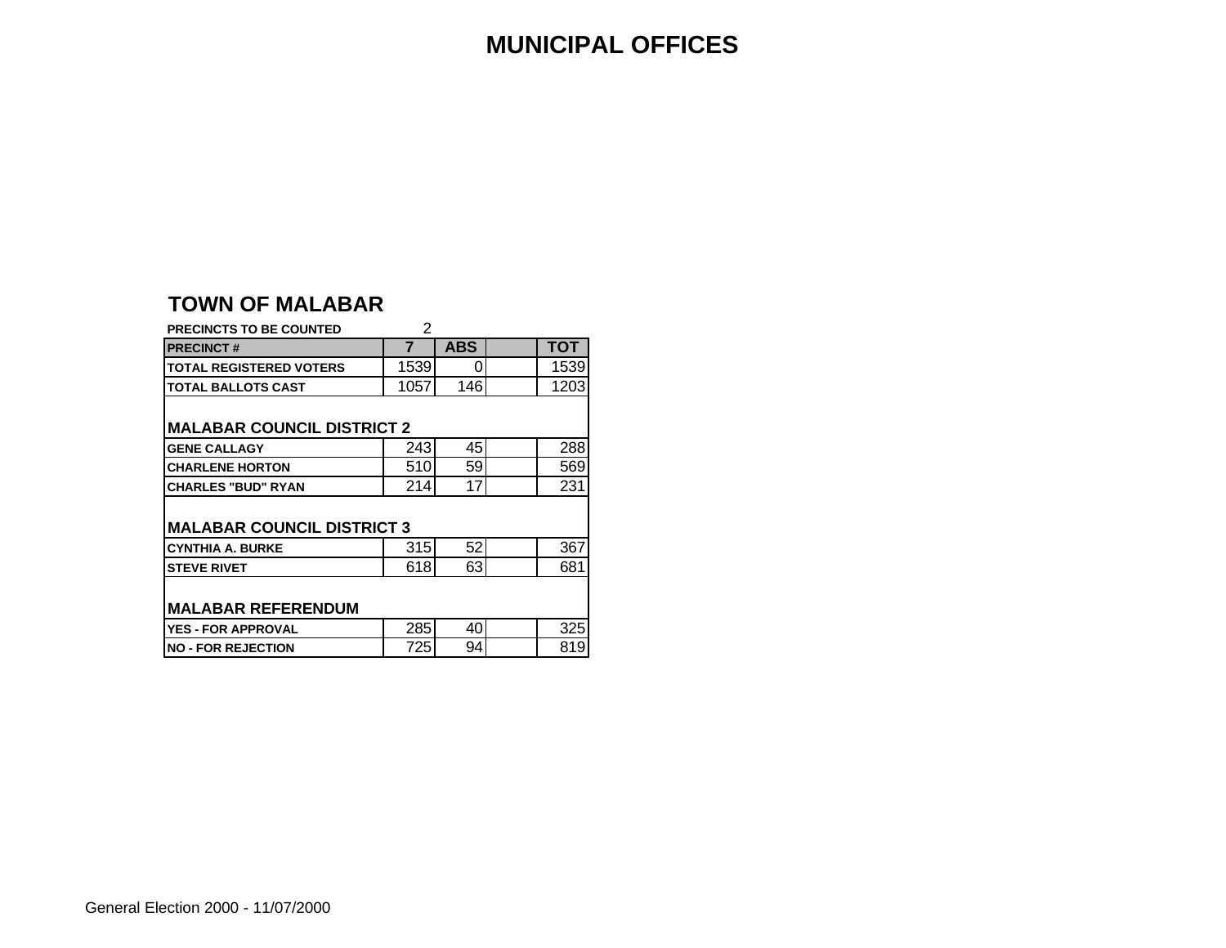#### **MUNICIPAL OFFICES**

#### **TOWN OF MALABAR**

| <b>PRECINCTS TO BE COUNTED</b>    | 2    |            |  |      |  |  |  |  |  |  |  |  |  |  |
|-----------------------------------|------|------------|--|------|--|--|--|--|--|--|--|--|--|--|
| <b>PRECINCT#</b>                  | 7    | <b>ABS</b> |  | тот  |  |  |  |  |  |  |  |  |  |  |
| <b>TOTAL REGISTERED VOTERS</b>    | 1539 | 0          |  | 1539 |  |  |  |  |  |  |  |  |  |  |
| <b>TOTAL BALLOTS CAST</b>         | 1057 | 146        |  | 1203 |  |  |  |  |  |  |  |  |  |  |
| <b>MALABAR COUNCIL DISTRICT 2</b> |      |            |  |      |  |  |  |  |  |  |  |  |  |  |
| <b>GENE CALLAGY</b>               | 243  | 45         |  | 288  |  |  |  |  |  |  |  |  |  |  |
| <b>CHARLENE HORTON</b>            | 510  | 59         |  | 569  |  |  |  |  |  |  |  |  |  |  |
| <b>CHARLES "BUD" RYAN</b>         | 214  | 17         |  | 231  |  |  |  |  |  |  |  |  |  |  |
| <b>MALABAR COUNCIL DISTRICT 3</b> |      |            |  |      |  |  |  |  |  |  |  |  |  |  |
| <b>CYNTHIA A. BURKE</b>           | 315  | 52         |  | 367  |  |  |  |  |  |  |  |  |  |  |
| <b>STEVE RIVET</b>                | 618  | 63         |  | 681  |  |  |  |  |  |  |  |  |  |  |
| <b>MALABAR REFERENDUM</b>         |      |            |  |      |  |  |  |  |  |  |  |  |  |  |
| <b>YES - FOR APPROVAL</b>         | 285  | 40         |  | 325  |  |  |  |  |  |  |  |  |  |  |
| <b>NO - FOR REJECTION</b>         | 725  | 94         |  | 819  |  |  |  |  |  |  |  |  |  |  |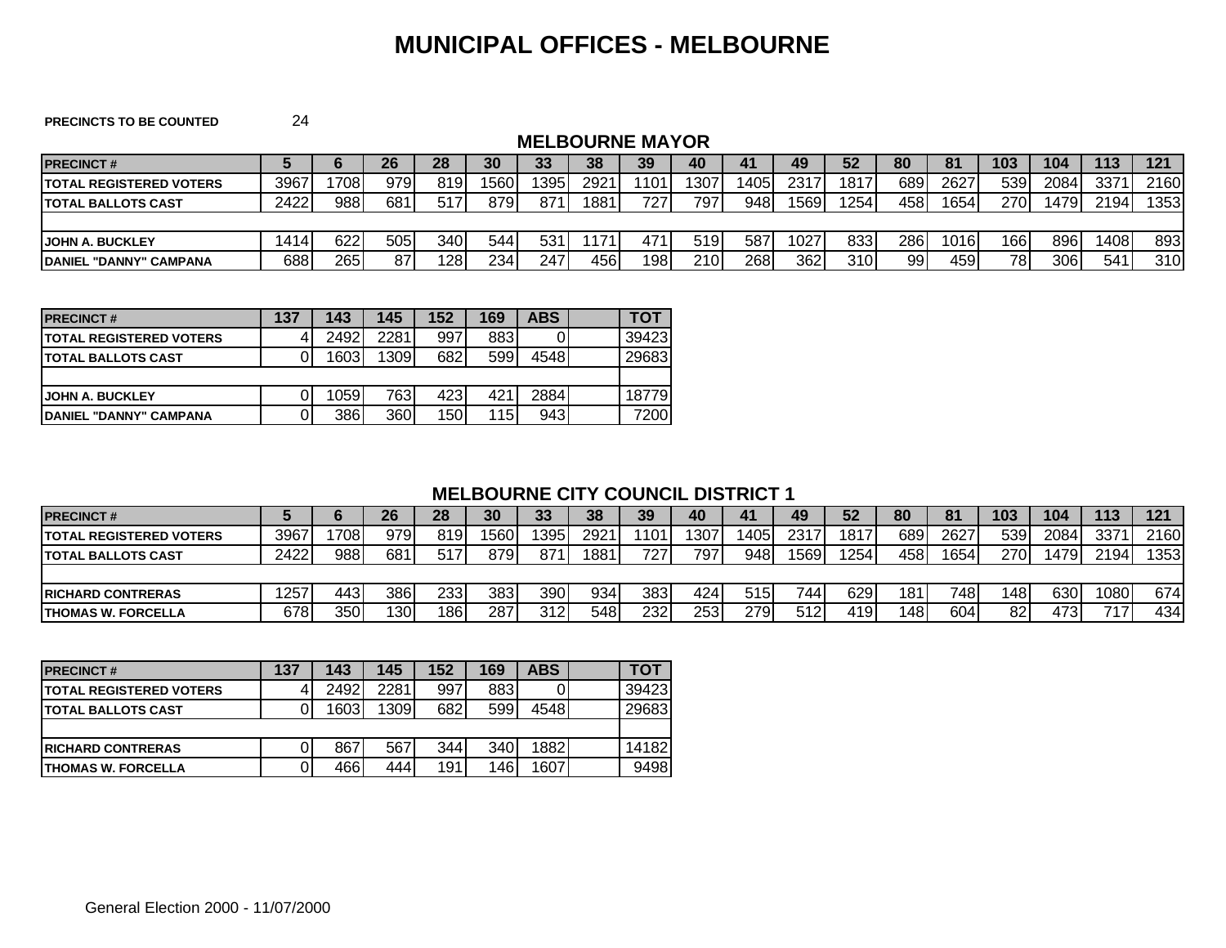#### **MUNICIPAL OFFICES - MELBOURNE**

**PRECINCTS TO BE COUNTED** 24

#### **MELBOURNE MAYOR**

| <b>IPRECINCT#</b>               |      |      | 26  | 28  | 30   | 33   | 38   | 39   | 40   | 41   | 49   | 52    | 80    | 81   | 103 | 104  | 113  | 121  |
|---------------------------------|------|------|-----|-----|------|------|------|------|------|------|------|-------|-------|------|-----|------|------|------|
| <b>ITOTAL REGISTERED VOTERS</b> | 3967 | 1708 | 979 | 819 | 1560 | '395 | 2921 | 1101 | 1307 | 1405 | 2317 | 1817  | 689   | 2627 | 539 | 2084 | 3371 | 2160 |
| <b>ITOTAL BALLOTS CAST</b>      | 2422 | 988  | 681 | 517 | 8791 | 871  | 1881 | 727  | 797  | 948  | 1569 | '254' | 458 I | 1654 | 270 | 1479 | 2194 | 1353 |
|                                 |      |      |     |     |      |      |      |      |      |      |      |       |       |      |     |      |      |      |
| <b>JOHN A. BUCKLEY</b>          | 1414 | 622  | 505 | 340 | 544  | 531  | 1171 | 471  | 519I | 587  | 1027 | 833   | 286   | 1016 | 166 | 896  | 1408 | 893  |
| <b>IDANIEL "DANNY" CAMPANA</b>  | 688  | 265  | 87  | 128 | 234  | 247  | 4561 | 198  | 210  | 268  | 362  | 310   | 99    | 459  | 78  | 306  | 541  | 310  |

| <b>IPRECINCT#</b>               | 137 | 143  | 145  | 152  | 169        | ABS  | τοτ   |
|---------------------------------|-----|------|------|------|------------|------|-------|
| <b>ITOTAL REGISTERED VOTERS</b> |     | 2492 | 2281 | 997  | 883        |      | 39423 |
| <b>ITOTAL BALLOTS CAST</b>      |     | 1603 | 1309 | 682  | 599        | 4548 | 29683 |
|                                 |     |      |      |      |            |      |       |
| <b>JOHN A. BUCKLEY</b>          |     | 1059 | 763  | 4231 | 421        | 2884 | 18779 |
| <b>IDANIEL "DANNY" CAMPANA</b>  |     | 386  | 360  | 150  | <b>115</b> | 943  | 7200  |

#### **MELBOURNE CITY COUNCIL DISTRICT 1**

| <b>PRECINCT#</b>                |      |      | 26   | 28  | 30  | つつ<br>ູບປ | 38               | 39   | 40  | 41   | 49   | 52   | 80   | 81   | 103  | 104   | 113  | 121  |
|---------------------------------|------|------|------|-----|-----|-----------|------------------|------|-----|------|------|------|------|------|------|-------|------|------|
| <b>ITOTAL REGISTERED VOTERS</b> | 3967 | 1708 | 979  | 819 | 560 | 395       | 2921             | 1101 | 307 | 405  | 2317 | 1817 | 689  | 2627 | 539  | 2084  | 3371 | 2160 |
| <b>ITOTAL BALLOTS CAST</b>      | 2422 | 988  | 681  | 517 | 879 | 871       | 188 <sup>-</sup> | 7271 | 797 | 948  | 1569 | 254  | 4581 | 1654 | 270  | 14791 | 2194 | 353  |
|                                 |      |      |      |     |     |           |                  |      |     |      |      |      |      |      |      |       |      |      |
| <b>IRICHARD CONTRERAS</b>       | 257  | 443  | 3861 | 233 | 383 | 390       | 934              | 383  | 424 | 515I | 744  | 629  | 181  | 7481 | 1481 | 630   | 1080 | 674  |
| <b>ITHOMAS W. FORCELLA</b>      | 678  | 350  | 1301 | 186 | 287 | 3121      | 548              | 232  | 253 | 2791 | 512  | 419  | 1481 | 604  | 82   | 4731  | 717  | 434  |

| <b>IPRECINCT#</b>              | 137 | 143  | 145  | 152              | 169  | <b>ABS</b> | тот   |
|--------------------------------|-----|------|------|------------------|------|------------|-------|
| <b>TOTAL REGISTERED VOTERS</b> |     | 2492 | 2281 | 997              | 883  |            | 39423 |
| <b>ITOTAL BALLOTS CAST</b>     |     | 1603 | 1309 | 682              | 599  | 4548       | 29683 |
|                                |     |      |      |                  |      |            |       |
| <b>IRICHARD CONTRERAS</b>      |     | 867  | 567  | 344 <sup>I</sup> | 340  | 1882       | 14182 |
| <b>ITHOMAS W. FORCELLA</b>     |     | 466  | 444  | 191              | 1461 | 1607       | 9498  |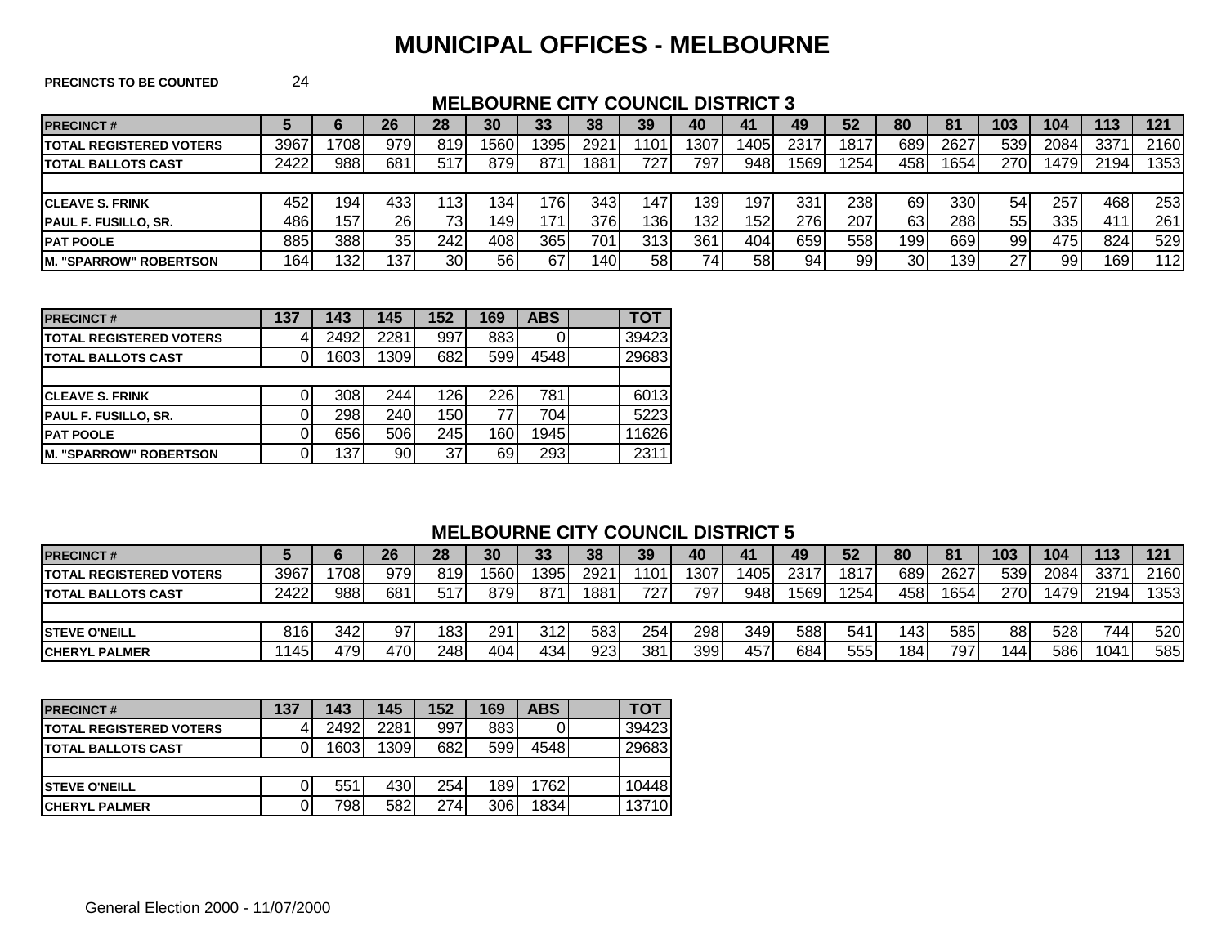#### **MUNICIPAL OFFICES - MELBOURNE**

**PRECINCTS TO BE COUNTED** 24

#### **MELBOURNE CITY COUNCIL DISTRICT 3**

| <b>PRECINCT#</b>                |      |      | 26              | 28  | 30   | 33   | 38   | 39   | 40  | 41   | 49   | 52    | 80              | 81   | 103 | 104   | 113  | 121  |
|---------------------------------|------|------|-----------------|-----|------|------|------|------|-----|------|------|-------|-----------------|------|-----|-------|------|------|
| <b>ITOTAL REGISTERED VOTERS</b> | 3967 | 708  | 9791            | 819 | 1560 | 395  | 2921 | 1101 | 307 | 1405 | 2317 | 1817  | 689             | 2627 | 539 | 2084  | 3371 | 2160 |
| <b>ITOTAL BALLOTS CAST</b>      | 2422 | 988  | 681             | 517 | 8791 | 871  | 1881 | 7271 | 797 | 948  | 1569 | 254   | 4581            | 1654 | 270 | 14791 | 2194 | 1353 |
|                                 |      |      |                 |     |      |      |      |      |     |      |      |       |                 |      |     |       |      |      |
| <b>ICLEAVE S. FRINK</b>         | 452  | 194  | 4331            | 13  | 134  | '76ı | 3431 | 147  | 139 | 197. | 331  | 2381  | 691             | 330  | 54  | 257   | 4681 | 253  |
| <b>PAUL F. FUSILLO, SR.</b>     | 486I | 1571 | 26I             |     | 149  | 171  | 376I | 136  | 132 | 152  | 276  | 207   | 631             | 288  | 55  | 335I  | 411  | 261  |
| <b>PAT POOLE</b>                | 885  | 388  | 35 <sub>l</sub> | 242 | 408  | 365  | 701  | 313  | 361 | 404  | 659  | 558 l | 199             | 669  | 99  | 475I  | 824  | 529  |
| <b>IM. "SPARROW" ROBERTSON</b>  | 164  | 132  | 137             | 30  | 56   | 67   | 140I | 58   | 74. | 58   | 94   | 99    | 30 <sup>1</sup> | 139  | 27  | 99    | 169  | 112  |

| <b>PRECINCT#</b>                | 137 | 143  | 145  | 152 | 169 | <b>ABS</b> | тот   |
|---------------------------------|-----|------|------|-----|-----|------------|-------|
| <b>ITOTAL REGISTERED VOTERS</b> |     | 2492 | 2281 | 997 | 883 |            | 39423 |
| <b>ITOTAL BALLOTS CAST</b>      |     | 1603 | 1309 | 682 | 599 | 4548       | 29683 |
|                                 |     |      |      |     |     |            |       |
| <b>ICLEAVE S. FRINK</b>         |     | 308  | 244  | 126 | 226 | 781        | 6013  |
| <b>PAUL F. FUSILLO, SR.</b>     |     | 298  | 240  | 150 |     | 704        | 5223  |
| <b>PAT POOLE</b>                |     | 656  | 506  | 245 | 160 | 1945       | 11626 |
| <b>IM. "SPARROW" ROBERTSON</b>  |     | 137  | 90   | 37  | 69  | 293        | 2311  |

#### **MELBOURNE CITY COUNCIL DISTRICT 5**

| <b>PRECINCT#</b>                |      |      | 26  | 28  | 30   | 33   | 38   | 39  | 40   | 41    | 49   | 52   | 80  | 81   | 103 | 104   | 113              | 121  |
|---------------------------------|------|------|-----|-----|------|------|------|-----|------|-------|------|------|-----|------|-----|-------|------------------|------|
| <b>ITOTAL REGISTERED VOTERS</b> | 3967 | 708  | 979 | 819 | 1560 | 395  | 2921 | 101 | 1307 | 14051 | 2317 | 1817 | 689 | 2627 | 539 | 2084  | 3371             | 2160 |
| <b>ITOTAL BALLOTS CAST</b>      | 2422 | 988  | 681 | 517 | 8791 | 871  | 1881 | 727 | 797  | 948   | 1569 | 254  | 458 | 1654 | 270 | 14791 | 2194             | 353  |
|                                 |      |      |     |     |      |      |      |     |      |       |      |      |     |      |     |       |                  |      |
| <b>ISTEVE O'NEILL</b>           | 816  | 342  | 97  | 183 | 291  | 312l | 583  | 254 | 298  | 349   | 588  | 541  | 143 | 585  | 88  | 5281  | 744 <sub>1</sub> | 520  |
| <b>ICHERYL PALMER</b>           | 145  | 4791 | 470 | 248 | 404  | 434  | 923  | 381 | 399  | 457   | 684  | 555  | 184 | 797  | 144 | 586   | 1041             | 585  |

| <b>PRECINCT#</b>                | 137 | 143  | 145  | 152  | 169 | <b>ABS</b> | TOT   |
|---------------------------------|-----|------|------|------|-----|------------|-------|
| <b>ITOTAL REGISTERED VOTERS</b> |     | 2492 | 2281 | 997  | 883 |            | 39423 |
| <b>ITOTAL BALLOTS CAST</b>      |     | 1603 | 1309 | 682  | 599 | 4548       | 29683 |
|                                 |     |      |      |      |     |            |       |
| <b>ISTEVE O'NEILL</b>           |     | 551  | 430  | 254  | 189 | 1762       | 10448 |
| <b>CHERYL PALMER</b>            |     | 798  | 582  | 2741 | 306 | 1834       | 13710 |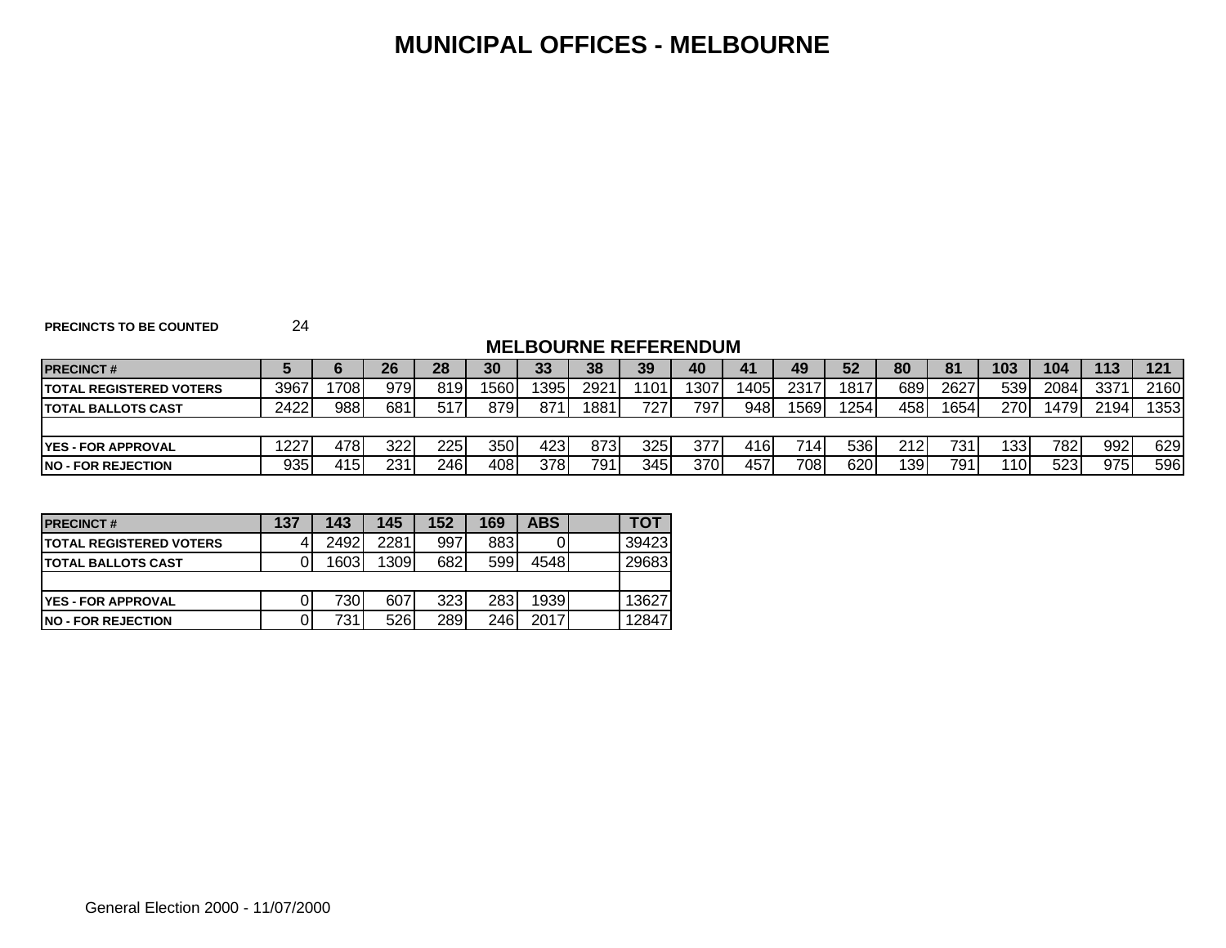#### **MUNICIPAL OFFICES - MELBOURNE**

**PRECINCTS TO BE COUNTED** 24

#### **MELBOURNE REFERENDUM**

| <b>PRECINCT#</b>                |      |      | 26   | 28  | 30  | 33   | 38   | 39               | 40  | 41   | 49   | 52   | 80   | 81   | 103  | 104  | 113  | 121  |
|---------------------------------|------|------|------|-----|-----|------|------|------------------|-----|------|------|------|------|------|------|------|------|------|
| <b>ITOTAL REGISTERED VOTERS</b> | 3967 | 708  | 979  | 819 | 560 | 1395 | 2921 | $'101_1$         | 307 | 1405 | 2317 | 1817 | 689  | 2627 | 539  | 2084 | 3371 | 2160 |
| <b>ITOTAL BALLOTS CAST</b>      | 2422 | 988  | 681  | 517 | 879 | 871  | 1881 | 727              | 797 | 948  | 1569 | 254  | 4581 | 1654 | 270  | 1479 | 2194 | 1353 |
|                                 |      |      |      |     |     |      |      |                  |     |      |      |      |      |      |      |      |      |      |
| <b>IYES - FOR APPROVAL</b>      | 1227 | 4781 | 3221 | 225 | 350 | 423  | 873I | 325              | 377 | 4161 | 714  | 536  | 212I | 731  | 1331 | 782  | 992  | 629  |
| <b>INO - FOR REJECTION</b>      | 935  | 415I | 231  | 246 | 408 | 378. | 791  | 345 <sub>1</sub> | 370 | 457  | 7081 | 6201 | 1391 | 791  | 110  | 523  | 975  | 596  |

| <b>PRECINCT#</b>                | 137 | 143  | 145  | 152 | 169 | <b>ABS</b> | тот   |
|---------------------------------|-----|------|------|-----|-----|------------|-------|
| <b>ITOTAL REGISTERED VOTERS</b> |     | 2492 | 2281 | 997 | 883 |            | 39423 |
| <b>ITOTAL BALLOTS CAST</b>      |     | 1603 | 1309 | 682 | 599 | 4548       | 29683 |
|                                 |     |      |      |     |     |            |       |
| <b>IYES - FOR APPROVAL</b>      |     | 7301 | 607  | 323 | 283 | 1939       | 13627 |
| <b>INO - FOR REJECTION</b>      |     | 731  | 526  | 289 | 246 | 20171      | 12847 |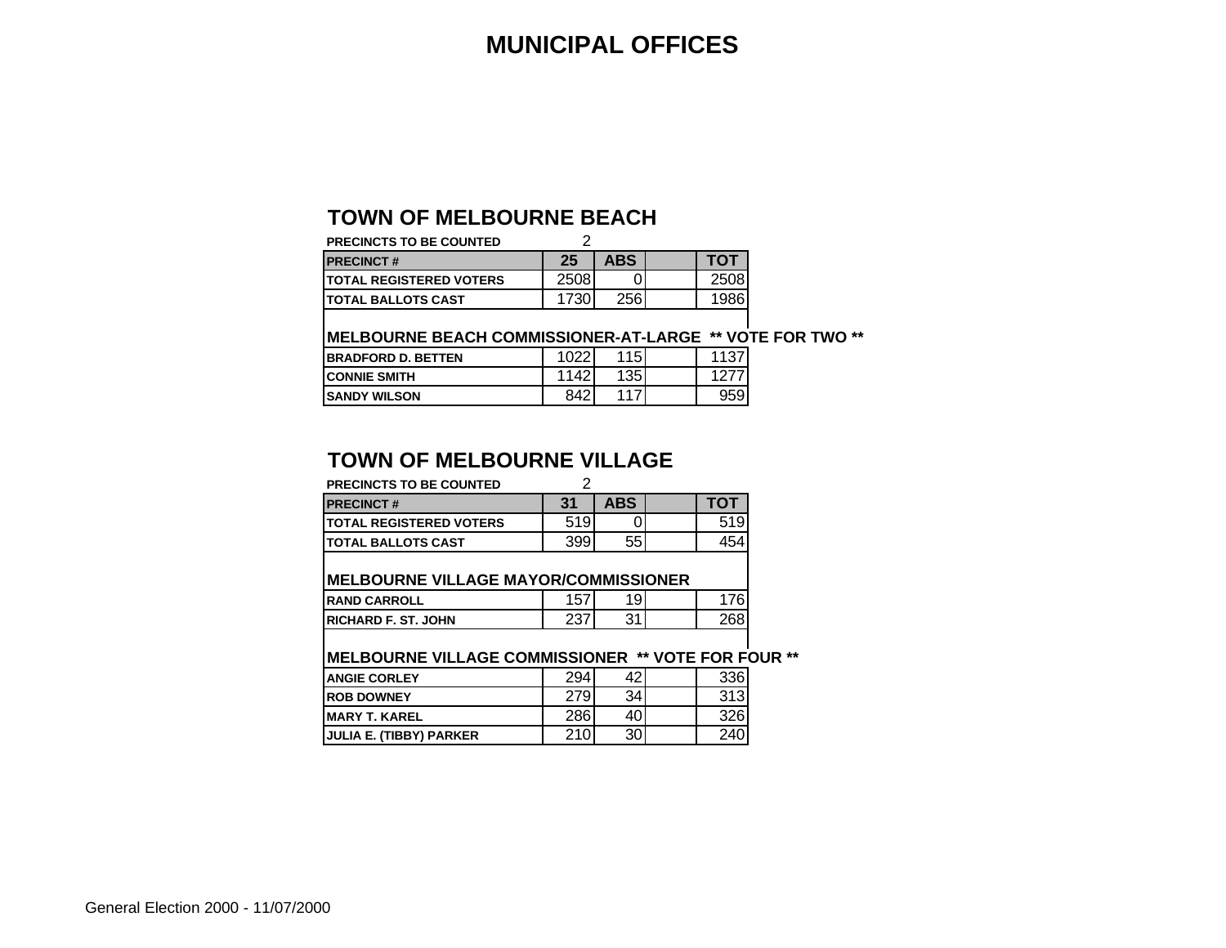#### **MUNICIPAL OFFICES**

#### **TOWN OF MELBOURNE BEACH**

| <b>PRECINCTS TO BE COUNTED</b>  |      |            |      |
|---------------------------------|------|------------|------|
| <b>IPRECINCT#</b>               | 25   | <b>ABS</b> | ΤΟΤ  |
| <b>ITOTAL REGISTERED VOTERS</b> | 2508 |            | 2508 |
| <b>ITOTAL BALLOTS CAST</b>      | 1730 | 256        | 1986 |

#### **MELBOURNE BEACH COMMISSIONER-AT-LARGE \*\* VOTE FOR TWO \*\***

| <b>IBRADFORD D. BETTEN</b> | 1022 | 115 <sub>1</sub> | 1107. |
|----------------------------|------|------------------|-------|
| <b>ICONNIE SMITH</b>       | 1142 | 1351             |       |
| <b>ISANDY WILSON</b>       | 842  | 441              | 959   |

#### **TOWN OF MELBOURNE VILLAGE**

| <b>PRECINCTS TO BE COUNTED</b>                             | 2   |            |     |  |
|------------------------------------------------------------|-----|------------|-----|--|
| <b>PRECINCT#</b>                                           | 31  | <b>ABS</b> | ΤΟΤ |  |
| <b>TOTAL REGISTERED VOTERS</b>                             | 519 |            | 519 |  |
| <b>TOTAL BALLOTS CAST</b>                                  | 399 | 55         | 454 |  |
| <b>IMELBOURNE VILLAGE MAYOR/COMMISSIONER</b>               |     |            |     |  |
| <b>RAND CARROLL</b>                                        | 157 | 19         | 176 |  |
| <b>IRICHARD F. ST. JOHN</b>                                | 237 | 31         | 268 |  |
| <b>IMELBOURNE VILLAGE COMMISSIONER ** VOTE FOR FOUR **</b> |     |            |     |  |
| <b>ANGIE CORLEY</b>                                        | 294 | 42         | 336 |  |
| <b>ROB DOWNEY</b>                                          | 279 | 34         | 313 |  |
| <b>MARY T. KAREL</b>                                       | 286 | 40         | 326 |  |
| JULIA E. (TIBBY) PARKER                                    | 210 | 30         | 240 |  |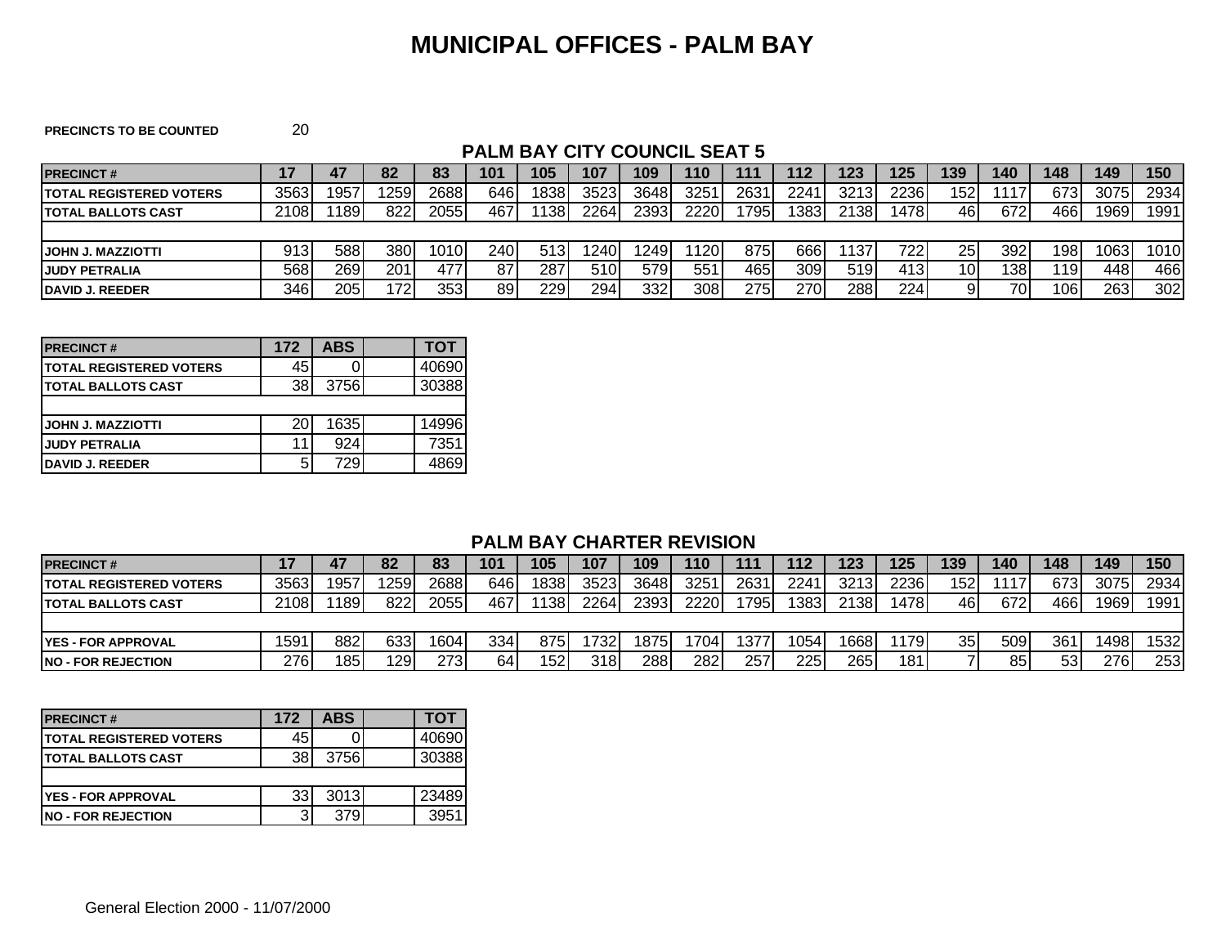#### **MUNICIPAL OFFICES - PALM BAY**

**PRECINCTS TO BE COUNTED** 20

#### **PALM BAY CITY COUNCIL SEAT 5**

| <b>IPRECINCT#</b>               |      |      | 82   | 83   | 101 | 105  | 107  | 109  | 110   | 111   | 112  | 123  | 125  | 139 | 140             | 148  | 149  | 150  |
|---------------------------------|------|------|------|------|-----|------|------|------|-------|-------|------|------|------|-----|-----------------|------|------|------|
| <b>ITOTAL REGISTERED VOTERS</b> | 3563 | 1957 | 259  | 2688 | 646 | 838  | 3523 | 3648 | 3251  | 2631  | 2241 | 3213 | 2236 | 152 | 1117            | 6731 | 3075 | 2934 |
| <b>ITOTAL BALLOTS CAST</b>      | 2108 | 1189 | 822  | 2055 | 467 | 138  | 2264 | 2393 | 2220  | 1795  | 1383 | 2138 | 1478 | 46  | 672             | 466  | 1969 | 1991 |
|                                 |      |      |      |      |     |      |      |      |       |       |      |      |      |     |                 |      |      |      |
| <b>IJOHN J. MAZZIOTTI</b>       | 913  | 588  | 380  | 1010 | 240 | 513I | 240  | 249  | '120. | 875I  | 6661 | 137  | 722. | 25  | 392             | 1981 | 1063 | 1010 |
| <b>JUDY PETRALIA</b>            | 568  | 269  | 201  | 477  | 87  | 287  | 510  | 579  | 551   | 465 I | 309  | 519  | 413  | 10I | 1381            | ∣19I | 4481 | 466  |
| <b>IDAVID J. REEDER</b>         | 346  | 205  | 1721 | 353  | 89  | 229  | 294  | 332  | 308   | 275   | 270  | 288  | 224  |     | 70 <sub>1</sub> | 106  | 263  | 302  |

| <b>PRECINCT#</b>                | 172 | <b>ABS</b> | тот   |
|---------------------------------|-----|------------|-------|
| <b>ITOTAL REGISTERED VOTERS</b> | 45  |            | 40690 |
| <b>ITOTAL BALLOTS CAST</b>      | 38I | 3756       | 30388 |
|                                 |     |            |       |
| IJOHN J. MAZZIOTTI              | 20  | 1635       | 14996 |
| <b>JUDY PETRALIA</b>            | 11  | 924        | 7351  |
| <b>DAVID J. REEDER</b>          | 5   | 729        |       |

#### **PALM BAY CHARTER REVISION**

| <b>PRECINCT#</b>                |      |      | 82   | 83   | 101 | 105  | 107  | 109   | 110              | 111  | 112  | 123  | 125  | 139             | 140             | 148 | 149  | 150  |
|---------------------------------|------|------|------|------|-----|------|------|-------|------------------|------|------|------|------|-----------------|-----------------|-----|------|------|
| <b>ITOTAL REGISTERED VOTERS</b> | 3563 | 1957 | 1259 | 2688 | 646 | 1838 | 3523 | 36481 | 3251             | 2631 | 2241 | 3213 | 2236 | 152             |                 | 673 | 3075 | 2934 |
| <b>ITOTAL BALLOTS CAST</b>      | 2108 | 1189 | 822  | 2055 | 467 | 1138 | 2264 | 2393  | 2220             | 795  | 1383 | 2138 | 478I | 461             | 672             | 466 | 1969 | 1991 |
|                                 |      |      |      |      |     |      |      |       |                  |      |      |      |      |                 |                 |     |      |      |
| <b>IYES - FOR APPROVAL</b>      | 1591 | 882  | 633  | 1604 | 334 | 875  | 1732 | 1875  | 704 <sub>1</sub> | 377  | 1054 | 668  | 179I | 35 <sub>1</sub> | 509             | 361 | 1498 | 532  |
| <b>INO - FOR REJECTION</b>      | 276  | 185  | 1291 | 273  | 64  | 152  | 318I | 288   | 282              | 257  | 225  | 265  | 1811 |                 | 85 <sub>1</sub> | 53  | 276  | 253  |

| <b>PRECINCT#</b>                | 172 | <b>ABS</b> | тот   |
|---------------------------------|-----|------------|-------|
| <b>ITOTAL REGISTERED VOTERS</b> | 45  |            | 40690 |
| <b>ITOTAL BALLOTS CAST</b>      | 38I | 3756       | 30388 |
|                                 |     |            |       |
| IYES - FOR APPROVAL             | 33I | 3013       | 23489 |
| <b>INO - FOR REJECTION</b>      | 3   | 379        | 395   |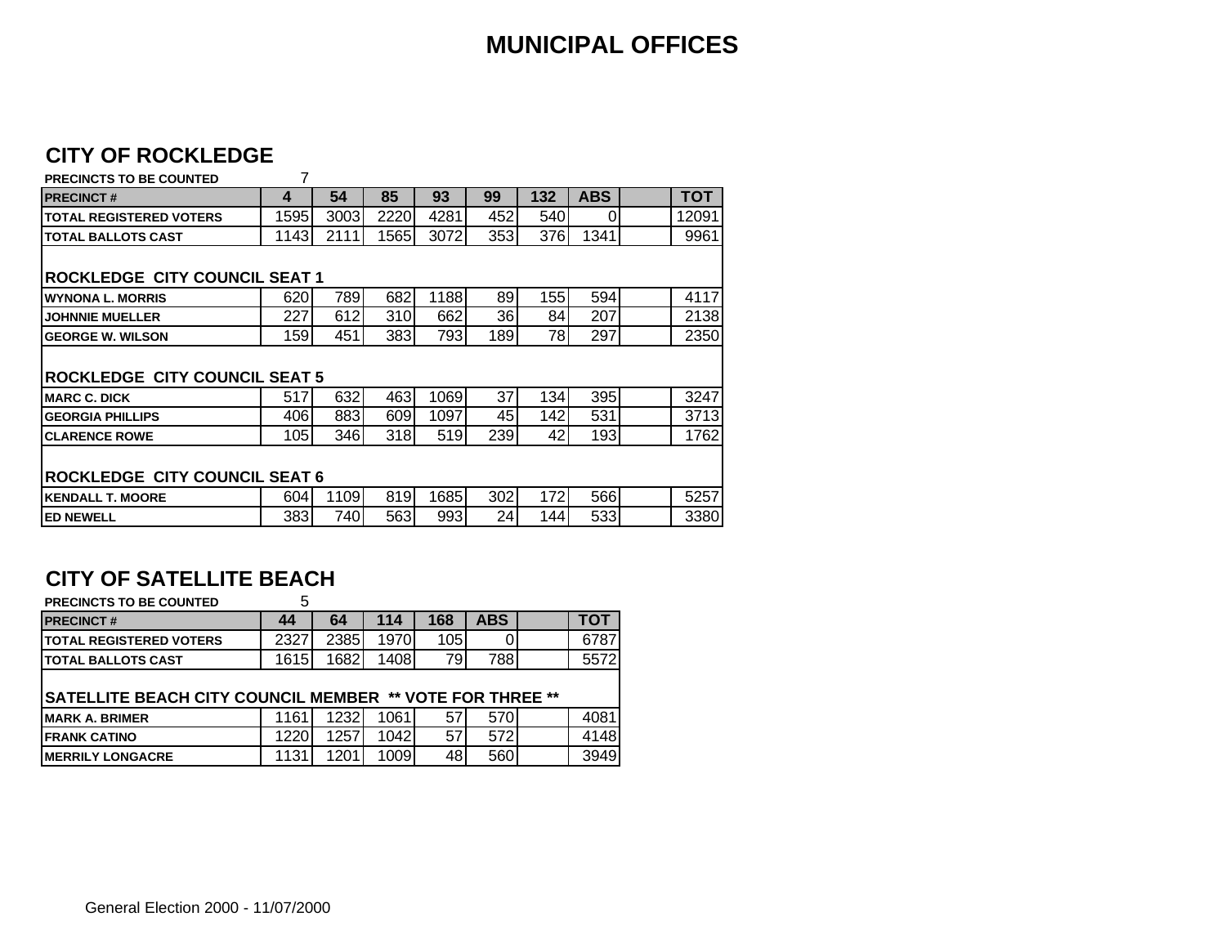#### **MUNICIPAL OFFICES**

#### **CITY OF ROCKLEDGE**

#### **PRECINCTS TO BE COUNTED** 7 **PRECINCT # 4 54 85 93 99 132 ABS TOT TOTAL REGISTERED VOTERS** 1595 3003 2220 4281 452 540 0 12091 **TOTAL BALLOTS CAST** 1143 2111 1565 3072 353 376 1341 9961 **ROCKLEDGE CITY COUNCIL SEAT 1 WYNONA L. MORRIS** 620 789 682 1188 89 155 594 4117 **JOHNNIE MUELLER** 227 612 310 662 36 84 207 2138 **GEORGE W. WILSON**  | 159 451 383 793 189 78 297 | 2350 **ROCKLEDGE CITY COUNCIL SEAT 5** MARC C. DICK **Exercise 2018** 517 632 463 1069 37 134 395 3247<br>**GEORGIA PHILLIPS** 406 883 609 1097 45 142 531 3713 **GEORGIA PHILLIPS** 406 883 609 1097 45 142 531 3713 **CLARENCE ROWE** 105 346 318 519 239 42 193 1762 **ROCKLEDGE CITY COUNCIL SEAT 6 KENDALL T. MOORE** 604 1109 819 1685 302 172 566 5257 **ED NEWELL** 383 740 563 993 24 144 533 3380

#### **CITY OF SATELLITE BEACH**

| <b>PRECINCTS TO BE COUNTED</b>                                  | 5    |      |      |     |            |      |
|-----------------------------------------------------------------|------|------|------|-----|------------|------|
| <b>PRECINCT#</b>                                                | 44   | 64   | 114  | 168 | <b>ABS</b> | тот  |
| <b>ITOTAL REGISTERED VOTERS</b>                                 | 2327 | 2385 | 1970 | 105 |            | 6787 |
| <b>TOTAL BALLOTS CAST</b>                                       | 1615 | 1682 | 1408 | 79  | 788        | 5572 |
|                                                                 |      |      |      |     |            |      |
| <b>SATELLITE BEACH CITY COUNCIL MEMBER ** VOTE FOR THREE **</b> |      |      |      |     |            |      |
| IMARK A. BRIMER                                                 | 1161 | 1232 | 1061 | 57  | 570        | 4081 |
| <b>FRANK CATINO</b>                                             | 1220 | 1257 | 1042 | 57  | 572        | 4148 |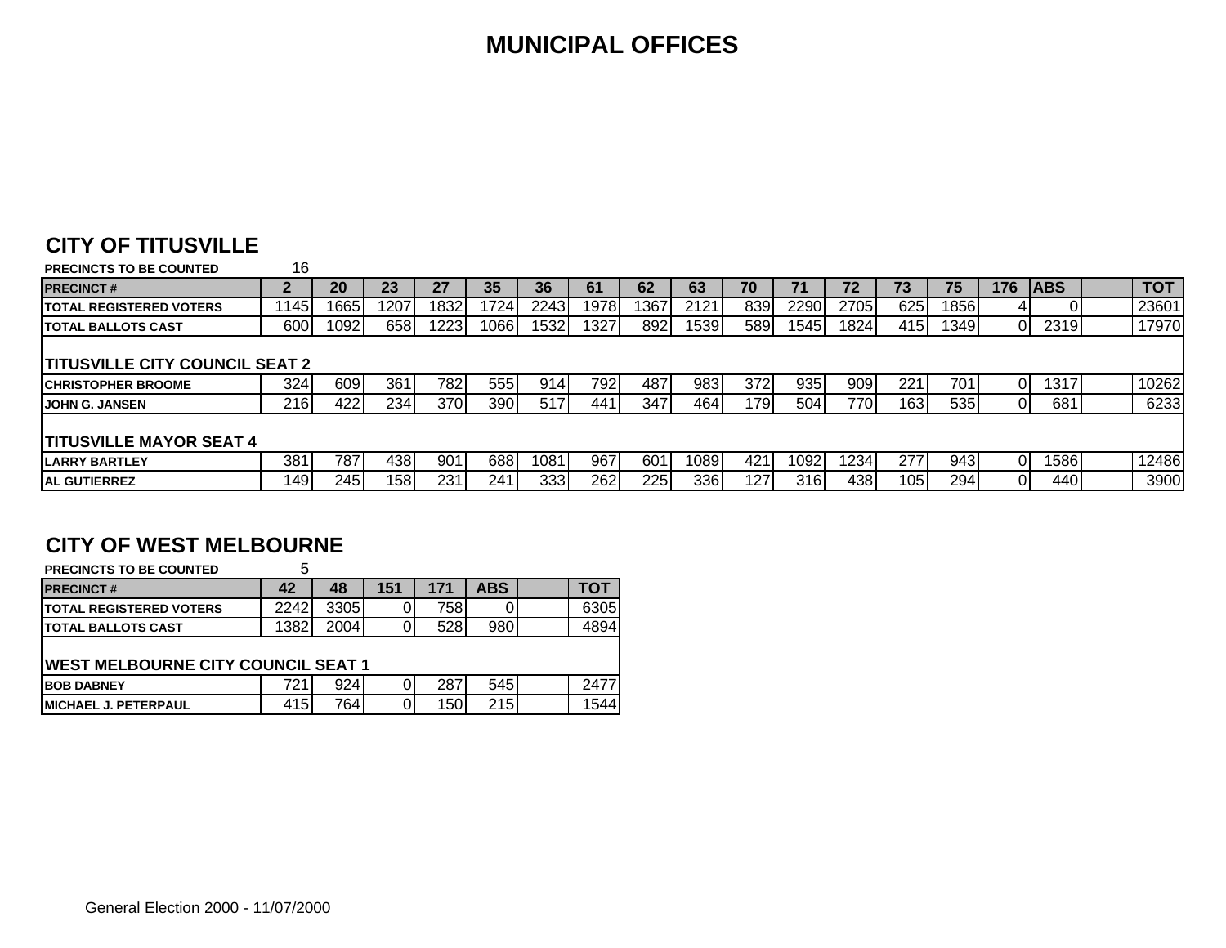#### **MUNICIPAL OFFICES**

#### **CITY OF TITUSVILLE**

| <b>PRECINCTS TO BE COUNTED</b>         | 16    |      |      |      |      |      |            |      |      |      |      |      |      |      |                |            |            |
|----------------------------------------|-------|------|------|------|------|------|------------|------|------|------|------|------|------|------|----------------|------------|------------|
| <b>PRECINCT#</b>                       |       | 20   | 23   | 27   | 35   | 36   | 61         | 62   | 63   | 70   |      | 72   | 73   | 75   | 176            | <b>ABS</b> | <b>TOT</b> |
| <b>ITOTAL REGISTERED VOTERS</b>        | '145. | 1665 | 1207 | 1832 | 1724 | 2243 | 1978       | 1367 | 2121 | 839  | 2290 | 2705 | 625  | 1856 | 41             |            | 23601      |
| <b>ITOTAL BALLOTS CAST</b>             | 600   | 1092 | 658  | 1223 | 1066 | 1532 | <b>327</b> | 892  | 1539 | 589  | 1545 | 1824 | 415  | 1349 | $\overline{0}$ | 2319       | 17970      |
|                                        |       |      |      |      |      |      |            |      |      |      |      |      |      |      |                |            |            |
| <b>ITITUSVILLE CITY COUNCIL SEAT 2</b> |       |      |      |      |      |      |            |      |      |      |      |      |      |      |                |            |            |
| <b>ICHRISTOPHER BROOME</b>             | 324   | 609  | 361  | 782I | 555I | 9141 | 792        | 487  | 983  | 372  | 935  | 909  | 221  | 701  | 01             | 1317       | 10262      |
| <b>JOHN G. JANSEN</b>                  | 216   | 422  | 2341 | 370  | 390  | 517  | 441        | 347  | 464  | 1791 | 504  | 770  | 163  | 535  | $\overline{0}$ | 681        | 6233       |
|                                        |       |      |      |      |      |      |            |      |      |      |      |      |      |      |                |            |            |
| <b>TITUSVILLE MAYOR SEAT 4</b>         |       |      |      |      |      |      |            |      |      |      |      |      |      |      |                |            |            |
| <b>ILARRY BARTLEY</b>                  | 381   | 787  | 4381 | 901  | 688I | 1081 | 967        | 601  | 1089 | 421  | 1092 | 1234 | 277  | 943  | 01             | 1586l      | 12486      |
| <b>IAL GUTIERREZ</b>                   | 149   | 245  | 1581 | 231  | 241  | 333  | 262        | 225  | 336  | 127  | 316  | 438  | 1051 | 294  | 01             | 440        | 3900       |

#### **CITY OF WEST MELBOURNE**

| <b>PRECINCTS TO BE COUNTED</b>             | 5    |      |     |      |            |      |
|--------------------------------------------|------|------|-----|------|------------|------|
| <b>PRECINCT#</b>                           | 42   | 48   | 151 | 171  | <b>ABS</b> | тот  |
| <b>ITOTAL REGISTERED VOTERS</b>            | 2242 | 3305 |     | 7581 |            | 6305 |
| <b>TOTAL BALLOTS CAST</b>                  | 1382 | 2004 |     | 528  | 980        | 4894 |
|                                            |      |      |     |      |            |      |
| <b>IWEST MELBOURNE CITY COUNCIL SEAT 1</b> |      |      |     |      |            |      |
| <b>IBOB DABNEY</b>                         | 721  | 924  |     | 287  | 545        | 2477 |
| <b>IMICHAEL J. PETERPAUL</b>               | 415  | 764  |     | 150  | 215        | 1544 |